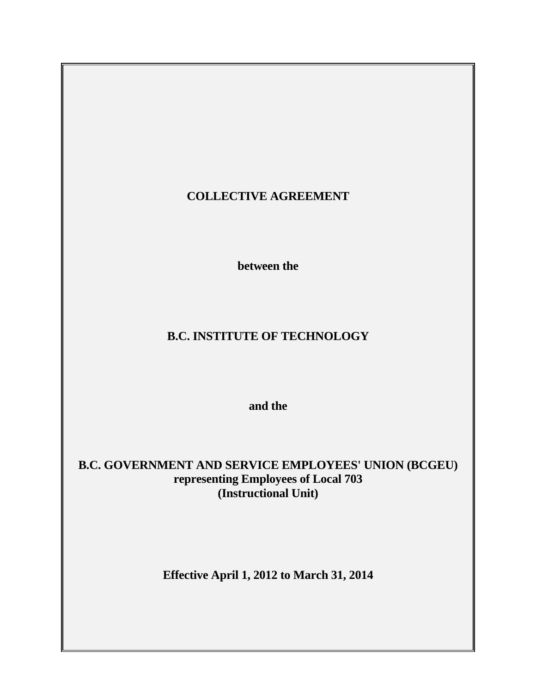# **COLLECTIVE AGREEMENT**

 **between the** 

# **B.C. INSTITUTE OF TECHNOLOGY**

 **and the** 

**B.C. GOVERNMENT AND SERVICE EMPLOYEES' UNION (BCGEU) representing Employees of Local 703 (Instructional Unit)** 

**Effective April 1, 2012 to March 31, 2014**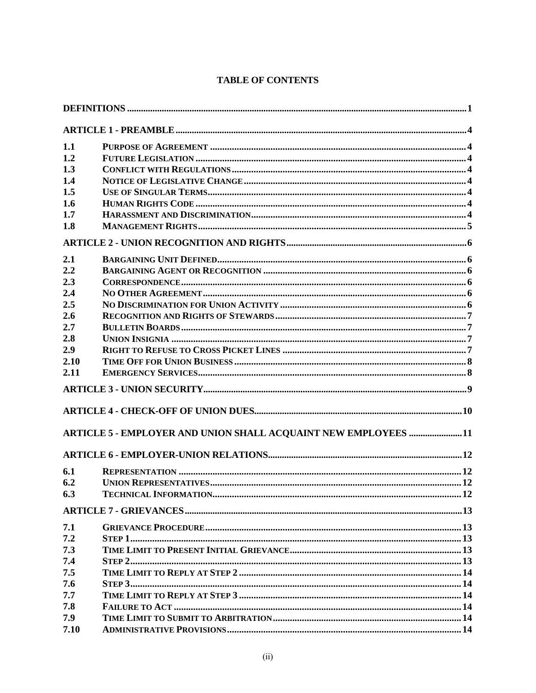# **TABLE OF CONTENTS**

| 1.1  |                                                                       |  |  |
|------|-----------------------------------------------------------------------|--|--|
| 1.2  |                                                                       |  |  |
| 1.3  |                                                                       |  |  |
| 1.4  |                                                                       |  |  |
| 1.5  |                                                                       |  |  |
| 1.6  |                                                                       |  |  |
| 1.7  |                                                                       |  |  |
| 1.8  |                                                                       |  |  |
|      |                                                                       |  |  |
| 2.1  |                                                                       |  |  |
| 2.2  |                                                                       |  |  |
| 2.3  |                                                                       |  |  |
| 2.4  |                                                                       |  |  |
| 2.5  |                                                                       |  |  |
| 2.6  |                                                                       |  |  |
| 2.7  |                                                                       |  |  |
| 2.8  |                                                                       |  |  |
| 2.9  |                                                                       |  |  |
| 2.10 |                                                                       |  |  |
| 2.11 |                                                                       |  |  |
|      |                                                                       |  |  |
|      |                                                                       |  |  |
|      | <b>ARTICLE 5 - EMPLOYER AND UNION SHALL ACQUAINT NEW EMPLOYEES 11</b> |  |  |
|      |                                                                       |  |  |
| 6.1  |                                                                       |  |  |
| 6.2  |                                                                       |  |  |
| 6.3  |                                                                       |  |  |
|      |                                                                       |  |  |
| 7.1  |                                                                       |  |  |
| 7.2  |                                                                       |  |  |
| 7.3  |                                                                       |  |  |
| 7.4  |                                                                       |  |  |
| 7.5  |                                                                       |  |  |
| 7.6  |                                                                       |  |  |
| 7.7  |                                                                       |  |  |
| 7.8  |                                                                       |  |  |
| 7.9  |                                                                       |  |  |
| 7.10 |                                                                       |  |  |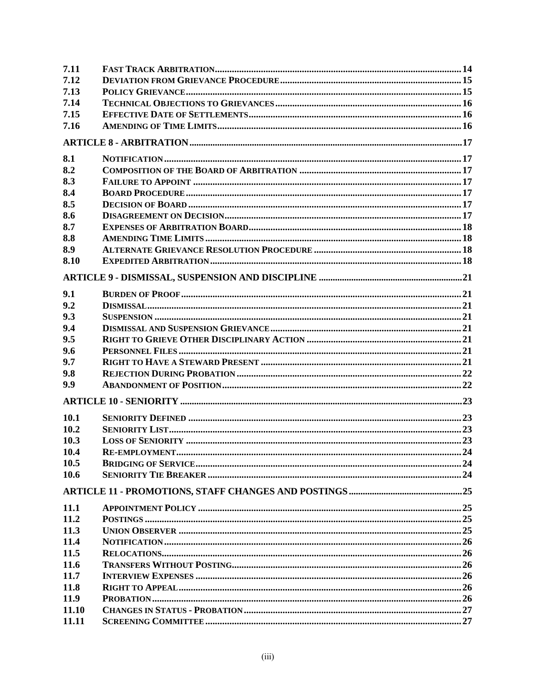| 7.11  |  |
|-------|--|
| 7.12  |  |
| 7.13  |  |
| 7.14  |  |
| 7.15  |  |
| 7.16  |  |
|       |  |
| 8.1   |  |
| 8.2   |  |
| 8.3   |  |
| 8.4   |  |
| 8.5   |  |
| 8.6   |  |
| 8.7   |  |
| 8.8   |  |
| 8.9   |  |
| 8.10  |  |
|       |  |
|       |  |
| 9.1   |  |
| 9.2   |  |
| 9.3   |  |
| 9.4   |  |
| 9.5   |  |
| 9.6   |  |
| 9.7   |  |
| 9.8   |  |
| 9.9   |  |
|       |  |
| 10.1  |  |
| 10.2  |  |
| 10.3  |  |
| 10.4  |  |
| 10.5  |  |
| 10.6  |  |
|       |  |
| 11.1  |  |
| 11.2  |  |
| 11.3  |  |
| 11.4  |  |
| 11.5  |  |
| 11.6  |  |
| 11.7  |  |
| 11.8  |  |
| 11.9  |  |
| 11.10 |  |
| 11.11 |  |
|       |  |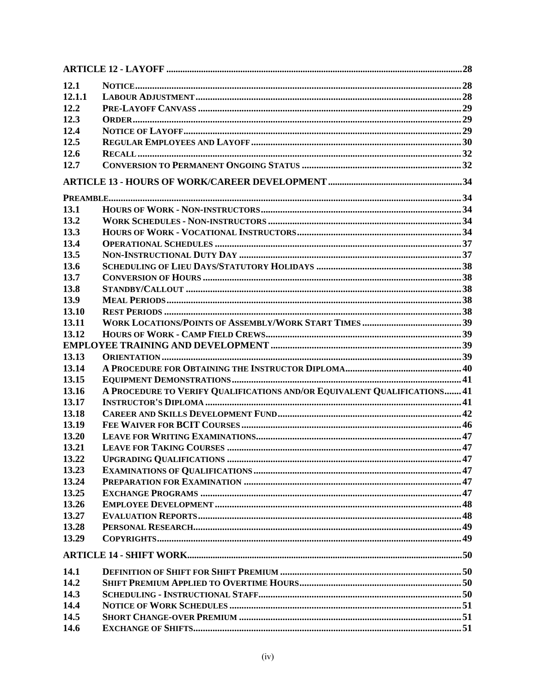| 12.1   |                                                                          |  |
|--------|--------------------------------------------------------------------------|--|
| 12.1.1 |                                                                          |  |
| 12.2   |                                                                          |  |
| 12.3   |                                                                          |  |
| 12.4   |                                                                          |  |
| 12.5   |                                                                          |  |
| 12.6   |                                                                          |  |
| 12.7   |                                                                          |  |
|        |                                                                          |  |
|        |                                                                          |  |
| 13.1   |                                                                          |  |
| 13.2   |                                                                          |  |
| 13.3   |                                                                          |  |
| 13.4   |                                                                          |  |
| 13.5   |                                                                          |  |
| 13.6   |                                                                          |  |
| 13.7   |                                                                          |  |
| 13.8   |                                                                          |  |
| 13.9   |                                                                          |  |
| 13.10  |                                                                          |  |
| 13.11  |                                                                          |  |
| 13.12  |                                                                          |  |
|        |                                                                          |  |
| 13.13  |                                                                          |  |
| 13.14  |                                                                          |  |
| 13.15  |                                                                          |  |
| 13.16  | A PROCEDURE TO VERIFY QUALIFICATIONS AND/OR EQUIVALENT QUALIFICATIONS 41 |  |
| 13.17  |                                                                          |  |
| 13.18  |                                                                          |  |
| 13.19  |                                                                          |  |
| 13.20  |                                                                          |  |
|        |                                                                          |  |
| 13.21  |                                                                          |  |
| 13.22  |                                                                          |  |
| 13.23  |                                                                          |  |
| 13.24  |                                                                          |  |
| 13.25  |                                                                          |  |
| 13.26  |                                                                          |  |
| 13.27  |                                                                          |  |
| 13.28  |                                                                          |  |
| 13.29  |                                                                          |  |
|        |                                                                          |  |
| 14.1   |                                                                          |  |
| 14.2   |                                                                          |  |
| 14.3   |                                                                          |  |
| 14.4   |                                                                          |  |
| 14.5   |                                                                          |  |
| 14.6   |                                                                          |  |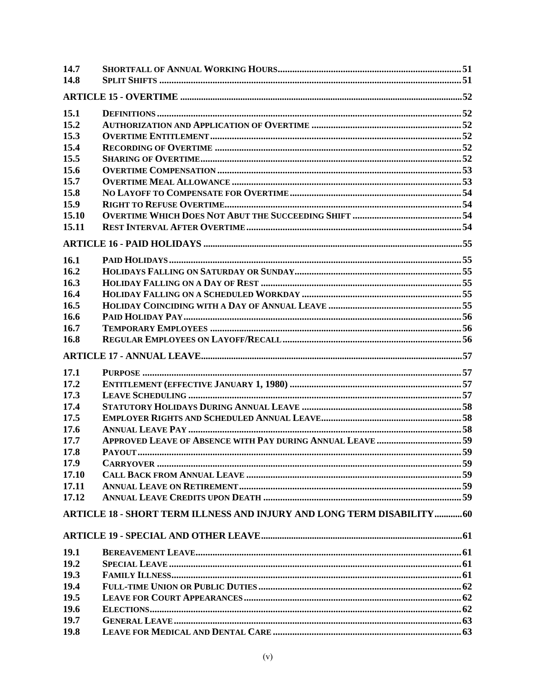| 14.7        |                                                                         |  |
|-------------|-------------------------------------------------------------------------|--|
| 14.8        |                                                                         |  |
|             |                                                                         |  |
| 15.1        |                                                                         |  |
| 15.2        |                                                                         |  |
| 15.3        |                                                                         |  |
| 15.4        |                                                                         |  |
| 15.5        |                                                                         |  |
| 15.6        |                                                                         |  |
| 15.7        |                                                                         |  |
| 15.8        |                                                                         |  |
| 15.9        |                                                                         |  |
| 15.10       |                                                                         |  |
| 15.11       |                                                                         |  |
|             |                                                                         |  |
|             |                                                                         |  |
| 16.1        |                                                                         |  |
| 16.2        |                                                                         |  |
| 16.3        |                                                                         |  |
| 16.4        |                                                                         |  |
| 16.5        |                                                                         |  |
| 16.6        |                                                                         |  |
| 16.7        |                                                                         |  |
| 16.8        |                                                                         |  |
|             |                                                                         |  |
| 17.1        |                                                                         |  |
| 17.2        |                                                                         |  |
|             |                                                                         |  |
| 17.3        |                                                                         |  |
| 17.4        |                                                                         |  |
| 17.5        |                                                                         |  |
| 17.6        |                                                                         |  |
| 17.7        |                                                                         |  |
|             | APPROVED LEAVE OF ABSENCE WITH PAY DURING ANNUAL LEAVE  59              |  |
| 17.8        |                                                                         |  |
| 17.9        |                                                                         |  |
| 17.10       |                                                                         |  |
| 17.11       |                                                                         |  |
| 17.12       | ARTICLE 18 - SHORT TERM ILLNESS AND INJURY AND LONG TERM DISABILITY  60 |  |
|             |                                                                         |  |
|             |                                                                         |  |
| <b>19.1</b> |                                                                         |  |
| 19.2        |                                                                         |  |
| 19.3        |                                                                         |  |
| 19.4        |                                                                         |  |
| 19.5        |                                                                         |  |
| 19.6        |                                                                         |  |
| 19.7        |                                                                         |  |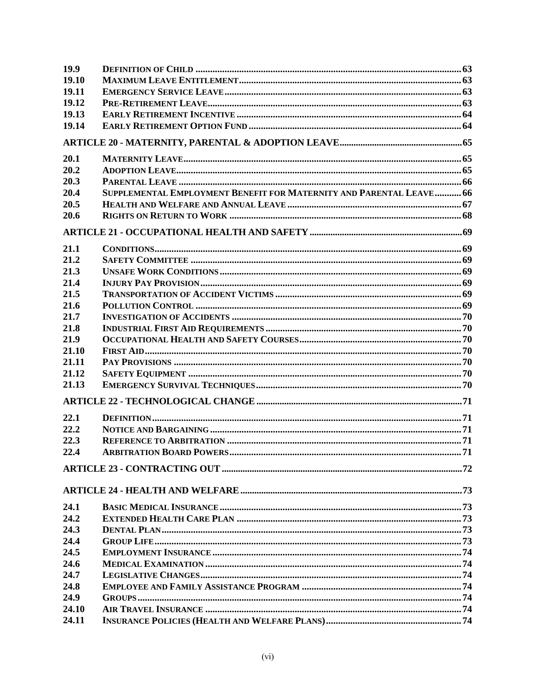| 19.9  |                                                                     |  |
|-------|---------------------------------------------------------------------|--|
| 19.10 |                                                                     |  |
| 19.11 |                                                                     |  |
| 19.12 |                                                                     |  |
| 19.13 |                                                                     |  |
| 19.14 |                                                                     |  |
|       |                                                                     |  |
| 20.1  |                                                                     |  |
| 20.2  |                                                                     |  |
| 20.3  |                                                                     |  |
| 20.4  | SUPPLEMENTAL EMPLOYMENT BENEFIT FOR MATERNITY AND PARENTAL LEAVE 66 |  |
| 20.5  |                                                                     |  |
| 20.6  |                                                                     |  |
|       |                                                                     |  |
| 21.1  |                                                                     |  |
| 21.2  |                                                                     |  |
| 21.3  |                                                                     |  |
| 21.4  |                                                                     |  |
| 21.5  |                                                                     |  |
| 21.6  |                                                                     |  |
| 21.7  |                                                                     |  |
| 21.8  |                                                                     |  |
| 21.9  |                                                                     |  |
| 21.10 |                                                                     |  |
| 21.11 |                                                                     |  |
| 21.12 |                                                                     |  |
| 21.13 |                                                                     |  |
|       |                                                                     |  |
| 22.1  |                                                                     |  |
| 22.2  |                                                                     |  |
| 22.3  |                                                                     |  |
| 22.4  |                                                                     |  |
|       |                                                                     |  |
|       |                                                                     |  |
| 24.1  |                                                                     |  |
| 24.2  |                                                                     |  |
| 24.3  |                                                                     |  |
| 24.4  |                                                                     |  |
| 24.5  |                                                                     |  |
| 24.6  |                                                                     |  |
| 24.7  |                                                                     |  |
| 24.8  |                                                                     |  |
| 24.9  |                                                                     |  |
| 24.10 |                                                                     |  |
| 24.11 |                                                                     |  |
|       |                                                                     |  |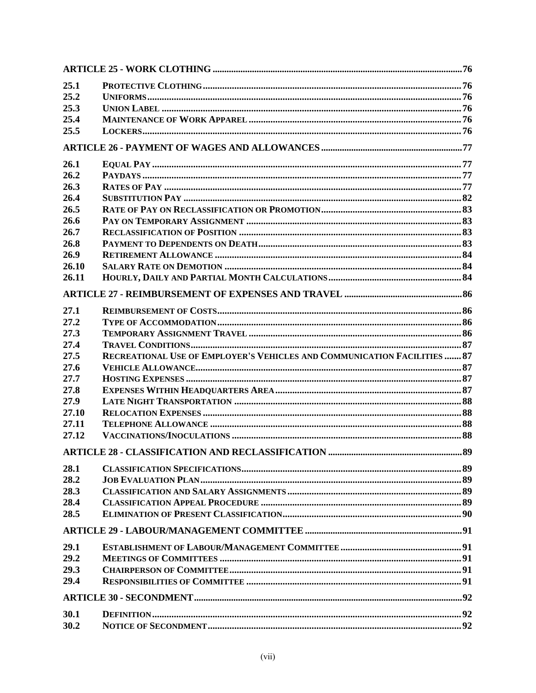| 25.1  |                                                                          |  |
|-------|--------------------------------------------------------------------------|--|
| 25.2  |                                                                          |  |
| 25.3  |                                                                          |  |
| 25.4  |                                                                          |  |
| 25.5  |                                                                          |  |
|       |                                                                          |  |
| 26.1  |                                                                          |  |
| 26.2  |                                                                          |  |
| 26.3  |                                                                          |  |
| 26.4  |                                                                          |  |
| 26.5  |                                                                          |  |
| 26.6  |                                                                          |  |
| 26.7  |                                                                          |  |
| 26.8  |                                                                          |  |
| 26.9  |                                                                          |  |
| 26.10 |                                                                          |  |
| 26.11 |                                                                          |  |
|       |                                                                          |  |
|       |                                                                          |  |
| 27.1  |                                                                          |  |
| 27.2  |                                                                          |  |
| 27.3  |                                                                          |  |
| 27.4  |                                                                          |  |
| 27.5  | RECREATIONAL USE OF EMPLOYER'S VEHICLES AND COMMUNICATION FACILITIES  87 |  |
| 27.6  |                                                                          |  |
| 27.7  |                                                                          |  |
| 27.8  |                                                                          |  |
| 27.9  |                                                                          |  |
| 27.10 |                                                                          |  |
| 27.11 |                                                                          |  |
| 27.12 |                                                                          |  |
|       |                                                                          |  |
| 28.1  |                                                                          |  |
| 28.2  |                                                                          |  |
| 28.3  |                                                                          |  |
| 28.4  |                                                                          |  |
| 28.5  |                                                                          |  |
|       |                                                                          |  |
|       |                                                                          |  |
| 29.1  |                                                                          |  |
| 29.2  |                                                                          |  |
| 29.3  |                                                                          |  |
| 29.4  |                                                                          |  |
|       |                                                                          |  |
| 30.1  |                                                                          |  |
| 30.2  |                                                                          |  |
|       |                                                                          |  |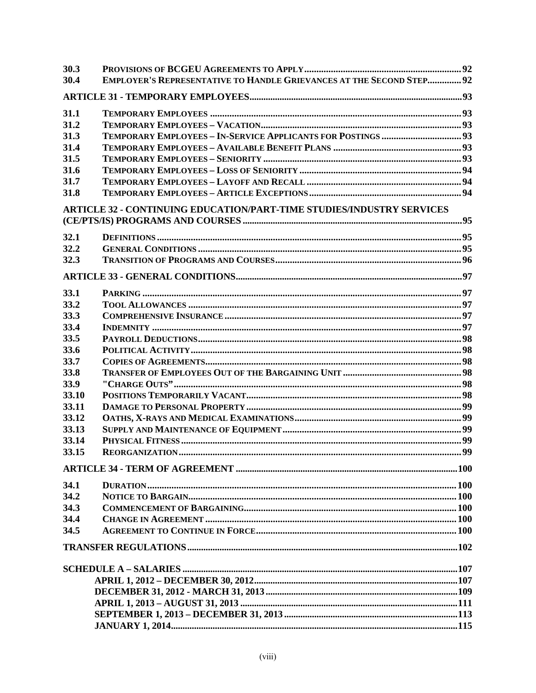| 30.3  |                                                                             |  |
|-------|-----------------------------------------------------------------------------|--|
| 30.4  | <b>EMPLOYER'S REPRESENTATIVE TO HANDLE GRIEVANCES AT THE SECOND STEP 92</b> |  |
|       |                                                                             |  |
| 31.1  |                                                                             |  |
| 31.2  |                                                                             |  |
| 31.3  |                                                                             |  |
| 31.4  |                                                                             |  |
| 31.5  |                                                                             |  |
| 31.6  |                                                                             |  |
| 31.7  |                                                                             |  |
| 31.8  |                                                                             |  |
|       | ARTICLE 32 - CONTINUING EDUCATION/PART-TIME STUDIES/INDUSTRY SERVICES       |  |
| 32.1  |                                                                             |  |
| 32.2  |                                                                             |  |
| 32.3  |                                                                             |  |
|       |                                                                             |  |
| 33.1  |                                                                             |  |
| 33.2  |                                                                             |  |
| 33.3  |                                                                             |  |
| 33.4  |                                                                             |  |
| 33.5  |                                                                             |  |
| 33.6  |                                                                             |  |
| 33.7  |                                                                             |  |
| 33.8  |                                                                             |  |
| 33.9  |                                                                             |  |
| 33.10 |                                                                             |  |
| 33.11 |                                                                             |  |
| 33.12 |                                                                             |  |
| 33.13 |                                                                             |  |
| 33.14 |                                                                             |  |
| 33.15 |                                                                             |  |
|       |                                                                             |  |
| 34.1  |                                                                             |  |
| 34.2  |                                                                             |  |
| 34.3  |                                                                             |  |
| 34.4  |                                                                             |  |
| 34.5  |                                                                             |  |
|       |                                                                             |  |
|       |                                                                             |  |
|       |                                                                             |  |
|       |                                                                             |  |
|       |                                                                             |  |
|       |                                                                             |  |
|       |                                                                             |  |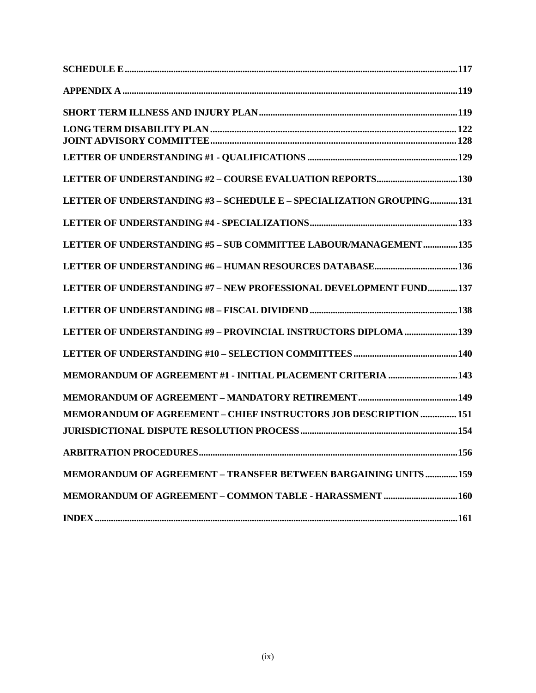| LETTER OF UNDERSTANDING #3 - SCHEDULE E - SPECIALIZATION GROUPING131    |
|-------------------------------------------------------------------------|
|                                                                         |
| LETTER OF UNDERSTANDING #5 - SUB COMMITTEE LABOUR/MANAGEMENT135         |
|                                                                         |
| LETTER OF UNDERSTANDING #7 – NEW PROFESSIONAL DEVELOPMENT FUND137       |
|                                                                         |
| LETTER OF UNDERSTANDING #9 - PROVINCIAL INSTRUCTORS DIPLOMA 139         |
|                                                                         |
| MEMORANDUM OF AGREEMENT #1 - INITIAL PLACEMENT CRITERIA 143             |
|                                                                         |
| <b>MEMORANDUM OF AGREEMENT - CHIEF INSTRUCTORS JOB DESCRIPTION  151</b> |
|                                                                         |
| <b>ARBITRATION PROCEDURES</b><br>.156                                   |
| <b>MEMORANDUM OF AGREEMENT - TRANSFER BETWEEN BARGAINING UNITS 159</b>  |
|                                                                         |
|                                                                         |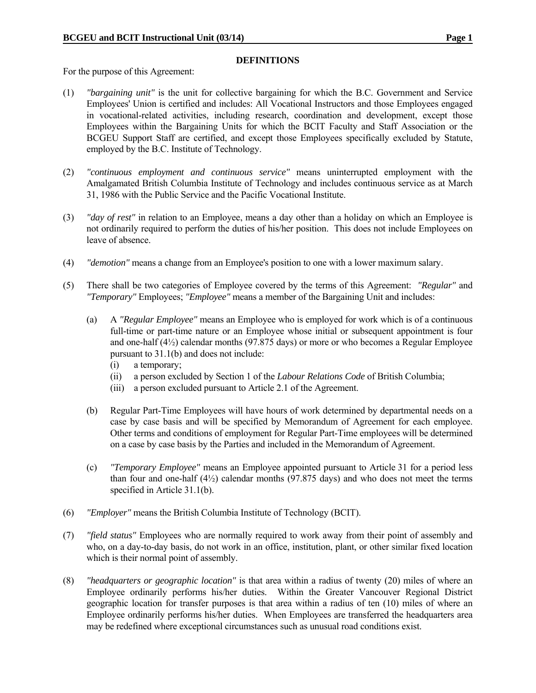#### **DEFINITIONS**

For the purpose of this Agreement:

- (1) *"bargaining unit"* is the unit for collective bargaining for which the B.C. Government and Service Employees' Union is certified and includes: All Vocational Instructors and those Employees engaged in vocational-related activities, including research, coordination and development, except those Employees within the Bargaining Units for which the BCIT Faculty and Staff Association or the BCGEU Support Staff are certified, and except those Employees specifically excluded by Statute, employed by the B.C. Institute of Technology.
- (2) *"continuous employment and continuous service"* means uninterrupted employment with the Amalgamated British Columbia Institute of Technology and includes continuous service as at March 31, 1986 with the Public Service and the Pacific Vocational Institute.
- (3) *"day of rest"* in relation to an Employee, means a day other than a holiday on which an Employee is not ordinarily required to perform the duties of his/her position. This does not include Employees on leave of absence.
- (4) *"demotion"* means a change from an Employee's position to one with a lower maximum salary.
- (5) There shall be two categories of Employee covered by the terms of this Agreement: *"Regular"* and *"Temporary"* Employees; *"Employee"* means a member of the Bargaining Unit and includes:
	- (a) A *"Regular Employee"* means an Employee who is employed for work which is of a continuous full-time or part-time nature or an Employee whose initial or subsequent appointment is four and one-half (4½) calendar months (97.875 days) or more or who becomes a Regular Employee pursuant to 31.1(b) and does not include:
		- (i) a temporary;
		- (ii) a person excluded by Section 1 of the *Labour Relations Code* of British Columbia;
		- (iii) a person excluded pursuant to Article 2.1 of the Agreement.
	- (b) Regular Part-Time Employees will have hours of work determined by departmental needs on a case by case basis and will be specified by Memorandum of Agreement for each employee. Other terms and conditions of employment for Regular Part-Time employees will be determined on a case by case basis by the Parties and included in the Memorandum of Agreement.
	- (c) *"Temporary Employee"* means an Employee appointed pursuant to Article 31 for a period less than four and one-half  $(4\frac{1}{2})$  calendar months  $(97.875 \text{ days})$  and who does not meet the terms specified in Article 31.1(b).
- (6) *"Employer"* means the British Columbia Institute of Technology (BCIT).
- (7) *"field status"* Employees who are normally required to work away from their point of assembly and who, on a day-to-day basis, do not work in an office, institution, plant, or other similar fixed location which is their normal point of assembly.
- (8) *"headquarters or geographic location"* is that area within a radius of twenty (20) miles of where an Employee ordinarily performs his/her duties. Within the Greater Vancouver Regional District geographic location for transfer purposes is that area within a radius of ten (10) miles of where an Employee ordinarily performs his/her duties. When Employees are transferred the headquarters area may be redefined where exceptional circumstances such as unusual road conditions exist.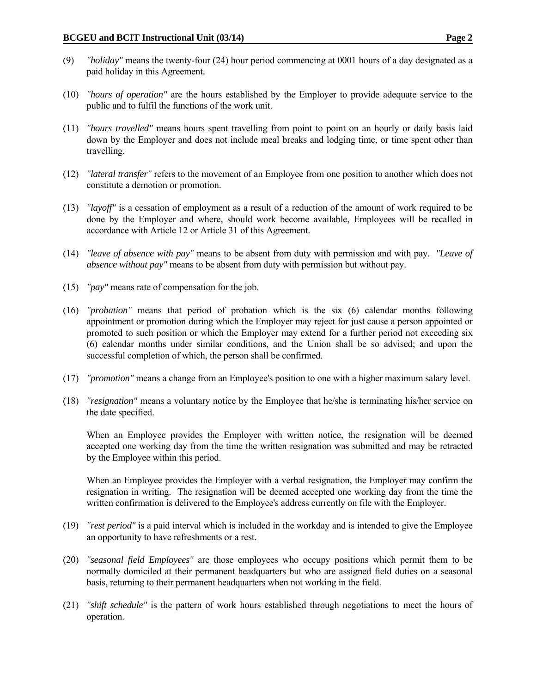- (9) *"holiday"* means the twenty-four (24) hour period commencing at 0001 hours of a day designated as a paid holiday in this Agreement.
- (10) *"hours of operation"* are the hours established by the Employer to provide adequate service to the public and to fulfil the functions of the work unit.
- (11) *"hours travelled"* means hours spent travelling from point to point on an hourly or daily basis laid down by the Employer and does not include meal breaks and lodging time, or time spent other than travelling.
- (12) *"lateral transfer"* refers to the movement of an Employee from one position to another which does not constitute a demotion or promotion.
- (13) *"layoff"* is a cessation of employment as a result of a reduction of the amount of work required to be done by the Employer and where, should work become available, Employees will be recalled in accordance with Article 12 or Article 31 of this Agreement.
- (14) *"leave of absence with pay"* means to be absent from duty with permission and with pay. *"Leave of absence without pay"* means to be absent from duty with permission but without pay.
- (15) *"pay"* means rate of compensation for the job.
- (16) *"probation"* means that period of probation which is the six (6) calendar months following appointment or promotion during which the Employer may reject for just cause a person appointed or promoted to such position or which the Employer may extend for a further period not exceeding six (6) calendar months under similar conditions, and the Union shall be so advised; and upon the successful completion of which, the person shall be confirmed.
- (17) *"promotion"* means a change from an Employee's position to one with a higher maximum salary level.
- (18) *"resignation"* means a voluntary notice by the Employee that he/she is terminating his/her service on the date specified.

When an Employee provides the Employer with written notice, the resignation will be deemed accepted one working day from the time the written resignation was submitted and may be retracted by the Employee within this period.

When an Employee provides the Employer with a verbal resignation, the Employer may confirm the resignation in writing. The resignation will be deemed accepted one working day from the time the written confirmation is delivered to the Employee's address currently on file with the Employer.

- (19) *"rest period"* is a paid interval which is included in the workday and is intended to give the Employee an opportunity to have refreshments or a rest.
- (20) *"seasonal field Employees"* are those employees who occupy positions which permit them to be normally domiciled at their permanent headquarters but who are assigned field duties on a seasonal basis, returning to their permanent headquarters when not working in the field.
- (21) *"shift schedule"* is the pattern of work hours established through negotiations to meet the hours of operation.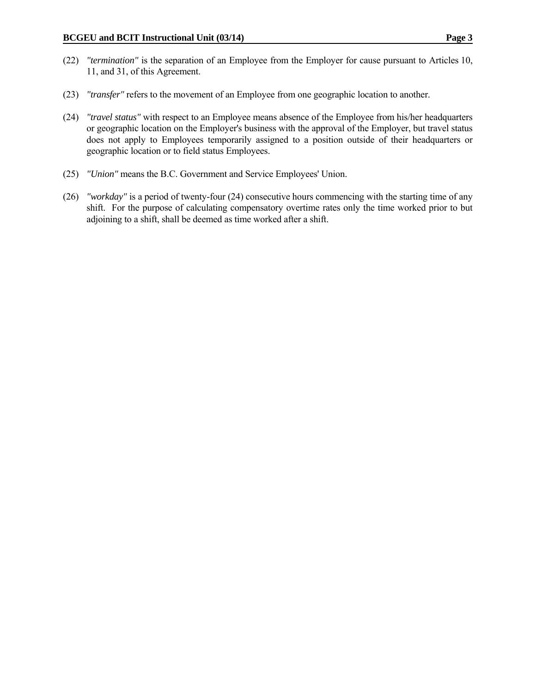- (22) *"termination"* is the separation of an Employee from the Employer for cause pursuant to Articles 10, 11, and 31, of this Agreement.
- (23) *"transfer"* refers to the movement of an Employee from one geographic location to another.
- (24) *"travel status"* with respect to an Employee means absence of the Employee from his/her headquarters or geographic location on the Employer's business with the approval of the Employer, but travel status does not apply to Employees temporarily assigned to a position outside of their headquarters or geographic location or to field status Employees.
- (25) *"Union"* means the B.C. Government and Service Employees' Union.
- (26) *"workday"* is a period of twenty-four (24) consecutive hours commencing with the starting time of any shift. For the purpose of calculating compensatory overtime rates only the time worked prior to but adjoining to a shift, shall be deemed as time worked after a shift.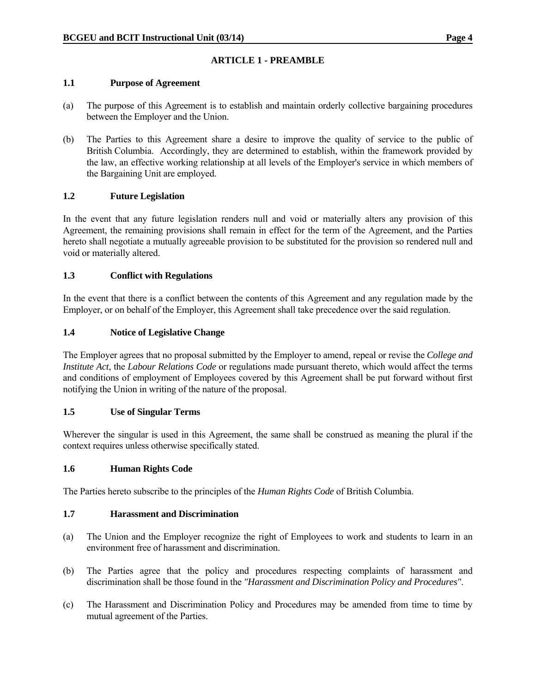# **ARTICLE 1 - PREAMBLE**

#### **1.1 Purpose of Agreement**

- (a) The purpose of this Agreement is to establish and maintain orderly collective bargaining procedures between the Employer and the Union.
- (b) The Parties to this Agreement share a desire to improve the quality of service to the public of British Columbia. Accordingly, they are determined to establish, within the framework provided by the law, an effective working relationship at all levels of the Employer's service in which members of the Bargaining Unit are employed.

### **1.2 Future Legislation**

In the event that any future legislation renders null and void or materially alters any provision of this Agreement, the remaining provisions shall remain in effect for the term of the Agreement, and the Parties hereto shall negotiate a mutually agreeable provision to be substituted for the provision so rendered null and void or materially altered.

### **1.3 Conflict with Regulations**

In the event that there is a conflict between the contents of this Agreement and any regulation made by the Employer, or on behalf of the Employer, this Agreement shall take precedence over the said regulation.

### **1.4 Notice of Legislative Change**

The Employer agrees that no proposal submitted by the Employer to amend, repeal or revise the *College and Institute Act*, the *Labour Relations Code* or regulations made pursuant thereto, which would affect the terms and conditions of employment of Employees covered by this Agreement shall be put forward without first notifying the Union in writing of the nature of the proposal.

#### **1.5 Use of Singular Terms**

Wherever the singular is used in this Agreement, the same shall be construed as meaning the plural if the context requires unless otherwise specifically stated.

#### **1.6 Human Rights Code**

The Parties hereto subscribe to the principles of the *Human Rights Code* of British Columbia.

#### **1.7 Harassment and Discrimination**

- (a) The Union and the Employer recognize the right of Employees to work and students to learn in an environment free of harassment and discrimination.
- (b) The Parties agree that the policy and procedures respecting complaints of harassment and discrimination shall be those found in the *"Harassment and Discrimination Policy and Procedures"*.
- (c) The Harassment and Discrimination Policy and Procedures may be amended from time to time by mutual agreement of the Parties.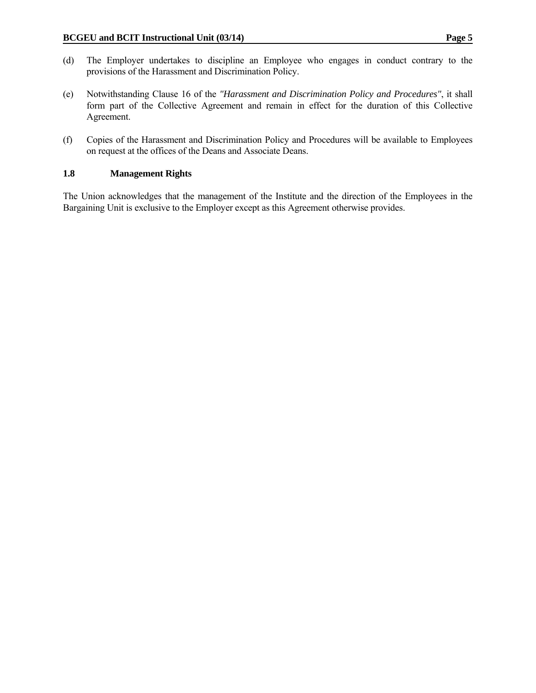- (d) The Employer undertakes to discipline an Employee who engages in conduct contrary to the provisions of the Harassment and Discrimination Policy.
- (e) Notwithstanding Clause 16 of the *"Harassment and Discrimination Policy and Procedures"*, it shall form part of the Collective Agreement and remain in effect for the duration of this Collective Agreement.
- (f) Copies of the Harassment and Discrimination Policy and Procedures will be available to Employees on request at the offices of the Deans and Associate Deans.

# **1.8 Management Rights**

The Union acknowledges that the management of the Institute and the direction of the Employees in the Bargaining Unit is exclusive to the Employer except as this Agreement otherwise provides.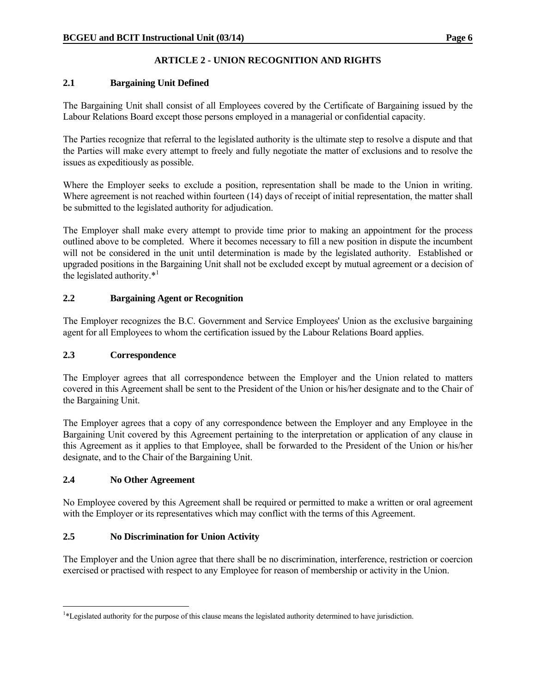# **ARTICLE 2 - UNION RECOGNITION AND RIGHTS**

# **2.1 Bargaining Unit Defined**

The Bargaining Unit shall consist of all Employees covered by the Certificate of Bargaining issued by the Labour Relations Board except those persons employed in a managerial or confidential capacity.

The Parties recognize that referral to the legislated authority is the ultimate step to resolve a dispute and that the Parties will make every attempt to freely and fully negotiate the matter of exclusions and to resolve the issues as expeditiously as possible.

Where the Employer seeks to exclude a position, representation shall be made to the Union in writing. Where agreement is not reached within fourteen (14) days of receipt of initial representation, the matter shall be submitted to the legislated authority for adjudication.

The Employer shall make every attempt to provide time prior to making an appointment for the process outlined above to be completed. Where it becomes necessary to fill a new position in dispute the incumbent will not be considered in the unit until determination is made by the legislated authority. Established or upgraded positions in the Bargaining Unit shall not be excluded except by mutual agreement or a decision of the legislated authority. $*^1$ 

# **2.2 Bargaining Agent or Recognition**

The Employer recognizes the B.C. Government and Service Employees' Union as the exclusive bargaining agent for all Employees to whom the certification issued by the Labour Relations Board applies.

#### **2.3 Correspondence**

The Employer agrees that all correspondence between the Employer and the Union related to matters covered in this Agreement shall be sent to the President of the Union or his/her designate and to the Chair of the Bargaining Unit.

The Employer agrees that a copy of any correspondence between the Employer and any Employee in the Bargaining Unit covered by this Agreement pertaining to the interpretation or application of any clause in this Agreement as it applies to that Employee, shall be forwarded to the President of the Union or his/her designate, and to the Chair of the Bargaining Unit.

#### **2.4 No Other Agreement**

 $\overline{a}$ 

No Employee covered by this Agreement shall be required or permitted to make a written or oral agreement with the Employer or its representatives which may conflict with the terms of this Agreement.

# **2.5 No Discrimination for Union Activity**

The Employer and the Union agree that there shall be no discrimination, interference, restriction or coercion exercised or practised with respect to any Employee for reason of membership or activity in the Union.

<sup>1</sup> \*Legislated authority for the purpose of this clause means the legislated authority determined to have jurisdiction.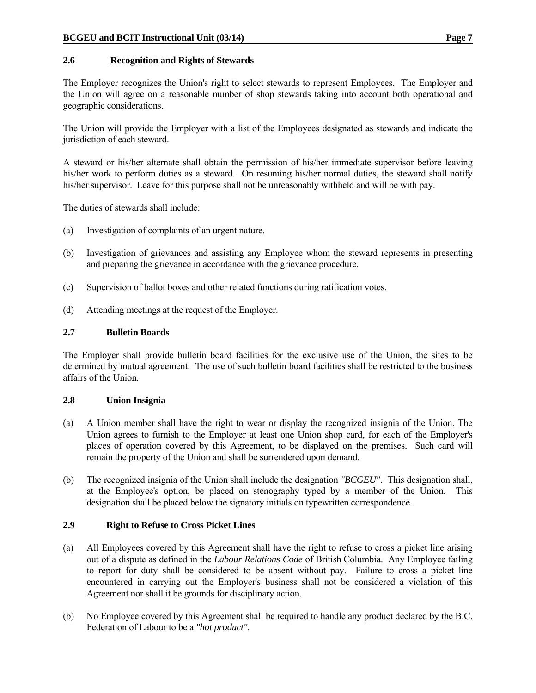#### **2.6 Recognition and Rights of Stewards**

The Employer recognizes the Union's right to select stewards to represent Employees. The Employer and the Union will agree on a reasonable number of shop stewards taking into account both operational and geographic considerations.

The Union will provide the Employer with a list of the Employees designated as stewards and indicate the jurisdiction of each steward.

A steward or his/her alternate shall obtain the permission of his/her immediate supervisor before leaving his/her work to perform duties as a steward. On resuming his/her normal duties, the steward shall notify his/her supervisor. Leave for this purpose shall not be unreasonably withheld and will be with pay.

The duties of stewards shall include:

- (a) Investigation of complaints of an urgent nature.
- (b) Investigation of grievances and assisting any Employee whom the steward represents in presenting and preparing the grievance in accordance with the grievance procedure.
- (c) Supervision of ballot boxes and other related functions during ratification votes.
- (d) Attending meetings at the request of the Employer.

#### **2.7 Bulletin Boards**

The Employer shall provide bulletin board facilities for the exclusive use of the Union, the sites to be determined by mutual agreement. The use of such bulletin board facilities shall be restricted to the business affairs of the Union.

#### **2.8 Union Insignia**

- (a) A Union member shall have the right to wear or display the recognized insignia of the Union. The Union agrees to furnish to the Employer at least one Union shop card, for each of the Employer's places of operation covered by this Agreement, to be displayed on the premises. Such card will remain the property of the Union and shall be surrendered upon demand.
- (b) The recognized insignia of the Union shall include the designation *"BCGEU"*. This designation shall, at the Employee's option, be placed on stenography typed by a member of the Union. This designation shall be placed below the signatory initials on typewritten correspondence.

#### **2.9 Right to Refuse to Cross Picket Lines**

- (a) All Employees covered by this Agreement shall have the right to refuse to cross a picket line arising out of a dispute as defined in the *Labour Relations Code* of British Columbia. Any Employee failing to report for duty shall be considered to be absent without pay. Failure to cross a picket line encountered in carrying out the Employer's business shall not be considered a violation of this Agreement nor shall it be grounds for disciplinary action.
- (b) No Employee covered by this Agreement shall be required to handle any product declared by the B.C. Federation of Labour to be a *"hot product"*.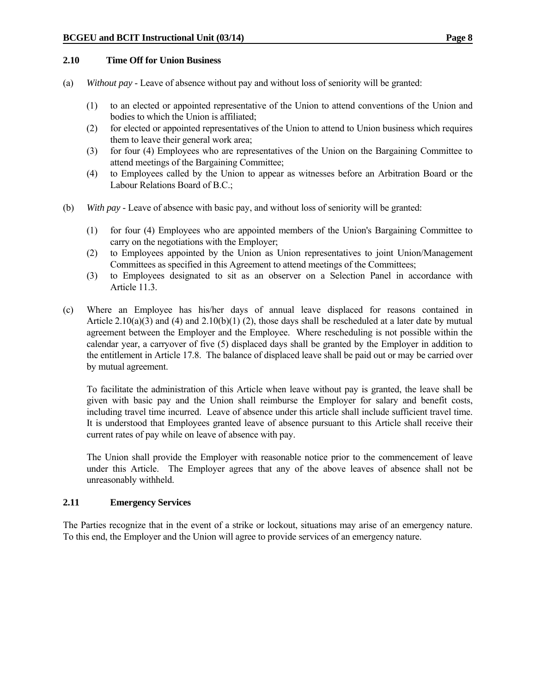#### **2.10 Time Off for Union Business**

- (a) *Without pay* Leave of absence without pay and without loss of seniority will be granted:
	- (1) to an elected or appointed representative of the Union to attend conventions of the Union and bodies to which the Union is affiliated;
	- (2) for elected or appointed representatives of the Union to attend to Union business which requires them to leave their general work area;
	- (3) for four (4) Employees who are representatives of the Union on the Bargaining Committee to attend meetings of the Bargaining Committee;
	- (4) to Employees called by the Union to appear as witnesses before an Arbitration Board or the Labour Relations Board of B.C.;
- (b) *With pay* Leave of absence with basic pay, and without loss of seniority will be granted:
	- (1) for four (4) Employees who are appointed members of the Union's Bargaining Committee to carry on the negotiations with the Employer;
	- (2) to Employees appointed by the Union as Union representatives to joint Union/Management Committees as specified in this Agreement to attend meetings of the Committees;
	- (3) to Employees designated to sit as an observer on a Selection Panel in accordance with Article 11.3.
- (c) Where an Employee has his/her days of annual leave displaced for reasons contained in Article 2.10(a)(3) and (4) and 2.10(b)(1) (2), those days shall be rescheduled at a later date by mutual agreement between the Employer and the Employee. Where rescheduling is not possible within the calendar year, a carryover of five (5) displaced days shall be granted by the Employer in addition to the entitlement in Article 17.8. The balance of displaced leave shall be paid out or may be carried over by mutual agreement.

 To facilitate the administration of this Article when leave without pay is granted, the leave shall be given with basic pay and the Union shall reimburse the Employer for salary and benefit costs, including travel time incurred. Leave of absence under this article shall include sufficient travel time. It is understood that Employees granted leave of absence pursuant to this Article shall receive their current rates of pay while on leave of absence with pay.

 The Union shall provide the Employer with reasonable notice prior to the commencement of leave under this Article. The Employer agrees that any of the above leaves of absence shall not be unreasonably withheld.

#### **2.11 Emergency Services**

The Parties recognize that in the event of a strike or lockout, situations may arise of an emergency nature. To this end, the Employer and the Union will agree to provide services of an emergency nature.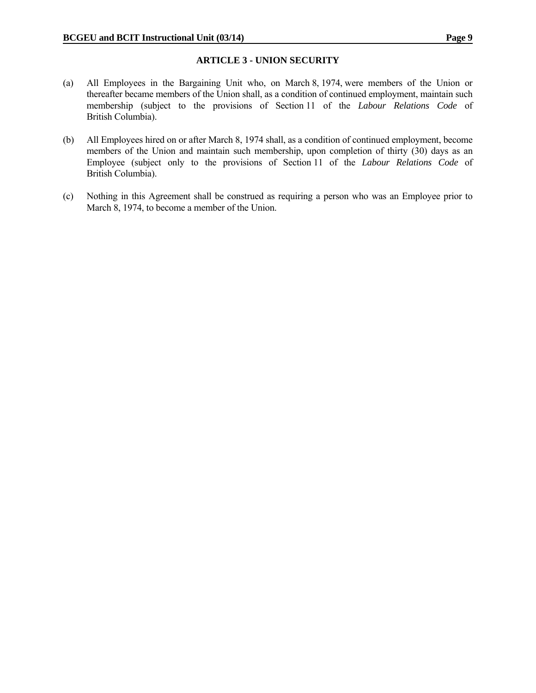#### **ARTICLE 3 - UNION SECURITY**

- (a) All Employees in the Bargaining Unit who, on March 8, 1974, were members of the Union or thereafter became members of the Union shall, as a condition of continued employment, maintain such membership (subject to the provisions of Section 11 of the *Labour Relations Code* of British Columbia).
- (b) All Employees hired on or after March 8, 1974 shall, as a condition of continued employment, become members of the Union and maintain such membership, upon completion of thirty (30) days as an Employee (subject only to the provisions of Section 11 of the *Labour Relations Code* of British Columbia).
- (c) Nothing in this Agreement shall be construed as requiring a person who was an Employee prior to March 8, 1974, to become a member of the Union.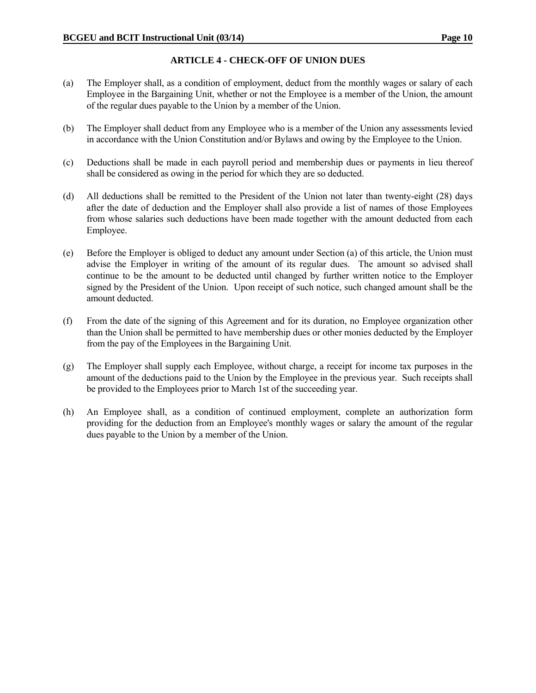# **ARTICLE 4 - CHECK-OFF OF UNION DUES**

- (a) The Employer shall, as a condition of employment, deduct from the monthly wages or salary of each Employee in the Bargaining Unit, whether or not the Employee is a member of the Union, the amount of the regular dues payable to the Union by a member of the Union.
- (b) The Employer shall deduct from any Employee who is a member of the Union any assessments levied in accordance with the Union Constitution and/or Bylaws and owing by the Employee to the Union.
- (c) Deductions shall be made in each payroll period and membership dues or payments in lieu thereof shall be considered as owing in the period for which they are so deducted.
- (d) All deductions shall be remitted to the President of the Union not later than twenty-eight (28) days after the date of deduction and the Employer shall also provide a list of names of those Employees from whose salaries such deductions have been made together with the amount deducted from each Employee.
- (e) Before the Employer is obliged to deduct any amount under Section (a) of this article, the Union must advise the Employer in writing of the amount of its regular dues. The amount so advised shall continue to be the amount to be deducted until changed by further written notice to the Employer signed by the President of the Union. Upon receipt of such notice, such changed amount shall be the amount deducted.
- (f) From the date of the signing of this Agreement and for its duration, no Employee organization other than the Union shall be permitted to have membership dues or other monies deducted by the Employer from the pay of the Employees in the Bargaining Unit.
- (g) The Employer shall supply each Employee, without charge, a receipt for income tax purposes in the amount of the deductions paid to the Union by the Employee in the previous year. Such receipts shall be provided to the Employees prior to March 1st of the succeeding year.
- (h) An Employee shall, as a condition of continued employment, complete an authorization form providing for the deduction from an Employee's monthly wages or salary the amount of the regular dues payable to the Union by a member of the Union.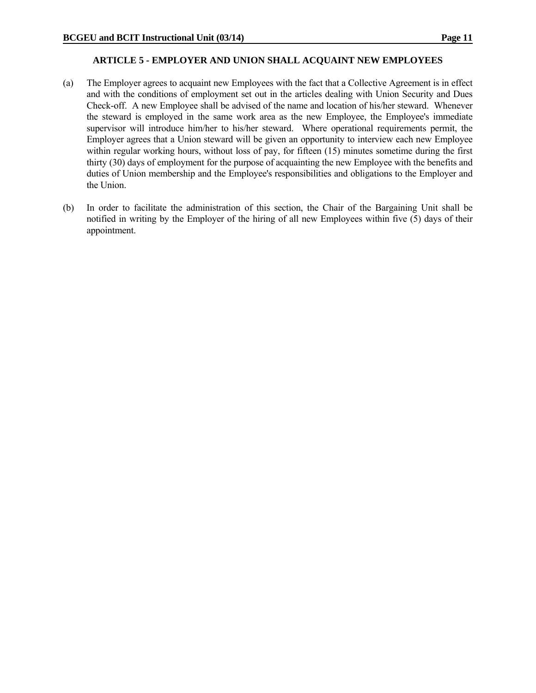#### **ARTICLE 5 - EMPLOYER AND UNION SHALL ACQUAINT NEW EMPLOYEES**

- (a) The Employer agrees to acquaint new Employees with the fact that a Collective Agreement is in effect and with the conditions of employment set out in the articles dealing with Union Security and Dues Check-off. A new Employee shall be advised of the name and location of his/her steward. Whenever the steward is employed in the same work area as the new Employee, the Employee's immediate supervisor will introduce him/her to his/her steward. Where operational requirements permit, the Employer agrees that a Union steward will be given an opportunity to interview each new Employee within regular working hours, without loss of pay, for fifteen (15) minutes sometime during the first thirty (30) days of employment for the purpose of acquainting the new Employee with the benefits and duties of Union membership and the Employee's responsibilities and obligations to the Employer and the Union.
- (b) In order to facilitate the administration of this section, the Chair of the Bargaining Unit shall be notified in writing by the Employer of the hiring of all new Employees within five (5) days of their appointment.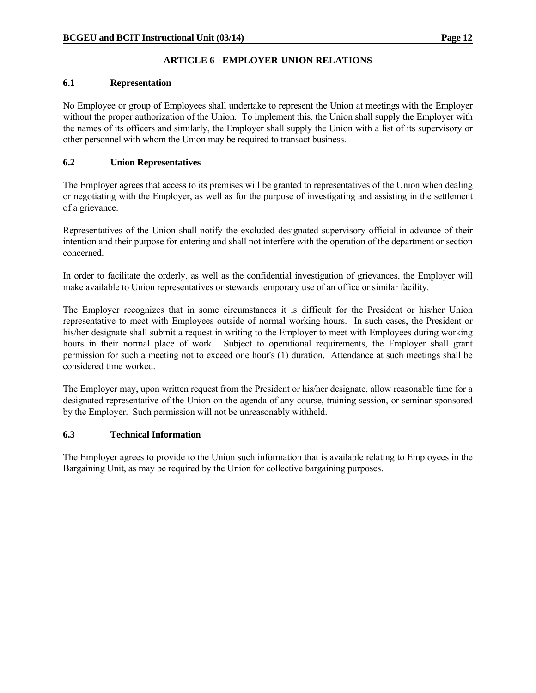# **ARTICLE 6 - EMPLOYER-UNION RELATIONS**

#### **6.1 Representation**

No Employee or group of Employees shall undertake to represent the Union at meetings with the Employer without the proper authorization of the Union. To implement this, the Union shall supply the Employer with the names of its officers and similarly, the Employer shall supply the Union with a list of its supervisory or other personnel with whom the Union may be required to transact business.

# **6.2 Union Representatives**

The Employer agrees that access to its premises will be granted to representatives of the Union when dealing or negotiating with the Employer, as well as for the purpose of investigating and assisting in the settlement of a grievance.

Representatives of the Union shall notify the excluded designated supervisory official in advance of their intention and their purpose for entering and shall not interfere with the operation of the department or section concerned.

In order to facilitate the orderly, as well as the confidential investigation of grievances, the Employer will make available to Union representatives or stewards temporary use of an office or similar facility.

The Employer recognizes that in some circumstances it is difficult for the President or his/her Union representative to meet with Employees outside of normal working hours. In such cases, the President or his/her designate shall submit a request in writing to the Employer to meet with Employees during working hours in their normal place of work. Subject to operational requirements, the Employer shall grant permission for such a meeting not to exceed one hour's (1) duration. Attendance at such meetings shall be considered time worked.

The Employer may, upon written request from the President or his/her designate, allow reasonable time for a designated representative of the Union on the agenda of any course, training session, or seminar sponsored by the Employer. Such permission will not be unreasonably withheld.

# **6.3 Technical Information**

The Employer agrees to provide to the Union such information that is available relating to Employees in the Bargaining Unit, as may be required by the Union for collective bargaining purposes.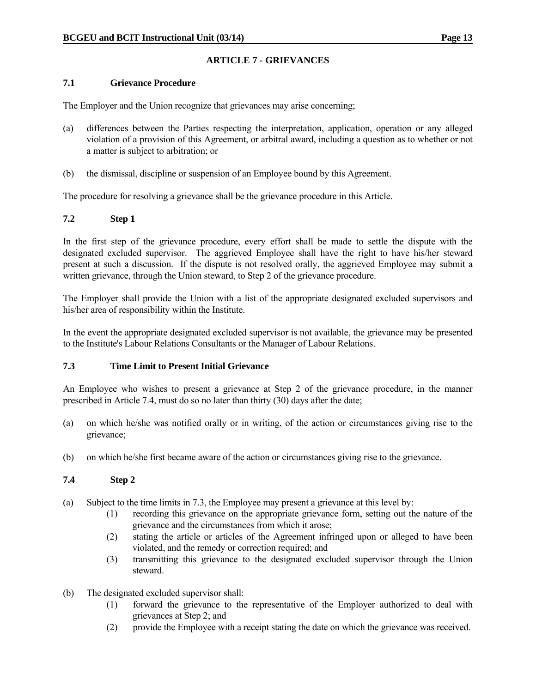# **ARTICLE 7 - GRIEVANCES**

#### **7.1 Grievance Procedure**

The Employer and the Union recognize that grievances may arise concerning;

- (a) differences between the Parties respecting the interpretation, application, operation or any alleged violation of a provision of this Agreement, or arbitral award, including a question as to whether or not a matter is subject to arbitration; or
- (b) the dismissal, discipline or suspension of an Employee bound by this Agreement.

The procedure for resolving a grievance shall be the grievance procedure in this Article.

# **7.2 Step 1**

In the first step of the grievance procedure, every effort shall be made to settle the dispute with the designated excluded supervisor. The aggrieved Employee shall have the right to have his/her steward present at such a discussion. If the dispute is not resolved orally, the aggrieved Employee may submit a written grievance, through the Union steward, to Step 2 of the grievance procedure.

The Employer shall provide the Union with a list of the appropriate designated excluded supervisors and his/her area of responsibility within the Institute.

In the event the appropriate designated excluded supervisor is not available, the grievance may be presented to the Institute's Labour Relations Consultants or the Manager of Labour Relations.

# **7.3 Time Limit to Present Initial Grievance**

An Employee who wishes to present a grievance at Step 2 of the grievance procedure, in the manner prescribed in Article 7.4, must do so no later than thirty (30) days after the date;

- (a) on which he/she was notified orally or in writing, of the action or circumstances giving rise to the grievance;
- (b) on which he/she first became aware of the action or circumstances giving rise to the grievance.

# **7.4 Step 2**

- (a) Subject to the time limits in 7.3, the Employee may present a grievance at this level by:
	- (1) recording this grievance on the appropriate grievance form, setting out the nature of the grievance and the circumstances from which it arose;
	- (2) stating the article or articles of the Agreement infringed upon or alleged to have been violated, and the remedy or correction required; and
	- (3) transmitting this grievance to the designated excluded supervisor through the Union steward.
- (b) The designated excluded supervisor shall:
	- (1) forward the grievance to the representative of the Employer authorized to deal with grievances at Step 2; and
	- (2) provide the Employee with a receipt stating the date on which the grievance was received.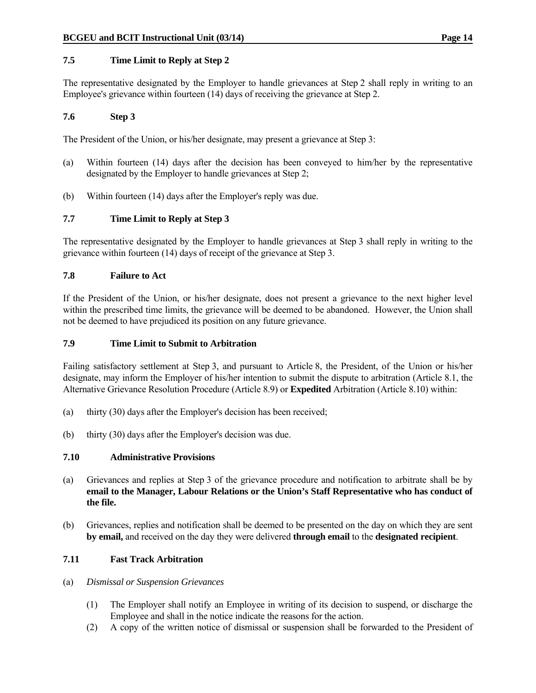# **7.5 Time Limit to Reply at Step 2**

The representative designated by the Employer to handle grievances at Step 2 shall reply in writing to an Employee's grievance within fourteen (14) days of receiving the grievance at Step 2.

#### **7.6 Step 3**

The President of the Union, or his/her designate, may present a grievance at Step 3:

- (a) Within fourteen (14) days after the decision has been conveyed to him/her by the representative designated by the Employer to handle grievances at Step 2;
- (b) Within fourteen (14) days after the Employer's reply was due.

### **7.7 Time Limit to Reply at Step 3**

The representative designated by the Employer to handle grievances at Step 3 shall reply in writing to the grievance within fourteen (14) days of receipt of the grievance at Step 3.

#### **7.8 Failure to Act**

If the President of the Union, or his/her designate, does not present a grievance to the next higher level within the prescribed time limits, the grievance will be deemed to be abandoned. However, the Union shall not be deemed to have prejudiced its position on any future grievance.

#### **7.9 Time Limit to Submit to Arbitration**

Failing satisfactory settlement at Step 3, and pursuant to Article 8, the President, of the Union or his/her designate, may inform the Employer of his/her intention to submit the dispute to arbitration (Article 8.1, the Alternative Grievance Resolution Procedure (Article 8.9) or **Expedited** Arbitration (Article 8.10) within:

- (a) thirty (30) days after the Employer's decision has been received;
- (b) thirty (30) days after the Employer's decision was due.

#### **7.10 Administrative Provisions**

- (a) Grievances and replies at Step 3 of the grievance procedure and notification to arbitrate shall be by **email to the Manager, Labour Relations or the Union's Staff Representative who has conduct of the file.**
- (b) Grievances, replies and notification shall be deemed to be presented on the day on which they are sent **by email,** and received on the day they were delivered **through email** to the **designated recipient**.

#### **7.11 Fast Track Arbitration**

- (a) *Dismissal or Suspension Grievances*
	- (1) The Employer shall notify an Employee in writing of its decision to suspend, or discharge the Employee and shall in the notice indicate the reasons for the action.
	- (2) A copy of the written notice of dismissal or suspension shall be forwarded to the President of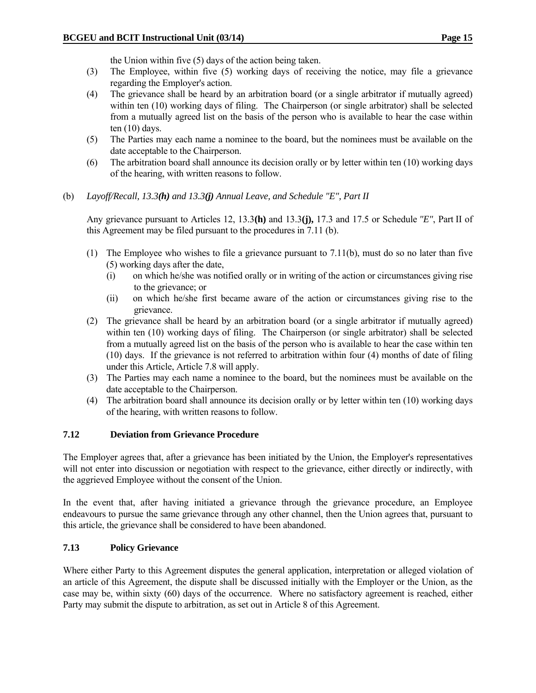the Union within five (5) days of the action being taken.

- (3) The Employee, within five (5) working days of receiving the notice, may file a grievance regarding the Employer's action.
- (4) The grievance shall be heard by an arbitration board (or a single arbitrator if mutually agreed) within ten (10) working days of filing. The Chairperson (or single arbitrator) shall be selected from a mutually agreed list on the basis of the person who is available to hear the case within ten (10) days.
- (5) The Parties may each name a nominee to the board, but the nominees must be available on the date acceptable to the Chairperson.
- (6) The arbitration board shall announce its decision orally or by letter within ten (10) working days of the hearing, with written reasons to follow.
- (b) *Layoff/Recall, 13.3(h) and 13.3(j) Annual Leave, and Schedule "E", Part II*

 Any grievance pursuant to Articles 12, 13.3**(h)** and 13.3**(j),** 17.3 and 17.5 or Schedule *"E"*, Part II of this Agreement may be filed pursuant to the procedures in 7.11 (b).

- (1) The Employee who wishes to file a grievance pursuant to 7.11(b), must do so no later than five (5) working days after the date,
	- (i) on which he/she was notified orally or in writing of the action or circumstances giving rise to the grievance; or
	- (ii) on which he/she first became aware of the action or circumstances giving rise to the grievance.
- (2) The grievance shall be heard by an arbitration board (or a single arbitrator if mutually agreed) within ten (10) working days of filing. The Chairperson (or single arbitrator) shall be selected from a mutually agreed list on the basis of the person who is available to hear the case within ten (10) days. If the grievance is not referred to arbitration within four (4) months of date of filing under this Article, Article 7.8 will apply.
- (3) The Parties may each name a nominee to the board, but the nominees must be available on the date acceptable to the Chairperson.
- (4) The arbitration board shall announce its decision orally or by letter within ten (10) working days of the hearing, with written reasons to follow.

#### **7.12 Deviation from Grievance Procedure**

The Employer agrees that, after a grievance has been initiated by the Union, the Employer's representatives will not enter into discussion or negotiation with respect to the grievance, either directly or indirectly, with the aggrieved Employee without the consent of the Union.

In the event that, after having initiated a grievance through the grievance procedure, an Employee endeavours to pursue the same grievance through any other channel, then the Union agrees that, pursuant to this article, the grievance shall be considered to have been abandoned.

# **7.13 Policy Grievance**

Where either Party to this Agreement disputes the general application, interpretation or alleged violation of an article of this Agreement, the dispute shall be discussed initially with the Employer or the Union, as the case may be, within sixty (60) days of the occurrence. Where no satisfactory agreement is reached, either Party may submit the dispute to arbitration, as set out in Article 8 of this Agreement.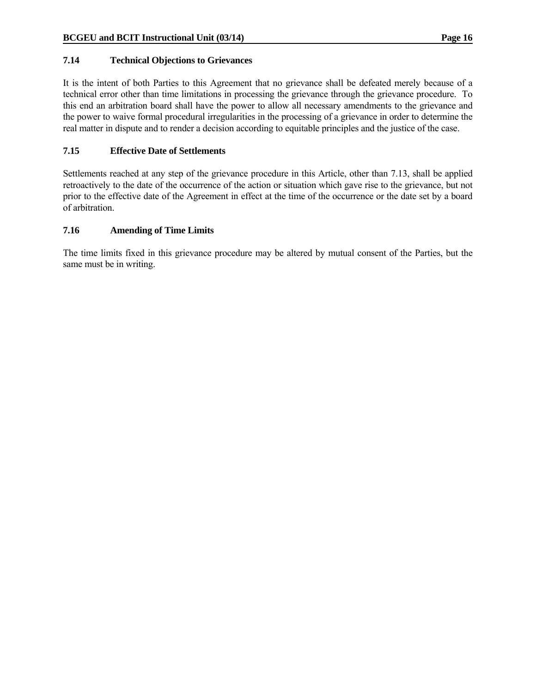#### **7.14 Technical Objections to Grievances**

It is the intent of both Parties to this Agreement that no grievance shall be defeated merely because of a technical error other than time limitations in processing the grievance through the grievance procedure. To this end an arbitration board shall have the power to allow all necessary amendments to the grievance and the power to waive formal procedural irregularities in the processing of a grievance in order to determine the real matter in dispute and to render a decision according to equitable principles and the justice of the case.

### **7.15 Effective Date of Settlements**

Settlements reached at any step of the grievance procedure in this Article, other than 7.13, shall be applied retroactively to the date of the occurrence of the action or situation which gave rise to the grievance, but not prior to the effective date of the Agreement in effect at the time of the occurrence or the date set by a board of arbitration.

#### **7.16 Amending of Time Limits**

The time limits fixed in this grievance procedure may be altered by mutual consent of the Parties, but the same must be in writing.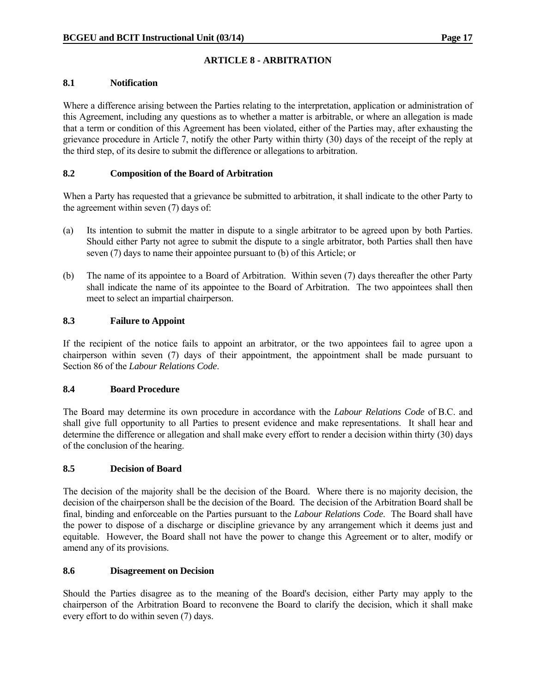# **ARTICLE 8 - ARBITRATION**

#### **8.1 Notification**

Where a difference arising between the Parties relating to the interpretation, application or administration of this Agreement, including any questions as to whether a matter is arbitrable, or where an allegation is made that a term or condition of this Agreement has been violated, either of the Parties may, after exhausting the grievance procedure in Article 7, notify the other Party within thirty (30) days of the receipt of the reply at the third step, of its desire to submit the difference or allegations to arbitration.

# **8.2 Composition of the Board of Arbitration**

When a Party has requested that a grievance be submitted to arbitration, it shall indicate to the other Party to the agreement within seven (7) days of:

- (a) Its intention to submit the matter in dispute to a single arbitrator to be agreed upon by both Parties. Should either Party not agree to submit the dispute to a single arbitrator, both Parties shall then have seven (7) days to name their appointee pursuant to (b) of this Article; or
- (b) The name of its appointee to a Board of Arbitration. Within seven (7) days thereafter the other Party shall indicate the name of its appointee to the Board of Arbitration. The two appointees shall then meet to select an impartial chairperson.

# **8.3 Failure to Appoint**

If the recipient of the notice fails to appoint an arbitrator, or the two appointees fail to agree upon a chairperson within seven (7) days of their appointment, the appointment shall be made pursuant to Section 86 of the *Labour Relations Code*.

#### **8.4 Board Procedure**

The Board may determine its own procedure in accordance with the *Labour Relations Code* of B.C. and shall give full opportunity to all Parties to present evidence and make representations. It shall hear and determine the difference or allegation and shall make every effort to render a decision within thirty (30) days of the conclusion of the hearing.

# **8.5 Decision of Board**

The decision of the majority shall be the decision of the Board. Where there is no majority decision, the decision of the chairperson shall be the decision of the Board. The decision of the Arbitration Board shall be final, binding and enforceable on the Parties pursuant to the *Labour Relations Code*. The Board shall have the power to dispose of a discharge or discipline grievance by any arrangement which it deems just and equitable. However, the Board shall not have the power to change this Agreement or to alter, modify or amend any of its provisions.

#### **8.6 Disagreement on Decision**

Should the Parties disagree as to the meaning of the Board's decision, either Party may apply to the chairperson of the Arbitration Board to reconvene the Board to clarify the decision, which it shall make every effort to do within seven (7) days.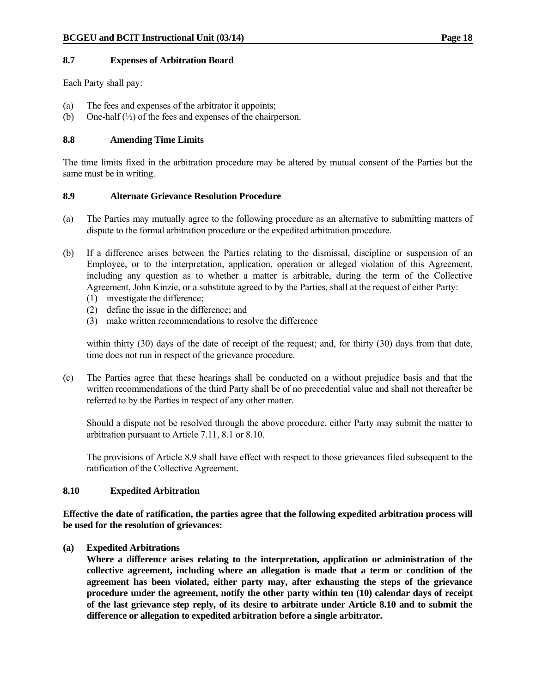#### **8.7 Expenses of Arbitration Board**

Each Party shall pay:

- (a) The fees and expenses of the arbitrator it appoints;
- (b) One-half  $(\frac{1}{2})$  of the fees and expenses of the chairperson.

# **8.8 Amending Time Limits**

The time limits fixed in the arbitration procedure may be altered by mutual consent of the Parties but the same must be in writing.

#### **8.9 Alternate Grievance Resolution Procedure**

- (a) The Parties may mutually agree to the following procedure as an alternative to submitting matters of dispute to the formal arbitration procedure or the expedited arbitration procedure.
- (b) If a difference arises between the Parties relating to the dismissal, discipline or suspension of an Employee, or to the interpretation, application, operation or alleged violation of this Agreement, including any question as to whether a matter is arbitrable, during the term of the Collective Agreement, John Kinzie, or a substitute agreed to by the Parties, shall at the request of either Party:
	- (1) investigate the difference;
	- (2) define the issue in the difference; and
	- (3) make written recommendations to resolve the difference

within thirty (30) days of the date of receipt of the request; and, for thirty (30) days from that date, time does not run in respect of the grievance procedure.

(c) The Parties agree that these hearings shall be conducted on a without prejudice basis and that the written recommendations of the third Party shall be of no precedential value and shall not thereafter be referred to by the Parties in respect of any other matter.

 Should a dispute not be resolved through the above procedure, either Party may submit the matter to arbitration pursuant to Article 7.11, 8.1 or 8.10.

 The provisions of Article 8.9 shall have effect with respect to those grievances filed subsequent to the ratification of the Collective Agreement.

#### **8.10 Expedited Arbitration**

**Effective the date of ratification, the parties agree that the following expedited arbitration process will be used for the resolution of grievances:** 

**(a) Expedited Arbitrations** 

 **Where a difference arises relating to the interpretation, application or administration of the collective agreement, including where an allegation is made that a term or condition of the agreement has been violated, either party may, after exhausting the steps of the grievance procedure under the agreement, notify the other party within ten (10) calendar days of receipt of the last grievance step reply, of its desire to arbitrate under Article 8.10 and to submit the difference or allegation to expedited arbitration before a single arbitrator.**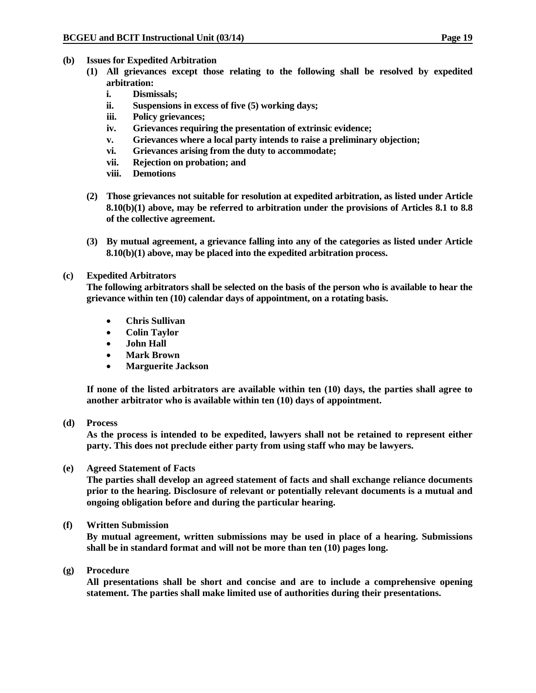- **(b) Issues for Expedited Arbitration** 
	- **(1) All grievances except those relating to the following shall be resolved by expedited arbitration:** 
		- **i. Dismissals;**
		- **ii. Suspensions in excess of five (5) working days;**
		- **iii. Policy grievances;**
		- **iv. Grievances requiring the presentation of extrinsic evidence;**
		- **v. Grievances where a local party intends to raise a preliminary objection;**
		- **vi. Grievances arising from the duty to accommodate;**
		- **vii. Rejection on probation; and**
		- **viii. Demotions**
	- **(2) Those grievances not suitable for resolution at expedited arbitration, as listed under Article 8.10(b)(1) above, may be referred to arbitration under the provisions of Articles 8.1 to 8.8 of the collective agreement.**
	- **(3) By mutual agreement, a grievance falling into any of the categories as listed under Article 8.10(b)(1) above, may be placed into the expedited arbitration process.**
- **(c) Expedited Arbitrators**

 **The following arbitrators shall be selected on the basis of the person who is available to hear the grievance within ten (10) calendar days of appointment, on a rotating basis.** 

- **Chris Sullivan**
- **Colin Taylor**
- **John Hall**
- **Mark Brown**
- **Marguerite Jackson**

**If none of the listed arbitrators are available within ten (10) days, the parties shall agree to another arbitrator who is available within ten (10) days of appointment.** 

**(d) Process** 

**As the process is intended to be expedited, lawyers shall not be retained to represent either party. This does not preclude either party from using staff who may be lawyers.** 

**(e) Agreed Statement of Facts** 

**The parties shall develop an agreed statement of facts and shall exchange reliance documents prior to the hearing. Disclosure of relevant or potentially relevant documents is a mutual and ongoing obligation before and during the particular hearing.** 

**(f) Written Submission** 

**By mutual agreement, written submissions may be used in place of a hearing. Submissions shall be in standard format and will not be more than ten (10) pages long.** 

**(g) Procedure** 

**All presentations shall be short and concise and are to include a comprehensive opening statement. The parties shall make limited use of authorities during their presentations.**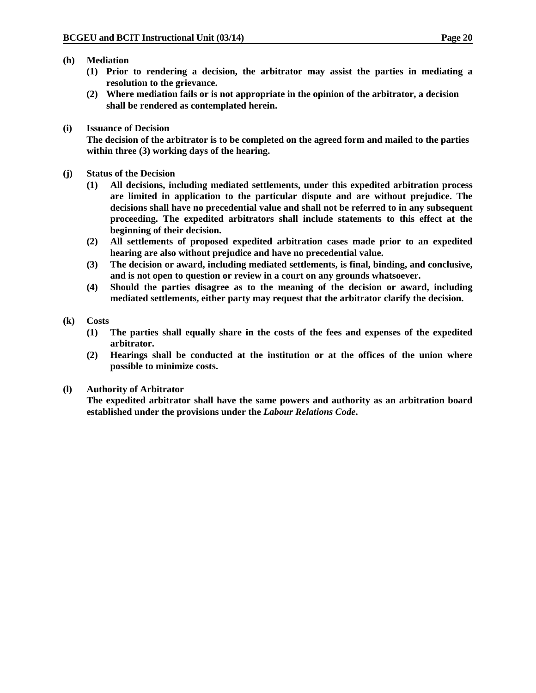- **(h) Mediation** 
	- **(1) Prior to rendering a decision, the arbitrator may assist the parties in mediating a resolution to the grievance.**
	- **(2) Where mediation fails or is not appropriate in the opinion of the arbitrator, a decision shall be rendered as contemplated herein.**
- **(i) Issuance of Decision**

 **The decision of the arbitrator is to be completed on the agreed form and mailed to the parties within three (3) working days of the hearing.** 

- **(j) Status of the Decision** 
	- **(1) All decisions, including mediated settlements, under this expedited arbitration process are limited in application to the particular dispute and are without prejudice. The decisions shall have no precedential value and shall not be referred to in any subsequent proceeding. The expedited arbitrators shall include statements to this effect at the beginning of their decision.**
	- **(2) All settlements of proposed expedited arbitration cases made prior to an expedited hearing are also without prejudice and have no precedential value.**
	- **(3) The decision or award, including mediated settlements, is final, binding, and conclusive, and is not open to question or review in a court on any grounds whatsoever.**
	- **(4) Should the parties disagree as to the meaning of the decision or award, including mediated settlements, either party may request that the arbitrator clarify the decision.**

### **(k) Costs**

- **(1) The parties shall equally share in the costs of the fees and expenses of the expedited arbitrator.**
- **(2) Hearings shall be conducted at the institution or at the offices of the union where possible to minimize costs.**

# **(l) Authority of Arbitrator**

 **The expedited arbitrator shall have the same powers and authority as an arbitration board established under the provisions under the** *Labour Relations Code***.**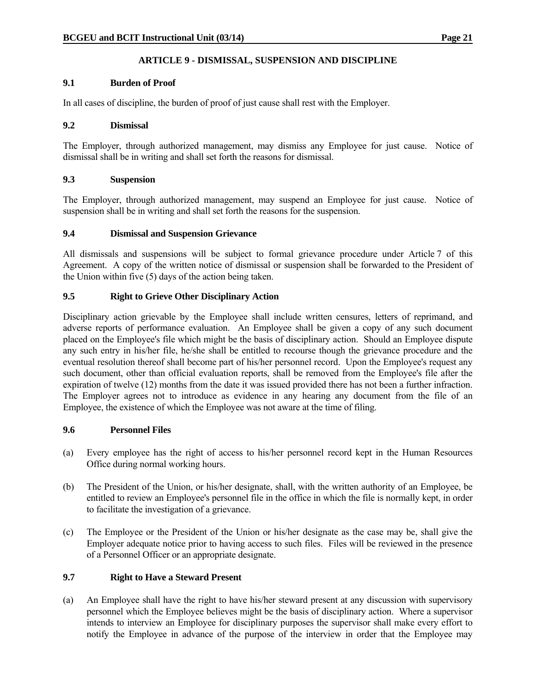# **ARTICLE 9 - DISMISSAL, SUSPENSION AND DISCIPLINE**

# **9.1 Burden of Proof**

In all cases of discipline, the burden of proof of just cause shall rest with the Employer.

#### **9.2 Dismissal**

The Employer, through authorized management, may dismiss any Employee for just cause. Notice of dismissal shall be in writing and shall set forth the reasons for dismissal.

# **9.3 Suspension**

The Employer, through authorized management, may suspend an Employee for just cause. Notice of suspension shall be in writing and shall set forth the reasons for the suspension.

### **9.4 Dismissal and Suspension Grievance**

All dismissals and suspensions will be subject to formal grievance procedure under Article 7 of this Agreement. A copy of the written notice of dismissal or suspension shall be forwarded to the President of the Union within five (5) days of the action being taken.

# **9.5 Right to Grieve Other Disciplinary Action**

Disciplinary action grievable by the Employee shall include written censures, letters of reprimand, and adverse reports of performance evaluation. An Employee shall be given a copy of any such document placed on the Employee's file which might be the basis of disciplinary action. Should an Employee dispute any such entry in his/her file, he/she shall be entitled to recourse though the grievance procedure and the eventual resolution thereof shall become part of his/her personnel record. Upon the Employee's request any such document, other than official evaluation reports, shall be removed from the Employee's file after the expiration of twelve (12) months from the date it was issued provided there has not been a further infraction. The Employer agrees not to introduce as evidence in any hearing any document from the file of an Employee, the existence of which the Employee was not aware at the time of filing.

#### **9.6 Personnel Files**

- (a) Every employee has the right of access to his/her personnel record kept in the Human Resources Office during normal working hours.
- (b) The President of the Union, or his/her designate, shall, with the written authority of an Employee, be entitled to review an Employee's personnel file in the office in which the file is normally kept, in order to facilitate the investigation of a grievance.
- (c) The Employee or the President of the Union or his/her designate as the case may be, shall give the Employer adequate notice prior to having access to such files. Files will be reviewed in the presence of a Personnel Officer or an appropriate designate.

# **9.7 Right to Have a Steward Present**

(a) An Employee shall have the right to have his/her steward present at any discussion with supervisory personnel which the Employee believes might be the basis of disciplinary action. Where a supervisor intends to interview an Employee for disciplinary purposes the supervisor shall make every effort to notify the Employee in advance of the purpose of the interview in order that the Employee may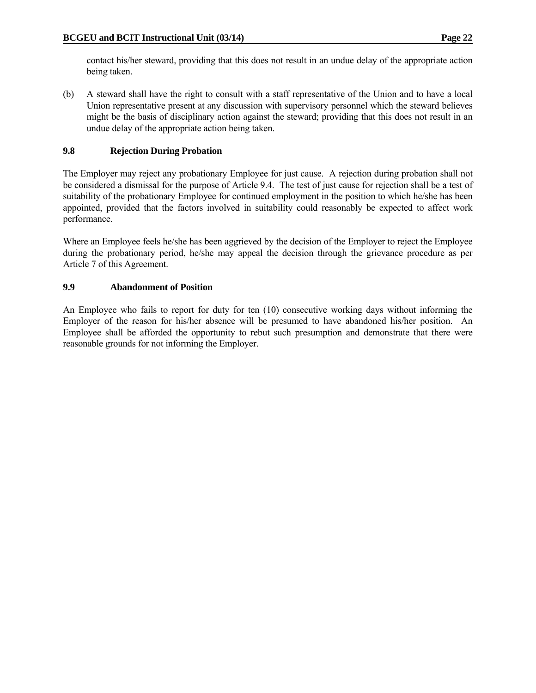contact his/her steward, providing that this does not result in an undue delay of the appropriate action being taken.

(b) A steward shall have the right to consult with a staff representative of the Union and to have a local Union representative present at any discussion with supervisory personnel which the steward believes might be the basis of disciplinary action against the steward; providing that this does not result in an undue delay of the appropriate action being taken.

# **9.8 Rejection During Probation**

The Employer may reject any probationary Employee for just cause. A rejection during probation shall not be considered a dismissal for the purpose of Article 9.4. The test of just cause for rejection shall be a test of suitability of the probationary Employee for continued employment in the position to which he/she has been appointed, provided that the factors involved in suitability could reasonably be expected to affect work performance.

Where an Employee feels he/she has been aggrieved by the decision of the Employer to reject the Employee during the probationary period, he/she may appeal the decision through the grievance procedure as per Article 7 of this Agreement.

### **9.9 Abandonment of Position**

An Employee who fails to report for duty for ten (10) consecutive working days without informing the Employer of the reason for his/her absence will be presumed to have abandoned his/her position. An Employee shall be afforded the opportunity to rebut such presumption and demonstrate that there were reasonable grounds for not informing the Employer.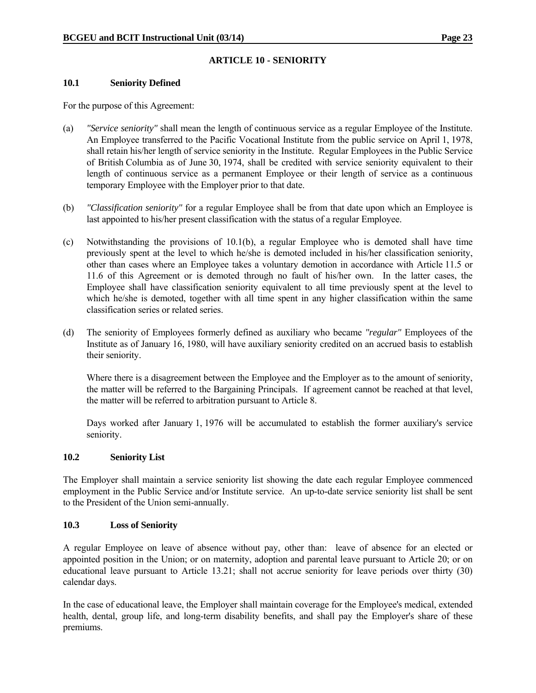# **ARTICLE 10 - SENIORITY**

#### **10.1 Seniority Defined**

For the purpose of this Agreement:

- (a) *"Service seniority"* shall mean the length of continuous service as a regular Employee of the Institute. An Employee transferred to the Pacific Vocational Institute from the public service on April 1, 1978, shall retain his/her length of service seniority in the Institute. Regular Employees in the Public Service of British Columbia as of June 30, 1974, shall be credited with service seniority equivalent to their length of continuous service as a permanent Employee or their length of service as a continuous temporary Employee with the Employer prior to that date.
- (b) *"Classification seniority"* for a regular Employee shall be from that date upon which an Employee is last appointed to his/her present classification with the status of a regular Employee.
- (c) Notwithstanding the provisions of 10.1(b), a regular Employee who is demoted shall have time previously spent at the level to which he/she is demoted included in his/her classification seniority, other than cases where an Employee takes a voluntary demotion in accordance with Article 11.5 or 11.6 of this Agreement or is demoted through no fault of his/her own. In the latter cases, the Employee shall have classification seniority equivalent to all time previously spent at the level to which he/she is demoted, together with all time spent in any higher classification within the same classification series or related series.
- (d) The seniority of Employees formerly defined as auxiliary who became *"regular"* Employees of the Institute as of January 16, 1980, will have auxiliary seniority credited on an accrued basis to establish their seniority.

 Where there is a disagreement between the Employee and the Employer as to the amount of seniority, the matter will be referred to the Bargaining Principals. If agreement cannot be reached at that level, the matter will be referred to arbitration pursuant to Article 8.

Days worked after January 1, 1976 will be accumulated to establish the former auxiliary's service seniority.

#### **10.2 Seniority List**

The Employer shall maintain a service seniority list showing the date each regular Employee commenced employment in the Public Service and/or Institute service. An up-to-date service seniority list shall be sent to the President of the Union semi-annually.

#### **10.3 Loss of Seniority**

A regular Employee on leave of absence without pay, other than: leave of absence for an elected or appointed position in the Union; or on maternity, adoption and parental leave pursuant to Article 20; or on educational leave pursuant to Article 13.21; shall not accrue seniority for leave periods over thirty (30) calendar days.

In the case of educational leave, the Employer shall maintain coverage for the Employee's medical, extended health, dental, group life, and long-term disability benefits, and shall pay the Employer's share of these premiums.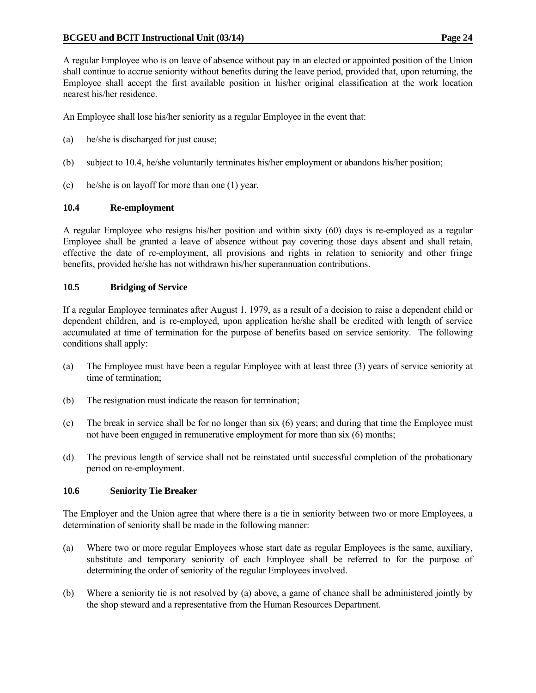A regular Employee who is on leave of absence without pay in an elected or appointed position of the Union shall continue to accrue seniority without benefits during the leave period, provided that, upon returning, the Employee shall accept the first available position in his/her original classification at the work location nearest his/her residence.

An Employee shall lose his/her seniority as a regular Employee in the event that:

- (a) he/she is discharged for just cause;
- (b) subject to 10.4, he/she voluntarily terminates his/her employment or abandons his/her position;
- (c) he/she is on layoff for more than one (1) year.

#### **10.4 Re-employment**

A regular Employee who resigns his/her position and within sixty (60) days is re-employed as a regular Employee shall be granted a leave of absence without pay covering those days absent and shall retain, effective the date of re-employment, all provisions and rights in relation to seniority and other fringe benefits, provided he/she has not withdrawn his/her superannuation contributions.

### **10.5 Bridging of Service**

If a regular Employee terminates after August 1, 1979, as a result of a decision to raise a dependent child or dependent children, and is re-employed, upon application he/she shall be credited with length of service accumulated at time of termination for the purpose of benefits based on service seniority. The following conditions shall apply:

- (a) The Employee must have been a regular Employee with at least three (3) years of service seniority at time of termination;
- (b) The resignation must indicate the reason for termination;
- (c) The break in service shall be for no longer than six (6) years; and during that time the Employee must not have been engaged in remunerative employment for more than six (6) months;
- (d) The previous length of service shall not be reinstated until successful completion of the probationary period on re-employment.

#### **10.6 Seniority Tie Breaker**

The Employer and the Union agree that where there is a tie in seniority between two or more Employees, a determination of seniority shall be made in the following manner:

- (a) Where two or more regular Employees whose start date as regular Employees is the same, auxiliary, substitute and temporary seniority of each Employee shall be referred to for the purpose of determining the order of seniority of the regular Employees involved.
- (b) Where a seniority tie is not resolved by (a) above, a game of chance shall be administered jointly by the shop steward and a representative from the Human Resources Department.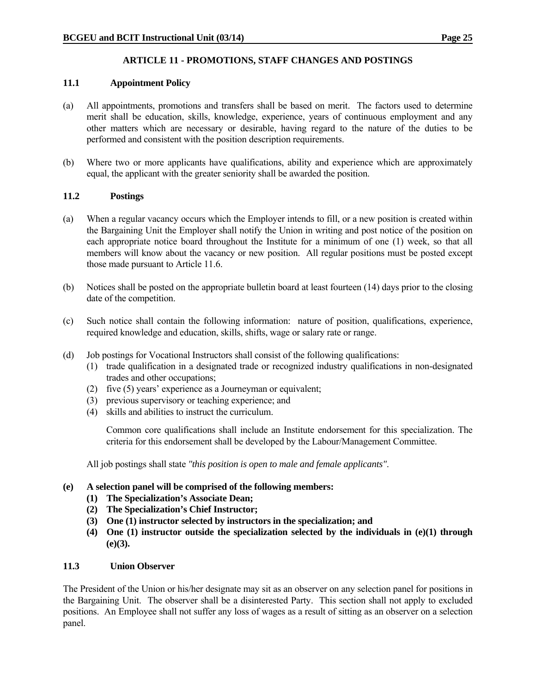# **ARTICLE 11 - PROMOTIONS, STAFF CHANGES AND POSTINGS**

# **11.1 Appointment Policy**

- (a) All appointments, promotions and transfers shall be based on merit. The factors used to determine merit shall be education, skills, knowledge, experience, years of continuous employment and any other matters which are necessary or desirable, having regard to the nature of the duties to be performed and consistent with the position description requirements.
- (b) Where two or more applicants have qualifications, ability and experience which are approximately equal, the applicant with the greater seniority shall be awarded the position.

### **11.2 Postings**

- (a) When a regular vacancy occurs which the Employer intends to fill, or a new position is created within the Bargaining Unit the Employer shall notify the Union in writing and post notice of the position on each appropriate notice board throughout the Institute for a minimum of one (1) week, so that all members will know about the vacancy or new position. All regular positions must be posted except those made pursuant to Article 11.6.
- (b) Notices shall be posted on the appropriate bulletin board at least fourteen (14) days prior to the closing date of the competition.
- (c) Such notice shall contain the following information: nature of position, qualifications, experience, required knowledge and education, skills, shifts, wage or salary rate or range.
- (d) Job postings for Vocational Instructors shall consist of the following qualifications:
	- (1) trade qualification in a designated trade or recognized industry qualifications in non-designated trades and other occupations;
	- (2) five (5) years' experience as a Journeyman or equivalent;
	- (3) previous supervisory or teaching experience; and
	- (4) skills and abilities to instruct the curriculum.

Common core qualifications shall include an Institute endorsement for this specialization. The criteria for this endorsement shall be developed by the Labour/Management Committee.

All job postings shall state *"this position is open to male and female applicants"*.

# **(e) A selection panel will be comprised of the following members:**

- **(1) The Specialization's Associate Dean;**
- **(2) The Specialization's Chief Instructor;**
- **(3) One (1) instructor selected by instructors in the specialization; and**
- **(4) One (1) instructor outside the specialization selected by the individuals in (e)(1) through (e)(3).**

#### **11.3 Union Observer**

The President of the Union or his/her designate may sit as an observer on any selection panel for positions in the Bargaining Unit. The observer shall be a disinterested Party. This section shall not apply to excluded positions. An Employee shall not suffer any loss of wages as a result of sitting as an observer on a selection panel.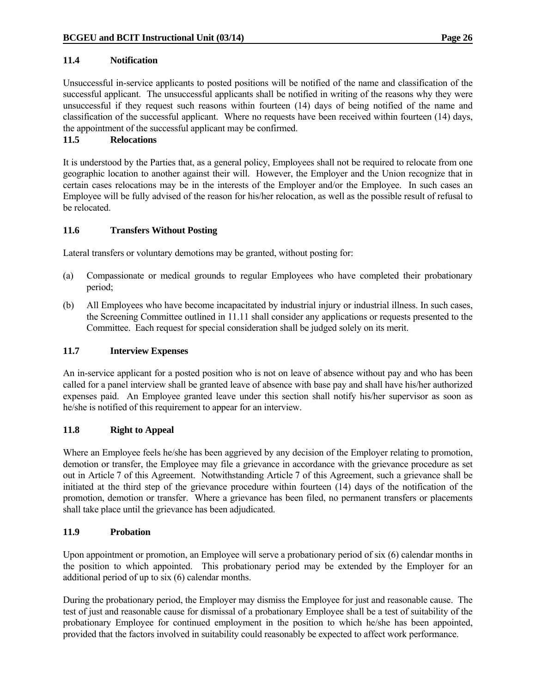### **11.4 Notification**

Unsuccessful in-service applicants to posted positions will be notified of the name and classification of the successful applicant. The unsuccessful applicants shall be notified in writing of the reasons why they were unsuccessful if they request such reasons within fourteen (14) days of being notified of the name and classification of the successful applicant. Where no requests have been received within fourteen (14) days, the appointment of the successful applicant may be confirmed.

### **11.5 Relocations**

It is understood by the Parties that, as a general policy, Employees shall not be required to relocate from one geographic location to another against their will. However, the Employer and the Union recognize that in certain cases relocations may be in the interests of the Employer and/or the Employee. In such cases an Employee will be fully advised of the reason for his/her relocation, as well as the possible result of refusal to be relocated.

#### **11.6 Transfers Without Posting**

Lateral transfers or voluntary demotions may be granted, without posting for:

- (a) Compassionate or medical grounds to regular Employees who have completed their probationary period;
- (b) All Employees who have become incapacitated by industrial injury or industrial illness. In such cases, the Screening Committee outlined in 11.11 shall consider any applications or requests presented to the Committee. Each request for special consideration shall be judged solely on its merit.

#### **11.7 Interview Expenses**

An in-service applicant for a posted position who is not on leave of absence without pay and who has been called for a panel interview shall be granted leave of absence with base pay and shall have his/her authorized expenses paid. An Employee granted leave under this section shall notify his/her supervisor as soon as he/she is notified of this requirement to appear for an interview.

#### **11.8 Right to Appeal**

Where an Employee feels he/she has been aggrieved by any decision of the Employer relating to promotion, demotion or transfer, the Employee may file a grievance in accordance with the grievance procedure as set out in Article 7 of this Agreement. Notwithstanding Article 7 of this Agreement, such a grievance shall be initiated at the third step of the grievance procedure within fourteen (14) days of the notification of the promotion, demotion or transfer. Where a grievance has been filed, no permanent transfers or placements shall take place until the grievance has been adjudicated.

#### **11.9 Probation**

Upon appointment or promotion, an Employee will serve a probationary period of six (6) calendar months in the position to which appointed. This probationary period may be extended by the Employer for an additional period of up to six (6) calendar months.

During the probationary period, the Employer may dismiss the Employee for just and reasonable cause. The test of just and reasonable cause for dismissal of a probationary Employee shall be a test of suitability of the probationary Employee for continued employment in the position to which he/she has been appointed, provided that the factors involved in suitability could reasonably be expected to affect work performance.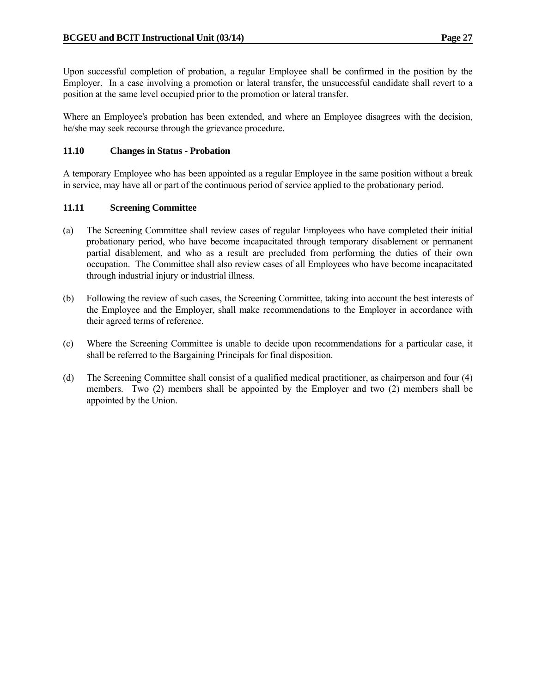Upon successful completion of probation, a regular Employee shall be confirmed in the position by the Employer. In a case involving a promotion or lateral transfer, the unsuccessful candidate shall revert to a position at the same level occupied prior to the promotion or lateral transfer.

Where an Employee's probation has been extended, and where an Employee disagrees with the decision, he/she may seek recourse through the grievance procedure.

#### **11.10 Changes in Status - Probation**

A temporary Employee who has been appointed as a regular Employee in the same position without a break in service, may have all or part of the continuous period of service applied to the probationary period.

#### **11.11 Screening Committee**

- (a) The Screening Committee shall review cases of regular Employees who have completed their initial probationary period, who have become incapacitated through temporary disablement or permanent partial disablement, and who as a result are precluded from performing the duties of their own occupation. The Committee shall also review cases of all Employees who have become incapacitated through industrial injury or industrial illness.
- (b) Following the review of such cases, the Screening Committee, taking into account the best interests of the Employee and the Employer, shall make recommendations to the Employer in accordance with their agreed terms of reference.
- (c) Where the Screening Committee is unable to decide upon recommendations for a particular case, it shall be referred to the Bargaining Principals for final disposition.
- (d) The Screening Committee shall consist of a qualified medical practitioner, as chairperson and four (4) members. Two (2) members shall be appointed by the Employer and two (2) members shall be appointed by the Union.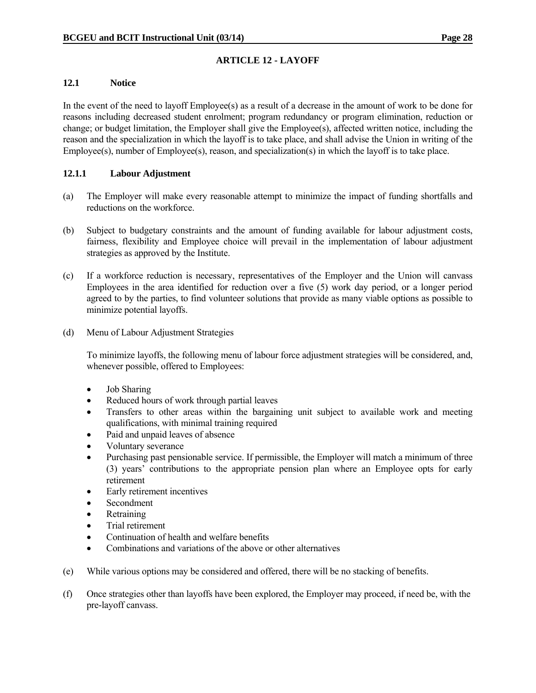### **12.1 Notice**

In the event of the need to layoff Employee(s) as a result of a decrease in the amount of work to be done for reasons including decreased student enrolment; program redundancy or program elimination, reduction or change; or budget limitation, the Employer shall give the Employee(s), affected written notice, including the reason and the specialization in which the layoff is to take place, and shall advise the Union in writing of the Employee(s), number of Employee(s), reason, and specialization(s) in which the layoff is to take place.

### **12.1.1 Labour Adjustment**

- (a) The Employer will make every reasonable attempt to minimize the impact of funding shortfalls and reductions on the workforce.
- (b) Subject to budgetary constraints and the amount of funding available for labour adjustment costs, fairness, flexibility and Employee choice will prevail in the implementation of labour adjustment strategies as approved by the Institute.
- (c) If a workforce reduction is necessary, representatives of the Employer and the Union will canvass Employees in the area identified for reduction over a five (5) work day period, or a longer period agreed to by the parties, to find volunteer solutions that provide as many viable options as possible to minimize potential layoffs.
- (d) Menu of Labour Adjustment Strategies

 To minimize layoffs, the following menu of labour force adjustment strategies will be considered, and, whenever possible, offered to Employees:

- Job Sharing
- Reduced hours of work through partial leaves
- Transfers to other areas within the bargaining unit subject to available work and meeting qualifications, with minimal training required
- Paid and unpaid leaves of absence
- Voluntary severance
- Purchasing past pensionable service. If permissible, the Employer will match a minimum of three (3) years' contributions to the appropriate pension plan where an Employee opts for early retirement
- Early retirement incentives
- Secondment
- Retraining
- Trial retirement
- Continuation of health and welfare benefits
- Combinations and variations of the above or other alternatives
- (e) While various options may be considered and offered, there will be no stacking of benefits.
- (f) Once strategies other than layoffs have been explored, the Employer may proceed, if need be, with the pre-layoff canvass.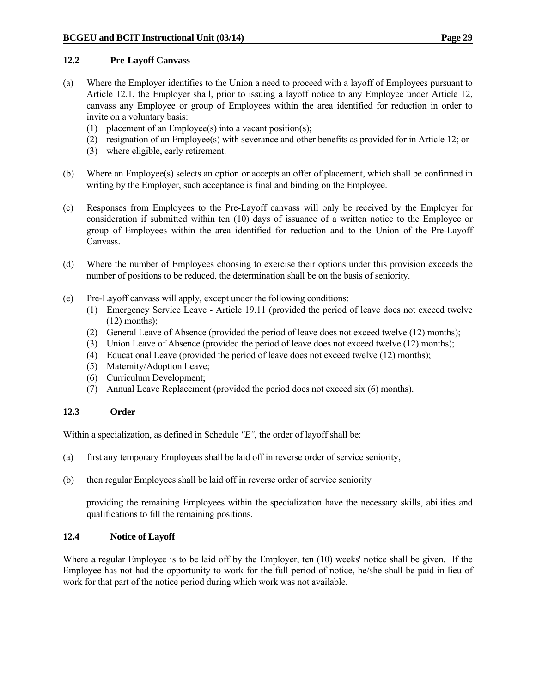### **12.2 Pre-Layoff Canvass**

- (a) Where the Employer identifies to the Union a need to proceed with a layoff of Employees pursuant to Article 12.1, the Employer shall, prior to issuing a layoff notice to any Employee under Article 12, canvass any Employee or group of Employees within the area identified for reduction in order to invite on a voluntary basis:
	- (1) placement of an Employee(s) into a vacant position(s);
	- (2) resignation of an Employee(s) with severance and other benefits as provided for in Article 12; or
	- (3) where eligible, early retirement.
- (b) Where an Employee(s) selects an option or accepts an offer of placement, which shall be confirmed in writing by the Employer, such acceptance is final and binding on the Employee.
- (c) Responses from Employees to the Pre-Layoff canvass will only be received by the Employer for consideration if submitted within ten (10) days of issuance of a written notice to the Employee or group of Employees within the area identified for reduction and to the Union of the Pre-Layoff Canvass.
- (d) Where the number of Employees choosing to exercise their options under this provision exceeds the number of positions to be reduced, the determination shall be on the basis of seniority.
- (e) Pre-Layoff canvass will apply, except under the following conditions:
	- (1) Emergency Service Leave Article 19.11 (provided the period of leave does not exceed twelve  $(12)$  months):
	- (2) General Leave of Absence (provided the period of leave does not exceed twelve (12) months);
	- (3) Union Leave of Absence (provided the period of leave does not exceed twelve (12) months);
	- (4) Educational Leave (provided the period of leave does not exceed twelve (12) months);
	- (5) Maternity/Adoption Leave;
	- (6) Curriculum Development;
	- (7) Annual Leave Replacement (provided the period does not exceed six (6) months).

## **12.3 Order**

Within a specialization, as defined in Schedule *"E"*, the order of layoff shall be:

- (a) first any temporary Employees shall be laid off in reverse order of service seniority,
- (b) then regular Employees shall be laid off in reverse order of service seniority

 providing the remaining Employees within the specialization have the necessary skills, abilities and qualifications to fill the remaining positions.

## **12.4 Notice of Layoff**

Where a regular Employee is to be laid off by the Employer, ten (10) weeks' notice shall be given. If the Employee has not had the opportunity to work for the full period of notice, he/she shall be paid in lieu of work for that part of the notice period during which work was not available.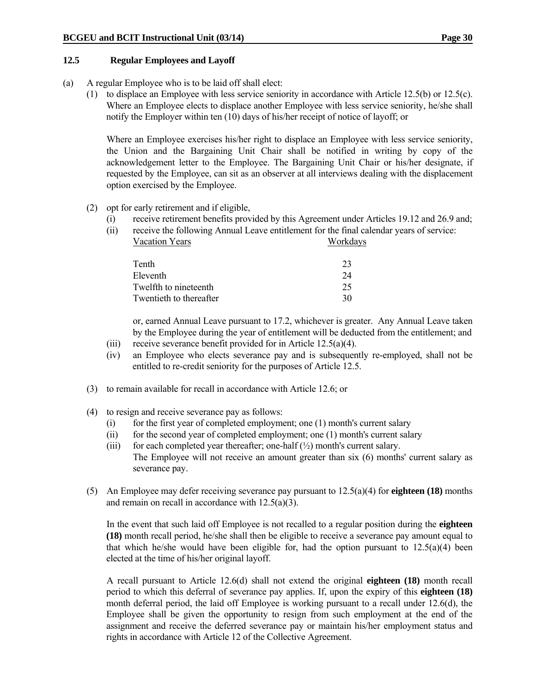### **12.5 Regular Employees and Layoff**

- (a) A regular Employee who is to be laid off shall elect:
	- (1) to displace an Employee with less service seniority in accordance with Article 12.5(b) or 12.5(c). Where an Employee elects to displace another Employee with less service seniority, he/she shall notify the Employer within ten (10) days of his/her receipt of notice of layoff; or

 Where an Employee exercises his/her right to displace an Employee with less service seniority, the Union and the Bargaining Unit Chair shall be notified in writing by copy of the acknowledgement letter to the Employee. The Bargaining Unit Chair or his/her designate, if requested by the Employee, can sit as an observer at all interviews dealing with the displacement option exercised by the Employee.

### (2) opt for early retirement and if eligible,

- (i) receive retirement benefits provided by this Agreement under Articles 19.12 and 26.9 and;
- (ii) receive the following Annual Leave entitlement for the final calendar years of service: Vacation Years Workdays

| Tenth                   |    |
|-------------------------|----|
| Eleventh                | 24 |
| Twelfth to nineteenth   | 25 |
| Twentieth to thereafter | 30 |

 or, earned Annual Leave pursuant to 17.2, whichever is greater. Any Annual Leave taken by the Employee during the year of entitlement will be deducted from the entitlement; and

- (iii) receive severance benefit provided for in Article  $12.5(a)(4)$ .
- (iv) an Employee who elects severance pay and is subsequently re-employed, shall not be entitled to re-credit seniority for the purposes of Article 12.5.
- (3) to remain available for recall in accordance with Article 12.6; or
- (4) to resign and receive severance pay as follows:
	- (i) for the first year of completed employment; one (1) month's current salary
	- (ii) for the second year of completed employment; one (1) month's current salary
	- (iii) for each completed year thereafter; one-half  $(\frac{1}{2})$  month's current salary. The Employee will not receive an amount greater than six (6) months' current salary as severance pay.
- (5) An Employee may defer receiving severance pay pursuant to 12.5(a)(4) for **eighteen (18)** months and remain on recall in accordance with 12.5(a)(3).

 In the event that such laid off Employee is not recalled to a regular position during the **eighteen (18)** month recall period, he/she shall then be eligible to receive a severance pay amount equal to that which he/she would have been eligible for, had the option pursuant to  $12.5(a)(4)$  been elected at the time of his/her original layoff.

 A recall pursuant to Article 12.6(d) shall not extend the original **eighteen (18)** month recall period to which this deferral of severance pay applies. If, upon the expiry of this **eighteen (18)**  month deferral period, the laid off Employee is working pursuant to a recall under 12.6(d), the Employee shall be given the opportunity to resign from such employment at the end of the assignment and receive the deferred severance pay or maintain his/her employment status and rights in accordance with Article 12 of the Collective Agreement.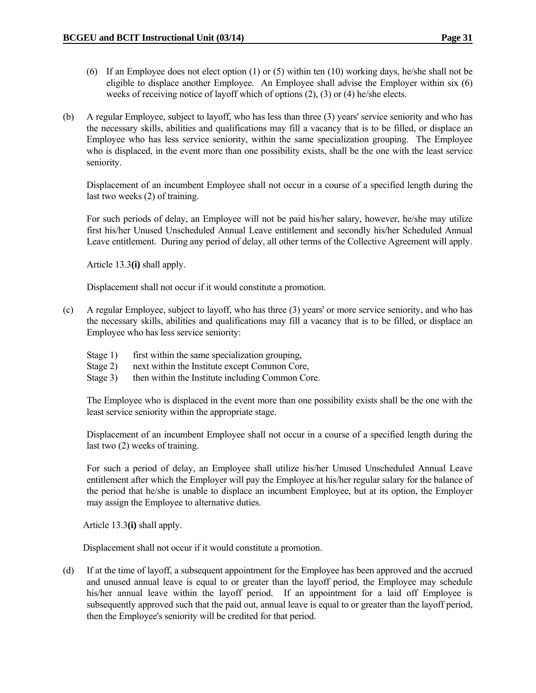- (6) If an Employee does not elect option (1) or (5) within ten (10) working days, he/she shall not be eligible to displace another Employee. An Employee shall advise the Employer within six (6) weeks of receiving notice of layoff which of options (2), (3) or (4) he/she elects.
- (b) A regular Employee, subject to layoff, who has less than three (3) years' service seniority and who has the necessary skills, abilities and qualifications may fill a vacancy that is to be filled, or displace an Employee who has less service seniority, within the same specialization grouping. The Employee who is displaced, in the event more than one possibility exists, shall be the one with the least service seniority.

 Displacement of an incumbent Employee shall not occur in a course of a specified length during the last two weeks (2) of training.

 For such periods of delay, an Employee will not be paid his/her salary, however, he/she may utilize first his/her Unused Unscheduled Annual Leave entitlement and secondly his/her Scheduled Annual Leave entitlement. During any period of delay, all other terms of the Collective Agreement will apply.

Article 13.3**(i)** shall apply.

Displacement shall not occur if it would constitute a promotion.

- (c) A regular Employee, subject to layoff, who has three (3) years' or more service seniority, and who has the necessary skills, abilities and qualifications may fill a vacancy that is to be filled, or displace an Employee who has less service seniority:
	- Stage 1) first within the same specialization grouping,
	- Stage 2) next within the Institute except Common Core,
	- Stage 3) then within the Institute including Common Core.

 The Employee who is displaced in the event more than one possibility exists shall be the one with the least service seniority within the appropriate stage.

 Displacement of an incumbent Employee shall not occur in a course of a specified length during the last two (2) weeks of training.

 For such a period of delay, an Employee shall utilize his/her Unused Unscheduled Annual Leave entitlement after which the Employer will pay the Employee at his/her regular salary for the balance of the period that he/she is unable to displace an incumbent Employee, but at its option, the Employer may assign the Employee to alternative duties.

Article 13.3**(i)** shall apply.

Displacement shall not occur if it would constitute a promotion.

(d) If at the time of layoff, a subsequent appointment for the Employee has been approved and the accrued and unused annual leave is equal to or greater than the layoff period, the Employee may schedule his/her annual leave within the layoff period. If an appointment for a laid off Employee is subsequently approved such that the paid out, annual leave is equal to or greater than the layoff period, then the Employee's seniority will be credited for that period.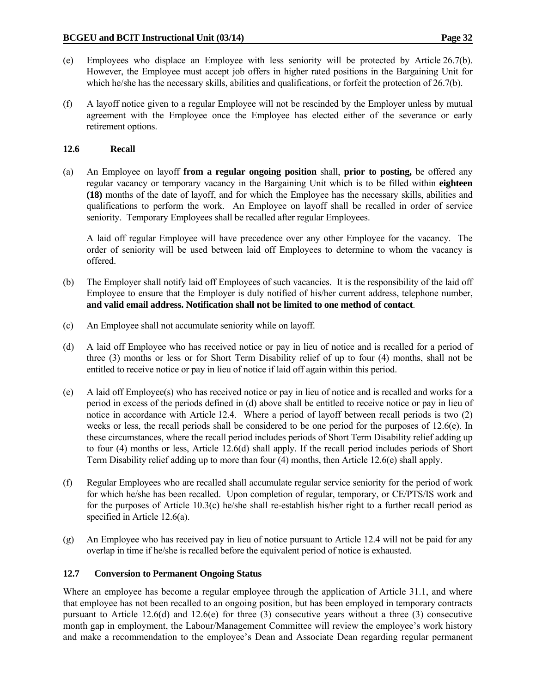- 
- (e) Employees who displace an Employee with less seniority will be protected by Article 26.7(b). However, the Employee must accept job offers in higher rated positions in the Bargaining Unit for which he/she has the necessary skills, abilities and qualifications, or forfeit the protection of 26.7(b).
- (f) A layoff notice given to a regular Employee will not be rescinded by the Employer unless by mutual agreement with the Employee once the Employee has elected either of the severance or early retirement options.

## **12.6 Recall**

(a) An Employee on layoff **from a regular ongoing position** shall, **prior to posting,** be offered any regular vacancy or temporary vacancy in the Bargaining Unit which is to be filled within **eighteen (18)** months of the date of layoff, and for which the Employee has the necessary skills, abilities and qualifications to perform the work. An Employee on layoff shall be recalled in order of service seniority. Temporary Employees shall be recalled after regular Employees.

 A laid off regular Employee will have precedence over any other Employee for the vacancy. The order of seniority will be used between laid off Employees to determine to whom the vacancy is offered.

- (b) The Employer shall notify laid off Employees of such vacancies. It is the responsibility of the laid off Employee to ensure that the Employer is duly notified of his/her current address, telephone number, **and valid email address. Notification shall not be limited to one method of contact**.
- (c) An Employee shall not accumulate seniority while on layoff.
- (d) A laid off Employee who has received notice or pay in lieu of notice and is recalled for a period of three (3) months or less or for Short Term Disability relief of up to four (4) months, shall not be entitled to receive notice or pay in lieu of notice if laid off again within this period.
- (e) A laid off Employee(s) who has received notice or pay in lieu of notice and is recalled and works for a period in excess of the periods defined in (d) above shall be entitled to receive notice or pay in lieu of notice in accordance with Article 12.4. Where a period of layoff between recall periods is two (2) weeks or less, the recall periods shall be considered to be one period for the purposes of 12.6(e). In these circumstances, where the recall period includes periods of Short Term Disability relief adding up to four (4) months or less, Article 12.6(d) shall apply. If the recall period includes periods of Short Term Disability relief adding up to more than four (4) months, then Article 12.6(e) shall apply.
- (f) Regular Employees who are recalled shall accumulate regular service seniority for the period of work for which he/she has been recalled. Upon completion of regular, temporary, or CE/PTS/IS work and for the purposes of Article 10.3(c) he/she shall re-establish his/her right to a further recall period as specified in Article 12.6(a).
- (g) An Employee who has received pay in lieu of notice pursuant to Article 12.4 will not be paid for any overlap in time if he/she is recalled before the equivalent period of notice is exhausted.

## **12.7 Conversion to Permanent Ongoing Status**

Where an employee has become a regular employee through the application of Article 31.1, and where that employee has not been recalled to an ongoing position, but has been employed in temporary contracts pursuant to Article 12.6(d) and 12.6(e) for three (3) consecutive years without a three (3) consecutive month gap in employment, the Labour/Management Committee will review the employee's work history and make a recommendation to the employee's Dean and Associate Dean regarding regular permanent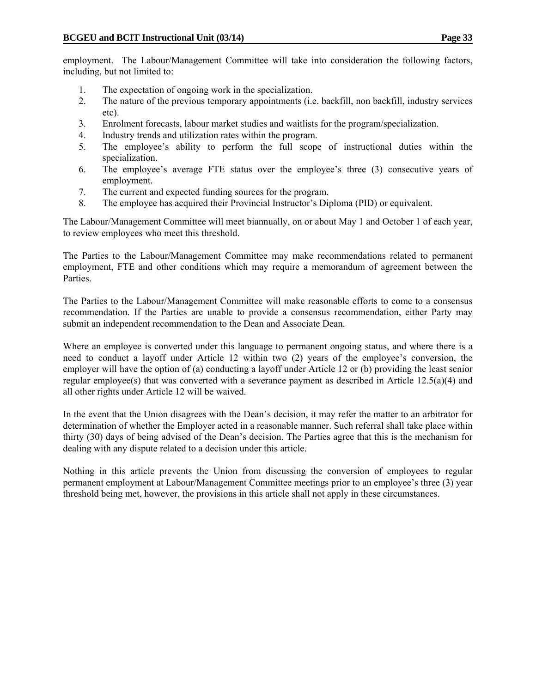employment. The Labour/Management Committee will take into consideration the following factors, including, but not limited to:

- 1. The expectation of ongoing work in the specialization.
- 2. The nature of the previous temporary appointments (i.e. backfill, non backfill, industry services etc).
- 3. Enrolment forecasts, labour market studies and waitlists for the program/specialization.
- 4. Industry trends and utilization rates within the program.
- 5. The employee's ability to perform the full scope of instructional duties within the specialization.
- 6. The employee's average FTE status over the employee's three (3) consecutive years of employment.
- 7. The current and expected funding sources for the program.
- 8. The employee has acquired their Provincial Instructor's Diploma (PID) or equivalent.

The Labour/Management Committee will meet biannually, on or about May 1 and October 1 of each year, to review employees who meet this threshold.

The Parties to the Labour/Management Committee may make recommendations related to permanent employment, FTE and other conditions which may require a memorandum of agreement between the Parties.

The Parties to the Labour/Management Committee will make reasonable efforts to come to a consensus recommendation. If the Parties are unable to provide a consensus recommendation, either Party may submit an independent recommendation to the Dean and Associate Dean.

Where an employee is converted under this language to permanent ongoing status, and where there is a need to conduct a layoff under Article 12 within two (2) years of the employee's conversion, the employer will have the option of (a) conducting a layoff under Article 12 or (b) providing the least senior regular employee(s) that was converted with a severance payment as described in Article 12.5(a)(4) and all other rights under Article 12 will be waived.

In the event that the Union disagrees with the Dean's decision, it may refer the matter to an arbitrator for determination of whether the Employer acted in a reasonable manner. Such referral shall take place within thirty (30) days of being advised of the Dean's decision. The Parties agree that this is the mechanism for dealing with any dispute related to a decision under this article.

Nothing in this article prevents the Union from discussing the conversion of employees to regular permanent employment at Labour/Management Committee meetings prior to an employee's three (3) year threshold being met, however, the provisions in this article shall not apply in these circumstances.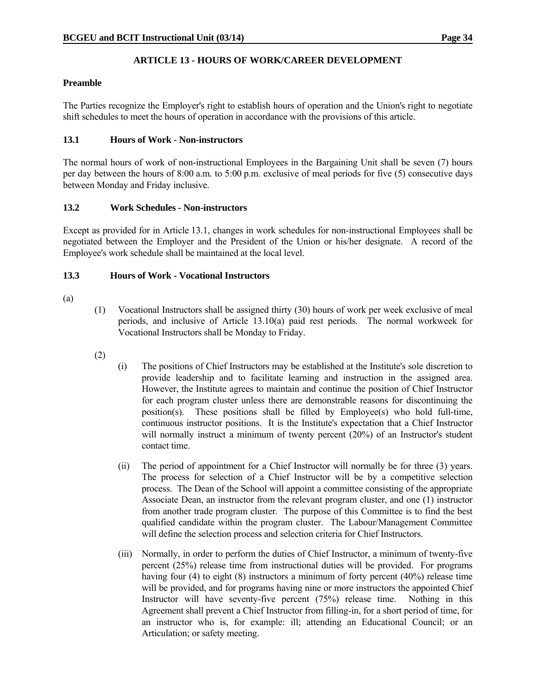## **ARTICLE 13 - HOURS OF WORK/CAREER DEVELOPMENT**

### **Preamble**

The Parties recognize the Employer's right to establish hours of operation and the Union's right to negotiate shift schedules to meet the hours of operation in accordance with the provisions of this article.

### **13.1 Hours of Work - Non-instructors**

The normal hours of work of non-instructional Employees in the Bargaining Unit shall be seven (7) hours per day between the hours of 8:00 a.m. to 5:00 p.m. exclusive of meal periods for five (5) consecutive days between Monday and Friday inclusive.

### **13.2 Work Schedules - Non-instructors**

Except as provided for in Article 13.1, changes in work schedules for non-instructional Employees shall be negotiated between the Employer and the President of the Union or his/her designate. A record of the Employee's work schedule shall be maintained at the local level.

### **13.3 Hours of Work - Vocational Instructors**

- (a)
- (1) Vocational Instructors shall be assigned thirty (30) hours of work per week exclusive of meal periods, and inclusive of Article 13.10(a) paid rest periods. The normal workweek for Vocational Instructors shall be Monday to Friday.
- (2)
- (i) The positions of Chief Instructors may be established at the Institute's sole discretion to provide leadership and to facilitate learning and instruction in the assigned area. However, the Institute agrees to maintain and continue the position of Chief Instructor for each program cluster unless there are demonstrable reasons for discontinuing the position(s). These positions shall be filled by Employee(s) who hold full-time, continuous instructor positions. It is the Institute's expectation that a Chief Instructor will normally instruct a minimum of twenty percent (20%) of an Instructor's student contact time.
- (ii) The period of appointment for a Chief Instructor will normally be for three (3) years. The process for selection of a Chief Instructor will be by a competitive selection process. The Dean of the School will appoint a committee consisting of the appropriate Associate Dean, an instructor from the relevant program cluster, and one (1) instructor from another trade program cluster. The purpose of this Committee is to find the best qualified candidate within the program cluster. The Labour/Management Committee will define the selection process and selection criteria for Chief Instructors.
- (iii) Normally, in order to perform the duties of Chief Instructor, a minimum of twenty-five percent (25%) release time from instructional duties will be provided. For programs having four (4) to eight (8) instructors a minimum of forty percent (40%) release time will be provided, and for programs having nine or more instructors the appointed Chief Instructor will have seventy-five percent (75%) release time. Nothing in this Agreement shall prevent a Chief Instructor from filling-in, for a short period of time, for an instructor who is, for example: ill; attending an Educational Council; or an Articulation; or safety meeting.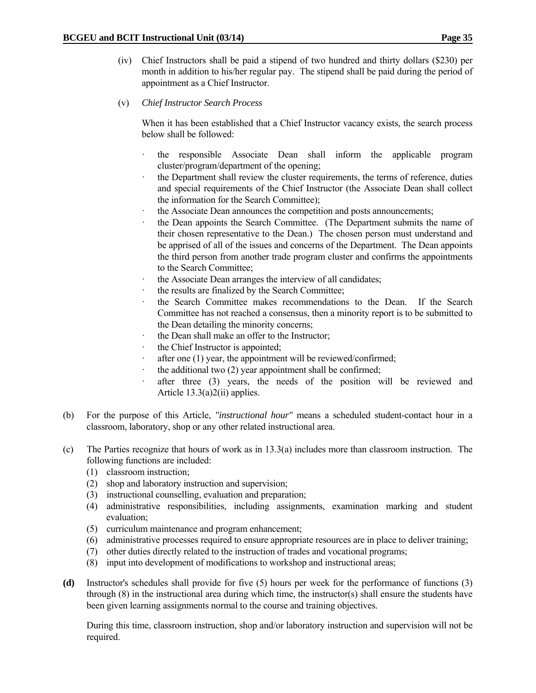- (iv) Chief Instructors shall be paid a stipend of two hundred and thirty dollars (\$230) per month in addition to his/her regular pay. The stipend shall be paid during the period of appointment as a Chief Instructor.
- (v) *Chief Instructor Search Process*

 When it has been established that a Chief Instructor vacancy exists, the search process below shall be followed:

- · the responsible Associate Dean shall inform the applicable program cluster/program/department of the opening;
- the Department shall review the cluster requirements, the terms of reference, duties and special requirements of the Chief Instructor (the Associate Dean shall collect the information for the Search Committee);
- the Associate Dean announces the competition and posts announcements;
- the Dean appoints the Search Committee. (The Department submits the name of their chosen representative to the Dean.) The chosen person must understand and be apprised of all of the issues and concerns of the Department. The Dean appoints the third person from another trade program cluster and confirms the appointments to the Search Committee;
- the Associate Dean arranges the interview of all candidates;
- the results are finalized by the Search Committee;
- the Search Committee makes recommendations to the Dean. If the Search Committee has not reached a consensus, then a minority report is to be submitted to the Dean detailing the minority concerns;
- the Dean shall make an offer to the Instructor;
- the Chief Instructor is appointed;
- after one (1) year, the appointment will be reviewed/confirmed;
- the additional two  $(2)$  year appointment shall be confirmed;
- after three (3) years, the needs of the position will be reviewed and Article 13.3(a)2(ii) applies.
- (b) For the purpose of this Article, *"instructional hour"* means a scheduled student-contact hour in a classroom, laboratory, shop or any other related instructional area.
- (c) The Parties recognize that hours of work as in 13.3(a) includes more than classroom instruction. The following functions are included:
	- (1) classroom instruction;
	- (2) shop and laboratory instruction and supervision;
	- (3) instructional counselling, evaluation and preparation;
	- (4) administrative responsibilities, including assignments, examination marking and student evaluation;
	- (5) curriculum maintenance and program enhancement;
	- (6) administrative processes required to ensure appropriate resources are in place to deliver training;
	- (7) other duties directly related to the instruction of trades and vocational programs;
	- (8) input into development of modifications to workshop and instructional areas;
- **(d)** Instructor's schedules shall provide for five (5) hours per week for the performance of functions (3) through (8) in the instructional area during which time, the instructor(s) shall ensure the students have been given learning assignments normal to the course and training objectives.

 During this time, classroom instruction, shop and/or laboratory instruction and supervision will not be required.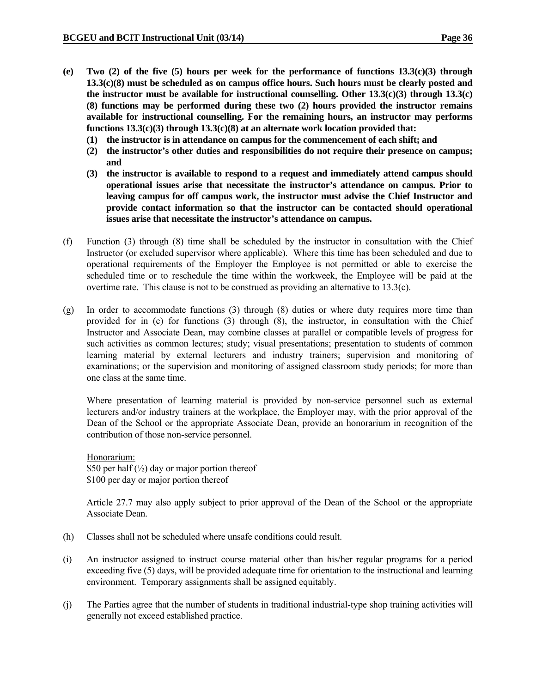- **(e) Two (2) of the five (5) hours per week for the performance of functions 13.3(c)(3) through 13.3(c)(8) must be scheduled as on campus office hours. Such hours must be clearly posted and the instructor must be available for instructional counselling. Other 13.3(c)(3) through 13.3(c) (8) functions may be performed during these two (2) hours provided the instructor remains available for instructional counselling. For the remaining hours, an instructor may performs functions 13.3(c)(3) through 13.3(c)(8) at an alternate work location provided that:** 
	- **(1) the instructor is in attendance on campus for the commencement of each shift; and**
	- **(2) the instructor's other duties and responsibilities do not require their presence on campus; and**
	- **(3) the instructor is available to respond to a request and immediately attend campus should operational issues arise that necessitate the instructor's attendance on campus. Prior to leaving campus for off campus work, the instructor must advise the Chief Instructor and provide contact information so that the instructor can be contacted should operational issues arise that necessitate the instructor's attendance on campus.**
- (f) Function (3) through (8) time shall be scheduled by the instructor in consultation with the Chief Instructor (or excluded supervisor where applicable). Where this time has been scheduled and due to operational requirements of the Employer the Employee is not permitted or able to exercise the scheduled time or to reschedule the time within the workweek, the Employee will be paid at the overtime rate. This clause is not to be construed as providing an alternative to 13.3(c).
- (g) In order to accommodate functions (3) through (8) duties or where duty requires more time than provided for in (c) for functions (3) through (8), the instructor, in consultation with the Chief Instructor and Associate Dean, may combine classes at parallel or compatible levels of progress for such activities as common lectures; study; visual presentations; presentation to students of common learning material by external lecturers and industry trainers; supervision and monitoring of examinations; or the supervision and monitoring of assigned classroom study periods; for more than one class at the same time.

 Where presentation of learning material is provided by non-service personnel such as external lecturers and/or industry trainers at the workplace, the Employer may, with the prior approval of the Dean of the School or the appropriate Associate Dean, provide an honorarium in recognition of the contribution of those non-service personnel.

 Honorarium: \$50 per half  $\left(\frac{1}{2}\right)$  day or major portion thereof \$100 per day or major portion thereof

 Article 27.7 may also apply subject to prior approval of the Dean of the School or the appropriate Associate Dean.

- (h) Classes shall not be scheduled where unsafe conditions could result.
- (i) An instructor assigned to instruct course material other than his/her regular programs for a period exceeding five (5) days, will be provided adequate time for orientation to the instructional and learning environment. Temporary assignments shall be assigned equitably.
- (j) The Parties agree that the number of students in traditional industrial-type shop training activities will generally not exceed established practice.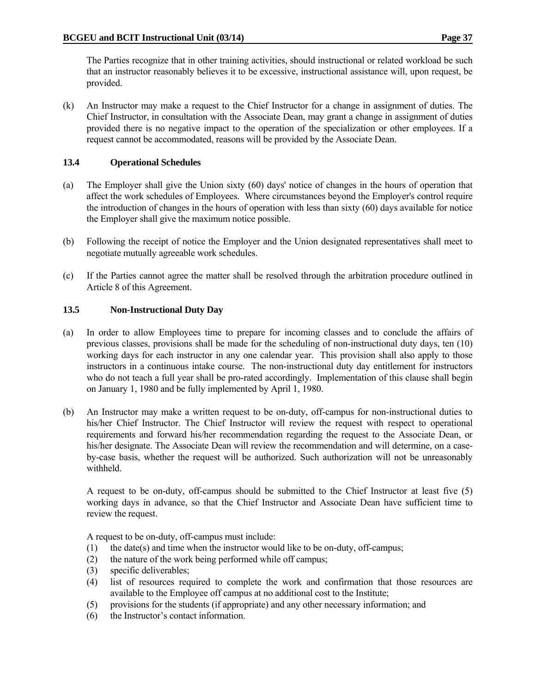The Parties recognize that in other training activities, should instructional or related workload be such that an instructor reasonably believes it to be excessive, instructional assistance will, upon request, be provided.

(k) An Instructor may make a request to the Chief Instructor for a change in assignment of duties. The Chief Instructor, in consultation with the Associate Dean, may grant a change in assignment of duties provided there is no negative impact to the operation of the specialization or other employees. If a request cannot be accommodated, reasons will be provided by the Associate Dean.

### **13.4 Operational Schedules**

- (a) The Employer shall give the Union sixty (60) days' notice of changes in the hours of operation that affect the work schedules of Employees. Where circumstances beyond the Employer's control require the introduction of changes in the hours of operation with less than sixty (60) days available for notice the Employer shall give the maximum notice possible.
- (b) Following the receipt of notice the Employer and the Union designated representatives shall meet to negotiate mutually agreeable work schedules.
- (c) If the Parties cannot agree the matter shall be resolved through the arbitration procedure outlined in Article 8 of this Agreement.

### **13.5 Non-Instructional Duty Day**

- (a) In order to allow Employees time to prepare for incoming classes and to conclude the affairs of previous classes, provisions shall be made for the scheduling of non-instructional duty days, ten (10) working days for each instructor in any one calendar year. This provision shall also apply to those instructors in a continuous intake course. The non-instructional duty day entitlement for instructors who do not teach a full year shall be pro-rated accordingly. Implementation of this clause shall begin on January 1, 1980 and be fully implemented by April 1, 1980.
- (b) An Instructor may make a written request to be on-duty, off-campus for non-instructional duties to his/her Chief Instructor. The Chief Instructor will review the request with respect to operational requirements and forward his/her recommendation regarding the request to the Associate Dean, or his/her designate. The Associate Dean will review the recommendation and will determine, on a caseby-case basis, whether the request will be authorized. Such authorization will not be unreasonably withheld.

A request to be on-duty, off-campus should be submitted to the Chief Instructor at least five (5) working days in advance, so that the Chief Instructor and Associate Dean have sufficient time to review the request.

A request to be on-duty, off-campus must include:

- (1) the date(s) and time when the instructor would like to be on-duty, off-campus;
- (2) the nature of the work being performed while off campus;
- (3) specific deliverables;
- (4) list of resources required to complete the work and confirmation that those resources are available to the Employee off campus at no additional cost to the Institute;
- (5) provisions for the students (if appropriate) and any other necessary information; and
- (6) the Instructor's contact information.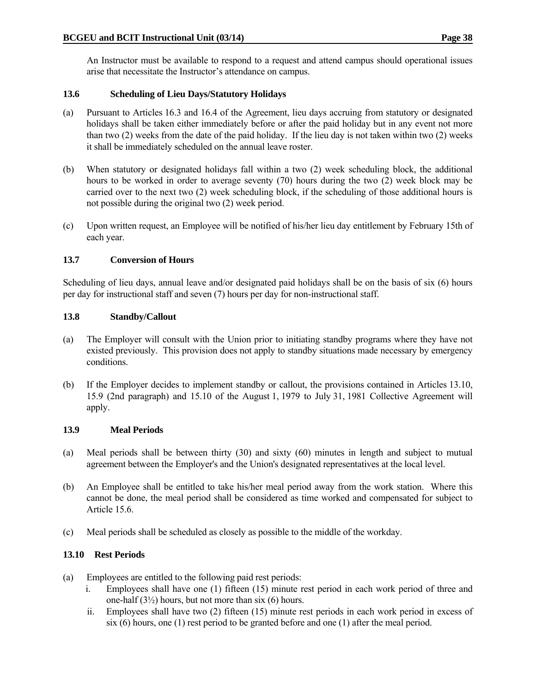An Instructor must be available to respond to a request and attend campus should operational issues arise that necessitate the Instructor's attendance on campus.

## **13.6 Scheduling of Lieu Days/Statutory Holidays**

- (a) Pursuant to Articles 16.3 and 16.4 of the Agreement, lieu days accruing from statutory or designated holidays shall be taken either immediately before or after the paid holiday but in any event not more than two (2) weeks from the date of the paid holiday. If the lieu day is not taken within two (2) weeks it shall be immediately scheduled on the annual leave roster.
- (b) When statutory or designated holidays fall within a two (2) week scheduling block, the additional hours to be worked in order to average seventy (70) hours during the two (2) week block may be carried over to the next two (2) week scheduling block, if the scheduling of those additional hours is not possible during the original two (2) week period.
- (c) Upon written request, an Employee will be notified of his/her lieu day entitlement by February 15th of each year.

### **13.7 Conversion of Hours**

Scheduling of lieu days, annual leave and/or designated paid holidays shall be on the basis of six (6) hours per day for instructional staff and seven (7) hours per day for non-instructional staff.

#### **13.8 Standby/Callout**

- (a) The Employer will consult with the Union prior to initiating standby programs where they have not existed previously. This provision does not apply to standby situations made necessary by emergency conditions.
- (b) If the Employer decides to implement standby or callout, the provisions contained in Articles 13.10, 15.9 (2nd paragraph) and 15.10 of the August 1, 1979 to July 31, 1981 Collective Agreement will apply.

#### **13.9 Meal Periods**

- (a) Meal periods shall be between thirty (30) and sixty (60) minutes in length and subject to mutual agreement between the Employer's and the Union's designated representatives at the local level.
- (b) An Employee shall be entitled to take his/her meal period away from the work station. Where this cannot be done, the meal period shall be considered as time worked and compensated for subject to Article 15.6.
- (c) Meal periods shall be scheduled as closely as possible to the middle of the workday.

#### **13.10 Rest Periods**

- (a) Employees are entitled to the following paid rest periods:
	- i. Employees shall have one (1) fifteen (15) minute rest period in each work period of three and one-half  $(3\frac{1}{2})$  hours, but not more than six  $(6)$  hours.
	- ii. Employees shall have two (2) fifteen (15) minute rest periods in each work period in excess of six (6) hours, one (1) rest period to be granted before and one (1) after the meal period.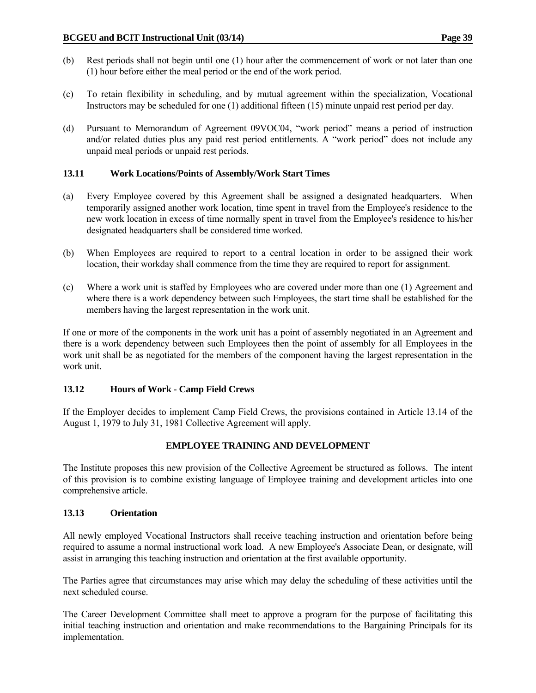- (b) Rest periods shall not begin until one (1) hour after the commencement of work or not later than one (1) hour before either the meal period or the end of the work period.
- (c) To retain flexibility in scheduling, and by mutual agreement within the specialization, Vocational Instructors may be scheduled for one (1) additional fifteen (15) minute unpaid rest period per day.
- (d) Pursuant to Memorandum of Agreement 09VOC04, "work period" means a period of instruction and/or related duties plus any paid rest period entitlements. A "work period" does not include any unpaid meal periods or unpaid rest periods.

## **13.11 Work Locations/Points of Assembly/Work Start Times**

- (a) Every Employee covered by this Agreement shall be assigned a designated headquarters. When temporarily assigned another work location, time spent in travel from the Employee's residence to the new work location in excess of time normally spent in travel from the Employee's residence to his/her designated headquarters shall be considered time worked.
- (b) When Employees are required to report to a central location in order to be assigned their work location, their workday shall commence from the time they are required to report for assignment.
- (c) Where a work unit is staffed by Employees who are covered under more than one (1) Agreement and where there is a work dependency between such Employees, the start time shall be established for the members having the largest representation in the work unit.

If one or more of the components in the work unit has a point of assembly negotiated in an Agreement and there is a work dependency between such Employees then the point of assembly for all Employees in the work unit shall be as negotiated for the members of the component having the largest representation in the work unit.

## **13.12 Hours of Work - Camp Field Crews**

If the Employer decides to implement Camp Field Crews, the provisions contained in Article 13.14 of the August 1, 1979 to July 31, 1981 Collective Agreement will apply.

## **EMPLOYEE TRAINING AND DEVELOPMENT**

The Institute proposes this new provision of the Collective Agreement be structured as follows. The intent of this provision is to combine existing language of Employee training and development articles into one comprehensive article.

## **13.13 Orientation**

All newly employed Vocational Instructors shall receive teaching instruction and orientation before being required to assume a normal instructional work load. A new Employee's Associate Dean, or designate, will assist in arranging this teaching instruction and orientation at the first available opportunity.

The Parties agree that circumstances may arise which may delay the scheduling of these activities until the next scheduled course.

The Career Development Committee shall meet to approve a program for the purpose of facilitating this initial teaching instruction and orientation and make recommendations to the Bargaining Principals for its implementation.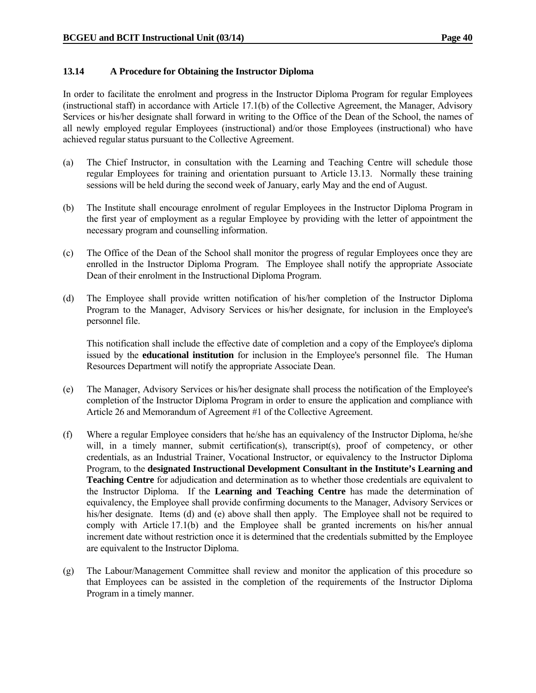### **13.14 A Procedure for Obtaining the Instructor Diploma**

In order to facilitate the enrolment and progress in the Instructor Diploma Program for regular Employees (instructional staff) in accordance with Article 17.1(b) of the Collective Agreement, the Manager, Advisory Services or his/her designate shall forward in writing to the Office of the Dean of the School, the names of all newly employed regular Employees (instructional) and/or those Employees (instructional) who have achieved regular status pursuant to the Collective Agreement.

- (a) The Chief Instructor, in consultation with the Learning and Teaching Centre will schedule those regular Employees for training and orientation pursuant to Article 13.13. Normally these training sessions will be held during the second week of January, early May and the end of August.
- (b) The Institute shall encourage enrolment of regular Employees in the Instructor Diploma Program in the first year of employment as a regular Employee by providing with the letter of appointment the necessary program and counselling information.
- (c) The Office of the Dean of the School shall monitor the progress of regular Employees once they are enrolled in the Instructor Diploma Program. The Employee shall notify the appropriate Associate Dean of their enrolment in the Instructional Diploma Program.
- (d) The Employee shall provide written notification of his/her completion of the Instructor Diploma Program to the Manager, Advisory Services or his/her designate, for inclusion in the Employee's personnel file.

 This notification shall include the effective date of completion and a copy of the Employee's diploma issued by the **educational institution** for inclusion in the Employee's personnel file. The Human Resources Department will notify the appropriate Associate Dean.

- (e) The Manager, Advisory Services or his/her designate shall process the notification of the Employee's completion of the Instructor Diploma Program in order to ensure the application and compliance with Article 26 and Memorandum of Agreement #1 of the Collective Agreement.
- (f) Where a regular Employee considers that he/she has an equivalency of the Instructor Diploma, he/she will, in a timely manner, submit certification(s), transcript(s), proof of competency, or other credentials, as an Industrial Trainer, Vocational Instructor, or equivalency to the Instructor Diploma Program, to the **designated Instructional Development Consultant in the Institute's Learning and Teaching Centre** for adjudication and determination as to whether those credentials are equivalent to the Instructor Diploma. If the **Learning and Teaching Centre** has made the determination of equivalency, the Employee shall provide confirming documents to the Manager, Advisory Services or his/her designate. Items (d) and (e) above shall then apply. The Employee shall not be required to comply with Article 17.1(b) and the Employee shall be granted increments on his/her annual increment date without restriction once it is determined that the credentials submitted by the Employee are equivalent to the Instructor Diploma.
- (g) The Labour/Management Committee shall review and monitor the application of this procedure so that Employees can be assisted in the completion of the requirements of the Instructor Diploma Program in a timely manner.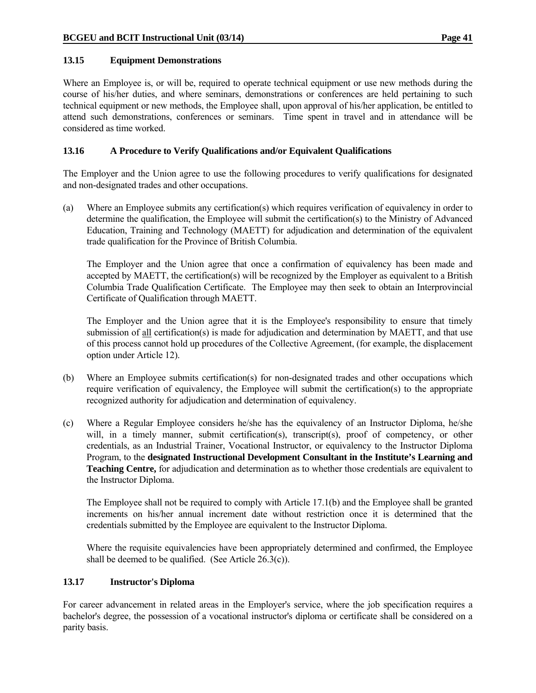#### **13.15 Equipment Demonstrations**

Where an Employee is, or will be, required to operate technical equipment or use new methods during the course of his/her duties, and where seminars, demonstrations or conferences are held pertaining to such technical equipment or new methods, the Employee shall, upon approval of his/her application, be entitled to attend such demonstrations, conferences or seminars. Time spent in travel and in attendance will be considered as time worked.

#### **13.16 A Procedure to Verify Qualifications and/or Equivalent Qualifications**

The Employer and the Union agree to use the following procedures to verify qualifications for designated and non-designated trades and other occupations.

(a) Where an Employee submits any certification(s) which requires verification of equivalency in order to determine the qualification, the Employee will submit the certification(s) to the Ministry of Advanced Education, Training and Technology (MAETT) for adjudication and determination of the equivalent trade qualification for the Province of British Columbia.

 The Employer and the Union agree that once a confirmation of equivalency has been made and accepted by MAETT, the certification(s) will be recognized by the Employer as equivalent to a British Columbia Trade Qualification Certificate. The Employee may then seek to obtain an Interprovincial Certificate of Qualification through MAETT.

 The Employer and the Union agree that it is the Employee's responsibility to ensure that timely submission of <u>all</u> certification(s) is made for adjudication and determination by MAETT, and that use of this process cannot hold up procedures of the Collective Agreement, (for example, the displacement option under Article 12).

- (b) Where an Employee submits certification(s) for non-designated trades and other occupations which require verification of equivalency, the Employee will submit the certification(s) to the appropriate recognized authority for adjudication and determination of equivalency.
- (c) Where a Regular Employee considers he/she has the equivalency of an Instructor Diploma, he/she will, in a timely manner, submit certification(s), transcript(s), proof of competency, or other credentials, as an Industrial Trainer, Vocational Instructor, or equivalency to the Instructor Diploma Program, to the **designated Instructional Development Consultant in the Institute's Learning and Teaching Centre,** for adjudication and determination as to whether those credentials are equivalent to the Instructor Diploma.

 The Employee shall not be required to comply with Article 17.1(b) and the Employee shall be granted increments on his/her annual increment date without restriction once it is determined that the credentials submitted by the Employee are equivalent to the Instructor Diploma.

 Where the requisite equivalencies have been appropriately determined and confirmed, the Employee shall be deemed to be qualified. (See Article  $26.3(c)$ ).

## **13.17 Instructor's Diploma**

For career advancement in related areas in the Employer's service, where the job specification requires a bachelor's degree, the possession of a vocational instructor's diploma or certificate shall be considered on a parity basis.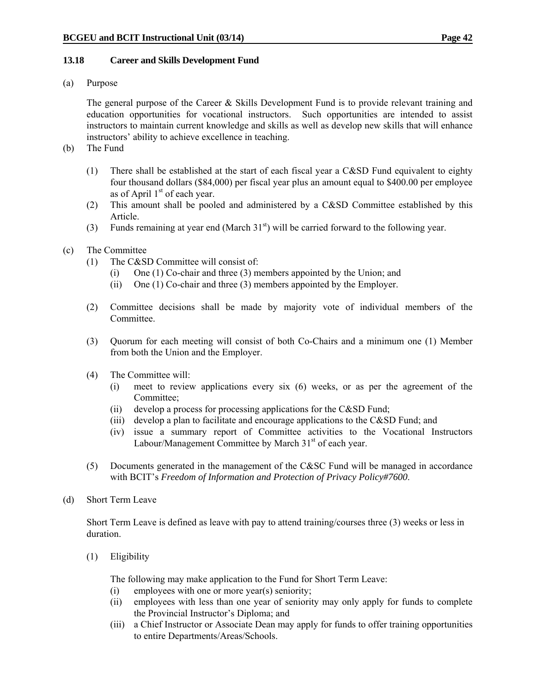### **13.18 Career and Skills Development Fund**

(a) Purpose

 The general purpose of the Career & Skills Development Fund is to provide relevant training and education opportunities for vocational instructors. Such opportunities are intended to assist instructors to maintain current knowledge and skills as well as develop new skills that will enhance instructors' ability to achieve excellence in teaching.

- (b) The Fund
	- (1) There shall be established at the start of each fiscal year a C&SD Fund equivalent to eighty four thousand dollars (\$84,000) per fiscal year plus an amount equal to \$400.00 per employee as of April  $1<sup>st</sup>$  of each year.
	- (2) This amount shall be pooled and administered by a C&SD Committee established by this Article.
	- (3) Funds remaining at year end (March  $31<sup>st</sup>$ ) will be carried forward to the following year.
- (c) The Committee
	- (1) The C&SD Committee will consist of:
		- (i) One (1) Co-chair and three (3) members appointed by the Union; and
		- (ii) One (1) Co-chair and three (3) members appointed by the Employer.
	- (2) Committee decisions shall be made by majority vote of individual members of the Committee.
	- (3) Quorum for each meeting will consist of both Co-Chairs and a minimum one (1) Member from both the Union and the Employer.
	- (4) The Committee will:
		- (i) meet to review applications every six (6) weeks, or as per the agreement of the Committee;
		- (ii) develop a process for processing applications for the C&SD Fund;
		- (iii) develop a plan to facilitate and encourage applications to the C&SD Fund; and
		- (iv) issue a summary report of Committee activities to the Vocational Instructors Labour/Management Committee by March 31<sup>st</sup> of each year.
	- (5) Documents generated in the management of the C&SC Fund will be managed in accordance with BCIT's *Freedom of Information and Protection of Privacy Policy#7600*.
- (d) Short Term Leave

Short Term Leave is defined as leave with pay to attend training/courses three (3) weeks or less in duration.

(1) Eligibility

The following may make application to the Fund for Short Term Leave:

- (i) employees with one or more year(s) seniority;
- (ii) employees with less than one year of seniority may only apply for funds to complete the Provincial Instructor's Diploma; and
- (iii) a Chief Instructor or Associate Dean may apply for funds to offer training opportunities to entire Departments/Areas/Schools.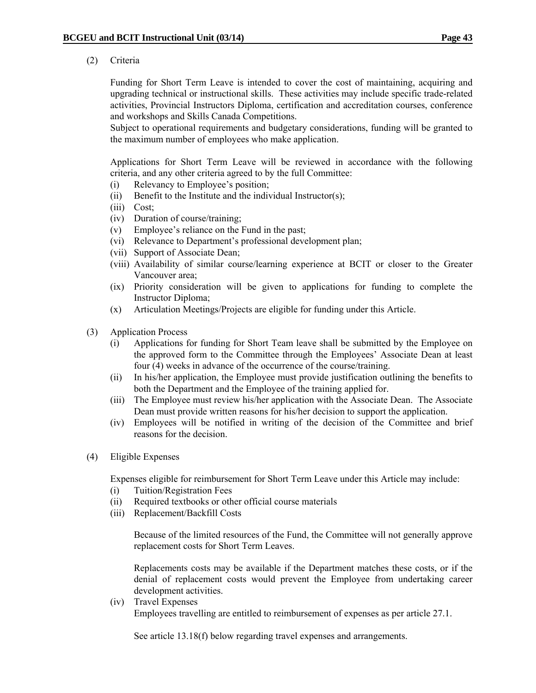(2) Criteria

 Funding for Short Term Leave is intended to cover the cost of maintaining, acquiring and upgrading technical or instructional skills. These activities may include specific trade-related activities, Provincial Instructors Diploma, certification and accreditation courses, conference and workshops and Skills Canada Competitions.

 Subject to operational requirements and budgetary considerations, funding will be granted to the maximum number of employees who make application.

 Applications for Short Term Leave will be reviewed in accordance with the following criteria, and any other criteria agreed to by the full Committee:

- (i) Relevancy to Employee's position;
- (ii) Benefit to the Institute and the individual Instructor(s);
- (iii) Cost;
- (iv) Duration of course/training;
- (v) Employee's reliance on the Fund in the past;
- (vi) Relevance to Department's professional development plan;
- (vii) Support of Associate Dean;
- (viii) Availability of similar course/learning experience at BCIT or closer to the Greater Vancouver area;
- (ix) Priority consideration will be given to applications for funding to complete the Instructor Diploma;
- (x) Articulation Meetings/Projects are eligible for funding under this Article.
- (3) Application Process
	- (i) Applications for funding for Short Team leave shall be submitted by the Employee on the approved form to the Committee through the Employees' Associate Dean at least four (4) weeks in advance of the occurrence of the course/training.
	- (ii) In his/her application, the Employee must provide justification outlining the benefits to both the Department and the Employee of the training applied for.
	- (iii) The Employee must review his/her application with the Associate Dean. The Associate Dean must provide written reasons for his/her decision to support the application.
	- (iv) Employees will be notified in writing of the decision of the Committee and brief reasons for the decision.
- (4) Eligible Expenses

Expenses eligible for reimbursement for Short Term Leave under this Article may include:

- (i) Tuition/Registration Fees
- (ii) Required textbooks or other official course materials
- (iii) Replacement/Backfill Costs

Because of the limited resources of the Fund, the Committee will not generally approve replacement costs for Short Term Leaves.

Replacements costs may be available if the Department matches these costs, or if the denial of replacement costs would prevent the Employee from undertaking career development activities.

(iv) Travel Expenses

Employees travelling are entitled to reimbursement of expenses as per article 27.1.

See article 13.18(f) below regarding travel expenses and arrangements.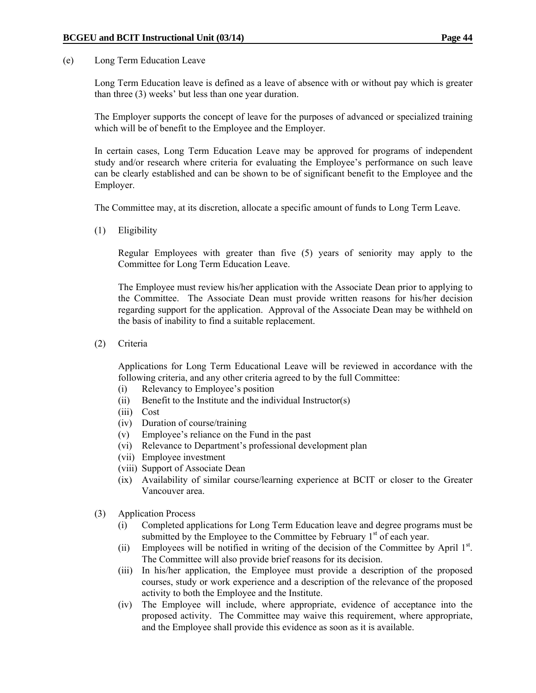(e) Long Term Education Leave

Long Term Education leave is defined as a leave of absence with or without pay which is greater than three (3) weeks' but less than one year duration.

The Employer supports the concept of leave for the purposes of advanced or specialized training which will be of benefit to the Employee and the Employer.

In certain cases, Long Term Education Leave may be approved for programs of independent study and/or research where criteria for evaluating the Employee's performance on such leave can be clearly established and can be shown to be of significant benefit to the Employee and the Employer.

The Committee may, at its discretion, allocate a specific amount of funds to Long Term Leave.

(1) Eligibility

 Regular Employees with greater than five (5) years of seniority may apply to the Committee for Long Term Education Leave.

 The Employee must review his/her application with the Associate Dean prior to applying to the Committee. The Associate Dean must provide written reasons for his/her decision regarding support for the application. Approval of the Associate Dean may be withheld on the basis of inability to find a suitable replacement.

(2) Criteria

Applications for Long Term Educational Leave will be reviewed in accordance with the following criteria, and any other criteria agreed to by the full Committee:

- (i) Relevancy to Employee's position
- (ii) Benefit to the Institute and the individual Instructor(s)
- (iii) Cost
- (iv) Duration of course/training
- (v) Employee's reliance on the Fund in the past
- (vi) Relevance to Department's professional development plan
- (vii) Employee investment
- (viii) Support of Associate Dean
- (ix) Availability of similar course/learning experience at BCIT or closer to the Greater Vancouver area.
- (3) Application Process
	- (i) Completed applications for Long Term Education leave and degree programs must be submitted by the Employee to the Committee by February  $1<sup>st</sup>$  of each year.
	- (ii) Employees will be notified in writing of the decision of the Committee by April  $1<sup>st</sup>$ . The Committee will also provide brief reasons for its decision.
	- (iii) In his/her application, the Employee must provide a description of the proposed courses, study or work experience and a description of the relevance of the proposed activity to both the Employee and the Institute.
	- (iv) The Employee will include, where appropriate, evidence of acceptance into the proposed activity. The Committee may waive this requirement, where appropriate, and the Employee shall provide this evidence as soon as it is available.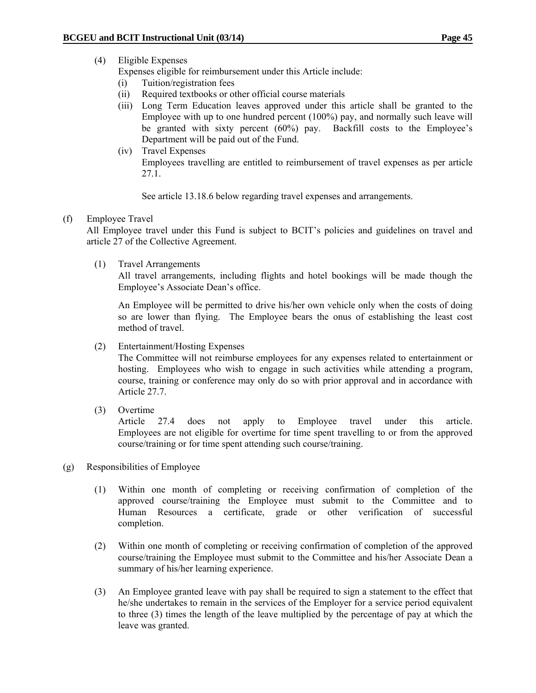# (4) Eligible Expenses

Expenses eligible for reimbursement under this Article include:

- (i) Tuition/registration fees
- (ii) Required textbooks or other official course materials
- (iii) Long Term Education leaves approved under this article shall be granted to the Employee with up to one hundred percent (100%) pay, and normally such leave will be granted with sixty percent (60%) pay. Backfill costs to the Employee's Department will be paid out of the Fund.
- (iv) Travel Expenses Employees travelling are entitled to reimbursement of travel expenses as per article 27.1.

See article 13.18.6 below regarding travel expenses and arrangements.

### (f) Employee Travel

 All Employee travel under this Fund is subject to BCIT's policies and guidelines on travel and article 27 of the Collective Agreement.

(1) Travel Arrangements

 All travel arrangements, including flights and hotel bookings will be made though the Employee's Associate Dean's office.

 An Employee will be permitted to drive his/her own vehicle only when the costs of doing so are lower than flying. The Employee bears the onus of establishing the least cost method of travel.

(2) Entertainment/Hosting Expenses

The Committee will not reimburse employees for any expenses related to entertainment or hosting. Employees who wish to engage in such activities while attending a program, course, training or conference may only do so with prior approval and in accordance with Article 27.7.

(3) Overtime

Article 27.4 does not apply to Employee travel under this article. Employees are not eligible for overtime for time spent travelling to or from the approved course/training or for time spent attending such course/training.

- (g) Responsibilities of Employee
	- (1)Within one month of completing or receiving confirmation of completion of the approved course/training the Employee must submit to the Committee and to Human Resources a certificate, grade or other verification of successful completion.
	- (2) Within one month of completing or receiving confirmation of completion of the approved course/training the Employee must submit to the Committee and his/her Associate Dean a summary of his/her learning experience.
	- (3) An Employee granted leave with pay shall be required to sign a statement to the effect that he/she undertakes to remain in the services of the Employer for a service period equivalent to three (3) times the length of the leave multiplied by the percentage of pay at which the leave was granted.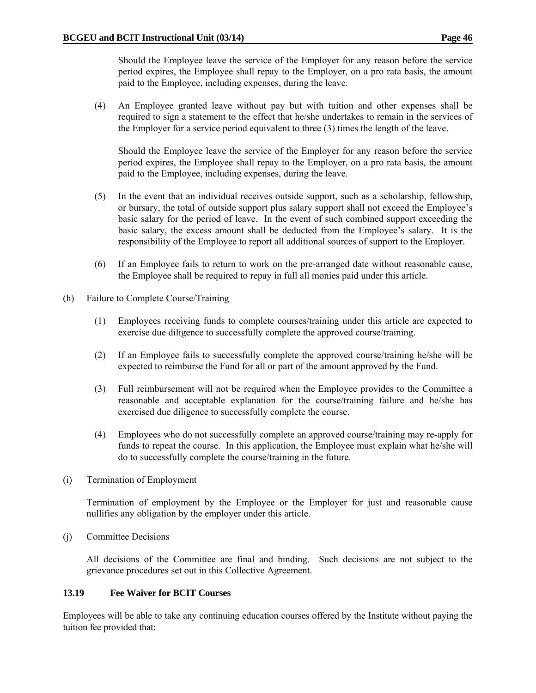Should the Employee leave the service of the Employer for any reason before the service period expires, the Employee shall repay to the Employer, on a pro rata basis, the amount paid to the Employee, including expenses, during the leave.

(4) An Employee granted leave without pay but with tuition and other expenses shall be required to sign a statement to the effect that he/she undertakes to remain in the services of the Employer for a service period equivalent to three (3) times the length of the leave.

 Should the Employee leave the service of the Employer for any reason before the service period expires, the Employee shall repay to the Employer, on a pro rata basis, the amount paid to the Employee, including expenses, during the leave.

- (5) In the event that an individual receives outside support, such as a scholarship, fellowship, or bursary, the total of outside support plus salary support shall not exceed the Employee's basic salary for the period of leave. In the event of such combined support exceeding the basic salary, the excess amount shall be deducted from the Employee's salary. It is the responsibility of the Employee to report all additional sources of support to the Employer.
- (6) If an Employee fails to return to work on the pre-arranged date without reasonable cause, the Employee shall be required to repay in full all monies paid under this article.
- (h) Failure to Complete Course/Training
	- (1) Employees receiving funds to complete courses/training under this article are expected to exercise due diligence to successfully complete the approved course/training.
	- (2) If an Employee fails to successfully complete the approved course/training he/she will be expected to reimburse the Fund for all or part of the amount approved by the Fund.
	- (3) Full reimbursement will not be required when the Employee provides to the Committee a reasonable and acceptable explanation for the course/training failure and he/she has exercised due diligence to successfully complete the course.
	- (4) Employees who do not successfully complete an approved course/training may re-apply for funds to repeat the course. In this application, the Employee must explain what he/she will do to successfully complete the course/training in the future.
- (i) Termination of Employment

Termination of employment by the Employee or the Employer for just and reasonable cause nullifies any obligation by the employer under this article.

(j) Committee Decisions

All decisions of the Committee are final and binding. Such decisions are not subject to the grievance procedures set out in this Collective Agreement.

## **13.19 Fee Waiver for BCIT Courses**

Employees will be able to take any continuing education courses offered by the Institute without paying the tuition fee provided that: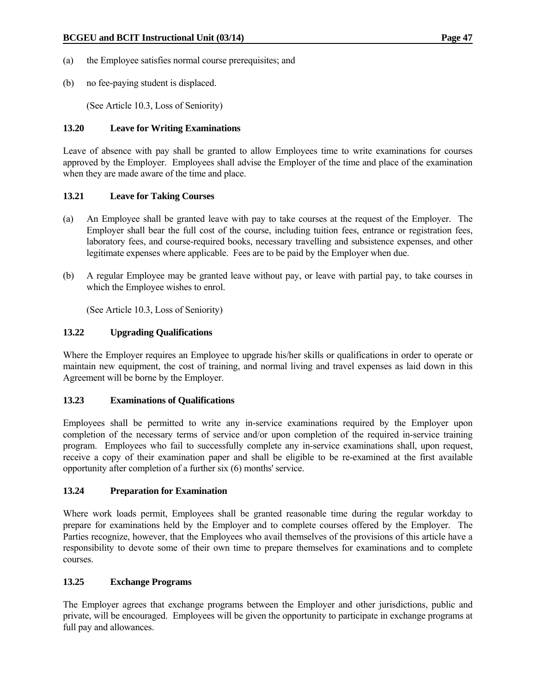- (a) the Employee satisfies normal course prerequisites; and
- (b) no fee-paying student is displaced.

(See Article 10.3, Loss of Seniority)

### **13.20 Leave for Writing Examinations**

Leave of absence with pay shall be granted to allow Employees time to write examinations for courses approved by the Employer. Employees shall advise the Employer of the time and place of the examination when they are made aware of the time and place.

### **13.21 Leave for Taking Courses**

- (a) An Employee shall be granted leave with pay to take courses at the request of the Employer. The Employer shall bear the full cost of the course, including tuition fees, entrance or registration fees, laboratory fees, and course-required books, necessary travelling and subsistence expenses, and other legitimate expenses where applicable. Fees are to be paid by the Employer when due.
- (b) A regular Employee may be granted leave without pay, or leave with partial pay, to take courses in which the Employee wishes to enrol.

(See Article 10.3, Loss of Seniority)

## **13.22 Upgrading Qualifications**

Where the Employer requires an Employee to upgrade his/her skills or qualifications in order to operate or maintain new equipment, the cost of training, and normal living and travel expenses as laid down in this Agreement will be borne by the Employer.

#### **13.23 Examinations of Qualifications**

Employees shall be permitted to write any in-service examinations required by the Employer upon completion of the necessary terms of service and/or upon completion of the required in-service training program. Employees who fail to successfully complete any in-service examinations shall, upon request, receive a copy of their examination paper and shall be eligible to be re-examined at the first available opportunity after completion of a further six (6) months' service.

#### **13.24 Preparation for Examination**

Where work loads permit, Employees shall be granted reasonable time during the regular workday to prepare for examinations held by the Employer and to complete courses offered by the Employer. The Parties recognize, however, that the Employees who avail themselves of the provisions of this article have a responsibility to devote some of their own time to prepare themselves for examinations and to complete courses.

## **13.25 Exchange Programs**

The Employer agrees that exchange programs between the Employer and other jurisdictions, public and private, will be encouraged. Employees will be given the opportunity to participate in exchange programs at full pay and allowances.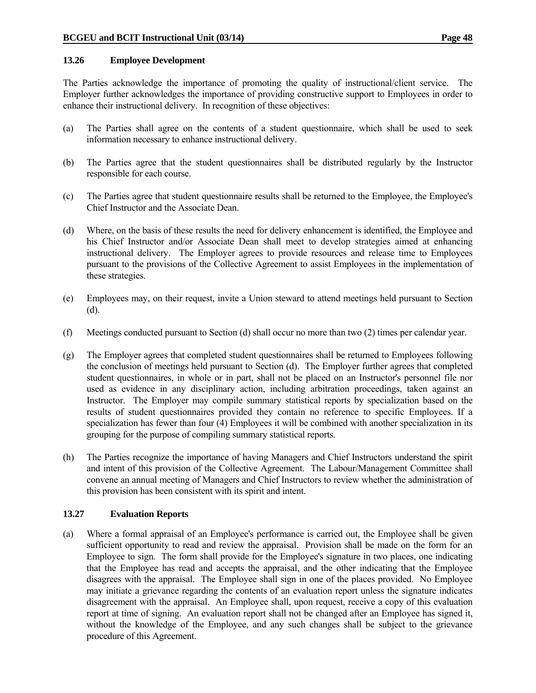#### **13.26 Employee Development**

The Parties acknowledge the importance of promoting the quality of instructional/client service. The Employer further acknowledges the importance of providing constructive support to Employees in order to enhance their instructional delivery. In recognition of these objectives:

- (a) The Parties shall agree on the contents of a student questionnaire, which shall be used to seek information necessary to enhance instructional delivery.
- (b) The Parties agree that the student questionnaires shall be distributed regularly by the Instructor responsible for each course.
- (c) The Parties agree that student questionnaire results shall be returned to the Employee, the Employee's Chief Instructor and the Associate Dean.
- (d) Where, on the basis of these results the need for delivery enhancement is identified, the Employee and his Chief Instructor and/or Associate Dean shall meet to develop strategies aimed at enhancing instructional delivery. The Employer agrees to provide resources and release time to Employees pursuant to the provisions of the Collective Agreement to assist Employees in the implementation of these strategies.
- (e) Employees may, on their request, invite a Union steward to attend meetings held pursuant to Section (d).
- (f) Meetings conducted pursuant to Section (d) shall occur no more than two (2) times per calendar year.
- (g) The Employer agrees that completed student questionnaires shall be returned to Employees following the conclusion of meetings held pursuant to Section (d). The Employer further agrees that completed student questionnaires, in whole or in part, shall not be placed on an Instructor's personnel file nor used as evidence in any disciplinary action, including arbitration proceedings, taken against an Instructor. The Employer may compile summary statistical reports by specialization based on the results of student questionnaires provided they contain no reference to specific Employees. If a specialization has fewer than four (4) Employees it will be combined with another specialization in its grouping for the purpose of compiling summary statistical reports.
- (h) The Parties recognize the importance of having Managers and Chief Instructors understand the spirit and intent of this provision of the Collective Agreement. The Labour/Management Committee shall convene an annual meeting of Managers and Chief Instructors to review whether the administration of this provision has been consistent with its spirit and intent.

## **13.27 Evaluation Reports**

(a) Where a formal appraisal of an Employee's performance is carried out, the Employee shall be given sufficient opportunity to read and review the appraisal. Provision shall be made on the form for an Employee to sign. The form shall provide for the Employee's signature in two places, one indicating that the Employee has read and accepts the appraisal, and the other indicating that the Employee disagrees with the appraisal. The Employee shall sign in one of the places provided. No Employee may initiate a grievance regarding the contents of an evaluation report unless the signature indicates disagreement with the appraisal. An Employee shall, upon request, receive a copy of this evaluation report at time of signing. An evaluation report shall not be changed after an Employee has signed it, without the knowledge of the Employee, and any such changes shall be subject to the grievance procedure of this Agreement.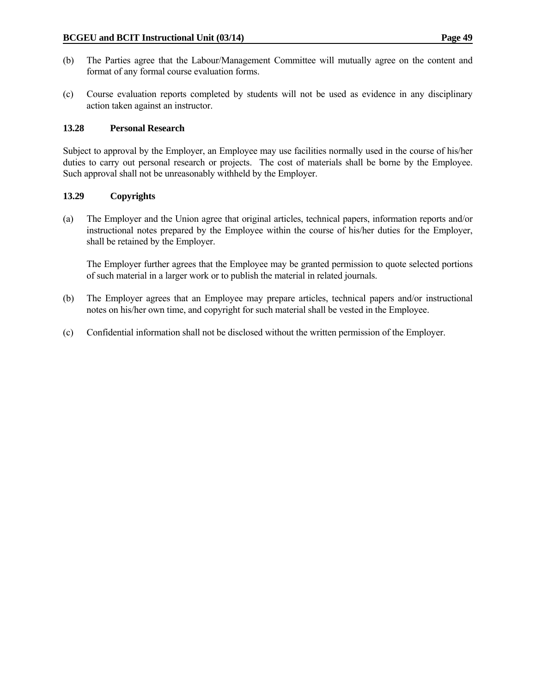- (b) The Parties agree that the Labour/Management Committee will mutually agree on the content and format of any formal course evaluation forms.
- (c) Course evaluation reports completed by students will not be used as evidence in any disciplinary action taken against an instructor.

### **13.28 Personal Research**

Subject to approval by the Employer, an Employee may use facilities normally used in the course of his/her duties to carry out personal research or projects. The cost of materials shall be borne by the Employee. Such approval shall not be unreasonably withheld by the Employer.

### **13.29 Copyrights**

(a) The Employer and the Union agree that original articles, technical papers, information reports and/or instructional notes prepared by the Employee within the course of his/her duties for the Employer, shall be retained by the Employer.

 The Employer further agrees that the Employee may be granted permission to quote selected portions of such material in a larger work or to publish the material in related journals.

- (b) The Employer agrees that an Employee may prepare articles, technical papers and/or instructional notes on his/her own time, and copyright for such material shall be vested in the Employee.
- (c) Confidential information shall not be disclosed without the written permission of the Employer.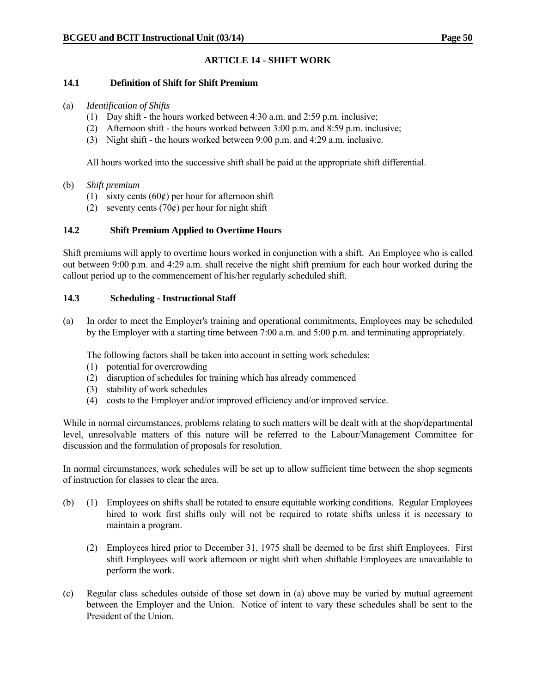# **ARTICLE 14 - SHIFT WORK**

#### **14.1 Definition of Shift for Shift Premium**

#### (a) *Identification of Shifts*

- (1) Day shift the hours worked between 4:30 a.m. and 2:59 p.m. inclusive;
- (2) Afternoon shift the hours worked between 3:00 p.m. and 8:59 p.m. inclusive;
- (3) Night shift the hours worked between 9:00 p.m. and 4:29 a.m. inclusive.

All hours worked into the successive shift shall be paid at the appropriate shift differential.

### (b) *Shift premium*

- (1) sixty cents  $(60¢)$  per hour for afternoon shift
- (2) seventy cents (70 $\acute{\text{c}}$ ) per hour for night shift

### **14.2 Shift Premium Applied to Overtime Hours**

Shift premiums will apply to overtime hours worked in conjunction with a shift. An Employee who is called out between 9:00 p.m. and 4:29 a.m. shall receive the night shift premium for each hour worked during the callout period up to the commencement of his/her regularly scheduled shift.

### **14.3 Scheduling - Instructional Staff**

(a) In order to meet the Employer's training and operational commitments, Employees may be scheduled by the Employer with a starting time between 7:00 a.m. and 5:00 p.m. and terminating appropriately.

The following factors shall be taken into account in setting work schedules:

- (1) potential for overcrowding
- (2) disruption of schedules for training which has already commenced
- (3) stability of work schedules
- (4) costs to the Employer and/or improved efficiency and/or improved service.

While in normal circumstances, problems relating to such matters will be dealt with at the shop/departmental level, unresolvable matters of this nature will be referred to the Labour/Management Committee for discussion and the formulation of proposals for resolution.

In normal circumstances, work schedules will be set up to allow sufficient time between the shop segments of instruction for classes to clear the area.

- (b) (1) Employees on shifts shall be rotated to ensure equitable working conditions. Regular Employees hired to work first shifts only will not be required to rotate shifts unless it is necessary to maintain a program.
	- (2) Employees hired prior to December 31, 1975 shall be deemed to be first shift Employees. First shift Employees will work afternoon or night shift when shiftable Employees are unavailable to perform the work.
- (c) Regular class schedules outside of those set down in (a) above may be varied by mutual agreement between the Employer and the Union. Notice of intent to vary these schedules shall be sent to the President of the Union.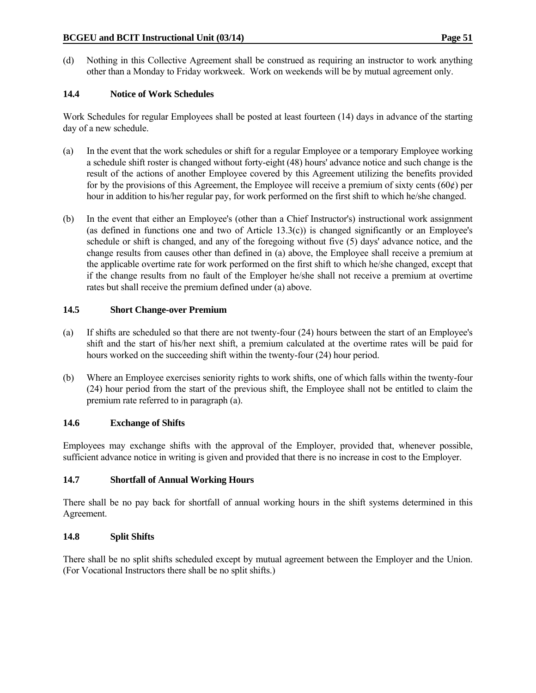(d) Nothing in this Collective Agreement shall be construed as requiring an instructor to work anything other than a Monday to Friday workweek. Work on weekends will be by mutual agreement only.

## **14.4 Notice of Work Schedules**

Work Schedules for regular Employees shall be posted at least fourteen (14) days in advance of the starting day of a new schedule.

- (a) In the event that the work schedules or shift for a regular Employee or a temporary Employee working a schedule shift roster is changed without forty-eight (48) hours' advance notice and such change is the result of the actions of another Employee covered by this Agreement utilizing the benefits provided for by the provisions of this Agreement, the Employee will receive a premium of sixty cents (60 $\varphi$ ) per hour in addition to his/her regular pay, for work performed on the first shift to which he/she changed.
- (b) In the event that either an Employee's (other than a Chief Instructor's) instructional work assignment (as defined in functions one and two of Article 13.3(c)) is changed significantly or an Employee's schedule or shift is changed, and any of the foregoing without five (5) days' advance notice, and the change results from causes other than defined in (a) above, the Employee shall receive a premium at the applicable overtime rate for work performed on the first shift to which he/she changed, except that if the change results from no fault of the Employer he/she shall not receive a premium at overtime rates but shall receive the premium defined under (a) above.

## **14.5 Short Change-over Premium**

- (a) If shifts are scheduled so that there are not twenty-four (24) hours between the start of an Employee's shift and the start of his/her next shift, a premium calculated at the overtime rates will be paid for hours worked on the succeeding shift within the twenty-four (24) hour period.
- (b) Where an Employee exercises seniority rights to work shifts, one of which falls within the twenty-four (24) hour period from the start of the previous shift, the Employee shall not be entitled to claim the premium rate referred to in paragraph (a).

## **14.6 Exchange of Shifts**

Employees may exchange shifts with the approval of the Employer, provided that, whenever possible, sufficient advance notice in writing is given and provided that there is no increase in cost to the Employer.

## **14.7 Shortfall of Annual Working Hours**

There shall be no pay back for shortfall of annual working hours in the shift systems determined in this Agreement.

## **14.8 Split Shifts**

There shall be no split shifts scheduled except by mutual agreement between the Employer and the Union. (For Vocational Instructors there shall be no split shifts.)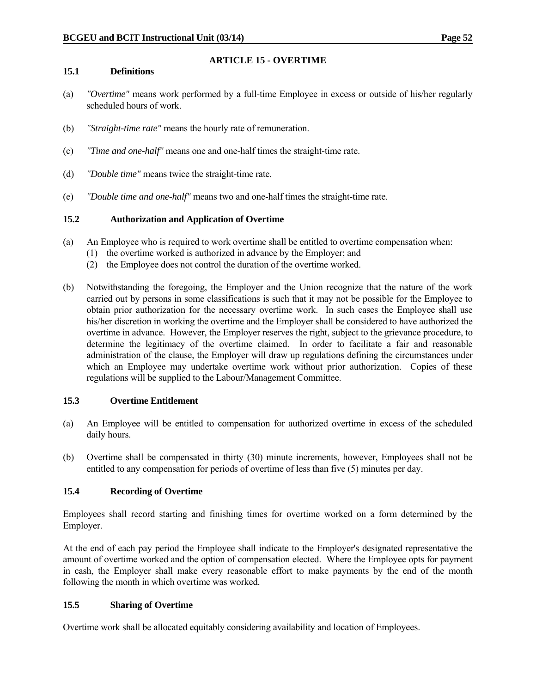# **ARTICLE 15 - OVERTIME**

#### **15.1 Definitions**

- (a) *"Overtime"* means work performed by a full-time Employee in excess or outside of his/her regularly scheduled hours of work.
- (b) *"Straight-time rate"* means the hourly rate of remuneration.
- (c) *"Time and one-half"* means one and one-half times the straight-time rate.
- (d) *"Double time"* means twice the straight-time rate.
- (e) *"Double time and one-half"* means two and one-half times the straight-time rate.

## **15.2 Authorization and Application of Overtime**

- (a) An Employee who is required to work overtime shall be entitled to overtime compensation when:
	- (1) the overtime worked is authorized in advance by the Employer; and
	- (2) the Employee does not control the duration of the overtime worked.
- (b) Notwithstanding the foregoing, the Employer and the Union recognize that the nature of the work carried out by persons in some classifications is such that it may not be possible for the Employee to obtain prior authorization for the necessary overtime work. In such cases the Employee shall use his/her discretion in working the overtime and the Employer shall be considered to have authorized the overtime in advance. However, the Employer reserves the right, subject to the grievance procedure, to determine the legitimacy of the overtime claimed. In order to facilitate a fair and reasonable administration of the clause, the Employer will draw up regulations defining the circumstances under which an Employee may undertake overtime work without prior authorization. Copies of these regulations will be supplied to the Labour/Management Committee.

#### **15.3 Overtime Entitlement**

- (a) An Employee will be entitled to compensation for authorized overtime in excess of the scheduled daily hours.
- (b) Overtime shall be compensated in thirty (30) minute increments, however, Employees shall not be entitled to any compensation for periods of overtime of less than five (5) minutes per day.

## **15.4 Recording of Overtime**

Employees shall record starting and finishing times for overtime worked on a form determined by the Employer.

At the end of each pay period the Employee shall indicate to the Employer's designated representative the amount of overtime worked and the option of compensation elected. Where the Employee opts for payment in cash, the Employer shall make every reasonable effort to make payments by the end of the month following the month in which overtime was worked.

## **15.5 Sharing of Overtime**

Overtime work shall be allocated equitably considering availability and location of Employees.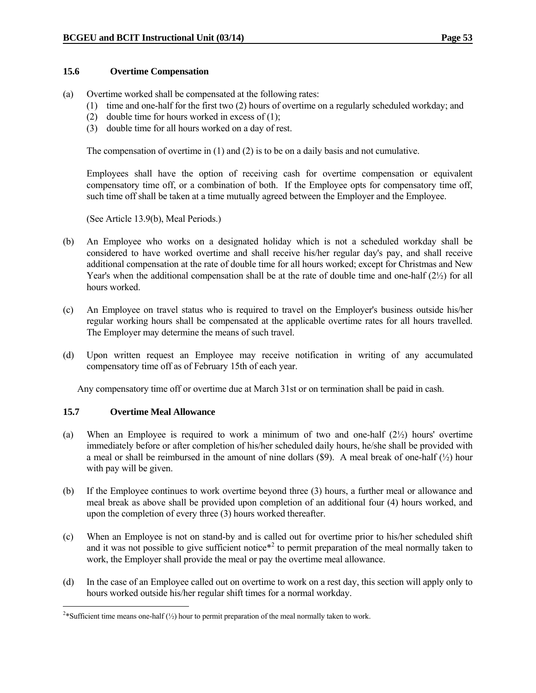#### **15.6 Overtime Compensation**

- (a) Overtime worked shall be compensated at the following rates:
	- (1) time and one-half for the first two (2) hours of overtime on a regularly scheduled workday; and
	- (2) double time for hours worked in excess of (1);
	- (3) double time for all hours worked on a day of rest.

The compensation of overtime in (1) and (2) is to be on a daily basis and not cumulative.

 Employees shall have the option of receiving cash for overtime compensation or equivalent compensatory time off, or a combination of both. If the Employee opts for compensatory time off, such time off shall be taken at a time mutually agreed between the Employer and the Employee.

(See Article 13.9(b), Meal Periods.)

- (b) An Employee who works on a designated holiday which is not a scheduled workday shall be considered to have worked overtime and shall receive his/her regular day's pay, and shall receive additional compensation at the rate of double time for all hours worked; except for Christmas and New Year's when the additional compensation shall be at the rate of double time and one-half  $(2\frac{1}{2})$  for all hours worked.
- (c) An Employee on travel status who is required to travel on the Employer's business outside his/her regular working hours shall be compensated at the applicable overtime rates for all hours travelled. The Employer may determine the means of such travel.
- (d) Upon written request an Employee may receive notification in writing of any accumulated compensatory time off as of February 15th of each year.

Any compensatory time off or overtime due at March 31st or on termination shall be paid in cash.

#### **15.7 Overtime Meal Allowance**

- (a) When an Employee is required to work a minimum of two and one-half  $(2\frac{1}{2})$  hours' overtime immediately before or after completion of his/her scheduled daily hours, he/she shall be provided with a meal or shall be reimbursed in the amount of nine dollars  $(\$9)$ . A meal break of one-half  $(\frac{1}{2})$  hour with pay will be given.
- (b) If the Employee continues to work overtime beyond three (3) hours, a further meal or allowance and meal break as above shall be provided upon completion of an additional four (4) hours worked, and upon the completion of every three (3) hours worked thereafter.
- (c) When an Employee is not on stand-by and is called out for overtime prior to his/her scheduled shift and it was not possible to give sufficient notice<sup> $*$ 2</sup> to permit preparation of the meal normally taken to work, the Employer shall provide the meal or pay the overtime meal allowance.
- (d) In the case of an Employee called out on overtime to work on a rest day, this section will apply only to hours worked outside his/her regular shift times for a normal workday.

<sup>&</sup>lt;sup>2\*</sup>Sufficient time means one-half ( $\frac{1}{2}$ ) hour to permit preparation of the meal normally taken to work.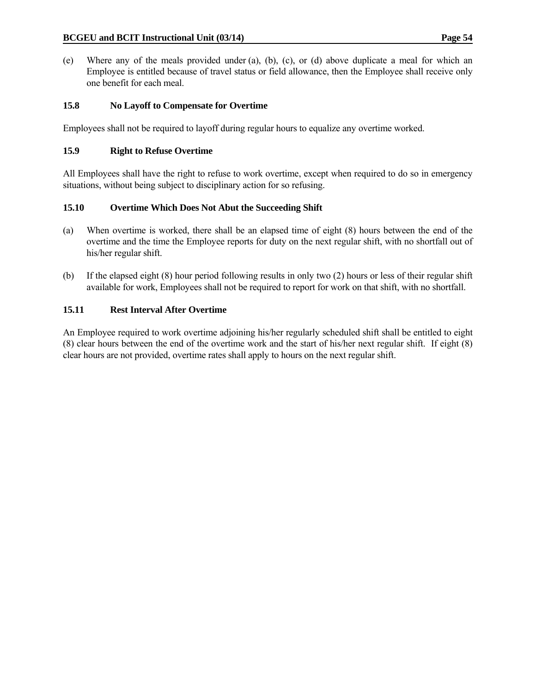(e) Where any of the meals provided under (a), (b), (c), or (d) above duplicate a meal for which an Employee is entitled because of travel status or field allowance, then the Employee shall receive only one benefit for each meal.

## **15.8 No Layoff to Compensate for Overtime**

Employees shall not be required to layoff during regular hours to equalize any overtime worked.

## **15.9 Right to Refuse Overtime**

All Employees shall have the right to refuse to work overtime, except when required to do so in emergency situations, without being subject to disciplinary action for so refusing.

## **15.10 Overtime Which Does Not Abut the Succeeding Shift**

- (a) When overtime is worked, there shall be an elapsed time of eight (8) hours between the end of the overtime and the time the Employee reports for duty on the next regular shift, with no shortfall out of his/her regular shift.
- (b) If the elapsed eight (8) hour period following results in only two (2) hours or less of their regular shift available for work, Employees shall not be required to report for work on that shift, with no shortfall.

## **15.11 Rest Interval After Overtime**

An Employee required to work overtime adjoining his/her regularly scheduled shift shall be entitled to eight (8) clear hours between the end of the overtime work and the start of his/her next regular shift. If eight (8) clear hours are not provided, overtime rates shall apply to hours on the next regular shift.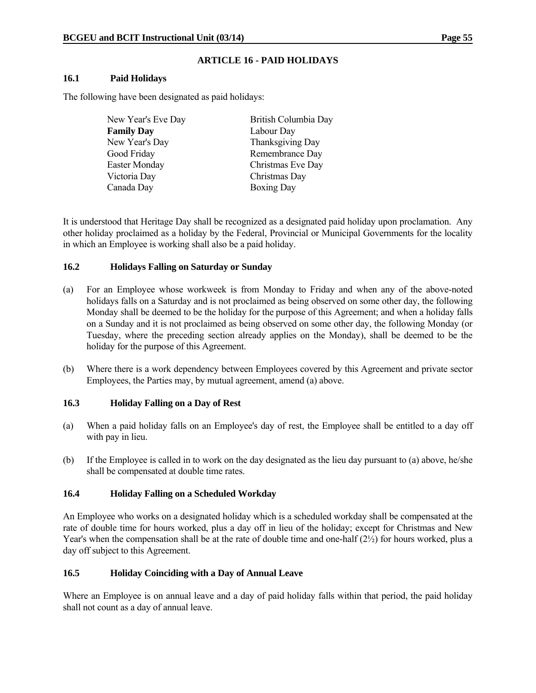### **ARTICLE 16 - PAID HOLIDAYS**

#### **16.1 Paid Holidays**

The following have been designated as paid holidays:

| New Year's Eve Day | British Columbia Day |
|--------------------|----------------------|
| <b>Family Day</b>  | Labour Day           |
| New Year's Day     | Thanksgiving Day     |
| Good Friday        | Remembrance Day      |
| Easter Monday      | Christmas Eve Day    |
| Victoria Day       | Christmas Day        |
| Canada Day         | <b>Boxing Day</b>    |

It is understood that Heritage Day shall be recognized as a designated paid holiday upon proclamation. Any other holiday proclaimed as a holiday by the Federal, Provincial or Municipal Governments for the locality in which an Employee is working shall also be a paid holiday.

### **16.2 Holidays Falling on Saturday or Sunday**

- (a) For an Employee whose workweek is from Monday to Friday and when any of the above-noted holidays falls on a Saturday and is not proclaimed as being observed on some other day, the following Monday shall be deemed to be the holiday for the purpose of this Agreement; and when a holiday falls on a Sunday and it is not proclaimed as being observed on some other day, the following Monday (or Tuesday, where the preceding section already applies on the Monday), shall be deemed to be the holiday for the purpose of this Agreement.
- (b) Where there is a work dependency between Employees covered by this Agreement and private sector Employees, the Parties may, by mutual agreement, amend (a) above.

#### **16.3 Holiday Falling on a Day of Rest**

- (a) When a paid holiday falls on an Employee's day of rest, the Employee shall be entitled to a day off with pay in lieu.
- (b) If the Employee is called in to work on the day designated as the lieu day pursuant to (a) above, he/she shall be compensated at double time rates.

## **16.4 Holiday Falling on a Scheduled Workday**

An Employee who works on a designated holiday which is a scheduled workday shall be compensated at the rate of double time for hours worked, plus a day off in lieu of the holiday; except for Christmas and New Year's when the compensation shall be at the rate of double time and one-half (2½) for hours worked, plus a day off subject to this Agreement.

## **16.5 Holiday Coinciding with a Day of Annual Leave**

Where an Employee is on annual leave and a day of paid holiday falls within that period, the paid holiday shall not count as a day of annual leave.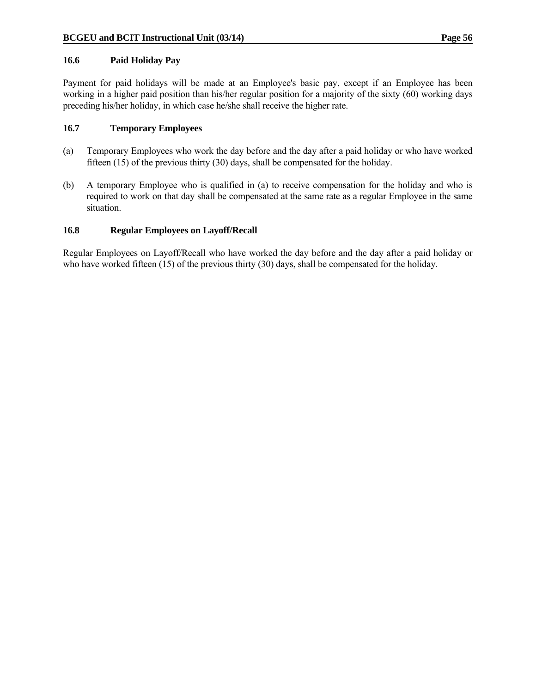#### **16.6 Paid Holiday Pay**

Payment for paid holidays will be made at an Employee's basic pay, except if an Employee has been working in a higher paid position than his/her regular position for a majority of the sixty (60) working days preceding his/her holiday, in which case he/she shall receive the higher rate.

#### **16.7 Temporary Employees**

- (a) Temporary Employees who work the day before and the day after a paid holiday or who have worked fifteen (15) of the previous thirty (30) days, shall be compensated for the holiday.
- (b) A temporary Employee who is qualified in (a) to receive compensation for the holiday and who is required to work on that day shall be compensated at the same rate as a regular Employee in the same situation.

### **16.8 Regular Employees on Layoff/Recall**

Regular Employees on Layoff/Recall who have worked the day before and the day after a paid holiday or who have worked fifteen (15) of the previous thirty (30) days, shall be compensated for the holiday.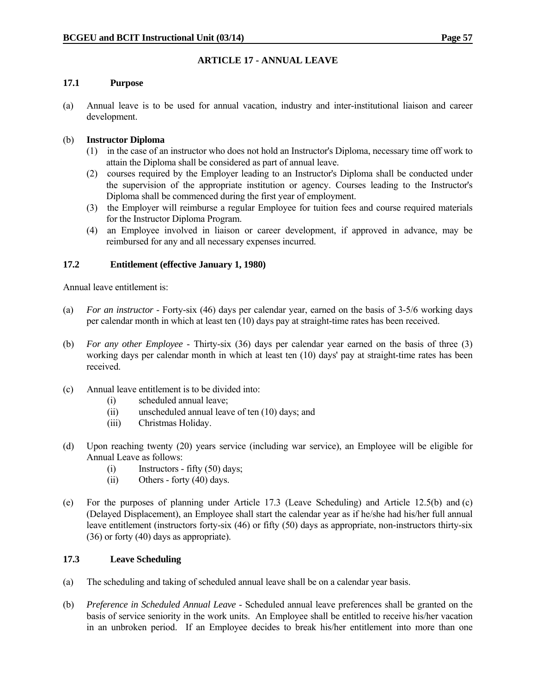# **ARTICLE 17 - ANNUAL LEAVE**

### **17.1 Purpose**

(a) Annual leave is to be used for annual vacation, industry and inter-institutional liaison and career development.

## (b) **Instructor Diploma**

- (1) in the case of an instructor who does not hold an Instructor's Diploma, necessary time off work to attain the Diploma shall be considered as part of annual leave.
- (2) courses required by the Employer leading to an Instructor's Diploma shall be conducted under the supervision of the appropriate institution or agency. Courses leading to the Instructor's Diploma shall be commenced during the first year of employment.
- (3) the Employer will reimburse a regular Employee for tuition fees and course required materials for the Instructor Diploma Program.
- (4) an Employee involved in liaison or career development, if approved in advance, may be reimbursed for any and all necessary expenses incurred.

### **17.2 Entitlement (effective January 1, 1980)**

Annual leave entitlement is:

- (a) *For an instructor* Forty-six (46) days per calendar year, earned on the basis of 3-5/6 working days per calendar month in which at least ten (10) days pay at straight-time rates has been received.
- (b) *For any other Employee* Thirty-six (36) days per calendar year earned on the basis of three (3) working days per calendar month in which at least ten (10) days' pay at straight-time rates has been received.
- (c) Annual leave entitlement is to be divided into:
	- (i) scheduled annual leave;
	- (ii) unscheduled annual leave of ten (10) days; and
	- (iii) Christmas Holiday.
- (d) Upon reaching twenty (20) years service (including war service), an Employee will be eligible for Annual Leave as follows:
	- (i) Instructors fifty (50) days;
	- (ii) Others forty (40) days.
- (e) For the purposes of planning under Article 17.3 (Leave Scheduling) and Article 12.5(b) and (c) (Delayed Displacement), an Employee shall start the calendar year as if he/she had his/her full annual leave entitlement (instructors forty-six (46) or fifty (50) days as appropriate, non-instructors thirty-six (36) or forty (40) days as appropriate).

### **17.3 Leave Scheduling**

- (a) The scheduling and taking of scheduled annual leave shall be on a calendar year basis.
- (b) *Preference in Scheduled Annual Leave* Scheduled annual leave preferences shall be granted on the basis of service seniority in the work units. An Employee shall be entitled to receive his/her vacation in an unbroken period. If an Employee decides to break his/her entitlement into more than one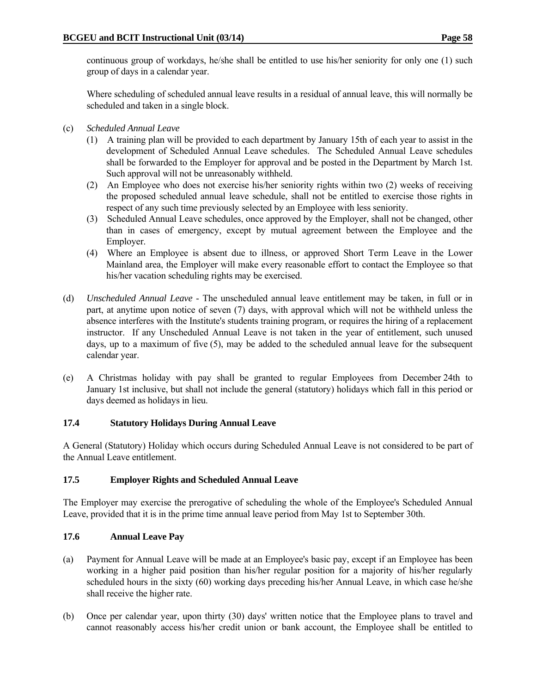continuous group of workdays, he/she shall be entitled to use his/her seniority for only one (1) such group of days in a calendar year.

 Where scheduling of scheduled annual leave results in a residual of annual leave, this will normally be scheduled and taken in a single block.

- (c) *Scheduled Annual Leave*
	- (1) A training plan will be provided to each department by January 15th of each year to assist in the development of Scheduled Annual Leave schedules. The Scheduled Annual Leave schedules shall be forwarded to the Employer for approval and be posted in the Department by March 1st. Such approval will not be unreasonably withheld.
	- (2) An Employee who does not exercise his/her seniority rights within two (2) weeks of receiving the proposed scheduled annual leave schedule, shall not be entitled to exercise those rights in respect of any such time previously selected by an Employee with less seniority.
	- (3) Scheduled Annual Leave schedules, once approved by the Employer, shall not be changed, other than in cases of emergency, except by mutual agreement between the Employee and the Employer.
	- (4) Where an Employee is absent due to illness, or approved Short Term Leave in the Lower Mainland area, the Employer will make every reasonable effort to contact the Employee so that his/her vacation scheduling rights may be exercised.
- (d) *Unscheduled Annual Leave* The unscheduled annual leave entitlement may be taken, in full or in part, at anytime upon notice of seven (7) days, with approval which will not be withheld unless the absence interferes with the Institute's students training program, or requires the hiring of a replacement instructor. If any Unscheduled Annual Leave is not taken in the year of entitlement, such unused days, up to a maximum of five (5), may be added to the scheduled annual leave for the subsequent calendar year.
- (e) A Christmas holiday with pay shall be granted to regular Employees from December 24th to January 1st inclusive, but shall not include the general (statutory) holidays which fall in this period or days deemed as holidays in lieu.

#### **17.4 Statutory Holidays During Annual Leave**

A General (Statutory) Holiday which occurs during Scheduled Annual Leave is not considered to be part of the Annual Leave entitlement.

#### **17.5 Employer Rights and Scheduled Annual Leave**

The Employer may exercise the prerogative of scheduling the whole of the Employee's Scheduled Annual Leave, provided that it is in the prime time annual leave period from May 1st to September 30th.

## **17.6 Annual Leave Pay**

- (a) Payment for Annual Leave will be made at an Employee's basic pay, except if an Employee has been working in a higher paid position than his/her regular position for a majority of his/her regularly scheduled hours in the sixty (60) working days preceding his/her Annual Leave, in which case he/she shall receive the higher rate.
- (b) Once per calendar year, upon thirty (30) days' written notice that the Employee plans to travel and cannot reasonably access his/her credit union or bank account, the Employee shall be entitled to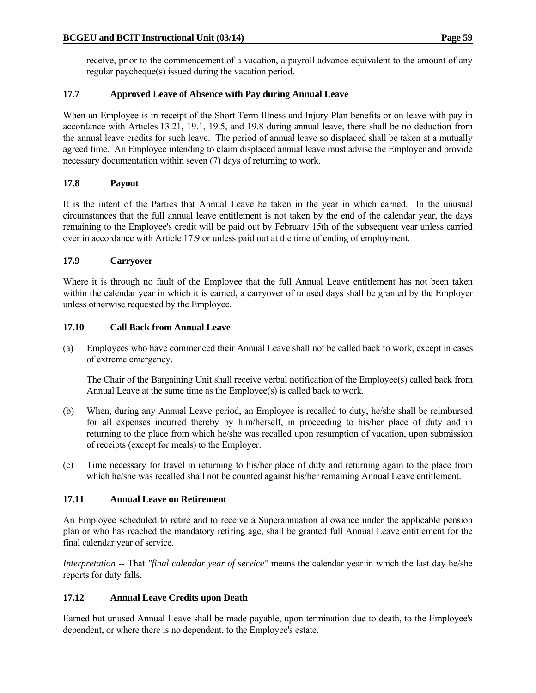receive, prior to the commencement of a vacation, a payroll advance equivalent to the amount of any regular paycheque(s) issued during the vacation period.

# **17.7 Approved Leave of Absence with Pay during Annual Leave**

When an Employee is in receipt of the Short Term Illness and Injury Plan benefits or on leave with pay in accordance with Articles 13.21, 19.1, 19.5, and 19.8 during annual leave, there shall be no deduction from the annual leave credits for such leave. The period of annual leave so displaced shall be taken at a mutually agreed time. An Employee intending to claim displaced annual leave must advise the Employer and provide necessary documentation within seven (7) days of returning to work.

# **17.8 Payout**

It is the intent of the Parties that Annual Leave be taken in the year in which earned. In the unusual circumstances that the full annual leave entitlement is not taken by the end of the calendar year, the days remaining to the Employee's credit will be paid out by February 15th of the subsequent year unless carried over in accordance with Article 17.9 or unless paid out at the time of ending of employment.

# **17.9 Carryover**

Where it is through no fault of the Employee that the full Annual Leave entitlement has not been taken within the calendar year in which it is earned, a carryover of unused days shall be granted by the Employer unless otherwise requested by the Employee.

## **17.10 Call Back from Annual Leave**

(a) Employees who have commenced their Annual Leave shall not be called back to work, except in cases of extreme emergency.

 The Chair of the Bargaining Unit shall receive verbal notification of the Employee(s) called back from Annual Leave at the same time as the Employee(s) is called back to work.

- (b) When, during any Annual Leave period, an Employee is recalled to duty, he/she shall be reimbursed for all expenses incurred thereby by him/herself, in proceeding to his/her place of duty and in returning to the place from which he/she was recalled upon resumption of vacation, upon submission of receipts (except for meals) to the Employer.
- (c) Time necessary for travel in returning to his/her place of duty and returning again to the place from which he/she was recalled shall not be counted against his/her remaining Annual Leave entitlement.

## **17.11 Annual Leave on Retirement**

An Employee scheduled to retire and to receive a Superannuation allowance under the applicable pension plan or who has reached the mandatory retiring age, shall be granted full Annual Leave entitlement for the final calendar year of service.

*Interpretation* -- That *"final calendar year of service"* means the calendar year in which the last day he/she reports for duty falls.

# **17.12 Annual Leave Credits upon Death**

Earned but unused Annual Leave shall be made payable, upon termination due to death, to the Employee's dependent, or where there is no dependent, to the Employee's estate.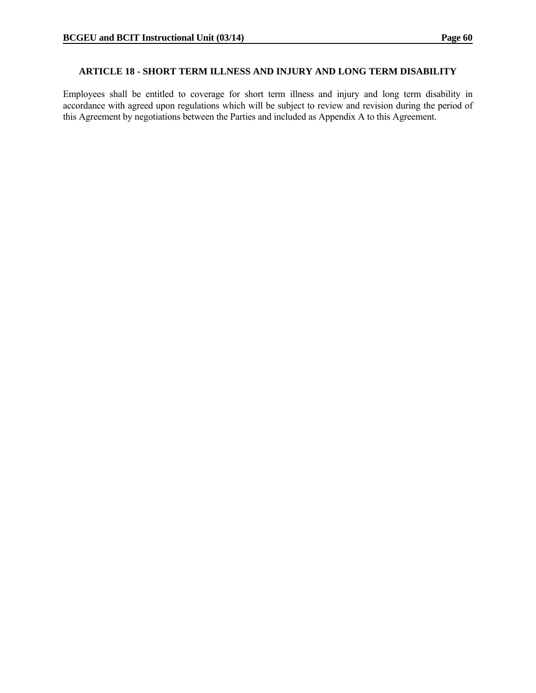#### **ARTICLE 18 - SHORT TERM ILLNESS AND INJURY AND LONG TERM DISABILITY**

Employees shall be entitled to coverage for short term illness and injury and long term disability in accordance with agreed upon regulations which will be subject to review and revision during the period of this Agreement by negotiations between the Parties and included as Appendix A to this Agreement.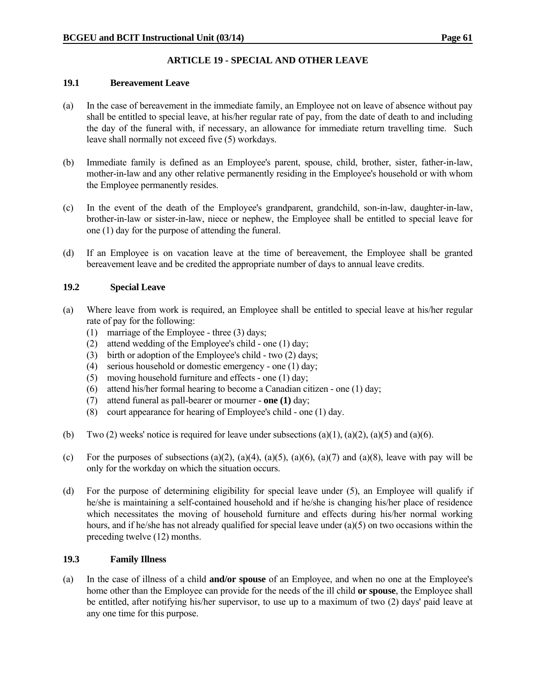# **ARTICLE 19 - SPECIAL AND OTHER LEAVE**

### **19.1 Bereavement Leave**

- (a) In the case of bereavement in the immediate family, an Employee not on leave of absence without pay shall be entitled to special leave, at his/her regular rate of pay, from the date of death to and including the day of the funeral with, if necessary, an allowance for immediate return travelling time. Such leave shall normally not exceed five (5) workdays.
- (b) Immediate family is defined as an Employee's parent, spouse, child, brother, sister, father-in-law, mother-in-law and any other relative permanently residing in the Employee's household or with whom the Employee permanently resides.
- (c) In the event of the death of the Employee's grandparent, grandchild, son-in-law, daughter-in-law, brother-in-law or sister-in-law, niece or nephew, the Employee shall be entitled to special leave for one (1) day for the purpose of attending the funeral.
- (d) If an Employee is on vacation leave at the time of bereavement, the Employee shall be granted bereavement leave and be credited the appropriate number of days to annual leave credits.

## **19.2 Special Leave**

- (a) Where leave from work is required, an Employee shall be entitled to special leave at his/her regular rate of pay for the following:
	- (1) marriage of the Employee three (3) days;
	- (2) attend wedding of the Employee's child one (1) day;
	- (3) birth or adoption of the Employee's child two (2) days;
	- (4) serious household or domestic emergency one (1) day;
	- (5) moving household furniture and effects one (1) day;
	- (6) attend his/her formal hearing to become a Canadian citizen one (1) day;
	- (7) attend funeral as pall-bearer or mourner **one (1)** day;
	- (8) court appearance for hearing of Employee's child one (1) day.
- (b) Two (2) weeks' notice is required for leave under subsections (a)(1), (a)(2), (a)(5) and (a)(6).
- (c) For the purposes of subsections (a)(2), (a)(4), (a)(5), (a)(6), (a)(7) and (a)(8), leave with pay will be only for the workday on which the situation occurs.
- (d) For the purpose of determining eligibility for special leave under (5), an Employee will qualify if he/she is maintaining a self-contained household and if he/she is changing his/her place of residence which necessitates the moving of household furniture and effects during his/her normal working hours, and if he/she has not already qualified for special leave under (a)(5) on two occasions within the preceding twelve (12) months.

## **19.3 Family Illness**

(a) In the case of illness of a child **and/or spouse** of an Employee, and when no one at the Employee's home other than the Employee can provide for the needs of the ill child **or spouse**, the Employee shall be entitled, after notifying his/her supervisor, to use up to a maximum of two (2) days' paid leave at any one time for this purpose.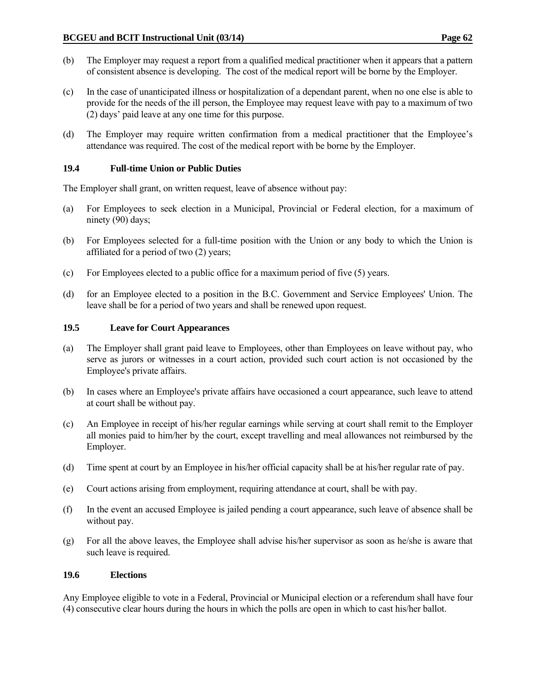- (b) The Employer may request a report from a qualified medical practitioner when it appears that a pattern of consistent absence is developing. The cost of the medical report will be borne by the Employer.
- (c) In the case of unanticipated illness or hospitalization of a dependant parent, when no one else is able to provide for the needs of the ill person, the Employee may request leave with pay to a maximum of two (2) days' paid leave at any one time for this purpose.
- (d) The Employer may require written confirmation from a medical practitioner that the Employee's attendance was required. The cost of the medical report with be borne by the Employer.

### **19.4 Full-time Union or Public Duties**

The Employer shall grant, on written request, leave of absence without pay:

- (a) For Employees to seek election in a Municipal, Provincial or Federal election, for a maximum of ninety (90) days;
- (b) For Employees selected for a full-time position with the Union or any body to which the Union is affiliated for a period of two (2) years;
- (c) For Employees elected to a public office for a maximum period of five (5) years.
- (d) for an Employee elected to a position in the B.C. Government and Service Employees' Union. The leave shall be for a period of two years and shall be renewed upon request.

#### **19.5 Leave for Court Appearances**

- (a) The Employer shall grant paid leave to Employees, other than Employees on leave without pay, who serve as jurors or witnesses in a court action, provided such court action is not occasioned by the Employee's private affairs.
- (b) In cases where an Employee's private affairs have occasioned a court appearance, such leave to attend at court shall be without pay.
- (c) An Employee in receipt of his/her regular earnings while serving at court shall remit to the Employer all monies paid to him/her by the court, except travelling and meal allowances not reimbursed by the Employer.
- (d) Time spent at court by an Employee in his/her official capacity shall be at his/her regular rate of pay.
- (e) Court actions arising from employment, requiring attendance at court, shall be with pay.
- (f) In the event an accused Employee is jailed pending a court appearance, such leave of absence shall be without pay.
- (g) For all the above leaves, the Employee shall advise his/her supervisor as soon as he/she is aware that such leave is required.

#### **19.6 Elections**

Any Employee eligible to vote in a Federal, Provincial or Municipal election or a referendum shall have four (4) consecutive clear hours during the hours in which the polls are open in which to cast his/her ballot.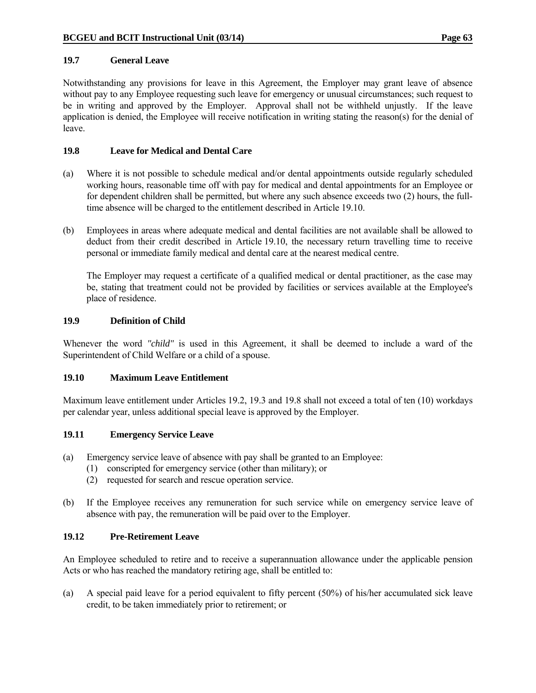#### **19.7 General Leave**

Notwithstanding any provisions for leave in this Agreement, the Employer may grant leave of absence without pay to any Employee requesting such leave for emergency or unusual circumstances; such request to be in writing and approved by the Employer. Approval shall not be withheld unjustly. If the leave application is denied, the Employee will receive notification in writing stating the reason(s) for the denial of leave.

### **19.8 Leave for Medical and Dental Care**

- (a) Where it is not possible to schedule medical and/or dental appointments outside regularly scheduled working hours, reasonable time off with pay for medical and dental appointments for an Employee or for dependent children shall be permitted, but where any such absence exceeds two (2) hours, the fulltime absence will be charged to the entitlement described in Article 19.10.
- (b) Employees in areas where adequate medical and dental facilities are not available shall be allowed to deduct from their credit described in Article 19.10, the necessary return travelling time to receive personal or immediate family medical and dental care at the nearest medical centre.

 The Employer may request a certificate of a qualified medical or dental practitioner, as the case may be, stating that treatment could not be provided by facilities or services available at the Employee's place of residence.

#### **19.9 Definition of Child**

Whenever the word *"child"* is used in this Agreement, it shall be deemed to include a ward of the Superintendent of Child Welfare or a child of a spouse.

## **19.10 Maximum Leave Entitlement**

Maximum leave entitlement under Articles 19.2, 19.3 and 19.8 shall not exceed a total of ten (10) workdays per calendar year, unless additional special leave is approved by the Employer.

#### **19.11 Emergency Service Leave**

- (a) Emergency service leave of absence with pay shall be granted to an Employee:
	- (1) conscripted for emergency service (other than military); or
	- (2) requested for search and rescue operation service.
- (b) If the Employee receives any remuneration for such service while on emergency service leave of absence with pay, the remuneration will be paid over to the Employer.

## **19.12 Pre-Retirement Leave**

An Employee scheduled to retire and to receive a superannuation allowance under the applicable pension Acts or who has reached the mandatory retiring age, shall be entitled to:

(a) A special paid leave for a period equivalent to fifty percent (50%) of his/her accumulated sick leave credit, to be taken immediately prior to retirement; or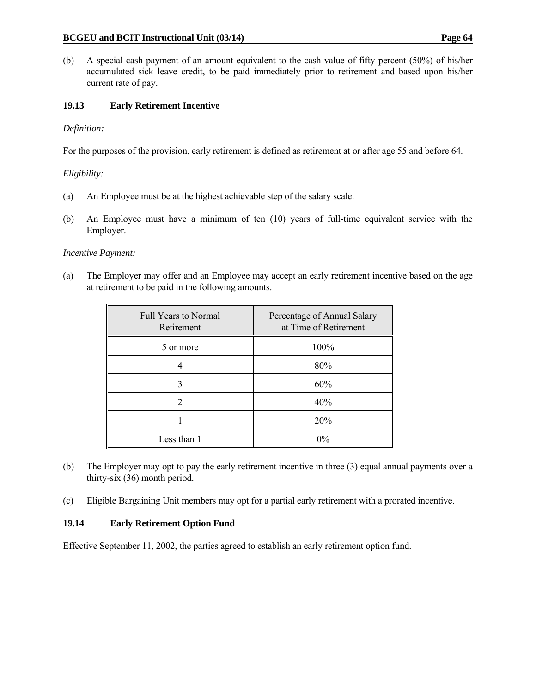(b) A special cash payment of an amount equivalent to the cash value of fifty percent (50%) of his/her accumulated sick leave credit, to be paid immediately prior to retirement and based upon his/her current rate of pay.

# **19.13 Early Retirement Incentive**

# *Definition:*

For the purposes of the provision, early retirement is defined as retirement at or after age 55 and before 64.

# *Eligibility:*

- (a) An Employee must be at the highest achievable step of the salary scale.
- (b) An Employee must have a minimum of ten (10) years of full-time equivalent service with the Employer.

# *Incentive Payment:*

(a) The Employer may offer and an Employee may accept an early retirement incentive based on the age at retirement to be paid in the following amounts.

| <b>Full Years to Normal</b><br>Retirement | Percentage of Annual Salary<br>at Time of Retirement |
|-------------------------------------------|------------------------------------------------------|
| 5 or more                                 | 100%                                                 |
|                                           | 80%                                                  |
|                                           | 60%                                                  |
| $\mathcal{D}$                             | 40%                                                  |
|                                           | 20%                                                  |
| Less than 1                               | $0\%$                                                |

- (b) The Employer may opt to pay the early retirement incentive in three (3) equal annual payments over a thirty-six (36) month period.
- (c) Eligible Bargaining Unit members may opt for a partial early retirement with a prorated incentive.

# **19.14 Early Retirement Option Fund**

Effective September 11, 2002, the parties agreed to establish an early retirement option fund.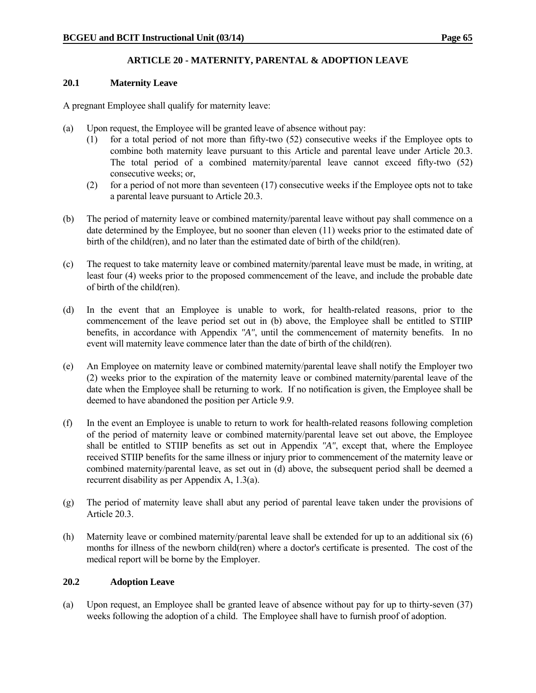# **ARTICLE 20 - MATERNITY, PARENTAL & ADOPTION LEAVE**

#### **20.1 Maternity Leave**

A pregnant Employee shall qualify for maternity leave:

- (a) Upon request, the Employee will be granted leave of absence without pay:
	- (1) for a total period of not more than fifty-two (52) consecutive weeks if the Employee opts to combine both maternity leave pursuant to this Article and parental leave under Article 20.3. The total period of a combined maternity/parental leave cannot exceed fifty-two (52) consecutive weeks; or,
	- (2) for a period of not more than seventeen (17) consecutive weeks if the Employee opts not to take a parental leave pursuant to Article 20.3.
- (b) The period of maternity leave or combined maternity/parental leave without pay shall commence on a date determined by the Employee, but no sooner than eleven (11) weeks prior to the estimated date of birth of the child(ren), and no later than the estimated date of birth of the child(ren).
- (c) The request to take maternity leave or combined maternity/parental leave must be made, in writing, at least four (4) weeks prior to the proposed commencement of the leave, and include the probable date of birth of the child(ren).
- (d) In the event that an Employee is unable to work, for health-related reasons, prior to the commencement of the leave period set out in (b) above, the Employee shall be entitled to STIIP benefits, in accordance with Appendix *"A"*, until the commencement of maternity benefits. In no event will maternity leave commence later than the date of birth of the child(ren).
- (e) An Employee on maternity leave or combined maternity/parental leave shall notify the Employer two (2) weeks prior to the expiration of the maternity leave or combined maternity/parental leave of the date when the Employee shall be returning to work. If no notification is given, the Employee shall be deemed to have abandoned the position per Article 9.9.
- (f) In the event an Employee is unable to return to work for health-related reasons following completion of the period of maternity leave or combined maternity/parental leave set out above, the Employee shall be entitled to STIIP benefits as set out in Appendix *"A"*, except that, where the Employee received STIIP benefits for the same illness or injury prior to commencement of the maternity leave or combined maternity/parental leave, as set out in (d) above, the subsequent period shall be deemed a recurrent disability as per Appendix A, 1.3(a).
- (g) The period of maternity leave shall abut any period of parental leave taken under the provisions of Article 20.3.
- (h) Maternity leave or combined maternity/parental leave shall be extended for up to an additional six (6) months for illness of the newborn child(ren) where a doctor's certificate is presented. The cost of the medical report will be borne by the Employer.

#### **20.2 Adoption Leave**

(a) Upon request, an Employee shall be granted leave of absence without pay for up to thirty-seven (37) weeks following the adoption of a child. The Employee shall have to furnish proof of adoption.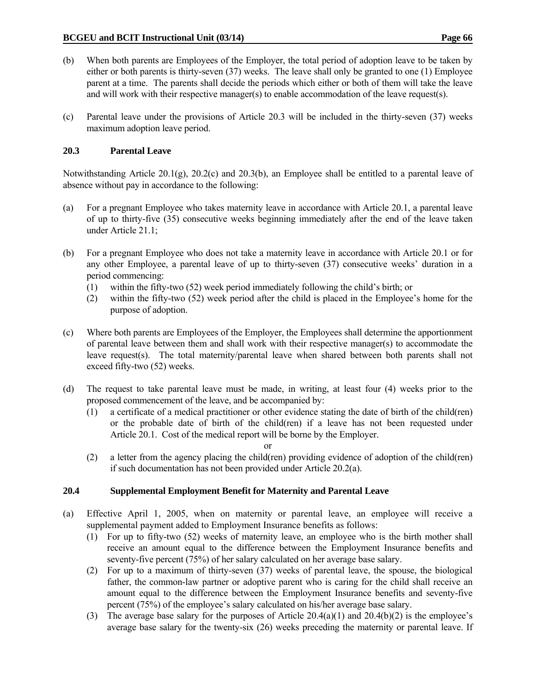- 
- (b) When both parents are Employees of the Employer, the total period of adoption leave to be taken by either or both parents is thirty-seven (37) weeks. The leave shall only be granted to one (1) Employee parent at a time. The parents shall decide the periods which either or both of them will take the leave and will work with their respective manager(s) to enable accommodation of the leave request(s).
- (c) Parental leave under the provisions of Article 20.3 will be included in the thirty-seven (37) weeks maximum adoption leave period.

# **20.3 Parental Leave**

Notwithstanding Article 20.1(g), 20.2(c) and 20.3(b), an Employee shall be entitled to a parental leave of absence without pay in accordance to the following:

- (a) For a pregnant Employee who takes maternity leave in accordance with Article 20.1, a parental leave of up to thirty-five (35) consecutive weeks beginning immediately after the end of the leave taken under Article 21.1;
- (b) For a pregnant Employee who does not take a maternity leave in accordance with Article 20.1 or for any other Employee, a parental leave of up to thirty-seven (37) consecutive weeks' duration in a period commencing:
	- (1) within the fifty-two (52) week period immediately following the child's birth; or
	- (2) within the fifty-two (52) week period after the child is placed in the Employee's home for the purpose of adoption.
- (c) Where both parents are Employees of the Employer, the Employees shall determine the apportionment of parental leave between them and shall work with their respective manager(s) to accommodate the leave request(s). The total maternity/parental leave when shared between both parents shall not exceed fifty-two (52) weeks.
- (d) The request to take parental leave must be made, in writing, at least four (4) weeks prior to the proposed commencement of the leave, and be accompanied by:
	- (1) a certificate of a medical practitioner or other evidence stating the date of birth of the child(ren) or the probable date of birth of the child(ren) if a leave has not been requested under Article 20.1. Cost of the medical report will be borne by the Employer.
		-
- or (2) a letter from the agency placing the child(ren) providing evidence of adoption of the child(ren) if such documentation has not been provided under Article 20.2(a).

# **20.4 Supplemental Employment Benefit for Maternity and Parental Leave**

- (a) Effective April 1, 2005, when on maternity or parental leave, an employee will receive a supplemental payment added to Employment Insurance benefits as follows:
	- (1) For up to fifty-two (52) weeks of maternity leave, an employee who is the birth mother shall receive an amount equal to the difference between the Employment Insurance benefits and seventy-five percent (75%) of her salary calculated on her average base salary.
	- (2) For up to a maximum of thirty-seven (37) weeks of parental leave, the spouse, the biological father, the common-law partner or adoptive parent who is caring for the child shall receive an amount equal to the difference between the Employment Insurance benefits and seventy-five percent (75%) of the employee's salary calculated on his/her average base salary.
	- (3) The average base salary for the purposes of Article 20.4(a)(1) and 20.4(b)(2) is the employee's average base salary for the twenty-six (26) weeks preceding the maternity or parental leave. If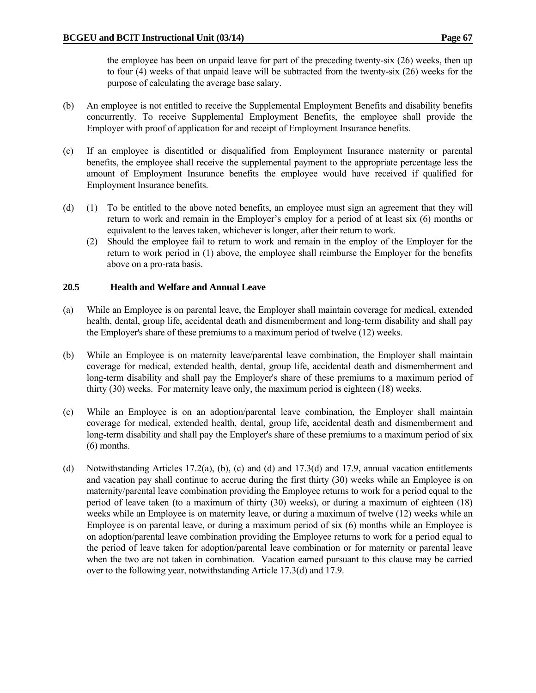the employee has been on unpaid leave for part of the preceding twenty-six (26) weeks, then up to four (4) weeks of that unpaid leave will be subtracted from the twenty-six (26) weeks for the purpose of calculating the average base salary.

- (b) An employee is not entitled to receive the Supplemental Employment Benefits and disability benefits concurrently. To receive Supplemental Employment Benefits, the employee shall provide the Employer with proof of application for and receipt of Employment Insurance benefits.
- (c) If an employee is disentitled or disqualified from Employment Insurance maternity or parental benefits, the employee shall receive the supplemental payment to the appropriate percentage less the amount of Employment Insurance benefits the employee would have received if qualified for Employment Insurance benefits.
- (d) (1) To be entitled to the above noted benefits, an employee must sign an agreement that they will return to work and remain in the Employer's employ for a period of at least six (6) months or equivalent to the leaves taken, whichever is longer, after their return to work.
	- (2) Should the employee fail to return to work and remain in the employ of the Employer for the return to work period in (1) above, the employee shall reimburse the Employer for the benefits above on a pro-rata basis.

## **20.5 Health and Welfare and Annual Leave**

- (a) While an Employee is on parental leave, the Employer shall maintain coverage for medical, extended health, dental, group life, accidental death and dismemberment and long-term disability and shall pay the Employer's share of these premiums to a maximum period of twelve (12) weeks.
- (b) While an Employee is on maternity leave/parental leave combination, the Employer shall maintain coverage for medical, extended health, dental, group life, accidental death and dismemberment and long-term disability and shall pay the Employer's share of these premiums to a maximum period of thirty (30) weeks. For maternity leave only, the maximum period is eighteen (18) weeks.
- (c) While an Employee is on an adoption/parental leave combination, the Employer shall maintain coverage for medical, extended health, dental, group life, accidental death and dismemberment and long-term disability and shall pay the Employer's share of these premiums to a maximum period of six (6) months.
- (d) Notwithstanding Articles 17.2(a), (b), (c) and (d) and 17.3(d) and 17.9, annual vacation entitlements and vacation pay shall continue to accrue during the first thirty (30) weeks while an Employee is on maternity/parental leave combination providing the Employee returns to work for a period equal to the period of leave taken (to a maximum of thirty (30) weeks), or during a maximum of eighteen (18) weeks while an Employee is on maternity leave, or during a maximum of twelve (12) weeks while an Employee is on parental leave, or during a maximum period of six (6) months while an Employee is on adoption/parental leave combination providing the Employee returns to work for a period equal to the period of leave taken for adoption/parental leave combination or for maternity or parental leave when the two are not taken in combination. Vacation earned pursuant to this clause may be carried over to the following year, notwithstanding Article 17.3(d) and 17.9.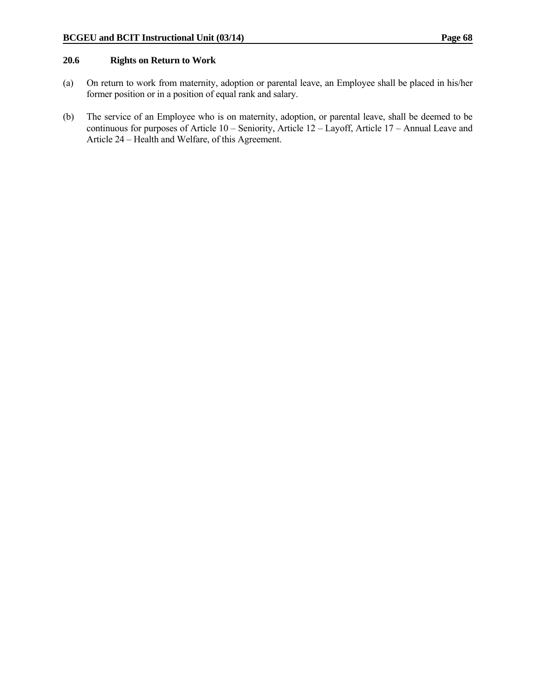#### **20.6 Rights on Return to Work**

- (a) On return to work from maternity, adoption or parental leave, an Employee shall be placed in his/her former position or in a position of equal rank and salary.
- (b) The service of an Employee who is on maternity, adoption, or parental leave, shall be deemed to be continuous for purposes of Article 10 – Seniority, Article 12 – Layoff, Article 17 – Annual Leave and Article 24 – Health and Welfare, of this Agreement.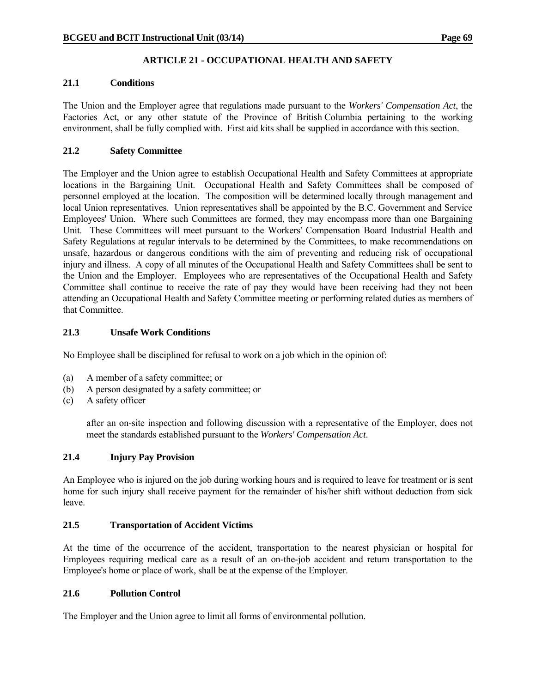# **ARTICLE 21 - OCCUPATIONAL HEALTH AND SAFETY**

# **21.1 Conditions**

The Union and the Employer agree that regulations made pursuant to the *Workers' Compensation Act*, the Factories Act, or any other statute of the Province of British Columbia pertaining to the working environment, shall be fully complied with. First aid kits shall be supplied in accordance with this section.

# **21.2 Safety Committee**

The Employer and the Union agree to establish Occupational Health and Safety Committees at appropriate locations in the Bargaining Unit. Occupational Health and Safety Committees shall be composed of personnel employed at the location. The composition will be determined locally through management and local Union representatives. Union representatives shall be appointed by the B.C. Government and Service Employees' Union. Where such Committees are formed, they may encompass more than one Bargaining Unit. These Committees will meet pursuant to the Workers' Compensation Board Industrial Health and Safety Regulations at regular intervals to be determined by the Committees, to make recommendations on unsafe, hazardous or dangerous conditions with the aim of preventing and reducing risk of occupational injury and illness. A copy of all minutes of the Occupational Health and Safety Committees shall be sent to the Union and the Employer. Employees who are representatives of the Occupational Health and Safety Committee shall continue to receive the rate of pay they would have been receiving had they not been attending an Occupational Health and Safety Committee meeting or performing related duties as members of that Committee.

# **21.3 Unsafe Work Conditions**

No Employee shall be disciplined for refusal to work on a job which in the opinion of:

- (a) A member of a safety committee; or
- (b) A person designated by a safety committee; or
- (c) A safety officer

 after an on-site inspection and following discussion with a representative of the Employer, does not meet the standards established pursuant to the *Workers' Compensation Act*.

# **21.4 Injury Pay Provision**

An Employee who is injured on the job during working hours and is required to leave for treatment or is sent home for such injury shall receive payment for the remainder of his/her shift without deduction from sick leave.

# **21.5 Transportation of Accident Victims**

At the time of the occurrence of the accident, transportation to the nearest physician or hospital for Employees requiring medical care as a result of an on-the-job accident and return transportation to the Employee's home or place of work, shall be at the expense of the Employer.

#### **21.6 Pollution Control**

The Employer and the Union agree to limit all forms of environmental pollution.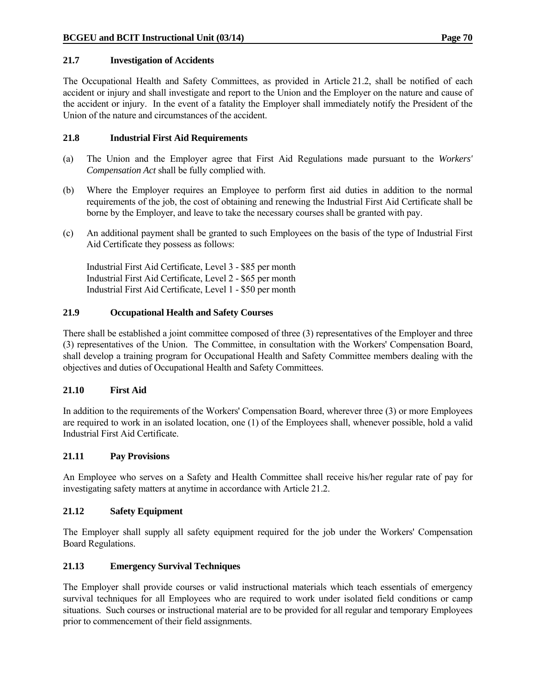#### **21.7 Investigation of Accidents**

The Occupational Health and Safety Committees, as provided in Article 21.2, shall be notified of each accident or injury and shall investigate and report to the Union and the Employer on the nature and cause of the accident or injury. In the event of a fatality the Employer shall immediately notify the President of the Union of the nature and circumstances of the accident.

## **21.8 Industrial First Aid Requirements**

- (a) The Union and the Employer agree that First Aid Regulations made pursuant to the *Workers' Compensation Act* shall be fully complied with.
- (b) Where the Employer requires an Employee to perform first aid duties in addition to the normal requirements of the job, the cost of obtaining and renewing the Industrial First Aid Certificate shall be borne by the Employer, and leave to take the necessary courses shall be granted with pay.
- (c) An additional payment shall be granted to such Employees on the basis of the type of Industrial First Aid Certificate they possess as follows:

 Industrial First Aid Certificate, Level 3 - \$85 per month Industrial First Aid Certificate, Level 2 - \$65 per month Industrial First Aid Certificate, Level 1 - \$50 per month

## **21.9 Occupational Health and Safety Courses**

There shall be established a joint committee composed of three (3) representatives of the Employer and three (3) representatives of the Union. The Committee, in consultation with the Workers' Compensation Board, shall develop a training program for Occupational Health and Safety Committee members dealing with the objectives and duties of Occupational Health and Safety Committees.

# **21.10 First Aid**

In addition to the requirements of the Workers' Compensation Board, wherever three (3) or more Employees are required to work in an isolated location, one (1) of the Employees shall, whenever possible, hold a valid Industrial First Aid Certificate.

#### **21.11 Pay Provisions**

An Employee who serves on a Safety and Health Committee shall receive his/her regular rate of pay for investigating safety matters at anytime in accordance with Article 21.2.

#### **21.12 Safety Equipment**

The Employer shall supply all safety equipment required for the job under the Workers' Compensation Board Regulations.

# **21.13 Emergency Survival Techniques**

The Employer shall provide courses or valid instructional materials which teach essentials of emergency survival techniques for all Employees who are required to work under isolated field conditions or camp situations. Such courses or instructional material are to be provided for all regular and temporary Employees prior to commencement of their field assignments.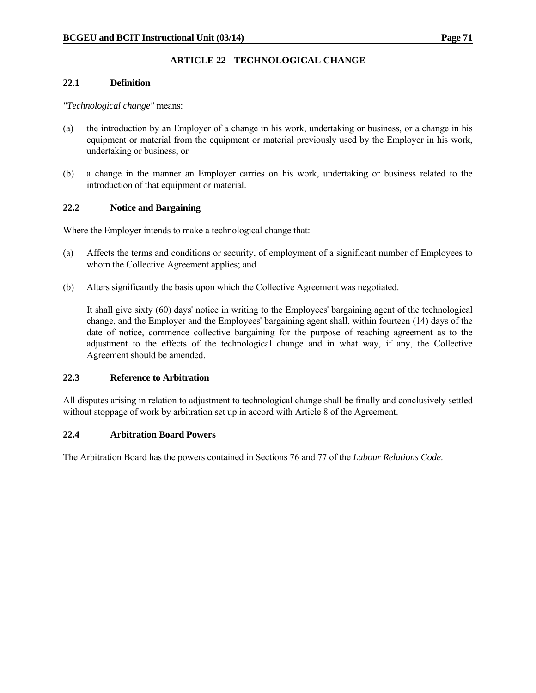# **ARTICLE 22 - TECHNOLOGICAL CHANGE**

# **22.1 Definition**

#### *"Technological change"* means:

- (a) the introduction by an Employer of a change in his work, undertaking or business, or a change in his equipment or material from the equipment or material previously used by the Employer in his work, undertaking or business; or
- (b) a change in the manner an Employer carries on his work, undertaking or business related to the introduction of that equipment or material.

# **22.2 Notice and Bargaining**

Where the Employer intends to make a technological change that:

- (a) Affects the terms and conditions or security, of employment of a significant number of Employees to whom the Collective Agreement applies; and
- (b) Alters significantly the basis upon which the Collective Agreement was negotiated.

 It shall give sixty (60) days' notice in writing to the Employees' bargaining agent of the technological change, and the Employer and the Employees' bargaining agent shall, within fourteen (14) days of the date of notice, commence collective bargaining for the purpose of reaching agreement as to the adjustment to the effects of the technological change and in what way, if any, the Collective Agreement should be amended.

#### **22.3 Reference to Arbitration**

All disputes arising in relation to adjustment to technological change shall be finally and conclusively settled without stoppage of work by arbitration set up in accord with Article 8 of the Agreement.

#### **22.4 Arbitration Board Powers**

The Arbitration Board has the powers contained in Sections 76 and 77 of the *Labour Relations Code*.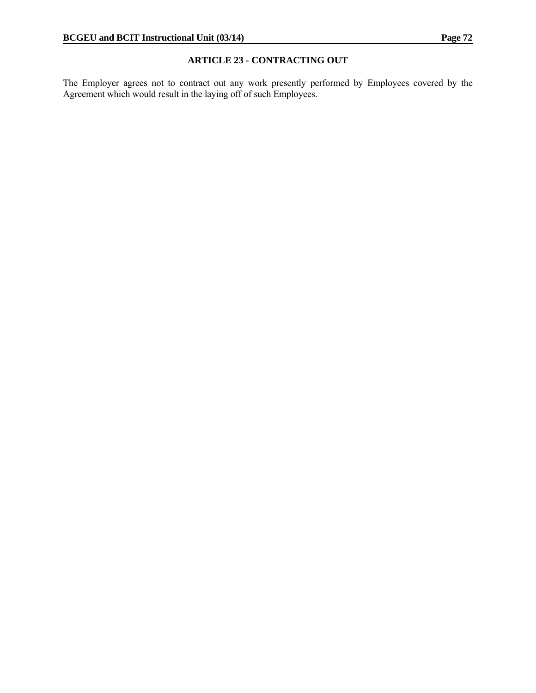# **ARTICLE 23 - CONTRACTING OUT**

The Employer agrees not to contract out any work presently performed by Employees covered by the Agreement which would result in the laying off of such Employees.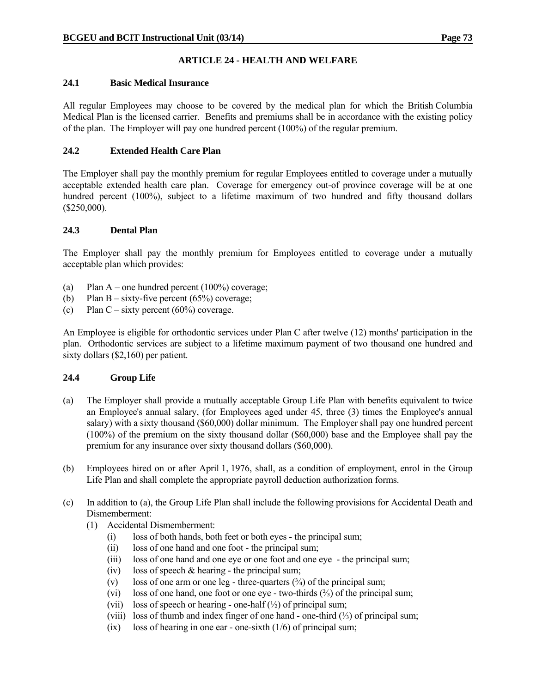# **ARTICLE 24 - HEALTH AND WELFARE**

# **24.1 Basic Medical Insurance**

All regular Employees may choose to be covered by the medical plan for which the British Columbia Medical Plan is the licensed carrier. Benefits and premiums shall be in accordance with the existing policy of the plan. The Employer will pay one hundred percent (100%) of the regular premium.

# **24.2 Extended Health Care Plan**

The Employer shall pay the monthly premium for regular Employees entitled to coverage under a mutually acceptable extended health care plan. Coverage for emergency out-of province coverage will be at one hundred percent (100%), subject to a lifetime maximum of two hundred and fifty thousand dollars (\$250,000).

# **24.3 Dental Plan**

The Employer shall pay the monthly premium for Employees entitled to coverage under a mutually acceptable plan which provides:

- (a) Plan A one hundred percent (100%) coverage;
- (b) Plan B sixty-five percent  $(65\%)$  coverage;
- (c) Plan C sixty percent  $(60\%)$  coverage.

An Employee is eligible for orthodontic services under Plan C after twelve (12) months' participation in the plan. Orthodontic services are subject to a lifetime maximum payment of two thousand one hundred and sixty dollars (\$2,160) per patient.

# **24.4 Group Life**

- (a) The Employer shall provide a mutually acceptable Group Life Plan with benefits equivalent to twice an Employee's annual salary, (for Employees aged under 45, three (3) times the Employee's annual salary) with a sixty thousand (\$60,000) dollar minimum. The Employer shall pay one hundred percent (100%) of the premium on the sixty thousand dollar (\$60,000) base and the Employee shall pay the premium for any insurance over sixty thousand dollars (\$60,000).
- (b) Employees hired on or after April 1, 1976, shall, as a condition of employment, enrol in the Group Life Plan and shall complete the appropriate payroll deduction authorization forms.
- (c) In addition to (a), the Group Life Plan shall include the following provisions for Accidental Death and Dismemberment:
	- (1) Accidental Dismemberment:
		- (i) loss of both hands, both feet or both eyes the principal sum;
		- (ii) loss of one hand and one foot the principal sum;
		- (iii) loss of one hand and one eye or one foot and one eye the principal sum;
		- (iv) loss of speech  $&$  hearing the principal sum;
		- (v) loss of one arm or one leg three-quarters  $(\frac{3}{4})$  of the principal sum;
		- (vi) loss of one hand, one foot or one eye two-thirds (⅔) of the principal sum;
		- (vii) loss of speech or hearing one-half  $(\frac{1}{2})$  of principal sum;
		- (viii) loss of thumb and index finger of one hand one-third (⅓) of principal sum;
		- (ix) loss of hearing in one ear one-sixth (1/6) of principal sum;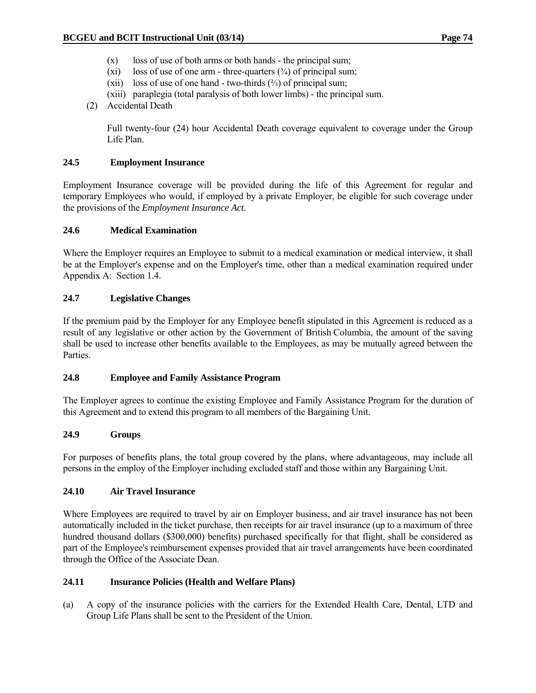- (x) loss of use of both arms or both hands the principal sum;
- (xi) loss of use of one arm three-quarters  $(\frac{3}{4})$  of principal sum;
- (xii) loss of use of one hand two-thirds  $(\frac{2}{3})$  of principal sum;
- (xiii) paraplegia (total paralysis of both lower limbs) the principal sum.
- (2) Accidental Death

 Full twenty-four (24) hour Accidental Death coverage equivalent to coverage under the Group Life Plan.

#### **24.5 Employment Insurance**

Employment Insurance coverage will be provided during the life of this Agreement for regular and temporary Employees who would, if employed by a private Employer, be eligible for such coverage under the provisions of the *Employment Insurance Act*.

#### **24.6 Medical Examination**

Where the Employer requires an Employee to submit to a medical examination or medical interview, it shall be at the Employer's expense and on the Employer's time, other than a medical examination required under Appendix A: Section 1.4.

#### **24.7 Legislative Changes**

If the premium paid by the Employer for any Employee benefit stipulated in this Agreement is reduced as a result of any legislative or other action by the Government of British Columbia, the amount of the saving shall be used to increase other benefits available to the Employees, as may be mutually agreed between the Parties.

#### **24.8 Employee and Family Assistance Program**

The Employer agrees to continue the existing Employee and Family Assistance Program for the duration of this Agreement and to extend this program to all members of the Bargaining Unit.

#### **24.9 Groups**

For purposes of benefits plans, the total group covered by the plans, where advantageous, may include all persons in the employ of the Employer including excluded staff and those within any Bargaining Unit.

#### **24.10 Air Travel Insurance**

Where Employees are required to travel by air on Employer business, and air travel insurance has not been automatically included in the ticket purchase, then receipts for air travel insurance (up to a maximum of three hundred thousand dollars (\$300,000) benefits) purchased specifically for that flight, shall be considered as part of the Employee's reimbursement expenses provided that air travel arrangements have been coordinated through the Office of the Associate Dean.

#### **24.11 Insurance Policies (Health and Welfare Plans)**

(a) A copy of the insurance policies with the carriers for the Extended Health Care, Dental, LTD and Group Life Plans shall be sent to the President of the Union.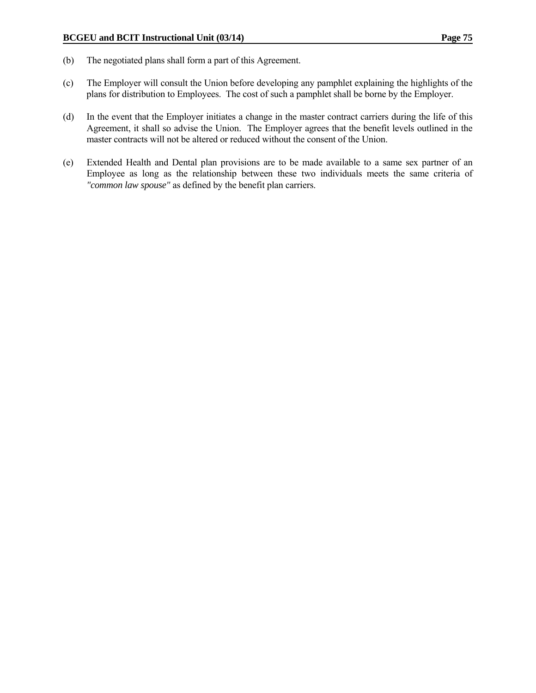- (b) The negotiated plans shall form a part of this Agreement.
- (c) The Employer will consult the Union before developing any pamphlet explaining the highlights of the plans for distribution to Employees. The cost of such a pamphlet shall be borne by the Employer.
- (d) In the event that the Employer initiates a change in the master contract carriers during the life of this Agreement, it shall so advise the Union. The Employer agrees that the benefit levels outlined in the master contracts will not be altered or reduced without the consent of the Union.
- (e) Extended Health and Dental plan provisions are to be made available to a same sex partner of an Employee as long as the relationship between these two individuals meets the same criteria of *"common law spouse"* as defined by the benefit plan carriers.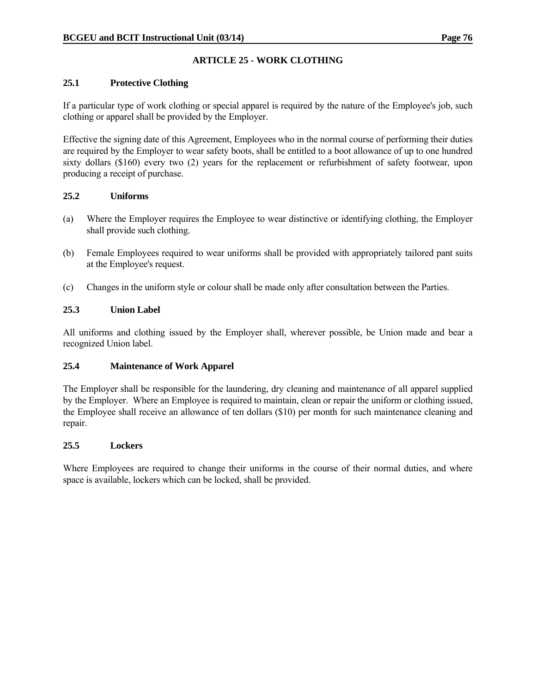# **ARTICLE 25 - WORK CLOTHING**

# **25.1 Protective Clothing**

If a particular type of work clothing or special apparel is required by the nature of the Employee's job, such clothing or apparel shall be provided by the Employer.

Effective the signing date of this Agreement, Employees who in the normal course of performing their duties are required by the Employer to wear safety boots, shall be entitled to a boot allowance of up to one hundred sixty dollars (\$160) every two (2) years for the replacement or refurbishment of safety footwear, upon producing a receipt of purchase.

## **25.2 Uniforms**

- (a) Where the Employer requires the Employee to wear distinctive or identifying clothing, the Employer shall provide such clothing.
- (b) Female Employees required to wear uniforms shall be provided with appropriately tailored pant suits at the Employee's request.
- (c) Changes in the uniform style or colour shall be made only after consultation between the Parties.

## **25.3 Union Label**

All uniforms and clothing issued by the Employer shall, wherever possible, be Union made and bear a recognized Union label.

# **25.4 Maintenance of Work Apparel**

The Employer shall be responsible for the laundering, dry cleaning and maintenance of all apparel supplied by the Employer. Where an Employee is required to maintain, clean or repair the uniform or clothing issued, the Employee shall receive an allowance of ten dollars (\$10) per month for such maintenance cleaning and repair.

#### **25.5 Lockers**

Where Employees are required to change their uniforms in the course of their normal duties, and where space is available, lockers which can be locked, shall be provided.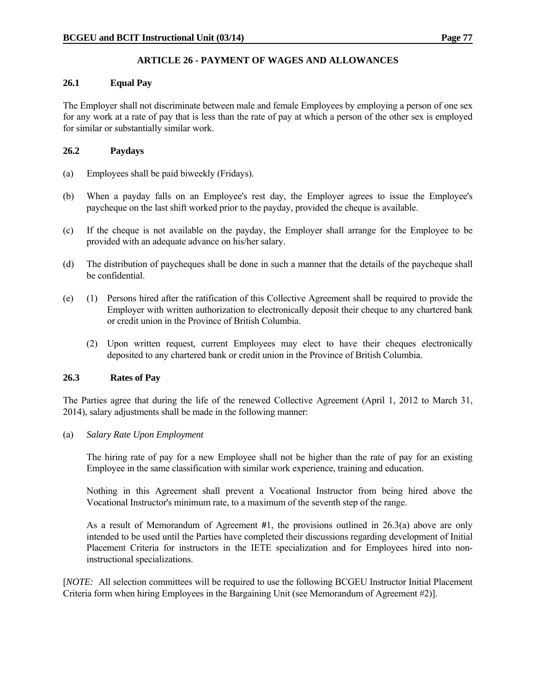# **ARTICLE 26 - PAYMENT OF WAGES AND ALLOWANCES**

## **26.1 Equal Pay**

The Employer shall not discriminate between male and female Employees by employing a person of one sex for any work at a rate of pay that is less than the rate of pay at which a person of the other sex is employed for similar or substantially similar work.

## **26.2 Paydays**

- (a) Employees shall be paid biweekly (Fridays).
- (b) When a payday falls on an Employee's rest day, the Employer agrees to issue the Employee's paycheque on the last shift worked prior to the payday, provided the cheque is available.
- (c) If the cheque is not available on the payday, the Employer shall arrange for the Employee to be provided with an adequate advance on his/her salary.
- (d) The distribution of paycheques shall be done in such a manner that the details of the paycheque shall be confidential.
- (e) (1) Persons hired after the ratification of this Collective Agreement shall be required to provide the Employer with written authorization to electronically deposit their cheque to any chartered bank or credit union in the Province of British Columbia.
	- (2) Upon written request, current Employees may elect to have their cheques electronically deposited to any chartered bank or credit union in the Province of British Columbia.

# **26.3 Rates of Pay**

The Parties agree that during the life of the renewed Collective Agreement (April 1, 2012 to March 31, 2014), salary adjustments shall be made in the following manner:

(a) *Salary Rate Upon Employment*

 The hiring rate of pay for a new Employee shall not be higher than the rate of pay for an existing Employee in the same classification with similar work experience, training and education.

 Nothing in this Agreement shall prevent a Vocational Instructor from being hired above the Vocational Instructor's minimum rate, to a maximum of the seventh step of the range.

 As a result of Memorandum of Agreement **#**1, the provisions outlined in 26.3(a) above are only intended to be used until the Parties have completed their discussions regarding development of Initial Placement Criteria for instructors in the IETE specialization and for Employees hired into noninstructional specializations.

[*NOTE:* All selection committees will be required to use the following BCGEU Instructor Initial Placement Criteria form when hiring Employees in the Bargaining Unit (see Memorandum of Agreement #2)].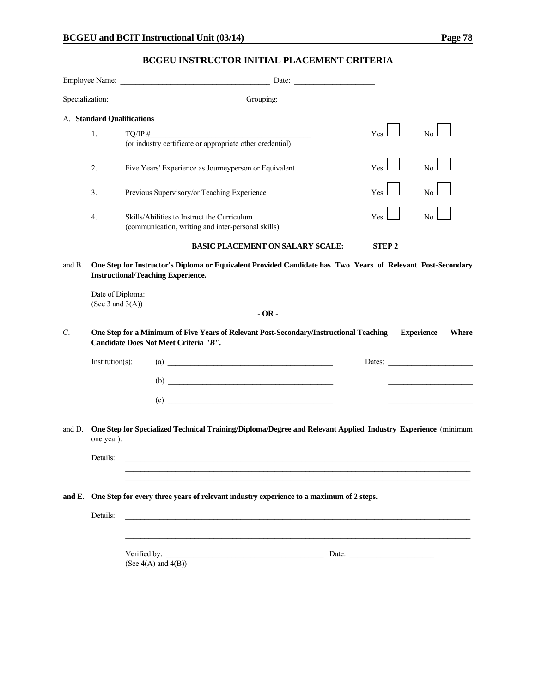# **BCGEU INSTRUCTOR INITIAL PLACEMENT CRITERIA**

|             |                     | Specialization: Contact Contact Contact Contact Contact Contact Contact Contact Contact Contact Contact Contact Contact Contact Contact Contact Contact Contact Contact Contact Contact Contact Contact Contact Contact Contac |              |                                   |
|-------------|---------------------|--------------------------------------------------------------------------------------------------------------------------------------------------------------------------------------------------------------------------------|--------------|-----------------------------------|
|             |                     | A. Standard Qualifications                                                                                                                                                                                                     |              |                                   |
|             | 1.                  | TO/IP #                                                                                                                                                                                                                        | <b>Yes</b>   | No <sub>1</sub>                   |
|             |                     | (or industry certificate or appropriate other credential)                                                                                                                                                                      |              |                                   |
|             | 2.                  | Five Years' Experience as Journeyperson or Equivalent                                                                                                                                                                          | Yes          | No.                               |
|             | 3.                  | Previous Supervisory/or Teaching Experience                                                                                                                                                                                    | Yes          | No.                               |
|             | 4.                  | Skills/Abilities to Instruct the Curriculum<br>(communication, writing and inter-personal skills)                                                                                                                              | Yes          | N <sub>0</sub>                    |
|             |                     | <b>BASIC PLACEMENT ON SALARY SCALE:</b>                                                                                                                                                                                        | <b>STEP2</b> |                                   |
| and B.      | (See 3 and $3(A)$ ) | One Step for Instructor's Diploma or Equivalent Provided Candidate has Two Years of Relevant Post-Secondary<br><b>Instructional/Teaching Experience.</b><br>$-OR -$                                                            |              |                                   |
| $C_{\cdot}$ |                     | One Step for a Minimum of Five Years of Relevant Post-Secondary/Instructional Teaching<br>Candidate Does Not Meet Criteria "B".                                                                                                |              | <b>Experience</b><br><b>Where</b> |
|             | Institution(s):     | $\left( \text{a}\right)$                                                                                                                                                                                                       |              | Dates:                            |
|             |                     | $\begin{array}{c}\n\text{(b)} \quad \text{---}\n\end{array}$                                                                                                                                                                   |              |                                   |
|             |                     | (c)                                                                                                                                                                                                                            |              |                                   |
| and D.      | one year).          | One Step for Specialized Technical Training/Diploma/Degree and Relevant Applied Industry Experience (minimum                                                                                                                   |              |                                   |
|             | Details:            |                                                                                                                                                                                                                                |              |                                   |
|             |                     |                                                                                                                                                                                                                                |              |                                   |
|             |                     | and E. One Step for every three years of relevant industry experience to a maximum of 2 steps.                                                                                                                                 |              |                                   |
|             | Details:            |                                                                                                                                                                                                                                |              |                                   |
|             |                     | Verified by:<br>(See $4(A)$ and $4(B)$ )                                                                                                                                                                                       | Date:        |                                   |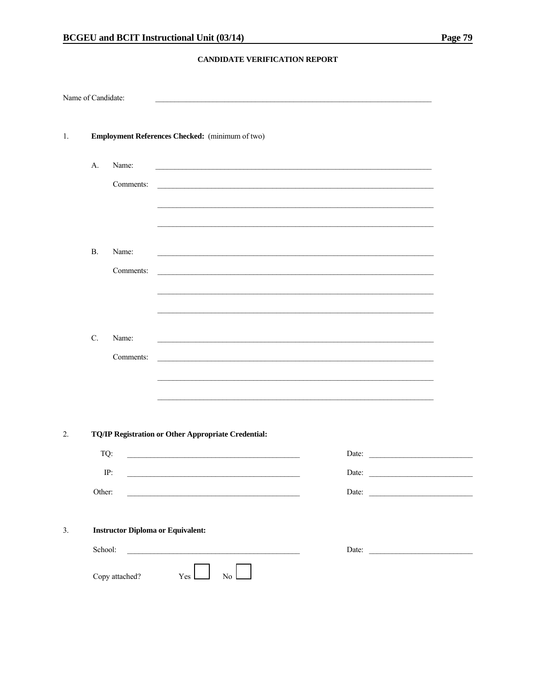#### CANDIDATE VERIFICATION REPORT

| Name of Candidate: |                                          |                |                                                     |                  |  |       |       |  |
|--------------------|------------------------------------------|----------------|-----------------------------------------------------|------------------|--|-------|-------|--|
| 1.                 |                                          |                | Employment References Checked: (minimum of two)     |                  |  |       |       |  |
|                    | A.                                       | Name:          |                                                     |                  |  |       |       |  |
|                    |                                          | Comments:      |                                                     |                  |  |       |       |  |
|                    |                                          |                |                                                     |                  |  |       |       |  |
|                    |                                          |                |                                                     |                  |  |       |       |  |
|                    | <b>B.</b>                                | Name:          |                                                     |                  |  |       |       |  |
|                    |                                          | Comments:      |                                                     |                  |  |       |       |  |
|                    |                                          |                |                                                     |                  |  |       |       |  |
|                    |                                          |                |                                                     |                  |  |       |       |  |
|                    | C.                                       | Name:          |                                                     |                  |  |       |       |  |
|                    |                                          | Comments:      |                                                     |                  |  |       |       |  |
|                    |                                          |                |                                                     |                  |  |       |       |  |
|                    |                                          |                |                                                     |                  |  |       |       |  |
| 2.                 |                                          |                | TQ/IP Registration or Other Appropriate Credential: |                  |  |       |       |  |
|                    | TQ:                                      |                |                                                     |                  |  |       | Date: |  |
|                    |                                          | IP:            |                                                     |                  |  | Date: |       |  |
|                    | Other:                                   |                |                                                     |                  |  |       | Date: |  |
|                    |                                          |                |                                                     |                  |  |       |       |  |
| 3.                 | <b>Instructor Diploma or Equivalent:</b> |                |                                                     |                  |  |       |       |  |
|                    | School:                                  |                |                                                     |                  |  |       |       |  |
|                    |                                          | Copy attached? | Yes                                                 | $\overline{N_0}$ |  |       |       |  |
|                    |                                          |                |                                                     |                  |  |       |       |  |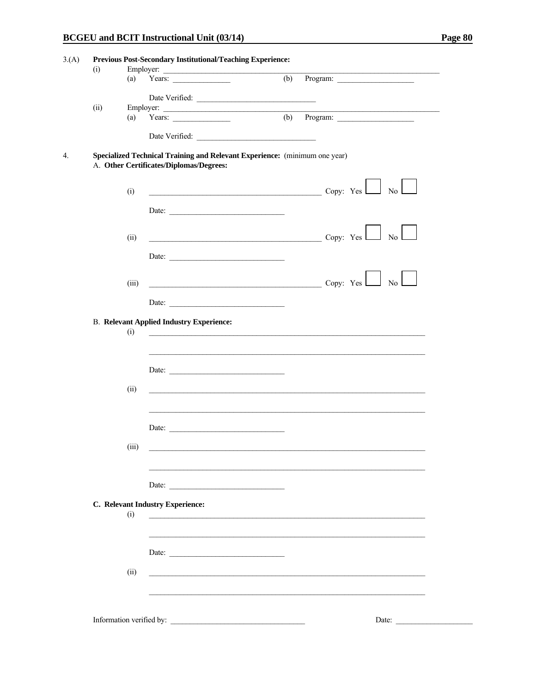|      | (a)   | Employer:<br>Years: $\qquad \qquad$             | (b)                                                                                                                                                                                                                                                                                                                                                                                                                                                                                   |
|------|-------|-------------------------------------------------|---------------------------------------------------------------------------------------------------------------------------------------------------------------------------------------------------------------------------------------------------------------------------------------------------------------------------------------------------------------------------------------------------------------------------------------------------------------------------------------|
|      |       |                                                 |                                                                                                                                                                                                                                                                                                                                                                                                                                                                                       |
|      |       |                                                 | Date Verified:                                                                                                                                                                                                                                                                                                                                                                                                                                                                        |
| (ii) |       |                                                 | Employer:<br>the control of the control of the control of the control of the control of the control of                                                                                                                                                                                                                                                                                                                                                                                |
|      | (a)   | Years: $\qquad \qquad$                          | $\overline{(b)}$ Program:                                                                                                                                                                                                                                                                                                                                                                                                                                                             |
|      |       |                                                 |                                                                                                                                                                                                                                                                                                                                                                                                                                                                                       |
|      |       |                                                 | Specialized Technical Training and Relevant Experience: (minimum one year)                                                                                                                                                                                                                                                                                                                                                                                                            |
|      |       | A. Other Certificates/Diplomas/Degrees:         |                                                                                                                                                                                                                                                                                                                                                                                                                                                                                       |
|      |       |                                                 |                                                                                                                                                                                                                                                                                                                                                                                                                                                                                       |
|      | (i)   |                                                 | $\overline{\phantom{a}}$ $\overline{\phantom{a}}$ $\overline{\phantom{a}}$ $\overline{\phantom{a}}$ $\overline{\phantom{a}}$ $\overline{\phantom{a}}$ $\overline{\phantom{a}}$ $\overline{\phantom{a}}$ $\overline{\phantom{a}}$ $\overline{\phantom{a}}$ $\overline{\phantom{a}}$ $\overline{\phantom{a}}$ $\overline{\phantom{a}}$ $\overline{\phantom{a}}$ $\overline{\phantom{a}}$ $\overline{\phantom{a}}$ $\overline{\phantom{a}}$ $\overline{\phantom{a}}$ $\overline{\$<br>No |
|      |       |                                                 |                                                                                                                                                                                                                                                                                                                                                                                                                                                                                       |
|      |       | Date:                                           |                                                                                                                                                                                                                                                                                                                                                                                                                                                                                       |
|      |       |                                                 |                                                                                                                                                                                                                                                                                                                                                                                                                                                                                       |
|      | (ii)  |                                                 | <b>Сору:</b> Yes <u>Land Copy: Yes</u> 2009.<br>No <sub>1</sub>                                                                                                                                                                                                                                                                                                                                                                                                                       |
|      |       |                                                 |                                                                                                                                                                                                                                                                                                                                                                                                                                                                                       |
|      |       | Date:                                           |                                                                                                                                                                                                                                                                                                                                                                                                                                                                                       |
|      |       |                                                 |                                                                                                                                                                                                                                                                                                                                                                                                                                                                                       |
|      | (iii) |                                                 | $\overline{\text{Copy: Yes}}$ No                                                                                                                                                                                                                                                                                                                                                                                                                                                      |
|      |       |                                                 |                                                                                                                                                                                                                                                                                                                                                                                                                                                                                       |
|      |       | Date:                                           |                                                                                                                                                                                                                                                                                                                                                                                                                                                                                       |
|      |       | <b>B.</b> Relevant Applied Industry Experience: |                                                                                                                                                                                                                                                                                                                                                                                                                                                                                       |
|      | (i)   |                                                 |                                                                                                                                                                                                                                                                                                                                                                                                                                                                                       |
|      |       |                                                 |                                                                                                                                                                                                                                                                                                                                                                                                                                                                                       |
|      |       |                                                 |                                                                                                                                                                                                                                                                                                                                                                                                                                                                                       |
|      |       | Date:                                           |                                                                                                                                                                                                                                                                                                                                                                                                                                                                                       |
|      |       |                                                 |                                                                                                                                                                                                                                                                                                                                                                                                                                                                                       |
|      | (ii)  |                                                 |                                                                                                                                                                                                                                                                                                                                                                                                                                                                                       |
|      |       |                                                 |                                                                                                                                                                                                                                                                                                                                                                                                                                                                                       |
|      |       |                                                 |                                                                                                                                                                                                                                                                                                                                                                                                                                                                                       |
|      |       | Date:                                           |                                                                                                                                                                                                                                                                                                                                                                                                                                                                                       |
|      |       |                                                 |                                                                                                                                                                                                                                                                                                                                                                                                                                                                                       |
|      | (iii) |                                                 |                                                                                                                                                                                                                                                                                                                                                                                                                                                                                       |
|      |       |                                                 |                                                                                                                                                                                                                                                                                                                                                                                                                                                                                       |
|      |       |                                                 |                                                                                                                                                                                                                                                                                                                                                                                                                                                                                       |
|      |       |                                                 |                                                                                                                                                                                                                                                                                                                                                                                                                                                                                       |
|      |       |                                                 |                                                                                                                                                                                                                                                                                                                                                                                                                                                                                       |
|      |       | C. Relevant Industry Experience:                |                                                                                                                                                                                                                                                                                                                                                                                                                                                                                       |
|      | (i)   |                                                 |                                                                                                                                                                                                                                                                                                                                                                                                                                                                                       |
|      |       |                                                 |                                                                                                                                                                                                                                                                                                                                                                                                                                                                                       |
|      |       |                                                 |                                                                                                                                                                                                                                                                                                                                                                                                                                                                                       |
|      |       | Date:                                           |                                                                                                                                                                                                                                                                                                                                                                                                                                                                                       |
|      |       |                                                 |                                                                                                                                                                                                                                                                                                                                                                                                                                                                                       |
|      | (ii)  |                                                 | <u> 1980 - John Stein, marking and de families and de families and de families and de families and de families an</u>                                                                                                                                                                                                                                                                                                                                                                 |
|      |       |                                                 |                                                                                                                                                                                                                                                                                                                                                                                                                                                                                       |
|      |       |                                                 |                                                                                                                                                                                                                                                                                                                                                                                                                                                                                       |
|      |       |                                                 |                                                                                                                                                                                                                                                                                                                                                                                                                                                                                       |
|      |       | Information verified by:                        |                                                                                                                                                                                                                                                                                                                                                                                                                                                                                       |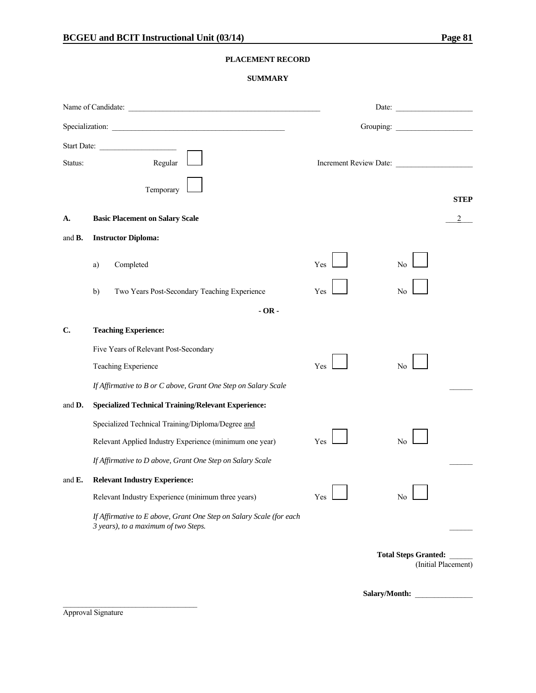#### **PLACEMENT RECORD**

#### **SUMMARY**

|                | Specialization:                                                                                             |     |                                                    |
|----------------|-------------------------------------------------------------------------------------------------------------|-----|----------------------------------------------------|
| Status:        | Start Date:<br>Regular                                                                                      |     | Increment Review Date:                             |
|                | Temporary                                                                                                   |     | <b>STEP</b>                                        |
| А.             | <b>Basic Placement on Salary Scale</b>                                                                      |     |                                                    |
| and <b>B</b> . | <b>Instructor Diploma:</b>                                                                                  |     |                                                    |
|                | Completed<br>a)                                                                                             | Yes | No                                                 |
|                | Two Years Post-Secondary Teaching Experience<br>b)                                                          | Yes | No                                                 |
|                | $-OR -$                                                                                                     |     |                                                    |
| C.             | <b>Teaching Experience:</b>                                                                                 |     |                                                    |
|                | Five Years of Relevant Post-Secondary                                                                       |     |                                                    |
|                | Teaching Experience                                                                                         | Yes | No                                                 |
|                | If Affirmative to B or C above, Grant One Step on Salary Scale                                              |     |                                                    |
| and D.         | <b>Specialized Technical Training/Relevant Experience:</b>                                                  |     |                                                    |
|                | Specialized Technical Training/Diploma/Degree and                                                           |     |                                                    |
|                | Relevant Applied Industry Experience (minimum one year)                                                     | Yes | No                                                 |
|                | If Affirmative to D above, Grant One Step on Salary Scale                                                   |     |                                                    |
| and $E$ .      | <b>Relevant Industry Experience:</b>                                                                        |     |                                                    |
|                | Relevant Industry Experience (minimum three years)                                                          | Yes | No                                                 |
|                | If Affirmative to E above, Grant One Step on Salary Scale (for each<br>3 years), to a maximum of two Steps. |     |                                                    |
|                |                                                                                                             |     | <b>Total Steps Granted:</b><br>(Initial Placement) |

**Salary/Month:** \_\_\_\_\_\_\_\_\_\_\_\_\_\_\_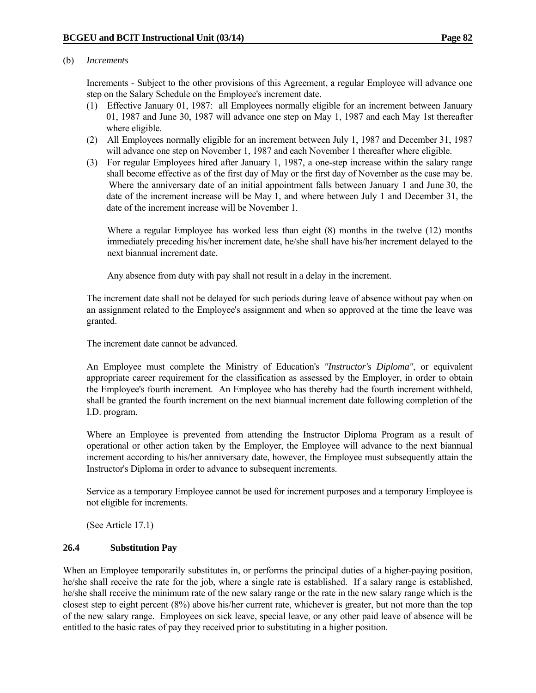#### (b) *Increments*

 Increments - Subject to the other provisions of this Agreement, a regular Employee will advance one step on the Salary Schedule on the Employee's increment date.

- (1) Effective January 01, 1987: all Employees normally eligible for an increment between January 01, 1987 and June 30, 1987 will advance one step on May 1, 1987 and each May 1st thereafter where eligible.
- (2) All Employees normally eligible for an increment between July 1, 1987 and December 31, 1987 will advance one step on November 1, 1987 and each November 1 thereafter where eligible.
- (3) For regular Employees hired after January 1, 1987, a one-step increase within the salary range shall become effective as of the first day of May or the first day of November as the case may be. Where the anniversary date of an initial appointment falls between January 1 and June 30, the date of the increment increase will be May 1, and where between July 1 and December 31, the date of the increment increase will be November 1.

 Where a regular Employee has worked less than eight (8) months in the twelve (12) months immediately preceding his/her increment date, he/she shall have his/her increment delayed to the next biannual increment date.

Any absence from duty with pay shall not result in a delay in the increment.

 The increment date shall not be delayed for such periods during leave of absence without pay when on an assignment related to the Employee's assignment and when so approved at the time the leave was granted.

The increment date cannot be advanced.

 An Employee must complete the Ministry of Education's *"Instructor's Diploma"*, or equivalent appropriate career requirement for the classification as assessed by the Employer, in order to obtain the Employee's fourth increment. An Employee who has thereby had the fourth increment withheld, shall be granted the fourth increment on the next biannual increment date following completion of the I.D. program.

 Where an Employee is prevented from attending the Instructor Diploma Program as a result of operational or other action taken by the Employer, the Employee will advance to the next biannual increment according to his/her anniversary date, however, the Employee must subsequently attain the Instructor's Diploma in order to advance to subsequent increments.

 Service as a temporary Employee cannot be used for increment purposes and a temporary Employee is not eligible for increments.

(See Article 17.1)

#### **26.4 Substitution Pay**

When an Employee temporarily substitutes in, or performs the principal duties of a higher-paying position, he/she shall receive the rate for the job, where a single rate is established. If a salary range is established, he/she shall receive the minimum rate of the new salary range or the rate in the new salary range which is the closest step to eight percent (8%) above his/her current rate, whichever is greater, but not more than the top of the new salary range. Employees on sick leave, special leave, or any other paid leave of absence will be entitled to the basic rates of pay they received prior to substituting in a higher position.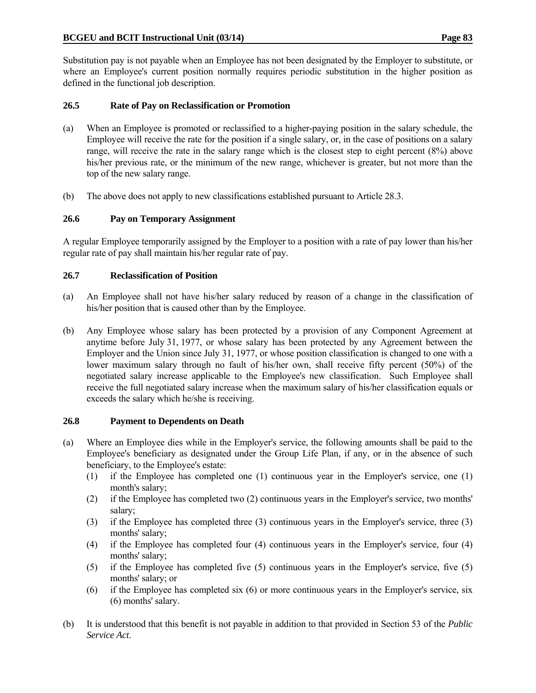Substitution pay is not payable when an Employee has not been designated by the Employer to substitute, or where an Employee's current position normally requires periodic substitution in the higher position as defined in the functional job description.

# **26.5 Rate of Pay on Reclassification or Promotion**

- (a) When an Employee is promoted or reclassified to a higher-paying position in the salary schedule, the Employee will receive the rate for the position if a single salary, or, in the case of positions on a salary range, will receive the rate in the salary range which is the closest step to eight percent (8%) above his/her previous rate, or the minimum of the new range, whichever is greater, but not more than the top of the new salary range.
- (b) The above does not apply to new classifications established pursuant to Article 28.3.

## **26.6 Pay on Temporary Assignment**

A regular Employee temporarily assigned by the Employer to a position with a rate of pay lower than his/her regular rate of pay shall maintain his/her regular rate of pay.

#### **26.7 Reclassification of Position**

- (a) An Employee shall not have his/her salary reduced by reason of a change in the classification of his/her position that is caused other than by the Employee.
- (b) Any Employee whose salary has been protected by a provision of any Component Agreement at anytime before July 31, 1977, or whose salary has been protected by any Agreement between the Employer and the Union since July 31, 1977, or whose position classification is changed to one with a lower maximum salary through no fault of his/her own, shall receive fifty percent (50%) of the negotiated salary increase applicable to the Employee's new classification. Such Employee shall receive the full negotiated salary increase when the maximum salary of his/her classification equals or exceeds the salary which he/she is receiving.

#### **26.8 Payment to Dependents on Death**

- (a) Where an Employee dies while in the Employer's service, the following amounts shall be paid to the Employee's beneficiary as designated under the Group Life Plan, if any, or in the absence of such beneficiary, to the Employee's estate:
	- (1) if the Employee has completed one (1) continuous year in the Employer's service, one (1) month's salary;
	- (2) if the Employee has completed two (2) continuous years in the Employer's service, two months' salary;
	- (3) if the Employee has completed three (3) continuous years in the Employer's service, three (3) months' salary;
	- (4) if the Employee has completed four (4) continuous years in the Employer's service, four (4) months' salary;
	- (5) if the Employee has completed five (5) continuous years in the Employer's service, five (5) months' salary; or
	- (6) if the Employee has completed six (6) or more continuous years in the Employer's service, six (6) months' salary.
- (b) It is understood that this benefit is not payable in addition to that provided in Section 53 of the *Public Service Act*.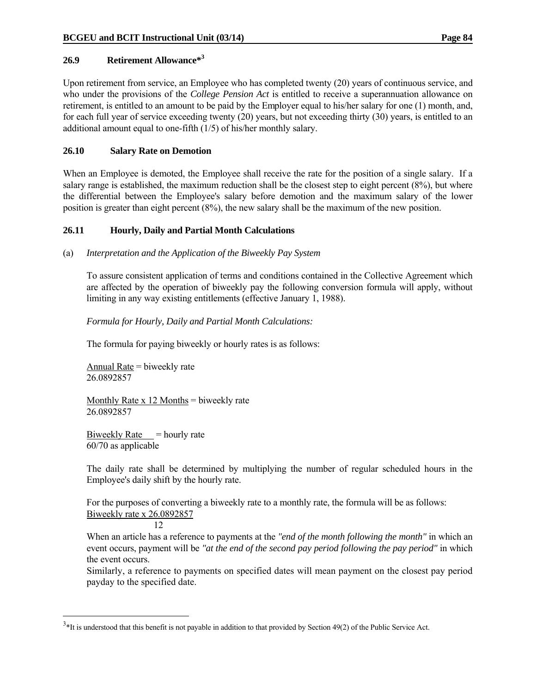## **26.9 Retirement Allowance\*3**

Upon retirement from service, an Employee who has completed twenty (20) years of continuous service, and who under the provisions of the *College Pension Act* is entitled to receive a superannuation allowance on retirement, is entitled to an amount to be paid by the Employer equal to his/her salary for one (1) month, and, for each full year of service exceeding twenty (20) years, but not exceeding thirty (30) years, is entitled to an additional amount equal to one-fifth (1/5) of his/her monthly salary.

## **26.10 Salary Rate on Demotion**

When an Employee is demoted, the Employee shall receive the rate for the position of a single salary. If a salary range is established, the maximum reduction shall be the closest step to eight percent (8%), but where the differential between the Employee's salary before demotion and the maximum salary of the lower position is greater than eight percent (8%), the new salary shall be the maximum of the new position.

## **26.11 Hourly, Daily and Partial Month Calculations**

(a) *Interpretation and the Application of the Biweekly Pay System*

 To assure consistent application of terms and conditions contained in the Collective Agreement which are affected by the operation of biweekly pay the following conversion formula will apply, without limiting in any way existing entitlements (effective January 1, 1988).

## *Formula for Hourly, Daily and Partial Month Calculations:*

The formula for paying biweekly or hourly rates is as follows:

 Annual Rate = biweekly rate 26.0892857

Monthly Rate  $x$  12 Months = biweekly rate 26.0892857

Biweekly Rate  $=$  hourly rate 60/70 as applicable

 The daily rate shall be determined by multiplying the number of regular scheduled hours in the Employee's daily shift by the hourly rate.

 For the purposes of converting a biweekly rate to a monthly rate, the formula will be as follows: Biweekly rate x 26.0892857

12

 $\overline{a}$ 

 When an article has a reference to payments at the *"end of the month following the month"* in which an event occurs, payment will be *"at the end of the second pay period following the pay period"* in which the event occurs.

Similarly, a reference to payments on specified dates will mean payment on the closest pay period payday to the specified date.

 $3*$ It is understood that this benefit is not payable in addition to that provided by Section 49(2) of the Public Service Act.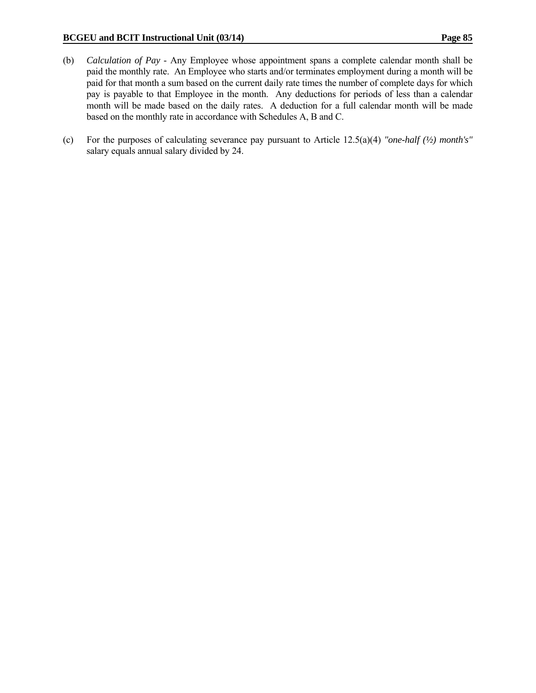- (b) *Calculation of Pay* Any Employee whose appointment spans a complete calendar month shall be paid the monthly rate. An Employee who starts and/or terminates employment during a month will be paid for that month a sum based on the current daily rate times the number of complete days for which pay is payable to that Employee in the month. Any deductions for periods of less than a calendar month will be made based on the daily rates. A deduction for a full calendar month will be made based on the monthly rate in accordance with Schedules A, B and C.
- (c) For the purposes of calculating severance pay pursuant to Article 12.5(a)(4) *"one-half (½) month's"* salary equals annual salary divided by 24.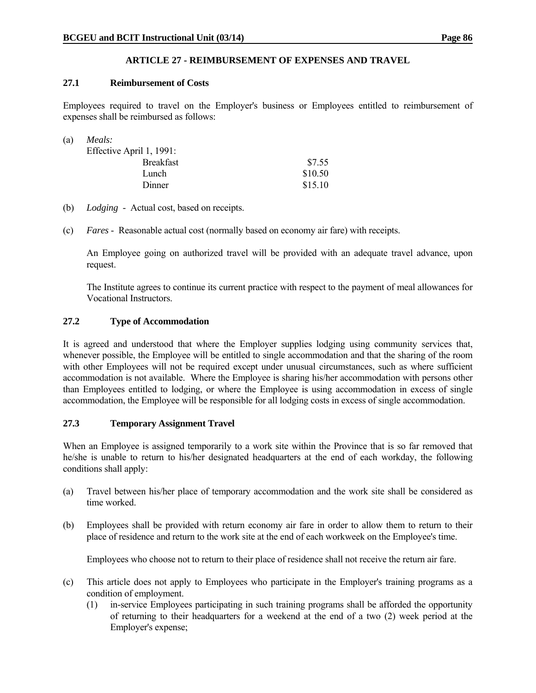# **ARTICLE 27 - REIMBURSEMENT OF EXPENSES AND TRAVEL**

## **27.1 Reimbursement of Costs**

Employees required to travel on the Employer's business or Employees entitled to reimbursement of expenses shall be reimbursed as follows:

| (a) | Meals:                   |         |
|-----|--------------------------|---------|
|     | Effective April 1, 1991: |         |
|     | <b>Breakfast</b>         | \$7.55  |
|     | Lunch                    | \$10.50 |
|     | Dinner                   | \$15.10 |

- (b) *Lodging* Actual cost, based on receipts.
- (c) *Fares* Reasonable actual cost (normally based on economy air fare) with receipts.

 An Employee going on authorized travel will be provided with an adequate travel advance, upon request.

 The Institute agrees to continue its current practice with respect to the payment of meal allowances for Vocational Instructors.

#### **27.2 Type of Accommodation**

It is agreed and understood that where the Employer supplies lodging using community services that, whenever possible, the Employee will be entitled to single accommodation and that the sharing of the room with other Employees will not be required except under unusual circumstances, such as where sufficient accommodation is not available. Where the Employee is sharing his/her accommodation with persons other than Employees entitled to lodging, or where the Employee is using accommodation in excess of single accommodation, the Employee will be responsible for all lodging costs in excess of single accommodation.

# **27.3 Temporary Assignment Travel**

When an Employee is assigned temporarily to a work site within the Province that is so far removed that he/she is unable to return to his/her designated headquarters at the end of each workday, the following conditions shall apply:

- (a) Travel between his/her place of temporary accommodation and the work site shall be considered as time worked.
- (b) Employees shall be provided with return economy air fare in order to allow them to return to their place of residence and return to the work site at the end of each workweek on the Employee's time.

Employees who choose not to return to their place of residence shall not receive the return air fare.

- (c) This article does not apply to Employees who participate in the Employer's training programs as a condition of employment.
	- (1) in-service Employees participating in such training programs shall be afforded the opportunity of returning to their headquarters for a weekend at the end of a two (2) week period at the Employer's expense;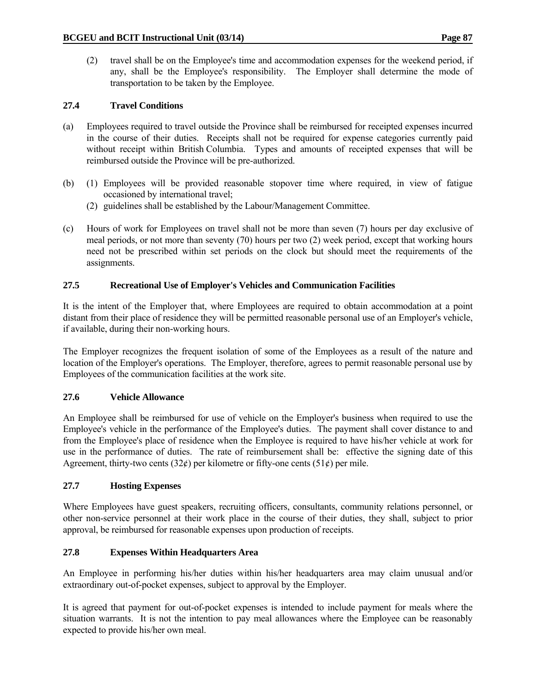(2) travel shall be on the Employee's time and accommodation expenses for the weekend period, if any, shall be the Employee's responsibility. The Employer shall determine the mode of transportation to be taken by the Employee.

# **27.4 Travel Conditions**

- (a) Employees required to travel outside the Province shall be reimbursed for receipted expenses incurred in the course of their duties. Receipts shall not be required for expense categories currently paid without receipt within British Columbia. Types and amounts of receipted expenses that will be reimbursed outside the Province will be pre-authorized.
- (b) (1) Employees will be provided reasonable stopover time where required, in view of fatigue occasioned by international travel;
	- (2) guidelines shall be established by the Labour/Management Committee.
- (c) Hours of work for Employees on travel shall not be more than seven (7) hours per day exclusive of meal periods, or not more than seventy (70) hours per two (2) week period, except that working hours need not be prescribed within set periods on the clock but should meet the requirements of the assignments.

## **27.5 Recreational Use of Employer's Vehicles and Communication Facilities**

It is the intent of the Employer that, where Employees are required to obtain accommodation at a point distant from their place of residence they will be permitted reasonable personal use of an Employer's vehicle, if available, during their non-working hours.

The Employer recognizes the frequent isolation of some of the Employees as a result of the nature and location of the Employer's operations. The Employer, therefore, agrees to permit reasonable personal use by Employees of the communication facilities at the work site.

#### **27.6 Vehicle Allowance**

An Employee shall be reimbursed for use of vehicle on the Employer's business when required to use the Employee's vehicle in the performance of the Employee's duties. The payment shall cover distance to and from the Employee's place of residence when the Employee is required to have his/her vehicle at work for use in the performance of duties. The rate of reimbursement shall be: effective the signing date of this Agreement, thirty-two cents (32 $\ell$ ) per kilometre or fifty-one cents (51 $\ell$ ) per mile.

#### **27.7 Hosting Expenses**

Where Employees have guest speakers, recruiting officers, consultants, community relations personnel, or other non-service personnel at their work place in the course of their duties, they shall, subject to prior approval, be reimbursed for reasonable expenses upon production of receipts.

#### **27.8 Expenses Within Headquarters Area**

An Employee in performing his/her duties within his/her headquarters area may claim unusual and/or extraordinary out-of-pocket expenses, subject to approval by the Employer.

It is agreed that payment for out-of-pocket expenses is intended to include payment for meals where the situation warrants. It is not the intention to pay meal allowances where the Employee can be reasonably expected to provide his/her own meal.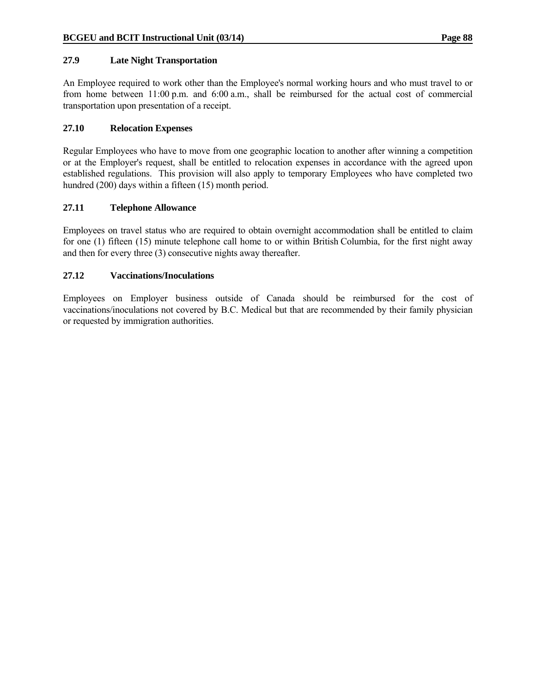## **27.9 Late Night Transportation**

An Employee required to work other than the Employee's normal working hours and who must travel to or from home between 11:00 p.m. and 6:00 a.m., shall be reimbursed for the actual cost of commercial transportation upon presentation of a receipt.

## **27.10 Relocation Expenses**

Regular Employees who have to move from one geographic location to another after winning a competition or at the Employer's request, shall be entitled to relocation expenses in accordance with the agreed upon established regulations. This provision will also apply to temporary Employees who have completed two hundred (200) days within a fifteen (15) month period.

## **27.11 Telephone Allowance**

Employees on travel status who are required to obtain overnight accommodation shall be entitled to claim for one (1) fifteen (15) minute telephone call home to or within British Columbia, for the first night away and then for every three (3) consecutive nights away thereafter.

## **27.12 Vaccinations/Inoculations**

Employees on Employer business outside of Canada should be reimbursed for the cost of vaccinations/inoculations not covered by B.C. Medical but that are recommended by their family physician or requested by immigration authorities.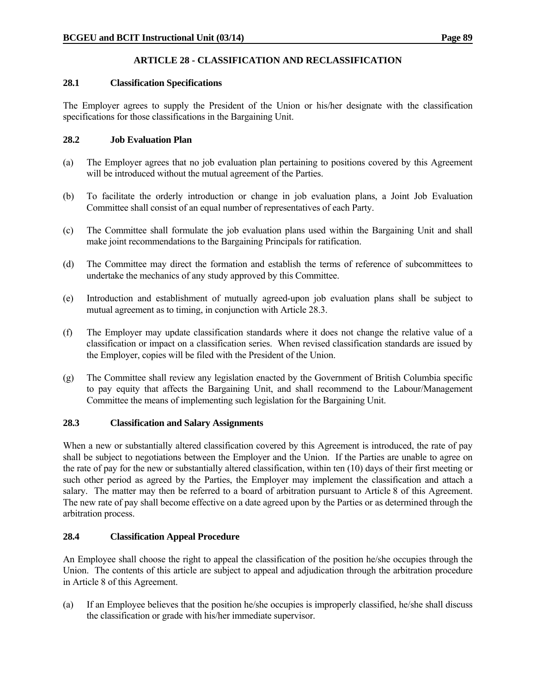# **ARTICLE 28 - CLASSIFICATION AND RECLASSIFICATION**

## **28.1 Classification Specifications**

The Employer agrees to supply the President of the Union or his/her designate with the classification specifications for those classifications in the Bargaining Unit.

# **28.2 Job Evaluation Plan**

- (a) The Employer agrees that no job evaluation plan pertaining to positions covered by this Agreement will be introduced without the mutual agreement of the Parties.
- (b) To facilitate the orderly introduction or change in job evaluation plans, a Joint Job Evaluation Committee shall consist of an equal number of representatives of each Party.
- (c) The Committee shall formulate the job evaluation plans used within the Bargaining Unit and shall make joint recommendations to the Bargaining Principals for ratification.
- (d) The Committee may direct the formation and establish the terms of reference of subcommittees to undertake the mechanics of any study approved by this Committee.
- (e) Introduction and establishment of mutually agreed-upon job evaluation plans shall be subject to mutual agreement as to timing, in conjunction with Article 28.3.
- (f) The Employer may update classification standards where it does not change the relative value of a classification or impact on a classification series. When revised classification standards are issued by the Employer, copies will be filed with the President of the Union.
- (g) The Committee shall review any legislation enacted by the Government of British Columbia specific to pay equity that affects the Bargaining Unit, and shall recommend to the Labour/Management Committee the means of implementing such legislation for the Bargaining Unit.

# **28.3 Classification and Salary Assignments**

When a new or substantially altered classification covered by this Agreement is introduced, the rate of pay shall be subject to negotiations between the Employer and the Union. If the Parties are unable to agree on the rate of pay for the new or substantially altered classification, within ten (10) days of their first meeting or such other period as agreed by the Parties, the Employer may implement the classification and attach a salary. The matter may then be referred to a board of arbitration pursuant to Article 8 of this Agreement. The new rate of pay shall become effective on a date agreed upon by the Parties or as determined through the arbitration process.

# **28.4 Classification Appeal Procedure**

An Employee shall choose the right to appeal the classification of the position he/she occupies through the Union. The contents of this article are subject to appeal and adjudication through the arbitration procedure in Article 8 of this Agreement.

(a) If an Employee believes that the position he/she occupies is improperly classified, he/she shall discuss the classification or grade with his/her immediate supervisor.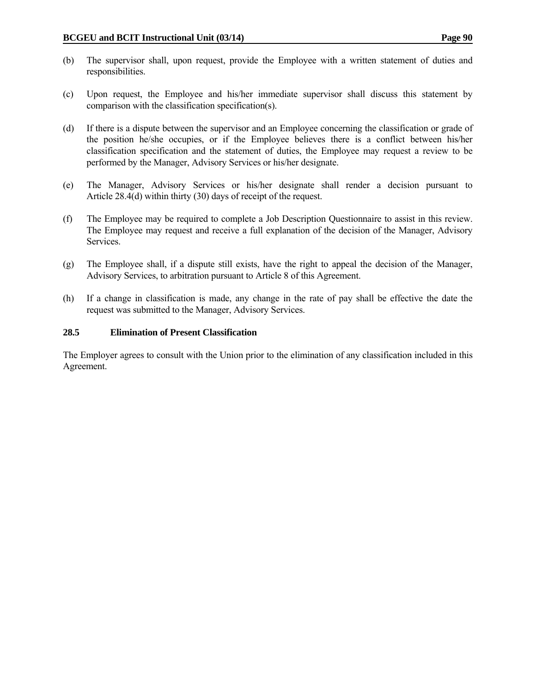- (b) The supervisor shall, upon request, provide the Employee with a written statement of duties and responsibilities.
- (c) Upon request, the Employee and his/her immediate supervisor shall discuss this statement by comparison with the classification specification(s).
- (d) If there is a dispute between the supervisor and an Employee concerning the classification or grade of the position he/she occupies, or if the Employee believes there is a conflict between his/her classification specification and the statement of duties, the Employee may request a review to be performed by the Manager, Advisory Services or his/her designate.
- (e) The Manager, Advisory Services or his/her designate shall render a decision pursuant to Article 28.4(d) within thirty (30) days of receipt of the request.
- (f) The Employee may be required to complete a Job Description Questionnaire to assist in this review. The Employee may request and receive a full explanation of the decision of the Manager, Advisory Services.
- (g) The Employee shall, if a dispute still exists, have the right to appeal the decision of the Manager, Advisory Services, to arbitration pursuant to Article 8 of this Agreement.
- (h) If a change in classification is made, any change in the rate of pay shall be effective the date the request was submitted to the Manager, Advisory Services.

## **28.5 Elimination of Present Classification**

The Employer agrees to consult with the Union prior to the elimination of any classification included in this Agreement.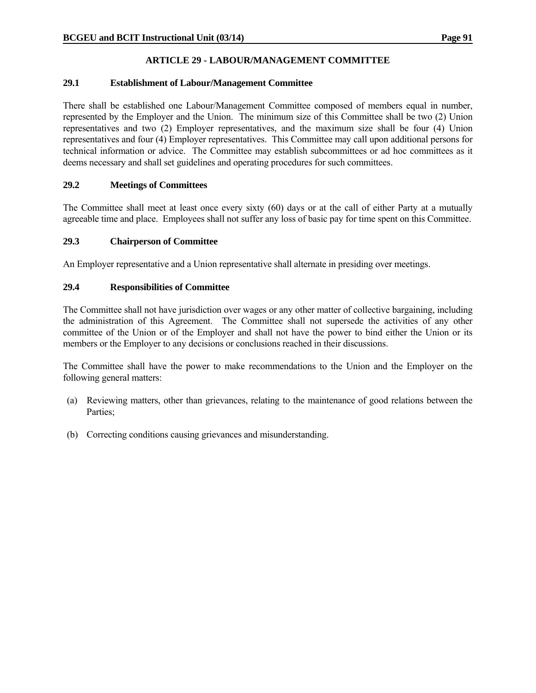# **ARTICLE 29 - LABOUR/MANAGEMENT COMMITTEE**

# **29.1 Establishment of Labour/Management Committee**

There shall be established one Labour/Management Committee composed of members equal in number, represented by the Employer and the Union. The minimum size of this Committee shall be two (2) Union representatives and two (2) Employer representatives, and the maximum size shall be four (4) Union representatives and four (4) Employer representatives. This Committee may call upon additional persons for technical information or advice. The Committee may establish subcommittees or ad hoc committees as it deems necessary and shall set guidelines and operating procedures for such committees.

## **29.2 Meetings of Committees**

The Committee shall meet at least once every sixty (60) days or at the call of either Party at a mutually agreeable time and place. Employees shall not suffer any loss of basic pay for time spent on this Committee.

## **29.3 Chairperson of Committee**

An Employer representative and a Union representative shall alternate in presiding over meetings.

## **29.4 Responsibilities of Committee**

The Committee shall not have jurisdiction over wages or any other matter of collective bargaining, including the administration of this Agreement. The Committee shall not supersede the activities of any other committee of the Union or of the Employer and shall not have the power to bind either the Union or its members or the Employer to any decisions or conclusions reached in their discussions.

The Committee shall have the power to make recommendations to the Union and the Employer on the following general matters:

- (a) Reviewing matters, other than grievances, relating to the maintenance of good relations between the Parties;
- (b) Correcting conditions causing grievances and misunderstanding.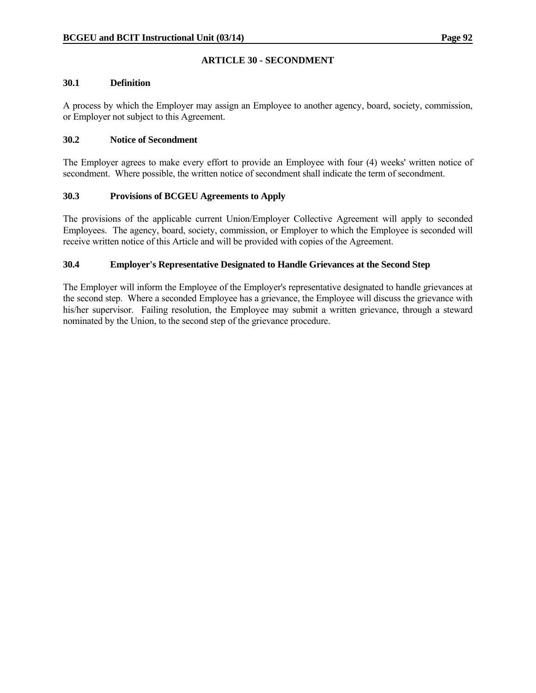# **ARTICLE 30 - SECONDMENT**

#### **30.1 Definition**

A process by which the Employer may assign an Employee to another agency, board, society, commission, or Employer not subject to this Agreement.

## **30.2 Notice of Secondment**

The Employer agrees to make every effort to provide an Employee with four (4) weeks' written notice of secondment. Where possible, the written notice of secondment shall indicate the term of secondment.

## **30.3 Provisions of BCGEU Agreements to Apply**

The provisions of the applicable current Union/Employer Collective Agreement will apply to seconded Employees. The agency, board, society, commission, or Employer to which the Employee is seconded will receive written notice of this Article and will be provided with copies of the Agreement.

# **30.4 Employer's Representative Designated to Handle Grievances at the Second Step**

The Employer will inform the Employee of the Employer's representative designated to handle grievances at the second step. Where a seconded Employee has a grievance, the Employee will discuss the grievance with his/her supervisor. Failing resolution, the Employee may submit a written grievance, through a steward nominated by the Union, to the second step of the grievance procedure.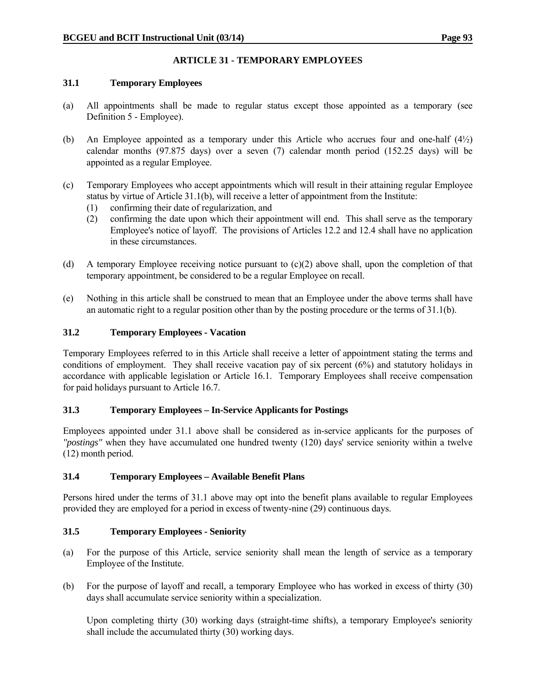# **ARTICLE 31 - TEMPORARY EMPLOYEES**

## **31.1 Temporary Employees**

- (a) All appointments shall be made to regular status except those appointed as a temporary (see Definition 5 - Employee).
- (b) An Employee appointed as a temporary under this Article who accrues four and one-half (4½) calendar months (97.875 days) over a seven (7) calendar month period (152.25 days) will be appointed as a regular Employee.
- (c) Temporary Employees who accept appointments which will result in their attaining regular Employee status by virtue of Article 31.1(b), will receive a letter of appointment from the Institute:
	- (1) confirming their date of regularization, and
	- (2) confirming the date upon which their appointment will end. This shall serve as the temporary Employee's notice of layoff. The provisions of Articles 12.2 and 12.4 shall have no application in these circumstances.
- (d) A temporary Employee receiving notice pursuant to (c)(2) above shall, upon the completion of that temporary appointment, be considered to be a regular Employee on recall.
- (e) Nothing in this article shall be construed to mean that an Employee under the above terms shall have an automatic right to a regular position other than by the posting procedure or the terms of 31.1(b).

# **31.2 Temporary Employees - Vacation**

Temporary Employees referred to in this Article shall receive a letter of appointment stating the terms and conditions of employment. They shall receive vacation pay of six percent (6%) and statutory holidays in accordance with applicable legislation or Article 16.1. Temporary Employees shall receive compensation for paid holidays pursuant to Article 16.7.

#### **31.3 Temporary Employees – In-Service Applicants for Postings**

Employees appointed under 31.1 above shall be considered as in-service applicants for the purposes of *"postings"* when they have accumulated one hundred twenty (120) days' service seniority within a twelve (12) month period.

#### **31.4 Temporary Employees – Available Benefit Plans**

Persons hired under the terms of 31.1 above may opt into the benefit plans available to regular Employees provided they are employed for a period in excess of twenty-nine (29) continuous days.

# **31.5 Temporary Employees - Seniority**

- (a) For the purpose of this Article, service seniority shall mean the length of service as a temporary Employee of the Institute.
- (b) For the purpose of layoff and recall, a temporary Employee who has worked in excess of thirty (30) days shall accumulate service seniority within a specialization.

 Upon completing thirty (30) working days (straight-time shifts), a temporary Employee's seniority shall include the accumulated thirty (30) working days.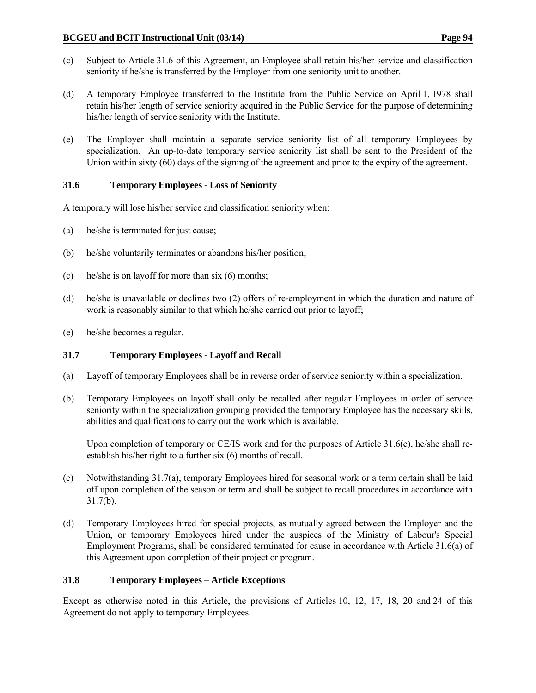- (c) Subject to Article 31.6 of this Agreement, an Employee shall retain his/her service and classification seniority if he/she is transferred by the Employer from one seniority unit to another.
- (d) A temporary Employee transferred to the Institute from the Public Service on April 1, 1978 shall retain his/her length of service seniority acquired in the Public Service for the purpose of determining his/her length of service seniority with the Institute.
- (e) The Employer shall maintain a separate service seniority list of all temporary Employees by specialization. An up-to-date temporary service seniority list shall be sent to the President of the Union within sixty (60) days of the signing of the agreement and prior to the expiry of the agreement.

# **31.6 Temporary Employees - Loss of Seniority**

A temporary will lose his/her service and classification seniority when:

- (a) he/she is terminated for just cause;
- (b) he/she voluntarily terminates or abandons his/her position;
- (c) he/she is on layoff for more than six (6) months;
- (d) he/she is unavailable or declines two (2) offers of re-employment in which the duration and nature of work is reasonably similar to that which he/she carried out prior to layoff;
- (e) he/she becomes a regular.

#### **31.7 Temporary Employees - Layoff and Recall**

- (a) Layoff of temporary Employees shall be in reverse order of service seniority within a specialization.
- (b) Temporary Employees on layoff shall only be recalled after regular Employees in order of service seniority within the specialization grouping provided the temporary Employee has the necessary skills, abilities and qualifications to carry out the work which is available.

Upon completion of temporary or CE/IS work and for the purposes of Article 31.6(c), he/she shall reestablish his/her right to a further six (6) months of recall.

- (c) Notwithstanding 31.7(a), temporary Employees hired for seasonal work or a term certain shall be laid off upon completion of the season or term and shall be subject to recall procedures in accordance with 31.7(b).
- (d) Temporary Employees hired for special projects, as mutually agreed between the Employer and the Union, or temporary Employees hired under the auspices of the Ministry of Labour's Special Employment Programs, shall be considered terminated for cause in accordance with Article 31.6(a) of this Agreement upon completion of their project or program.

#### **31.8 Temporary Employees – Article Exceptions**

Except as otherwise noted in this Article, the provisions of Articles 10, 12, 17, 18, 20 and 24 of this Agreement do not apply to temporary Employees.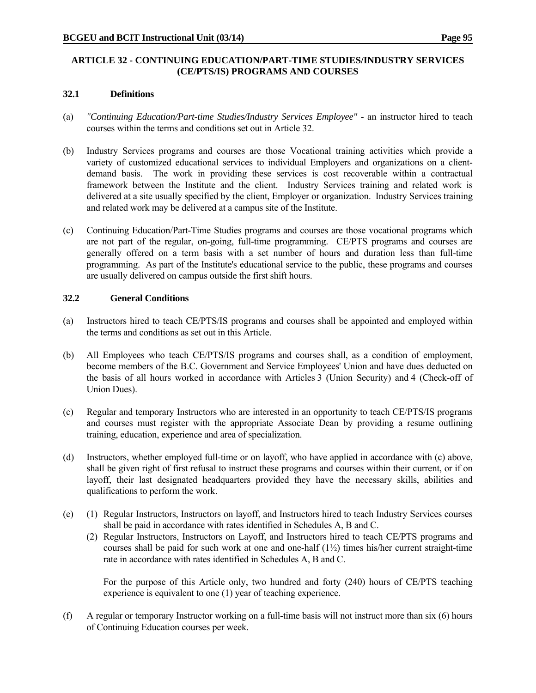## **ARTICLE 32 - CONTINUING EDUCATION/PART-TIME STUDIES/INDUSTRY SERVICES (CE/PTS/IS) PROGRAMS AND COURSES**

#### **32.1 Definitions**

- (a) *"Continuing Education/Part-time Studies/Industry Services Employee"* an instructor hired to teach courses within the terms and conditions set out in Article 32.
- (b) Industry Services programs and courses are those Vocational training activities which provide a variety of customized educational services to individual Employers and organizations on a clientdemand basis. The work in providing these services is cost recoverable within a contractual framework between the Institute and the client. Industry Services training and related work is delivered at a site usually specified by the client, Employer or organization. Industry Services training and related work may be delivered at a campus site of the Institute.
- (c) Continuing Education/Part-Time Studies programs and courses are those vocational programs which are not part of the regular, on-going, full-time programming. CE/PTS programs and courses are generally offered on a term basis with a set number of hours and duration less than full-time programming. As part of the Institute's educational service to the public, these programs and courses are usually delivered on campus outside the first shift hours.

#### **32.2 General Conditions**

- (a) Instructors hired to teach CE/PTS/IS programs and courses shall be appointed and employed within the terms and conditions as set out in this Article.
- (b) All Employees who teach CE/PTS/IS programs and courses shall, as a condition of employment, become members of the B.C. Government and Service Employees' Union and have dues deducted on the basis of all hours worked in accordance with Articles 3 (Union Security) and 4 (Check-off of Union Dues).
- (c) Regular and temporary Instructors who are interested in an opportunity to teach CE/PTS/IS programs and courses must register with the appropriate Associate Dean by providing a resume outlining training, education, experience and area of specialization.
- (d) Instructors, whether employed full-time or on layoff, who have applied in accordance with (c) above, shall be given right of first refusal to instruct these programs and courses within their current, or if on layoff, their last designated headquarters provided they have the necessary skills, abilities and qualifications to perform the work.
- (e) (1) Regular Instructors, Instructors on layoff, and Instructors hired to teach Industry Services courses shall be paid in accordance with rates identified in Schedules A, B and C.
	- (2) Regular Instructors, Instructors on Layoff, and Instructors hired to teach CE/PTS programs and courses shall be paid for such work at one and one-half (1½) times his/her current straight-time rate in accordance with rates identified in Schedules A, B and C.

 For the purpose of this Article only, two hundred and forty (240) hours of CE/PTS teaching experience is equivalent to one (1) year of teaching experience.

(f) A regular or temporary Instructor working on a full-time basis will not instruct more than six (6) hours of Continuing Education courses per week.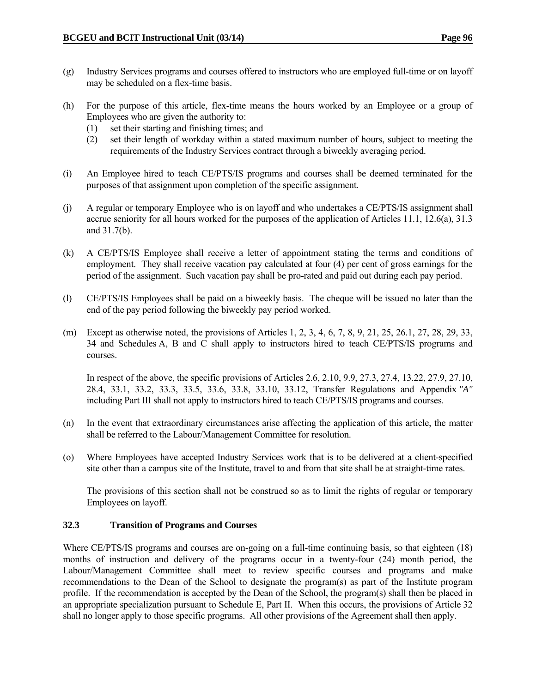- (g) Industry Services programs and courses offered to instructors who are employed full-time or on layoff may be scheduled on a flex-time basis.
- (h) For the purpose of this article, flex-time means the hours worked by an Employee or a group of Employees who are given the authority to:
	- (1) set their starting and finishing times; and
	- (2) set their length of workday within a stated maximum number of hours, subject to meeting the requirements of the Industry Services contract through a biweekly averaging period.
- (i) An Employee hired to teach CE/PTS/IS programs and courses shall be deemed terminated for the purposes of that assignment upon completion of the specific assignment.
- (j) A regular or temporary Employee who is on layoff and who undertakes a CE/PTS/IS assignment shall accrue seniority for all hours worked for the purposes of the application of Articles 11.1, 12.6(a), 31.3 and 31.7(b).
- (k) A CE/PTS/IS Employee shall receive a letter of appointment stating the terms and conditions of employment. They shall receive vacation pay calculated at four (4) per cent of gross earnings for the period of the assignment. Such vacation pay shall be pro-rated and paid out during each pay period.
- (l) CE/PTS/IS Employees shall be paid on a biweekly basis. The cheque will be issued no later than the end of the pay period following the biweekly pay period worked.
- (m) Except as otherwise noted, the provisions of Articles 1, 2, 3, 4, 6, 7, 8, 9, 21, 25, 26.1, 27, 28, 29, 33, 34 and Schedules A, B and C shall apply to instructors hired to teach CE/PTS/IS programs and courses.

 In respect of the above, the specific provisions of Articles 2.6, 2.10, 9.9, 27.3, 27.4, 13.22, 27.9, 27.10, 28.4, 33.1, 33.2, 33.3, 33.5, 33.6, 33.8, 33.10, 33.12, Transfer Regulations and Appendix *"A"* including Part III shall not apply to instructors hired to teach CE/PTS/IS programs and courses.

- (n) In the event that extraordinary circumstances arise affecting the application of this article, the matter shall be referred to the Labour/Management Committee for resolution.
- (o) Where Employees have accepted Industry Services work that is to be delivered at a client-specified site other than a campus site of the Institute, travel to and from that site shall be at straight-time rates.

 The provisions of this section shall not be construed so as to limit the rights of regular or temporary Employees on layoff.

# **32.3 Transition of Programs and Courses**

Where CE/PTS/IS programs and courses are on-going on a full-time continuing basis, so that eighteen (18) months of instruction and delivery of the programs occur in a twenty-four (24) month period, the Labour/Management Committee shall meet to review specific courses and programs and make recommendations to the Dean of the School to designate the program(s) as part of the Institute program profile. If the recommendation is accepted by the Dean of the School, the program(s) shall then be placed in an appropriate specialization pursuant to Schedule E, Part II. When this occurs, the provisions of Article 32 shall no longer apply to those specific programs. All other provisions of the Agreement shall then apply.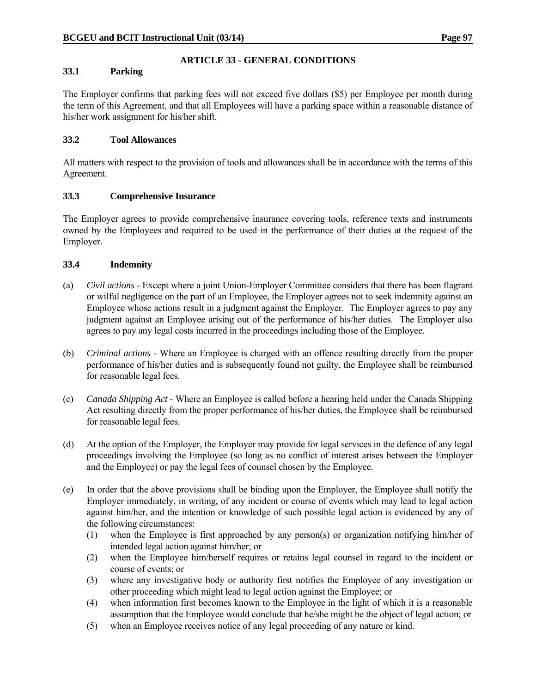# **ARTICLE 33 - GENERAL CONDITIONS**

## **33.1 Parking**

The Employer confirms that parking fees will not exceed five dollars (\$5) per Employee per month during the term of this Agreement, and that all Employees will have a parking space within a reasonable distance of his/her work assignment for his/her shift.

# **33.2 Tool Allowances**

All matters with respect to the provision of tools and allowances shall be in accordance with the terms of this Agreement.

## **33.3 Comprehensive Insurance**

The Employer agrees to provide comprehensive insurance covering tools, reference texts and instruments owned by the Employees and required to be used in the performance of their duties at the request of the Employer.

## **33.4 Indemnity**

- (a) *Civil actions* Except where a joint Union-Employer Committee considers that there has been flagrant or wilful negligence on the part of an Employee, the Employer agrees not to seek indemnity against an Employee whose actions result in a judgment against the Employer. The Employer agrees to pay any judgment against an Employee arising out of the performance of his/her duties. The Employer also agrees to pay any legal costs incurred in the proceedings including those of the Employee.
- (b) *Criminal actions* Where an Employee is charged with an offence resulting directly from the proper performance of his/her duties and is subsequently found not guilty, the Employee shall be reimbursed for reasonable legal fees.
- (c) *Canada Shipping Act* Where an Employee is called before a hearing held under the Canada Shipping Act resulting directly from the proper performance of his/her duties, the Employee shall be reimbursed for reasonable legal fees.
- (d) At the option of the Employer, the Employer may provide for legal services in the defence of any legal proceedings involving the Employee (so long as no conflict of interest arises between the Employer and the Employee) or pay the legal fees of counsel chosen by the Employee.
- (e) In order that the above provisions shall be binding upon the Employer, the Employee shall notify the Employer immediately, in writing, of any incident or course of events which may lead to legal action against him/her, and the intention or knowledge of such possible legal action is evidenced by any of the following circumstances:
	- (1) when the Employee is first approached by any person(s) or organization notifying him/her of intended legal action against him/her; or
	- (2) when the Employee him/herself requires or retains legal counsel in regard to the incident or course of events; or
	- (3) where any investigative body or authority first notifies the Employee of any investigation or other proceeding which might lead to legal action against the Employee; or
	- (4) when information first becomes known to the Employee in the light of which it is a reasonable assumption that the Employee would conclude that he/she might be the object of legal action; or
	- (5) when an Employee receives notice of any legal proceeding of any nature or kind.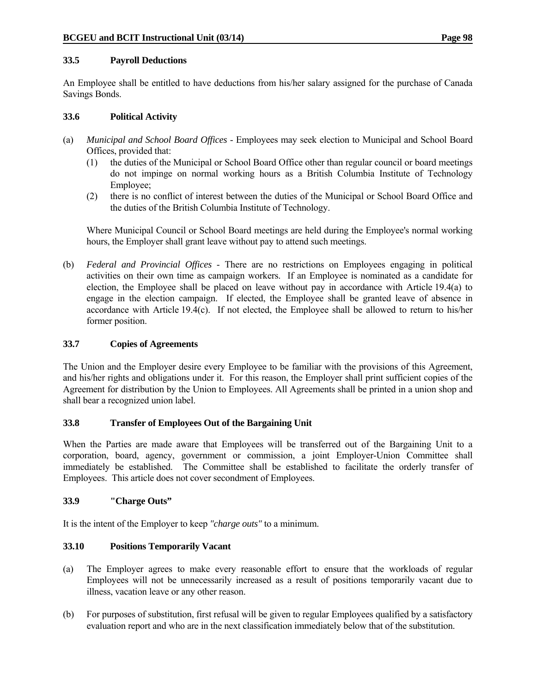## **33.5 Payroll Deductions**

An Employee shall be entitled to have deductions from his/her salary assigned for the purchase of Canada Savings Bonds.

## **33.6 Political Activity**

- (a) *Municipal and School Board Offices* Employees may seek election to Municipal and School Board Offices, provided that:
	- (1) the duties of the Municipal or School Board Office other than regular council or board meetings do not impinge on normal working hours as a British Columbia Institute of Technology Employee;
	- (2) there is no conflict of interest between the duties of the Municipal or School Board Office and the duties of the British Columbia Institute of Technology.

 Where Municipal Council or School Board meetings are held during the Employee's normal working hours, the Employer shall grant leave without pay to attend such meetings.

(b) *Federal and Provincial Offices* - There are no restrictions on Employees engaging in political activities on their own time as campaign workers. If an Employee is nominated as a candidate for election, the Employee shall be placed on leave without pay in accordance with Article 19.4(a) to engage in the election campaign. If elected, the Employee shall be granted leave of absence in accordance with Article 19.4(c). If not elected, the Employee shall be allowed to return to his/her former position.

# **33.7 Copies of Agreements**

The Union and the Employer desire every Employee to be familiar with the provisions of this Agreement, and his/her rights and obligations under it. For this reason, the Employer shall print sufficient copies of the Agreement for distribution by the Union to Employees. All Agreements shall be printed in a union shop and shall bear a recognized union label.

# **33.8 Transfer of Employees Out of the Bargaining Unit**

When the Parties are made aware that Employees will be transferred out of the Bargaining Unit to a corporation, board, agency, government or commission, a joint Employer-Union Committee shall immediately be established. The Committee shall be established to facilitate the orderly transfer of Employees. This article does not cover secondment of Employees.

# **33.9 "Charge Outs"**

It is the intent of the Employer to keep *"charge outs"* to a minimum.

# **33.10 Positions Temporarily Vacant**

- (a) The Employer agrees to make every reasonable effort to ensure that the workloads of regular Employees will not be unnecessarily increased as a result of positions temporarily vacant due to illness, vacation leave or any other reason.
- (b) For purposes of substitution, first refusal will be given to regular Employees qualified by a satisfactory evaluation report and who are in the next classification immediately below that of the substitution.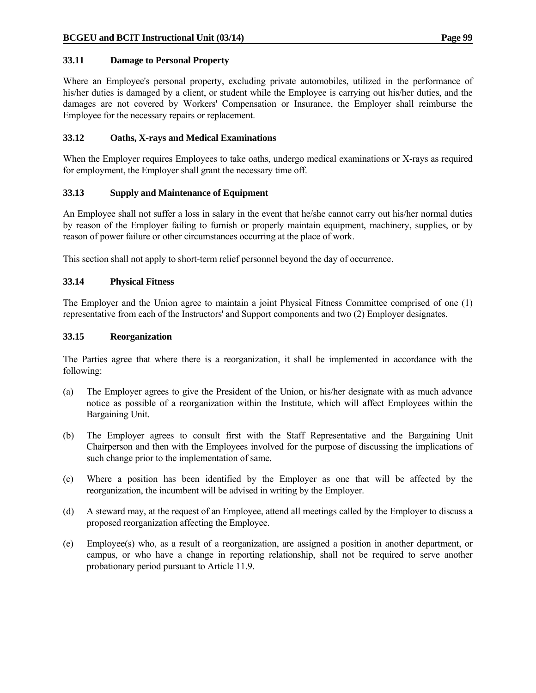## **33.11 Damage to Personal Property**

Where an Employee's personal property, excluding private automobiles, utilized in the performance of his/her duties is damaged by a client, or student while the Employee is carrying out his/her duties, and the damages are not covered by Workers' Compensation or Insurance, the Employer shall reimburse the Employee for the necessary repairs or replacement.

## **33.12 Oaths, X-rays and Medical Examinations**

When the Employer requires Employees to take oaths, undergo medical examinations or X-rays as required for employment, the Employer shall grant the necessary time off.

## **33.13 Supply and Maintenance of Equipment**

An Employee shall not suffer a loss in salary in the event that he/she cannot carry out his/her normal duties by reason of the Employer failing to furnish or properly maintain equipment, machinery, supplies, or by reason of power failure or other circumstances occurring at the place of work.

This section shall not apply to short-term relief personnel beyond the day of occurrence.

## **33.14 Physical Fitness**

The Employer and the Union agree to maintain a joint Physical Fitness Committee comprised of one (1) representative from each of the Instructors' and Support components and two (2) Employer designates.

#### **33.15 Reorganization**

The Parties agree that where there is a reorganization, it shall be implemented in accordance with the following:

- (a) The Employer agrees to give the President of the Union, or his/her designate with as much advance notice as possible of a reorganization within the Institute, which will affect Employees within the Bargaining Unit.
- (b) The Employer agrees to consult first with the Staff Representative and the Bargaining Unit Chairperson and then with the Employees involved for the purpose of discussing the implications of such change prior to the implementation of same.
- (c) Where a position has been identified by the Employer as one that will be affected by the reorganization, the incumbent will be advised in writing by the Employer.
- (d) A steward may, at the request of an Employee, attend all meetings called by the Employer to discuss a proposed reorganization affecting the Employee.
- (e) Employee(s) who, as a result of a reorganization, are assigned a position in another department, or campus, or who have a change in reporting relationship, shall not be required to serve another probationary period pursuant to Article 11.9.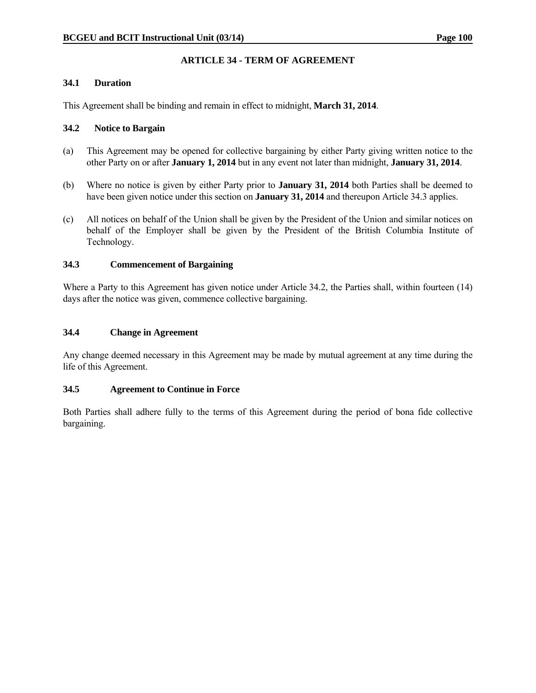### **ARTICLE 34 - TERM OF AGREEMENT**

#### **34.1 Duration**

This Agreement shall be binding and remain in effect to midnight, **March 31, 2014**.

#### **34.2 Notice to Bargain**

- (a) This Agreement may be opened for collective bargaining by either Party giving written notice to the other Party on or after **January 1, 2014** but in any event not later than midnight, **January 31, 2014**.
- (b) Where no notice is given by either Party prior to **January 31, 2014** both Parties shall be deemed to have been given notice under this section on **January 31, 2014** and thereupon Article 34.3 applies.
- (c) All notices on behalf of the Union shall be given by the President of the Union and similar notices on behalf of the Employer shall be given by the President of the British Columbia Institute of Technology.

#### **34.3 Commencement of Bargaining**

Where a Party to this Agreement has given notice under Article 34.2, the Parties shall, within fourteen (14) days after the notice was given, commence collective bargaining.

#### **34.4 Change in Agreement**

Any change deemed necessary in this Agreement may be made by mutual agreement at any time during the life of this Agreement.

#### **34.5 Agreement to Continue in Force**

Both Parties shall adhere fully to the terms of this Agreement during the period of bona fide collective bargaining.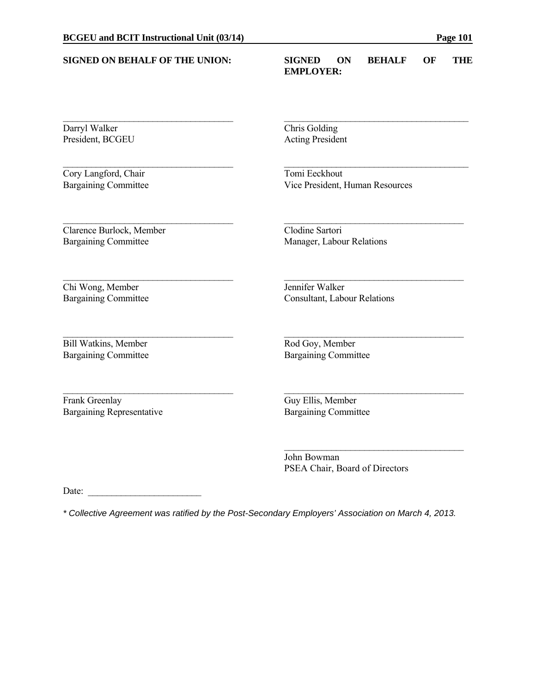| <b>SIGNED ON BEHALF OF THE UNION:</b> | <b>SIGNED</b><br>ON<br><b>BEHALF</b><br>OF<br>THE<br><b>EMPLOYER:</b> |  |  |  |  |  |
|---------------------------------------|-----------------------------------------------------------------------|--|--|--|--|--|
| Darryl Walker<br>President, BCGEU     | <b>Chris Golding</b><br><b>Acting President</b>                       |  |  |  |  |  |
|                                       |                                                                       |  |  |  |  |  |
| Cory Langford, Chair                  | Tomi Eeckhout                                                         |  |  |  |  |  |
| <b>Bargaining Committee</b>           | Vice President, Human Resources                                       |  |  |  |  |  |
| Clarence Burlock, Member              | Clodine Sartori                                                       |  |  |  |  |  |
| <b>Bargaining Committee</b>           | Manager, Labour Relations                                             |  |  |  |  |  |
| Chi Wong, Member                      | Jennifer Walker                                                       |  |  |  |  |  |
| <b>Bargaining Committee</b>           | Consultant, Labour Relations                                          |  |  |  |  |  |
| <b>Bill Watkins, Member</b>           | Rod Goy, Member                                                       |  |  |  |  |  |
| <b>Bargaining Committee</b>           | <b>Bargaining Committee</b>                                           |  |  |  |  |  |
| Frank Greenlay                        | Guy Ellis, Member                                                     |  |  |  |  |  |
| <b>Bargaining Representative</b>      | <b>Bargaining Committee</b>                                           |  |  |  |  |  |

 John Bowman PSEA Chair, Board of Directors

Date:  $\qquad \qquad$ 

*\* Collective Agreement was ratified by the Post-Secondary Employers' Association on March 4, 2013.*

 $\mathcal{L}_\text{max}$  and  $\mathcal{L}_\text{max}$  and  $\mathcal{L}_\text{max}$  and  $\mathcal{L}_\text{max}$  and  $\mathcal{L}_\text{max}$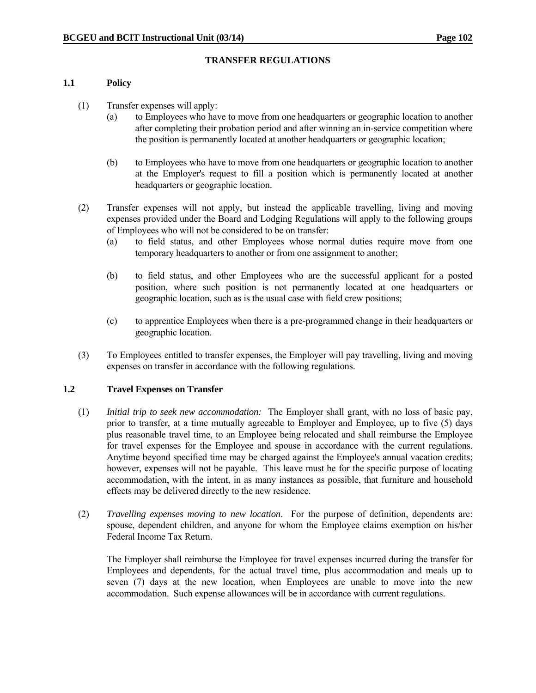#### **TRANSFER REGULATIONS**

#### **1.1 Policy**

- (1) Transfer expenses will apply:
	- (a) to Employees who have to move from one headquarters or geographic location to another after completing their probation period and after winning an in-service competition where the position is permanently located at another headquarters or geographic location;
	- (b) to Employees who have to move from one headquarters or geographic location to another at the Employer's request to fill a position which is permanently located at another headquarters or geographic location.
- (2) Transfer expenses will not apply, but instead the applicable travelling, living and moving expenses provided under the Board and Lodging Regulations will apply to the following groups of Employees who will not be considered to be on transfer:
	- (a) to field status, and other Employees whose normal duties require move from one temporary headquarters to another or from one assignment to another;
	- (b) to field status, and other Employees who are the successful applicant for a posted position, where such position is not permanently located at one headquarters or geographic location, such as is the usual case with field crew positions;
	- (c) to apprentice Employees when there is a pre-programmed change in their headquarters or geographic location.
- (3) To Employees entitled to transfer expenses, the Employer will pay travelling, living and moving expenses on transfer in accordance with the following regulations.

#### **1.2 Travel Expenses on Transfer**

- (1) *Initial trip to seek new accommodation:* The Employer shall grant, with no loss of basic pay, prior to transfer, at a time mutually agreeable to Employer and Employee, up to five (5) days plus reasonable travel time, to an Employee being relocated and shall reimburse the Employee for travel expenses for the Employee and spouse in accordance with the current regulations. Anytime beyond specified time may be charged against the Employee's annual vacation credits; however, expenses will not be payable. This leave must be for the specific purpose of locating accommodation, with the intent, in as many instances as possible, that furniture and household effects may be delivered directly to the new residence.
- (2) *Travelling expenses moving to new location*. For the purpose of definition, dependents are: spouse, dependent children, and anyone for whom the Employee claims exemption on his/her Federal Income Tax Return.

 The Employer shall reimburse the Employee for travel expenses incurred during the transfer for Employees and dependents, for the actual travel time, plus accommodation and meals up to seven (7) days at the new location, when Employees are unable to move into the new accommodation. Such expense allowances will be in accordance with current regulations.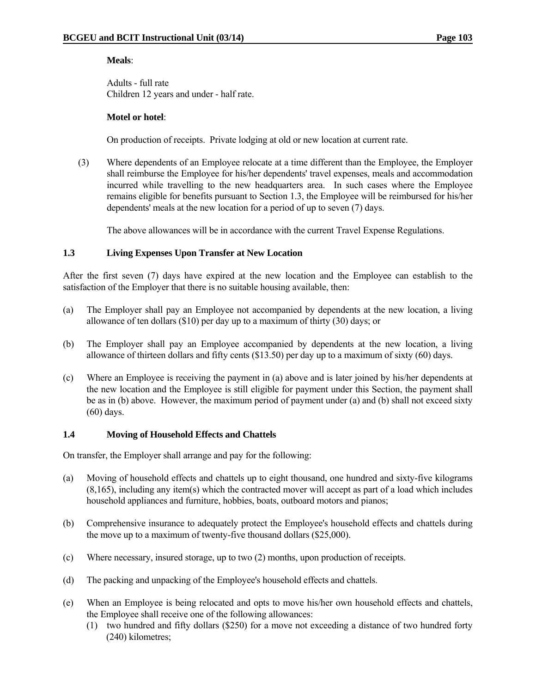#### **Meals**:

 Adults - full rate Children 12 years and under - half rate.

#### **Motel or hotel**:

On production of receipts. Private lodging at old or new location at current rate.

 (3) Where dependents of an Employee relocate at a time different than the Employee, the Employer shall reimburse the Employee for his/her dependents' travel expenses, meals and accommodation incurred while travelling to the new headquarters area. In such cases where the Employee remains eligible for benefits pursuant to Section 1.3, the Employee will be reimbursed for his/her dependents' meals at the new location for a period of up to seven (7) days.

The above allowances will be in accordance with the current Travel Expense Regulations.

#### **1.3 Living Expenses Upon Transfer at New Location**

After the first seven (7) days have expired at the new location and the Employee can establish to the satisfaction of the Employer that there is no suitable housing available, then:

- (a) The Employer shall pay an Employee not accompanied by dependents at the new location, a living allowance of ten dollars (\$10) per day up to a maximum of thirty (30) days; or
- (b) The Employer shall pay an Employee accompanied by dependents at the new location, a living allowance of thirteen dollars and fifty cents (\$13.50) per day up to a maximum of sixty (60) days.
- (c) Where an Employee is receiving the payment in (a) above and is later joined by his/her dependents at the new location and the Employee is still eligible for payment under this Section, the payment shall be as in (b) above. However, the maximum period of payment under (a) and (b) shall not exceed sixty (60) days.

#### **1.4 Moving of Household Effects and Chattels**

On transfer, the Employer shall arrange and pay for the following:

- (a) Moving of household effects and chattels up to eight thousand, one hundred and sixty-five kilograms (8,165), including any item(s) which the contracted mover will accept as part of a load which includes household appliances and furniture, hobbies, boats, outboard motors and pianos;
- (b) Comprehensive insurance to adequately protect the Employee's household effects and chattels during the move up to a maximum of twenty-five thousand dollars (\$25,000).
- (c) Where necessary, insured storage, up to two (2) months, upon production of receipts.
- (d) The packing and unpacking of the Employee's household effects and chattels.
- (e) When an Employee is being relocated and opts to move his/her own household effects and chattels, the Employee shall receive one of the following allowances:
	- (1) two hundred and fifty dollars (\$250) for a move not exceeding a distance of two hundred forty (240) kilometres;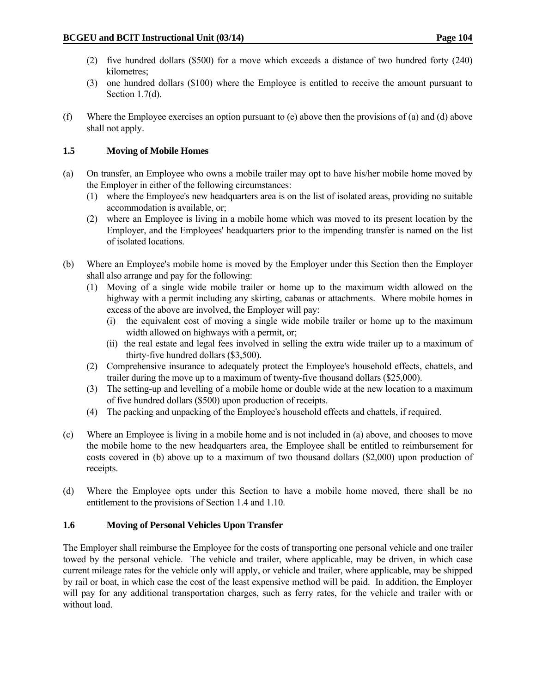- (2) five hundred dollars (\$500) for a move which exceeds a distance of two hundred forty (240) kilometres;
- (3) one hundred dollars (\$100) where the Employee is entitled to receive the amount pursuant to Section 1.7(d).
- (f) Where the Employee exercises an option pursuant to (e) above then the provisions of (a) and (d) above shall not apply.

#### **1.5 Moving of Mobile Homes**

- (a) On transfer, an Employee who owns a mobile trailer may opt to have his/her mobile home moved by the Employer in either of the following circumstances:
	- (1) where the Employee's new headquarters area is on the list of isolated areas, providing no suitable accommodation is available, or;
	- (2) where an Employee is living in a mobile home which was moved to its present location by the Employer, and the Employees' headquarters prior to the impending transfer is named on the list of isolated locations.
- (b) Where an Employee's mobile home is moved by the Employer under this Section then the Employer shall also arrange and pay for the following:
	- (1) Moving of a single wide mobile trailer or home up to the maximum width allowed on the highway with a permit including any skirting, cabanas or attachments. Where mobile homes in excess of the above are involved, the Employer will pay:
		- (i) the equivalent cost of moving a single wide mobile trailer or home up to the maximum width allowed on highways with a permit, or;
		- (ii) the real estate and legal fees involved in selling the extra wide trailer up to a maximum of thirty-five hundred dollars (\$3,500).
	- (2) Comprehensive insurance to adequately protect the Employee's household effects, chattels, and trailer during the move up to a maximum of twenty-five thousand dollars (\$25,000).
	- (3) The setting-up and levelling of a mobile home or double wide at the new location to a maximum of five hundred dollars (\$500) upon production of receipts.
	- (4) The packing and unpacking of the Employee's household effects and chattels, if required.
- (c) Where an Employee is living in a mobile home and is not included in (a) above, and chooses to move the mobile home to the new headquarters area, the Employee shall be entitled to reimbursement for costs covered in (b) above up to a maximum of two thousand dollars (\$2,000) upon production of receipts.
- (d) Where the Employee opts under this Section to have a mobile home moved, there shall be no entitlement to the provisions of Section 1.4 and 1.10.

### **1.6 Moving of Personal Vehicles Upon Transfer**

The Employer shall reimburse the Employee for the costs of transporting one personal vehicle and one trailer towed by the personal vehicle. The vehicle and trailer, where applicable, may be driven, in which case current mileage rates for the vehicle only will apply, or vehicle and trailer, where applicable, may be shipped by rail or boat, in which case the cost of the least expensive method will be paid. In addition, the Employer will pay for any additional transportation charges, such as ferry rates, for the vehicle and trailer with or without load.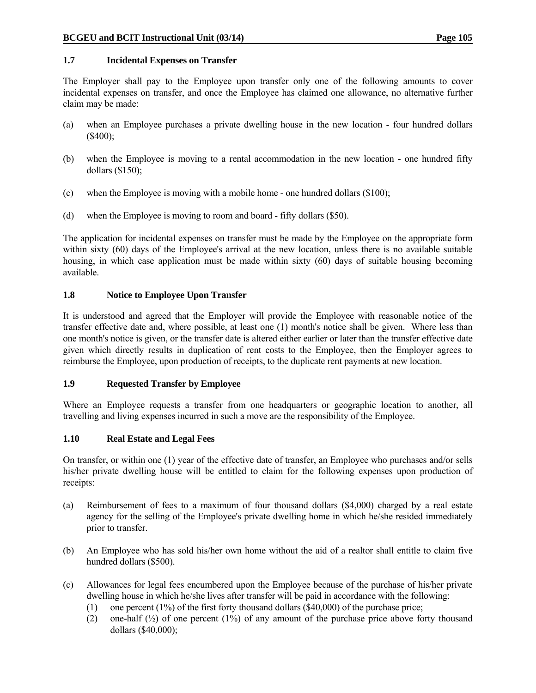#### **1.7 Incidental Expenses on Transfer**

The Employer shall pay to the Employee upon transfer only one of the following amounts to cover incidental expenses on transfer, and once the Employee has claimed one allowance, no alternative further claim may be made:

- (a) when an Employee purchases a private dwelling house in the new location four hundred dollars (\$400);
- (b) when the Employee is moving to a rental accommodation in the new location one hundred fifty dollars (\$150);
- (c) when the Employee is moving with a mobile home one hundred dollars (\$100);
- (d) when the Employee is moving to room and board fifty dollars (\$50).

The application for incidental expenses on transfer must be made by the Employee on the appropriate form within sixty (60) days of the Employee's arrival at the new location, unless there is no available suitable housing, in which case application must be made within sixty (60) days of suitable housing becoming available.

#### **1.8 Notice to Employee Upon Transfer**

It is understood and agreed that the Employer will provide the Employee with reasonable notice of the transfer effective date and, where possible, at least one (1) month's notice shall be given. Where less than one month's notice is given, or the transfer date is altered either earlier or later than the transfer effective date given which directly results in duplication of rent costs to the Employee, then the Employer agrees to reimburse the Employee, upon production of receipts, to the duplicate rent payments at new location.

#### **1.9 Requested Transfer by Employee**

Where an Employee requests a transfer from one headquarters or geographic location to another, all travelling and living expenses incurred in such a move are the responsibility of the Employee.

#### **1.10 Real Estate and Legal Fees**

On transfer, or within one (1) year of the effective date of transfer, an Employee who purchases and/or sells his/her private dwelling house will be entitled to claim for the following expenses upon production of receipts:

- (a) Reimbursement of fees to a maximum of four thousand dollars (\$4,000) charged by a real estate agency for the selling of the Employee's private dwelling home in which he/she resided immediately prior to transfer.
- (b) An Employee who has sold his/her own home without the aid of a realtor shall entitle to claim five hundred dollars (\$500).
- (c) Allowances for legal fees encumbered upon the Employee because of the purchase of his/her private dwelling house in which he/she lives after transfer will be paid in accordance with the following:
	- (1) one percent  $(1\%)$  of the first forty thousand dollars  $(\$40,000)$  of the purchase price;
	- (2) one-half  $\binom{1}{2}$  of one percent (1%) of any amount of the purchase price above forty thousand dollars (\$40,000);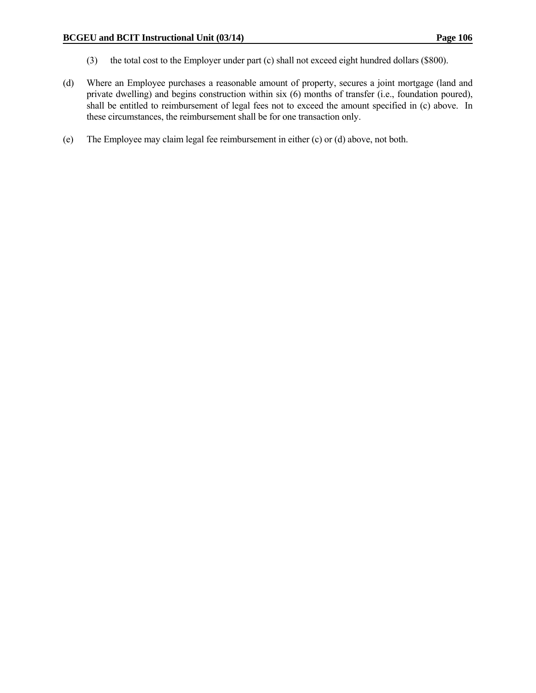- (3) the total cost to the Employer under part (c) shall not exceed eight hundred dollars (\$800).
- (d) Where an Employee purchases a reasonable amount of property, secures a joint mortgage (land and private dwelling) and begins construction within six (6) months of transfer (i.e., foundation poured), shall be entitled to reimbursement of legal fees not to exceed the amount specified in (c) above. In these circumstances, the reimbursement shall be for one transaction only.
- (e) The Employee may claim legal fee reimbursement in either (c) or (d) above, not both.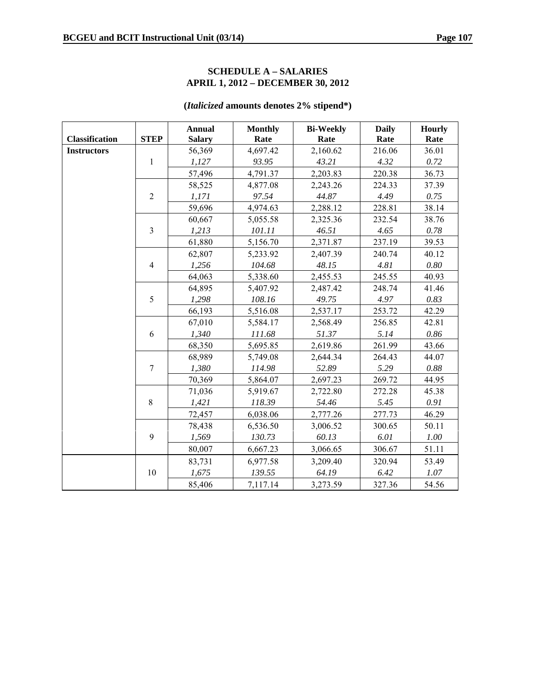#### **SCHEDULE A – SALARIES APRIL 1, 2012 – DECEMBER 30, 2012**

## **(***Italicized* **amounts denotes 2% stipend\*)**

|                       |                | <b>Annual</b> | <b>Monthly</b> | <b>Bi-Weekly</b> | <b>Daily</b> | <b>Hourly</b> |
|-----------------------|----------------|---------------|----------------|------------------|--------------|---------------|
| <b>Classification</b> | <b>STEP</b>    | <b>Salary</b> | Rate           | Rate             | Rate         | Rate          |
| <b>Instructors</b>    |                | 56,369        | 4,697.42       | 2,160.62         | 216.06       | 36.01         |
|                       | $\mathbf{1}$   | 1,127         | 93.95          | 43.21            | 4.32         | 0.72          |
|                       |                | 57,496        | 4,791.37       | 2,203.83         | 220.38       | 36.73         |
|                       |                | 58,525        | 4,877.08       | 2,243.26         | 224.33       | 37.39         |
|                       | $\overline{2}$ | 1,171         | 97.54          | 44.87            | 4.49         | 0.75          |
|                       |                | 59,696        | 4,974.63       | 2,288.12         | 228.81       | 38.14         |
|                       |                | 60,667        | 5,055.58       | 2,325.36         | 232.54       | 38.76         |
|                       | $\overline{3}$ | 1,213         | 101.11         | 46.51            | 4.65         | 0.78          |
|                       |                | 61,880        | 5,156.70       | 2,371.87         | 237.19       | 39.53         |
|                       |                | 62,807        | 5,233.92       | 2,407.39         | 240.74       | 40.12         |
|                       | $\overline{4}$ | 1,256         | 104.68         | 48.15            | 4.81         | 0.80          |
|                       |                | 64,063        | 5,338.60       | 2,455.53         | 245.55       | 40.93         |
|                       |                | 64,895        | 5,407.92       | 2,487.42         | 248.74       | 41.46         |
|                       | 5              | 1,298         | 108.16         | 49.75            | 4.97         | 0.83          |
|                       |                | 66,193        | 5,516.08       | 2,537.17         | 253.72       | 42.29         |
|                       |                | 67,010        | 5,584.17       | 2,568.49         | 256.85       | 42.81         |
|                       | 6              | 1,340         | 111.68         | 51.37            | 5.14         | 0.86          |
|                       |                | 68,350        | 5,695.85       | 2,619.86         | 261.99       | 43.66         |
|                       |                | 68,989        | 5,749.08       | 2,644.34         | 264.43       | 44.07         |
|                       | 7              | 1,380         | 114.98         | 52.89            | 5.29         | 0.88          |
|                       |                | 70,369        | 5,864.07       | 2,697.23         | 269.72       | 44.95         |
|                       |                | 71,036        | 5,919.67       | 2,722.80         | 272.28       | 45.38         |
|                       | 8              | 1,421         | 118.39         | 54.46            | 5.45         | 0.91          |
|                       |                | 72,457        | 6,038.06       | 2,777.26         | 277.73       | 46.29         |
|                       |                | 78,438        | 6,536.50       | 3,006.52         | 300.65       | 50.11         |
|                       | 9              | 1,569         | 130.73         | 60.13            | 6.01         | 1.00          |
|                       |                | 80,007        | 6,667.23       | 3,066.65         | 306.67       | 51.11         |
|                       |                | 83,731        | 6,977.58       | 3,209.40         | 320.94       | 53.49         |
|                       | 10             | 1,675         | 139.55         | 64.19            | 6.42         | 1.07          |
|                       |                | 85,406        | 7,117.14       | 3,273.59         | 327.36       | 54.56         |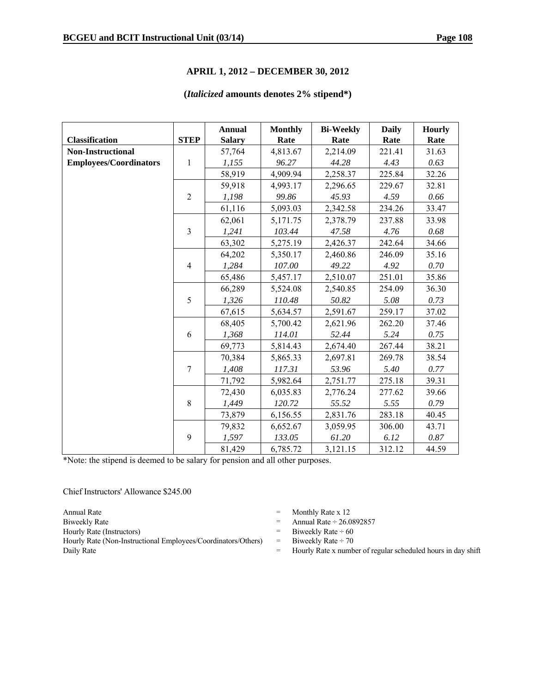#### **APRIL 1, 2012 – DECEMBER 30, 2012**

#### **(***Italicized* **amounts denotes 2% stipend\*)**

|                               |                | <b>Annual</b> | <b>Monthly</b> | <b>Bi-Weekly</b> | <b>Daily</b> | <b>Hourly</b> |
|-------------------------------|----------------|---------------|----------------|------------------|--------------|---------------|
| <b>Classification</b>         | <b>STEP</b>    | <b>Salary</b> | Rate           | Rate             | Rate         | Rate          |
| <b>Non-Instructional</b>      |                | 57,764        | 4,813.67       | 2,214.09         | 221.41       | 31.63         |
| <b>Employees/Coordinators</b> | $\mathbf{1}$   | 1,155         | 96.27          | 44.28            | 4.43         | 0.63          |
|                               |                | 58,919        | 4,909.94       | 2,258.37         | 225.84       | 32.26         |
|                               |                | 59,918        | 4,993.17       | 2,296.65         | 229.67       | 32.81         |
|                               | $\overline{2}$ | 1,198         | 99.86          | 45.93            | 4.59         | 0.66          |
|                               |                | 61,116        | 5,093.03       | 2,342.58         | 234.26       | 33.47         |
|                               |                | 62,061        | 5,171.75       | 2,378.79         | 237.88       | 33.98         |
|                               | $\mathfrak{Z}$ | 1,241         | 103.44         | 47.58            | 4.76         | 0.68          |
|                               |                | 63,302        | 5,275.19       | 2,426.37         | 242.64       | 34.66         |
|                               |                | 64,202        | 5,350.17       | 2,460.86         | 246.09       | 35.16         |
|                               | $\overline{4}$ | 1,284         | 107.00         | 49.22            | 4.92         | 0.70          |
|                               |                | 65,486        | 5,457.17       | 2,510.07         | 251.01       | 35.86         |
|                               |                | 66,289        | 5,524.08       | 2,540.85         | 254.09       | 36.30         |
|                               | 5              | 1,326         | 110.48         | 50.82            | 5.08         | 0.73          |
|                               |                | 67,615        | 5,634.57       | 2,591.67         | 259.17       | 37.02         |
|                               |                | 68,405        | 5,700.42       | 2,621.96         | 262.20       | 37.46         |
|                               | 6              | 1,368         | 114.01         | 52.44            | 5.24         | 0.75          |
|                               |                | 69,773        | 5,814.43       | 2,674.40         | 267.44       | 38.21         |
|                               |                | 70,384        | 5,865.33       | 2,697.81         | 269.78       | 38.54         |
|                               | $\overline{7}$ | 1,408         | 117.31         | 53.96            | 5.40         | 0.77          |
|                               |                | 71,792        | 5,982.64       | 2,751.77         | 275.18       | 39.31         |
|                               |                | 72,430        | 6,035.83       | 2,776.24         | 277.62       | 39.66         |
|                               | $8\,$          | 1,449         | 120.72         | 55.52            | 5.55         | 0.79          |
|                               |                | 73,879        | 6,156.55       | 2,831.76         | 283.18       | 40.45         |
|                               |                | 79,832        | 6,652.67       | 3,059.95         | 306.00       | 43.71         |
|                               | 9              | 1,597         | 133.05         | 61.20            | 6.12         | 0.87          |
|                               |                | 81,429        | 6,785.72       | 3,121.15         | 312.12       | 44.59         |

\*Note: the stipend is deemed to be salary for pension and all other purposes.

Chief Instructors' Allowance \$245.00

Hourly Rate (Non-Instructional Employees/Coordinators/Others) = Biweekly Rate  $\div$  70 Daily Rate **Example 2018** Hourly Rate x number of regular scheduled hours in day shift

- Annual Rate  $\qquad$  Monthly Rate x 12
- Biweekly Rate  $\qquad \qquad$  Annual Rate  $\div 26.0892857$
- Hourly Rate (Instructors)  $=$  Biweekly Rate  $\div$  60
	-
	-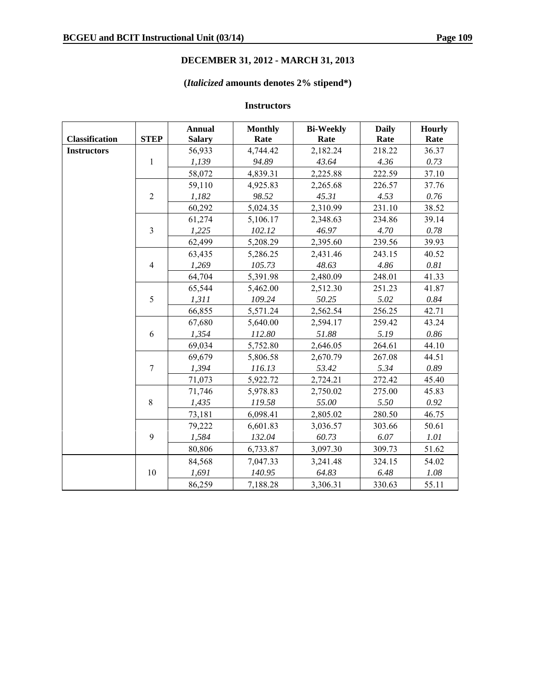# **DECEMBER 31, 2012 - MARCH 31, 2013**

# **(***Italicized* **amounts denotes 2% stipend\*)**

# **Instructors**

|                       |                | <b>Annual</b> | <b>Monthly</b> | <b>Bi-Weekly</b> | <b>Daily</b> | <b>Hourly</b> |
|-----------------------|----------------|---------------|----------------|------------------|--------------|---------------|
| <b>Classification</b> | <b>STEP</b>    | <b>Salary</b> | Rate           | Rate             | Rate         | Rate          |
| <b>Instructors</b>    |                | 56,933        | 4,744.42       | 2,182.24         | 218.22       | 36.37         |
|                       | 1              | 1,139         | 94.89          | 43.64            | 4.36         | 0.73          |
|                       |                | 58,072        | 4,839.31       | 2,225.88         | 222.59       | 37.10         |
|                       |                | 59,110        | 4,925.83       | 2,265.68         | 226.57       | 37.76         |
|                       | $\overline{2}$ | 1,182         | 98.52          | 45.31            | 4.53         | $0.76\,$      |
|                       |                | 60,292        | 5,024.35       | 2,310.99         | 231.10       | 38.52         |
|                       |                | 61,274        | 5,106.17       | 2,348.63         | 234.86       | 39.14         |
|                       | $\overline{3}$ | 1,225         | 102.12         | 46.97            | 4.70         | 0.78          |
|                       |                | 62,499        | 5,208.29       | 2,395.60         | 239.56       | 39.93         |
|                       |                | 63,435        | 5,286.25       | 2,431.46         | 243.15       | 40.52         |
|                       | $\overline{4}$ | 1,269         | 105.73         | 48.63            | 4.86         | $0.81\,$      |
|                       |                | 64,704        | 5,391.98       | 2,480.09         | 248.01       | 41.33         |
|                       |                | 65,544        | 5,462.00       | 2,512.30         | 251.23       | 41.87         |
|                       | 5              | 1,311         | 109.24         | 50.25            | 5.02         | 0.84          |
|                       |                | 66,855        | 5,571.24       | 2,562.54         | 256.25       | 42.71         |
|                       |                | 67,680        | 5,640.00       | 2,594.17         | 259.42       | 43.24         |
|                       | 6              | 1,354         | 112.80         | 51.88            | 5.19         | $0.86\,$      |
|                       |                | 69,034        | 5,752.80       | 2,646.05         | 264.61       | 44.10         |
|                       |                | 69,679        | 5,806.58       | 2,670.79         | 267.08       | 44.51         |
|                       | $\overline{7}$ | 1,394         | 116.13         | 53.42            | 5.34         | 0.89          |
|                       |                | 71,073        | 5,922.72       | 2,724.21         | 272.42       | 45.40         |
|                       |                | 71,746        | 5,978.83       | 2,750.02         | 275.00       | 45.83         |
|                       | 8              | 1,435         | 119.58         | 55.00            | 5.50         | 0.92          |
|                       |                | 73,181        | 6,098.41       | 2,805.02         | 280.50       | 46.75         |
|                       |                | 79,222        | 6,601.83       | 3,036.57         | 303.66       | 50.61         |
|                       | 9              | 1,584         | 132.04         | 60.73            | 6.07         | 1.01          |
|                       |                | 80,806        | 6,733.87       | 3,097.30         | 309.73       | 51.62         |
|                       |                | 84,568        | 7,047.33       | 3,241.48         | 324.15       | 54.02         |
|                       | 10             | 1,691         | 140.95         | 64.83            | 6.48         | 1.08          |
|                       |                | 86,259        | 7,188.28       | 3,306.31         | 330.63       | 55.11         |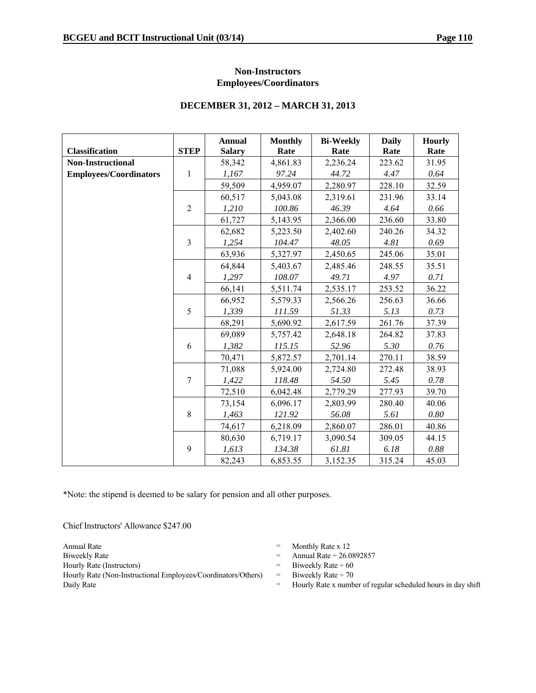#### **Non-Instructors Employees/Coordinators**

#### **DECEMBER 31, 2012 – MARCH 31, 2013**

|                               |                | <b>Annual</b> | <b>Monthly</b> | <b>Bi-Weekly</b> | <b>Daily</b> | <b>Hourly</b> |
|-------------------------------|----------------|---------------|----------------|------------------|--------------|---------------|
| <b>Classification</b>         | <b>STEP</b>    | <b>Salary</b> | Rate           | Rate             | Rate         | Rate          |
| <b>Non-Instructional</b>      |                | 58,342        | 4,861.83       | 2,236.24         | 223.62       | 31.95         |
| <b>Employees/Coordinators</b> | $\mathbf{1}$   | 1,167         | 97.24          | 44.72            | 4.47         | 0.64          |
|                               |                | 59,509        | 4,959.07       | 2,280.97         | 228.10       | 32.59         |
|                               |                | 60,517        | 5,043.08       | 2,319.61         | 231.96       | 33.14         |
|                               | $\overline{c}$ | 1,210         | 100.86         | 46.39            | 4.64         | 0.66          |
|                               |                | 61,727        | 5,143.95       | 2,366.00         | 236.60       | 33.80         |
|                               |                | 62,682        | 5,223.50       | 2,402.60         | 240.26       | 34.32         |
|                               | $\mathfrak{Z}$ | 1,254         | 104.47         | 48.05            | 4.81         | 0.69          |
|                               |                | 63,936        | 5,327.97       | 2,450.65         | 245.06       | 35.01         |
|                               |                | 64,844        | 5,403.67       | 2,485.46         | 248.55       | 35.51         |
|                               | $\overline{4}$ | 1,297         | 108.07         | 49.71            | 4.97         | 0.71          |
|                               |                | 66,141        | 5,511.74       | 2,535.17         | 253.52       | 36.22         |
|                               |                | 66,952        | 5,579.33       | 2,566.26         | 256.63       | 36.66         |
|                               | 5              | 1,339         | 111.59         | 51.33            | 5.13         | 0.73          |
|                               |                | 68,291        | 5,690.92       | 2,617.59         | 261.76       | 37.39         |
|                               |                | 69,089        | 5,757.42       | 2,648.18         | 264.82       | 37.83         |
|                               | 6              | 1,382         | 115.15         | 52.96            | 5.30         | 0.76          |
|                               |                | 70,471        | 5,872.57       | 2,701.14         | 270.11       | 38.59         |
|                               |                | 71,088        | 5,924.00       | 2,724.80         | 272.48       | 38.93         |
|                               | $\overline{7}$ | 1,422         | 118.48         | 54.50            | 5.45         | 0.78          |
|                               |                | 72,510        | 6,042.48       | 2,779.29         | 277.93       | 39.70         |
|                               |                | 73,154        | 6,096.17       | 2,803.99         | 280.40       | 40.06         |
|                               | 8              | 1,463         | 121.92         | 56.08            | 5.61         | 0.80          |
|                               |                | 74,617        | 6,218.09       | 2,860.07         | 286.01       | 40.86         |
|                               |                | 80,630        | 6,719.17       | 3,090.54         | 309.05       | 44.15         |
|                               | 9              | 1,613         | 134.38         | 61.81            | 6.18         | 0.88          |
|                               |                | 82,243        | 6,853.55       | 3,152.35         | 315.24       | 45.03         |

\*Note: the stipend is deemed to be salary for pension and all other purposes.

Chief Instructors' Allowance \$247.00

Hourly Rate (Non-Instructional Employees/Coordinators/Others) = Biweekly Rate  $\div$  70 Daily Rate  $=$  Hourly Rate x number of regular scheduled hours in day shift

- Annual Rate  $\qquad$  Monthly Rate x 12
- Biweekly Rate  $\qquad \qquad$  Annual Rate  $\div 26.0892857$
- Hourly Rate (Instructors)  $=$  Biweekly Rate  $\div$  60
	-
	-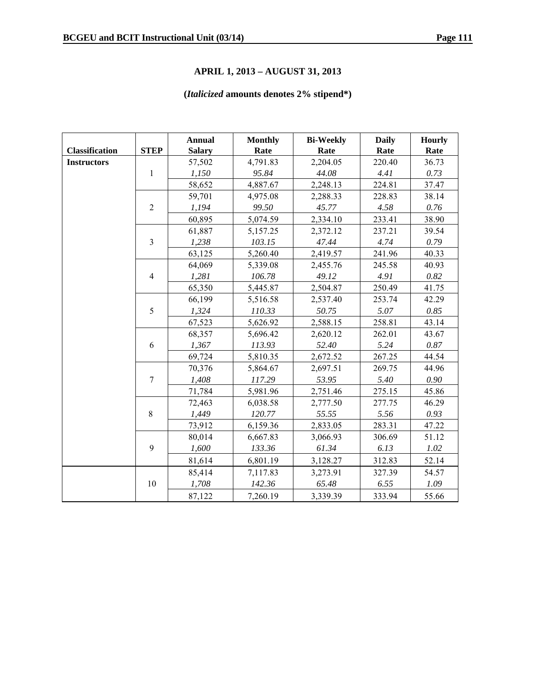#### **APRIL 1, 2013 – AUGUST 31, 2013**

# **(***Italicized* **amounts denotes 2% stipend\*)**

|                       |                | <b>Annual</b> | <b>Monthly</b> | <b>Bi-Weekly</b> | <b>Daily</b> | <b>Hourly</b> |
|-----------------------|----------------|---------------|----------------|------------------|--------------|---------------|
| <b>Classification</b> | <b>STEP</b>    | <b>Salary</b> | Rate           | Rate             | Rate         | Rate          |
| <b>Instructors</b>    |                | 57,502        | 4,791.83       | 2,204.05         | 220.40       | 36.73         |
|                       | 1              | 1,150         | 95.84          | 44.08            | 4.41         | 0.73          |
|                       |                | 58,652        | 4,887.67       | 2,248.13         | 224.81       | 37.47         |
|                       |                | 59,701        | 4,975.08       | 2,288.33         | 228.83       | 38.14         |
|                       | $\overline{2}$ | 1,194         | 99.50          | 45.77            | 4.58         | $0.76\,$      |
|                       |                | 60,895        | 5,074.59       | 2,334.10         | 233.41       | 38.90         |
|                       |                | 61,887        | 5,157.25       | 2,372.12         | 237.21       | 39.54         |
|                       | $\overline{3}$ | 1,238         | 103.15         | 47.44            | 4.74         | 0.79          |
|                       |                | 63,125        | 5,260.40       | 2,419.57         | 241.96       | 40.33         |
|                       |                | 64,069        | 5,339.08       | 2,455.76         | 245.58       | 40.93         |
|                       | $\overline{4}$ | 1,281         | 106.78         | 49.12            | 4.91         | 0.82          |
|                       |                | 65,350        | 5,445.87       | 2,504.87         | 250.49       | 41.75         |
|                       |                | 66,199        | 5,516.58       | 2,537.40         | 253.74       | 42.29         |
|                       | 5              | 1,324         | 110.33         | 50.75            | 5.07         | 0.85          |
|                       |                | 67,523        | 5,626.92       | 2,588.15         | 258.81       | 43.14         |
|                       |                | 68,357        | 5,696.42       | 2,620.12         | 262.01       | 43.67         |
| 6                     |                | 1,367         | 113.93         | 52.40            | 5.24         | 0.87          |
|                       |                | 69,724        | 5,810.35       | 2,672.52         | 267.25       | 44.54         |
|                       |                | 70,376        | 5,864.67       | 2,697.51         | 269.75       | 44.96         |
|                       | $\overline{7}$ | 1,408         | 117.29         | 53.95            | 5.40         | 0.90          |
|                       |                | 71,784        | 5,981.96       | 2,751.46         | 275.15       | 45.86         |
|                       |                | 72,463        | 6,038.58       | 2,777.50         | 277.75       | 46.29         |
|                       | 8              | 1,449         | 120.77         | 55.55            | 5.56         | 0.93          |
|                       |                | 73,912        | 6,159.36       | 2,833.05         | 283.31       | 47.22         |
|                       |                | 80,014        | 6,667.83       | 3,066.93         | 306.69       | 51.12         |
|                       | 9              | 1,600         | 133.36         | 61.34            | 6.13         | 1.02          |
|                       |                | 81,614        | 6,801.19       | 3,128.27         | 312.83       | 52.14         |
|                       |                | 85,414        | 7,117.83       | 3,273.91         | 327.39       | 54.57         |
|                       | 10             | 1,708         | 142.36         | 65.48            | 6.55         | 1.09          |
|                       |                | 87,122        | 7,260.19       | 3,339.39         | 333.94       | 55.66         |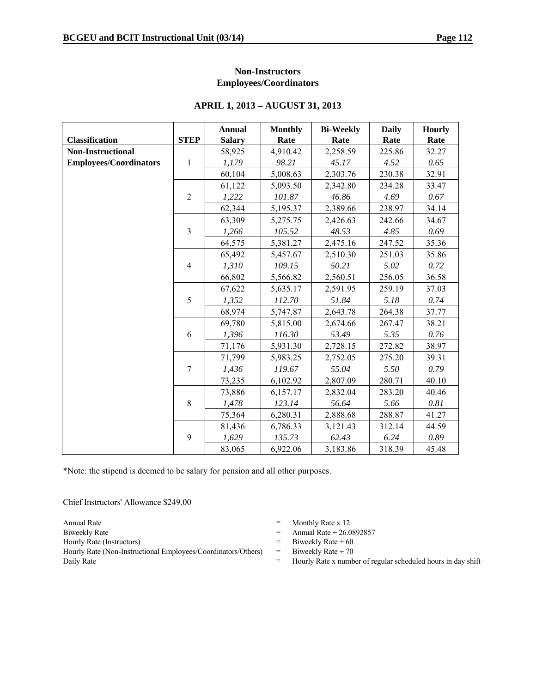#### **Non-Instructors Employees/Coordinators**

|                               |                | <b>Annual</b> | <b>Monthly</b> | <b>Bi-Weekly</b> | <b>Daily</b> | <b>Hourly</b> |
|-------------------------------|----------------|---------------|----------------|------------------|--------------|---------------|
| <b>Classification</b>         | <b>STEP</b>    | <b>Salary</b> | Rate           | Rate             | Rate         | Rate          |
| <b>Non-Instructional</b>      |                | 58,925        | 4,910.42       | 2,258.59         | 225.86       | 32.27         |
| <b>Employees/Coordinators</b> | $\mathbf{1}$   | 1,179         | 98.21          | 45.17            | 4.52         | 0.65          |
|                               |                | 60,104        | 5,008.63       | 2,303.76         | 230.38       | 32.91         |
|                               |                | 61,122        | 5,093.50       | 2,342.80         | 234.28       | 33.47         |
|                               | $\overline{2}$ | 1,222         | 101.87         | 46.86            | 4.69         | 0.67          |
|                               |                | 62,344        | 5,195.37       | 2,389.66         | 238.97       | 34.14         |
|                               |                | 63,309        | 5,275.75       | 2,426.63         | 242.66       | 34.67         |
|                               | $\overline{3}$ | 1,266         | 105.52         | 48.53            | 4.85         | 0.69          |
|                               |                | 64,575        | 5,381.27       | 2,475.16         | 247.52       | 35.36         |
|                               |                | 65,492        | 5,457.67       | 2,510.30         | 251.03       | 35.86         |
|                               | $\overline{4}$ | 1,310         | 109.15         | 50.21            | 5.02         | 0.72          |
|                               |                | 66,802        | 5,566.82       | 2,560.51         | 256.05       | 36.58         |
|                               |                | 67,622        | 5,635.17       | 2,591.95         | 259.19       | 37.03         |
|                               | 5              | 1,352         | 112.70         | 51.84            | 5.18         | 0.74          |
|                               |                | 68,974        | 5,747.87       | 2,643.78         | 264.38       | 37.77         |
|                               |                | 69,780        | 5,815.00       | 2,674.66         | 267.47       | 38.21         |
|                               | 6              | 1,396         | 116.30         | 53.49            | 5.35         | 0.76          |
|                               |                | 71,176        | 5,931.30       | 2,728.15         | 272.82       | 38.97         |
|                               |                | 71,799        | 5,983.25       | 2,752.05         | 275.20       | 39.31         |
|                               | $\overline{7}$ | 1,436         | 119.67         | 55.04            | 5.50         | 0.79          |
|                               |                | 73,235        | 6,102.92       | 2,807.09         | 280.71       | 40.10         |
|                               |                | 73,886        | 6,157.17       | 2,832.04         | 283.20       | 40.46         |
|                               | $8\,$          | 1,478         | 123.14         | 56.64            | 5.66         | 0.81          |
|                               |                | 75,364        | 6,280.31       | 2,888.68         | 288.87       | 41.27         |
|                               |                | 81,436        | 6,786.33       | 3,121.43         | 312.14       | 44.59         |
|                               | 9              | 1,629         | 135.73         | 62.43            | 6.24         | 0.89          |
|                               |                | 83,065        | 6,922.06       | 3,183.86         | 318.39       | 45.48         |

#### **APRIL 1, 2013 – AUGUST 31, 2013**

\*Note: the stipend is deemed to be salary for pension and all other purposes.

Chief Instructors' Allowance \$249.00

Annual Rate  $\qquad$  Monthly Rate x 12 Biweekly Rate  $\qquad \qquad$  Annual Rate  $\div$  26.0892857 Hourly Rate (Instructors)  $=$  Biweekly Rate  $\div$  60 Hourly Rate (Non-Instructional Employees/Coordinators/Others) = Biweekly Rate ÷ 70

- 
- 
- 
- 
- Daily Rate  $=$  Hourly Rate x number of regular scheduled hours in day shift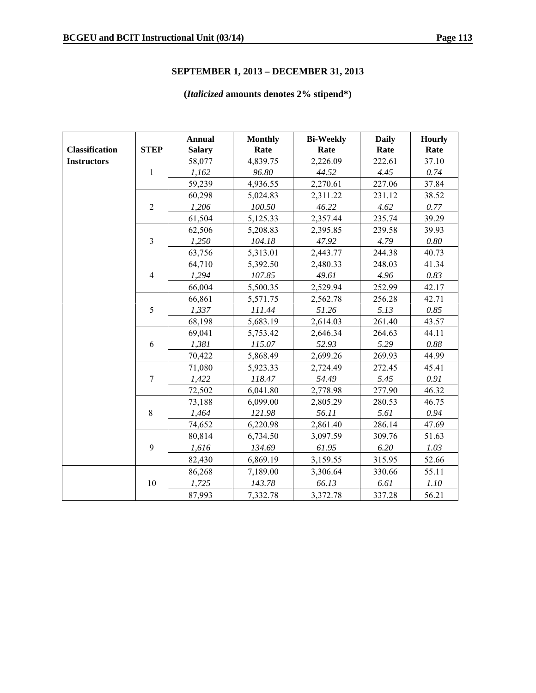# **SEPTEMBER 1, 2013 – DECEMBER 31, 2013**

# **(***Italicized* **amounts denotes 2% stipend\*)**

|                       |                | <b>Annual</b> | <b>Monthly</b> | <b>Bi-Weekly</b> | <b>Daily</b> | <b>Hourly</b> |
|-----------------------|----------------|---------------|----------------|------------------|--------------|---------------|
| <b>Classification</b> | <b>STEP</b>    | <b>Salary</b> | Rate           | Rate             | Rate         | Rate          |
| <b>Instructors</b>    |                | 58,077        | 4,839.75       | 2,226.09         | 222.61       | 37.10         |
|                       | 1              | 1,162         | 96.80          | 44.52            | 4.45         | 0.74          |
|                       |                | 59,239        | 4,936.55       | 2,270.61         | 227.06       | 37.84         |
|                       |                | 60,298        | 5,024.83       | 2,311.22         | 231.12       | 38.52         |
|                       | $\overline{2}$ | 1,206         | 100.50         | 46.22            | 4.62         | 0.77          |
|                       |                | 61,504        | 5,125.33       | 2,357.44         | 235.74       | 39.29         |
|                       |                | 62,506        | 5,208.83       | 2,395.85         | 239.58       | 39.93         |
|                       | $\overline{3}$ | 1,250         | 104.18         | 47.92            | 4.79         | $0.80\,$      |
|                       |                | 63,756        | 5,313.01       | 2,443.77         | 244.38       | 40.73         |
|                       |                | 64,710        | 5,392.50       | 2,480.33         | 248.03       | 41.34         |
|                       | $\overline{4}$ | 1,294         | 107.85         | 49.61            | 4.96         | 0.83          |
|                       |                | 66,004        | 5,500.35       | 2,529.94         | 252.99       | 42.17         |
|                       |                | 66,861        | 5,571.75       | 2,562.78         | 256.28       | 42.71         |
|                       | 5              | 1,337         | 111.44         | 51.26            | 5.13         | 0.85          |
|                       |                | 68,198        | 5,683.19       | 2,614.03         | 261.40       | 43.57         |
|                       |                | 69,041        | 5,753.42       | 2,646.34         | 264.63       | 44.11         |
|                       | 6              | 1,381         | 115.07         | 52.93            | 5.29         | 0.88          |
|                       |                | 70,422        | 5,868.49       | 2,699.26         | 269.93       | 44.99         |
|                       |                | 71,080        | 5,923.33       | 2,724.49         | 272.45       | 45.41         |
|                       | $\overline{7}$ | 1,422         | 118.47         | 54.49            | 5.45         | 0.91          |
|                       |                | 72,502        | 6,041.80       | 2,778.98         | 277.90       | 46.32         |
|                       |                | 73,188        | 6,099.00       | 2,805.29         | 280.53       | 46.75         |
|                       | 8              | 1,464         | 121.98         | 56.11            | 5.61         | 0.94          |
|                       |                | 74,652        | 6,220.98       | 2,861.40         | 286.14       | 47.69         |
|                       |                | 80,814        | 6,734.50       | 3,097.59         | 309.76       | 51.63         |
|                       | 9              | 1,616         | 134.69         | 61.95            | 6.20         | 1.03          |
|                       |                | 82,430        | 6,869.19       | 3,159.55         | 315.95       | 52.66         |
|                       |                | 86,268        | 7,189.00       | 3,306.64         | 330.66       | 55.11         |
|                       | 10             | 1,725         | 143.78         | 66.13            | 6.61         | 1.10          |
|                       |                | 87,993        | 7,332.78       | 3,372.78         | 337.28       | 56.21         |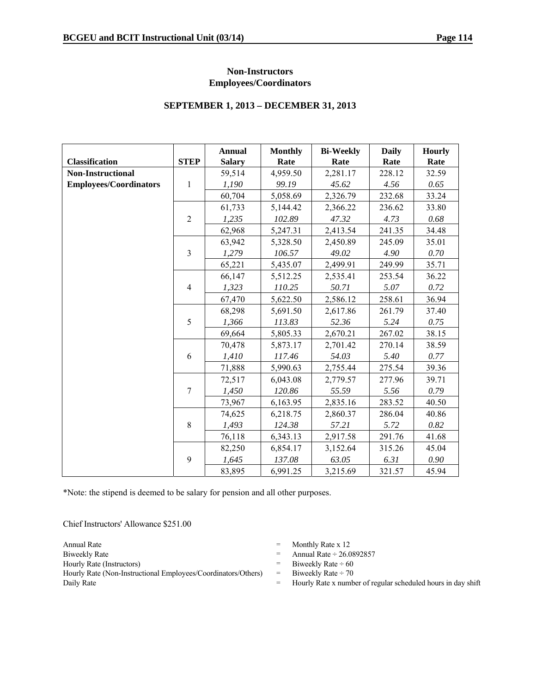#### **Non-Instructors Employees/Coordinators**

#### **SEPTEMBER 1, 2013 – DECEMBER 31, 2013**

|                               |                | <b>Annual</b> | <b>Monthly</b> | <b>Bi-Weekly</b> | <b>Daily</b> | <b>Hourly</b> |
|-------------------------------|----------------|---------------|----------------|------------------|--------------|---------------|
| <b>Classification</b>         | <b>STEP</b>    | <b>Salary</b> | Rate           | Rate             | Rate         | Rate          |
| <b>Non-Instructional</b>      |                | 59,514        | 4,959.50       | 2,281.17         | 228.12       | 32.59         |
| <b>Employees/Coordinators</b> | $\mathbf{1}$   | 1,190         | 99.19          | 45.62            | 4.56         | 0.65          |
|                               |                | 60,704        | 5,058.69       | 2,326.79         | 232.68       | 33.24         |
|                               |                | 61,733        | 5,144.42       | 2,366.22         | 236.62       | 33.80         |
|                               | $\overline{2}$ | 1,235         | 102.89         | 47.32            | 4.73         | 0.68          |
|                               |                | 62,968        | 5,247.31       | 2,413.54         | 241.35       | 34.48         |
|                               |                | 63,942        | 5,328.50       | 2,450.89         | 245.09       | 35.01         |
|                               | $\mathfrak{Z}$ | 1,279         | 106.57         | 49.02            | 4.90         | 0.70          |
|                               |                | 65,221        | 5,435.07       | 2,499.91         | 249.99       | 35.71         |
|                               |                | 66,147        | 5,512.25       | 2,535.41         | 253.54       | 36.22         |
|                               | $\overline{4}$ | 1,323         | 110.25         | 50.71            | 5.07         | 0.72          |
|                               |                | 67,470        | 5,622.50       | 2,586.12         | 258.61       | 36.94         |
|                               |                | 68,298        | 5,691.50       | 2,617.86         | 261.79       | 37.40         |
|                               | 5              | 1,366         | 113.83         | 52.36            | 5.24         | 0.75          |
|                               |                | 69,664        | 5,805.33       | 2,670.21         | 267.02       | 38.15         |
|                               |                | 70,478        | 5,873.17       | 2,701.42         | 270.14       | 38.59         |
|                               | 6              | 1,410         | 117.46         | 54.03            | 5.40         | 0.77          |
|                               |                | 71,888        | 5,990.63       | 2,755.44         | 275.54       | 39.36         |
|                               |                | 72,517        | 6,043.08       | 2,779.57         | 277.96       | 39.71         |
|                               | $\overline{7}$ | 1,450         | 120.86         | 55.59            | 5.56         | 0.79          |
|                               |                | 73,967        | 6,163.95       | 2,835.16         | 283.52       | 40.50         |
|                               |                | 74,625        | 6,218.75       | 2,860.37         | 286.04       | 40.86         |
|                               | $8\,$          | 1,493         | 124.38         | 57.21            | 5.72         | 0.82          |
|                               |                | 76,118        | 6,343.13       | 2,917.58         | 291.76       | 41.68         |
|                               |                | 82,250        | 6,854.17       | 3,152.64         | 315.26       | 45.04         |
|                               | 9              | 1,645         | 137.08         | 63.05            | 6.31         | 0.90          |
|                               |                | 83,895        | 6,991.25       | 3,215.69         | 321.57       | 45.94         |

\*Note: the stipend is deemed to be salary for pension and all other purposes.

Chief Instructors' Allowance \$251.00

Hourly Rate (Non-Instructional Employees/Coordinators/Others) = Biweekly Rate ÷ 70<br>Daily Rate x numbers

- Annual Rate  $\qquad$  Monthly Rate x 12
- Biweekly Rate  $\qquad \qquad$  Annual Rate  $\div 26.0892857$
- Hourly Rate (Instructors)  $=$  Biweekly Rate  $\div$  60
	-
	- Hourly Rate x number of regular scheduled hours in day shift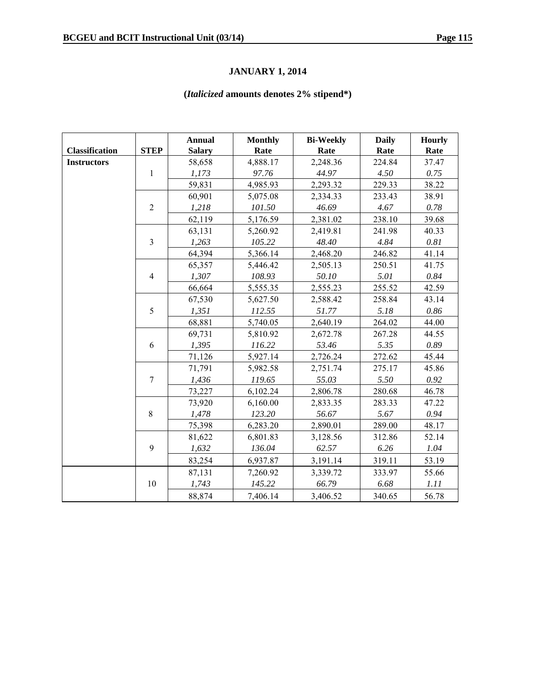# **JANUARY 1, 2014**

# **(***Italicized* **amounts denotes 2% stipend\*)**

|                       |                | <b>Annual</b> | <b>Monthly</b> | <b>Bi-Weekly</b> | <b>Daily</b> | Hourly   |
|-----------------------|----------------|---------------|----------------|------------------|--------------|----------|
| <b>Classification</b> | <b>STEP</b>    | <b>Salary</b> | Rate           | Rate             | Rate         | Rate     |
| <b>Instructors</b>    |                | 58,658        | 4,888.17       | 2,248.36         | 224.84       | 37.47    |
|                       | $\mathbf{1}$   | 1,173         | 97.76          | 44.97            | 4.50         | 0.75     |
|                       |                | 59,831        | 4,985.93       | 2,293.32         | 229.33       | 38.22    |
|                       |                | 60,901        | 5,075.08       | 2,334.33         | 233.43       | 38.91    |
|                       | $\overline{2}$ | 1,218         | 101.50         | 46.69            | 4.67         | 0.78     |
|                       |                | 62,119        | 5,176.59       | 2,381.02         | 238.10       | 39.68    |
|                       |                | 63,131        | 5,260.92       | 2,419.81         | 241.98       | 40.33    |
|                       | $\overline{3}$ | 1,263         | 105.22         | 48.40            | 4.84         | $0.81\,$ |
|                       |                | 64,394        | 5,366.14       | 2,468.20         | 246.82       | 41.14    |
|                       |                | 65,357        | 5,446.42       | 2,505.13         | 250.51       | 41.75    |
|                       | $\overline{4}$ | 1,307         | 108.93         | 50.10            | 5.01         | 0.84     |
|                       |                | 66,664        | 5,555.35       | 2,555.23         | 255.52       | 42.59    |
|                       |                | 67,530        | 5,627.50       | 2,588.42         | 258.84       | 43.14    |
|                       | 5              | 1,351         | 112.55         | 51.77            | 5.18         | 0.86     |
|                       |                | 68,881        | 5,740.05       | 2,640.19         | 264.02       | 44.00    |
|                       |                | 69,731        | 5,810.92       | 2,672.78         | 267.28       | 44.55    |
|                       | 6              | 1,395         | 116.22         | 53.46            | 5.35         | 0.89     |
|                       |                | 71,126        | 5,927.14       | 2,726.24         | 272.62       | 45.44    |
|                       |                | 71,791        | 5,982.58       | 2,751.74         | 275.17       | 45.86    |
|                       | $\overline{7}$ | 1,436         | 119.65         | 55.03            | 5.50         | 0.92     |
|                       |                | 73,227        | 6,102.24       | 2,806.78         | 280.68       | 46.78    |
|                       |                | 73,920        | 6,160.00       | 2,833.35         | 283.33       | 47.22    |
|                       | 8              | 1,478         | 123.20         | 56.67            | 5.67         | 0.94     |
|                       |                | 75,398        | 6,283.20       | 2,890.01         | 289.00       | 48.17    |
|                       |                | 81,622        | 6,801.83       | 3,128.56         | 312.86       | 52.14    |
|                       | 9              | 1,632         | 136.04         | 62.57            | 6.26         | 1.04     |
|                       |                | 83,254        | 6,937.87       | 3,191.14         | 319.11       | 53.19    |
|                       |                | 87,131        | 7,260.92       | 3,339.72         | 333.97       | 55.66    |
|                       | 10             | 1,743         | 145.22         | 66.79            | 6.68         | 1.11     |
|                       |                | 88,874        | 7,406.14       | 3,406.52         | 340.65       | 56.78    |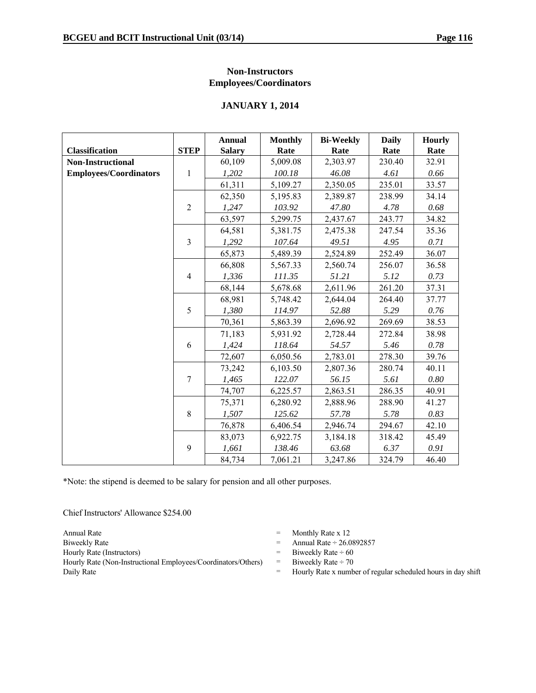#### **Non-Instructors Employees/Coordinators**

#### **JANUARY 1, 2014**

|                               |                | <b>Annual</b> | <b>Monthly</b> | <b>Bi-Weekly</b> | <b>Daily</b> | <b>Hourly</b> |
|-------------------------------|----------------|---------------|----------------|------------------|--------------|---------------|
| <b>Classification</b>         | <b>STEP</b>    | <b>Salary</b> | Rate           | Rate             | Rate         | Rate          |
| <b>Non-Instructional</b>      |                | 60,109        | 5,009.08       | 2,303.97         | 230.40       | 32.91         |
| <b>Employees/Coordinators</b> | $\mathbf{1}$   | 1,202         | 100.18         | 46.08            | 4.61         | 0.66          |
|                               |                | 61,311        | 5,109.27       | 2,350.05         | 235.01       | 33.57         |
|                               |                | 62,350        | 5,195.83       | 2,389.87         | 238.99       | 34.14         |
|                               | $\sqrt{2}$     | 1,247         | 103.92         | 47.80            | 4.78         | 0.68          |
|                               |                | 63,597        | 5,299.75       | 2,437.67         | 243.77       | 34.82         |
|                               |                | 64,581        | 5,381.75       | 2,475.38         | 247.54       | 35.36         |
|                               | 3              | 1,292         | 107.64         | 49.51            | 4.95         | 0.71          |
|                               |                | 65,873        | 5,489.39       | 2,524.89         | 252.49       | 36.07         |
|                               |                | 66,808        | 5,567.33       | 2,560.74         | 256.07       | 36.58         |
|                               | $\overline{4}$ | 1,336         | 111.35         | 51.21            | 5.12         | 0.73          |
|                               |                | 68,144        | 5,678.68       | 2,611.96         | 261.20       | 37.31         |
|                               |                | 68,981        | 5,748.42       | 2,644.04         | 264.40       | 37.77         |
|                               | 5              | 1,380         | 114.97         | 52.88            | 5.29         | 0.76          |
|                               |                | 70,361        | 5,863.39       | 2,696.92         | 269.69       | 38.53         |
|                               |                | 71,183        | 5,931.92       | 2,728.44         | 272.84       | 38.98         |
|                               | 6              | 1,424         | 118.64         | 54.57            | 5.46         | 0.78          |
|                               |                | 72,607        | 6,050.56       | 2,783.01         | 278.30       | 39.76         |
|                               |                | 73,242        | 6,103.50       | 2,807.36         | 280.74       | 40.11         |
|                               | $\overline{7}$ | 1,465         | 122.07         | 56.15            | 5.61         | 0.80          |
|                               |                | 74,707        | 6,225.57       | 2,863.51         | 286.35       | 40.91         |
|                               |                | 75,371        | 6,280.92       | 2,888.96         | 288.90       | 41.27         |
|                               | $8\,$          | 1,507         | 125.62         | 57.78            | 5.78         | 0.83          |
|                               |                | 76,878        | 6,406.54       | 2,946.74         | 294.67       | 42.10         |
|                               |                | 83,073        | 6,922.75       | 3,184.18         | 318.42       | 45.49         |
|                               | 9              | 1,661         | 138.46         | 63.68            | 6.37         | 0.91          |
|                               |                | 84,734        | 7,061.21       | 3,247.86         | 324.79       | 46.40         |

\*Note: the stipend is deemed to be salary for pension and all other purposes.

Chief Instructors' Allowance \$254.00

Hourly Rate (Non-Instructional Employees/Coordinators/Others) = Biweekly Rate ÷ 70

- Annual Rate  $\qquad$  Monthly Rate x 12
- Biweekly Rate  $\qquad \qquad$  Annual Rate  $\div 26.0892857$
- Hourly Rate (Instructors)  $=$  Biweekly Rate  $\div$  60
	-
- Daily Rate **Example 2018** Hourly Rate x number of regular scheduled hours in day shift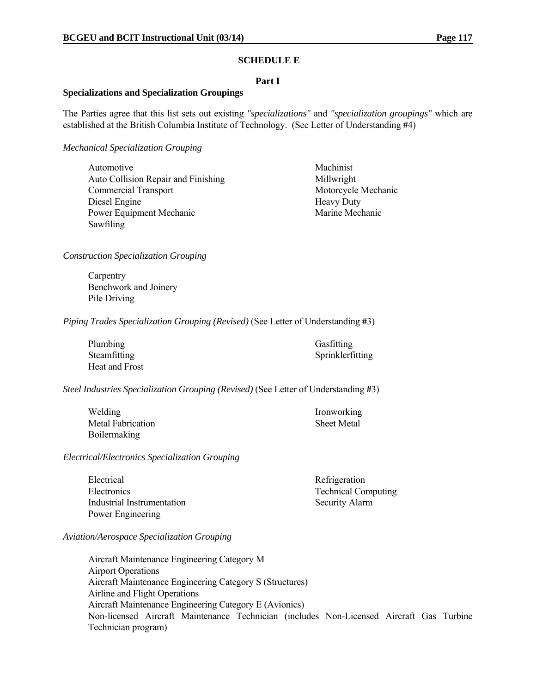#### **SCHEDULE E**

#### **Part I**

#### **Specializations and Specialization Groupings**

The Parties agree that this list sets out existing *"specializations"* and *"specialization groupings"* which are established at the British Columbia Institute of Technology. (See Letter of Understanding **#**4)

*Mechanical Specialization Grouping*

| Automotive                          |
|-------------------------------------|
| Auto Collision Repair and Finishing |
| <b>Commercial Transport</b>         |
| Diesel Engine                       |
| <b>Power Equipment Mechanic</b>     |
| Sawfiling                           |

Machinist Millwright Motorcycle Mechanic Heavy Duty Marine Mechanic

*Construction Specialization Grouping*

**Carpentry**  Benchwork and Joinery Pile Driving

*Piping Trades Specialization Grouping (Revised)* (See Letter of Understanding **#**3)

| Plumbing       | Gasfitting       |
|----------------|------------------|
| Steamfitting   | Sprinklerfitting |
| Heat and Frost |                  |

*Steel Industries Specialization Grouping (Revised)* (See Letter of Understanding **#**3)

| Welding           | <b>Ironworking</b> |
|-------------------|--------------------|
| Metal Fabrication | <b>Sheet Metal</b> |
| Boilermaking      |                    |

*Electrical/Electronics Specialization Grouping*

| Electrical                 | Refrigeration              |
|----------------------------|----------------------------|
| Electronics                | <b>Technical Computing</b> |
| Industrial Instrumentation | <b>Security Alarm</b>      |
| Power Engineering          |                            |

*Aviation/Aerospace Specialization Grouping*

Aircraft Maintenance Engineering Category M Airport Operations Aircraft Maintenance Engineering Category S (Structures) Airline and Flight Operations Aircraft Maintenance Engineering Category E (Avionics) Non-licensed Aircraft Maintenance Technician (includes Non-Licensed Aircraft Gas Turbine Technician program)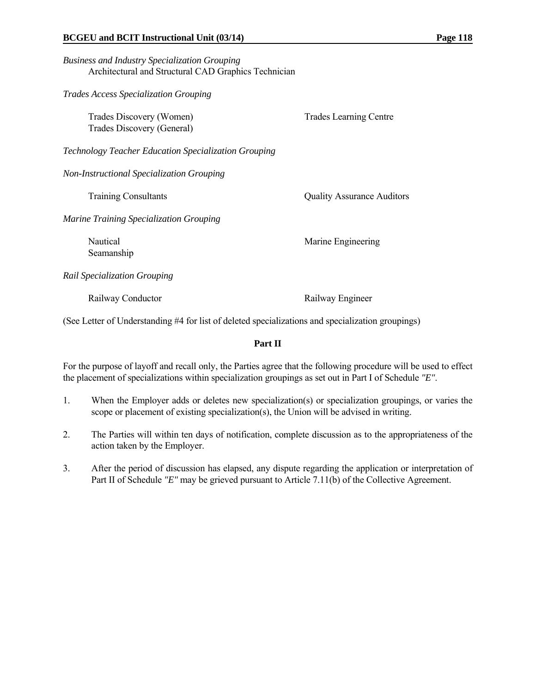| <b>Business and Industry Specialization Grouping</b> |  |
|------------------------------------------------------|--|
| Architectural and Structural CAD Graphics Technician |  |

*Trades Access Specialization Grouping*

| Trades Discovery (Women)<br>Trades Discovery (General) | <b>Trades Learning Centre</b>     |
|--------------------------------------------------------|-----------------------------------|
| Technology Teacher Education Specialization Grouping   |                                   |
| Non-Instructional Specialization Grouping              |                                   |
| <b>Training Consultants</b>                            | <b>Quality Assurance Auditors</b> |
| <b>Marine Training Specialization Grouping</b>         |                                   |
| Nautical<br>Seamanship                                 | Marine Engineering                |
| Rail Specialization Grouping                           |                                   |
| Railway Conductor                                      | Railway Engineer                  |

(See Letter of Understanding #4 for list of deleted specializations and specialization groupings)

#### **Part II**

For the purpose of layoff and recall only, the Parties agree that the following procedure will be used to effect the placement of specializations within specialization groupings as set out in Part I of Schedule *"E"*.

- 1. When the Employer adds or deletes new specialization(s) or specialization groupings, or varies the scope or placement of existing specialization(s), the Union will be advised in writing.
- 2. The Parties will within ten days of notification, complete discussion as to the appropriateness of the action taken by the Employer.
- 3. After the period of discussion has elapsed, any dispute regarding the application or interpretation of Part II of Schedule *"E"* may be grieved pursuant to Article 7.11(b) of the Collective Agreement.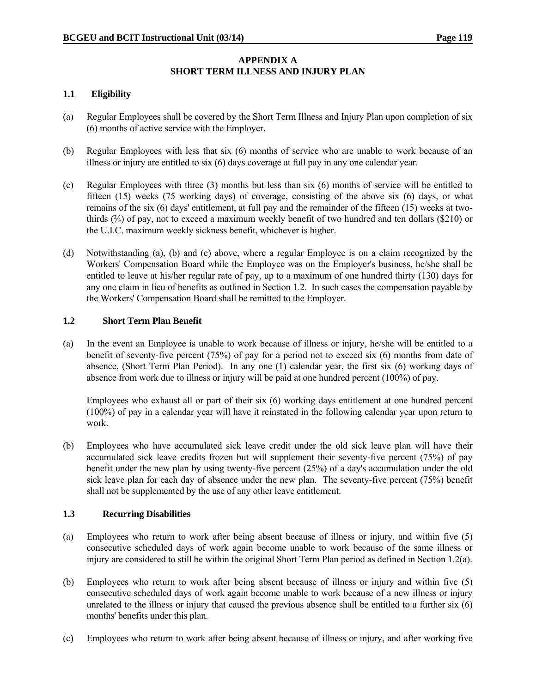#### **APPENDIX A SHORT TERM ILLNESS AND INJURY PLAN**

#### **1.1 Eligibility**

- (a) Regular Employees shall be covered by the Short Term Illness and Injury Plan upon completion of six (6) months of active service with the Employer.
- (b) Regular Employees with less that six (6) months of service who are unable to work because of an illness or injury are entitled to six (6) days coverage at full pay in any one calendar year.
- (c) Regular Employees with three (3) months but less than six (6) months of service will be entitled to fifteen (15) weeks (75 working days) of coverage, consisting of the above six (6) days, or what remains of the six (6) days' entitlement, at full pay and the remainder of the fifteen (15) weeks at twothirds (⅔) of pay, not to exceed a maximum weekly benefit of two hundred and ten dollars (\$210) or the U.I.C. maximum weekly sickness benefit, whichever is higher.
- (d) Notwithstanding (a), (b) and (c) above, where a regular Employee is on a claim recognized by the Workers' Compensation Board while the Employee was on the Employer's business, he/she shall be entitled to leave at his/her regular rate of pay, up to a maximum of one hundred thirty (130) days for any one claim in lieu of benefits as outlined in Section 1.2. In such cases the compensation payable by the Workers' Compensation Board shall be remitted to the Employer.

#### **1.2 Short Term Plan Benefit**

(a) In the event an Employee is unable to work because of illness or injury, he/she will be entitled to a benefit of seventy-five percent (75%) of pay for a period not to exceed six (6) months from date of absence, (Short Term Plan Period). In any one (1) calendar year, the first six (6) working days of absence from work due to illness or injury will be paid at one hundred percent (100%) of pay.

 Employees who exhaust all or part of their six (6) working days entitlement at one hundred percent (100%) of pay in a calendar year will have it reinstated in the following calendar year upon return to work.

(b) Employees who have accumulated sick leave credit under the old sick leave plan will have their accumulated sick leave credits frozen but will supplement their seventy-five percent (75%) of pay benefit under the new plan by using twenty-five percent (25%) of a day's accumulation under the old sick leave plan for each day of absence under the new plan. The seventy-five percent (75%) benefit shall not be supplemented by the use of any other leave entitlement.

#### **1.3 Recurring Disabilities**

- (a) Employees who return to work after being absent because of illness or injury, and within five (5) consecutive scheduled days of work again become unable to work because of the same illness or injury are considered to still be within the original Short Term Plan period as defined in Section 1.2(a).
- (b) Employees who return to work after being absent because of illness or injury and within five (5) consecutive scheduled days of work again become unable to work because of a new illness or injury unrelated to the illness or injury that caused the previous absence shall be entitled to a further six (6) months' benefits under this plan.
- (c) Employees who return to work after being absent because of illness or injury, and after working five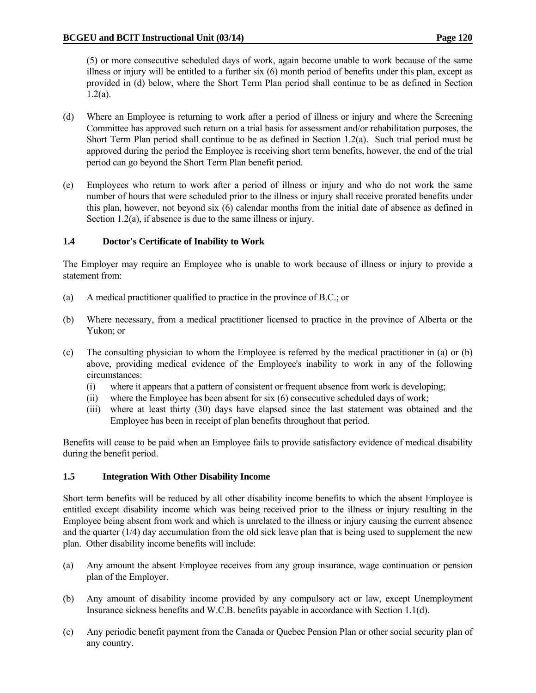(5) or more consecutive scheduled days of work, again become unable to work because of the same illness or injury will be entitled to a further six (6) month period of benefits under this plan, except as provided in (d) below, where the Short Term Plan period shall continue to be as defined in Section  $1.2(a)$ .

- (d) Where an Employee is returning to work after a period of illness or injury and where the Screening Committee has approved such return on a trial basis for assessment and/or rehabilitation purposes, the Short Term Plan period shall continue to be as defined in Section 1.2(a). Such trial period must be approved during the period the Employee is receiving short term benefits, however, the end of the trial period can go beyond the Short Term Plan benefit period.
- (e) Employees who return to work after a period of illness or injury and who do not work the same number of hours that were scheduled prior to the illness or injury shall receive prorated benefits under this plan, however, not beyond six  $(6)$  calendar months from the initial date of absence as defined in Section 1.2(a), if absence is due to the same illness or injury.

#### **1.4 Doctor's Certificate of Inability to Work**

The Employer may require an Employee who is unable to work because of illness or injury to provide a statement from:

- (a) A medical practitioner qualified to practice in the province of B.C.; or
- (b) Where necessary, from a medical practitioner licensed to practice in the province of Alberta or the Yukon; or
- (c) The consulting physician to whom the Employee is referred by the medical practitioner in (a) or (b) above, providing medical evidence of the Employee's inability to work in any of the following circumstances:
	- (i) where it appears that a pattern of consistent or frequent absence from work is developing;
	- (ii) where the Employee has been absent for six (6) consecutive scheduled days of work;
	- (iii) where at least thirty (30) days have elapsed since the last statement was obtained and the Employee has been in receipt of plan benefits throughout that period.

Benefits will cease to be paid when an Employee fails to provide satisfactory evidence of medical disability during the benefit period.

#### **1.5 Integration With Other Disability Income**

Short term benefits will be reduced by all other disability income benefits to which the absent Employee is entitled except disability income which was being received prior to the illness or injury resulting in the Employee being absent from work and which is unrelated to the illness or injury causing the current absence and the quarter (1/4) day accumulation from the old sick leave plan that is being used to supplement the new plan. Other disability income benefits will include:

- (a) Any amount the absent Employee receives from any group insurance, wage continuation or pension plan of the Employer.
- (b) Any amount of disability income provided by any compulsory act or law, except Unemployment Insurance sickness benefits and W.C.B. benefits payable in accordance with Section 1.1(d).
- (c) Any periodic benefit payment from the Canada or Quebec Pension Plan or other social security plan of any country.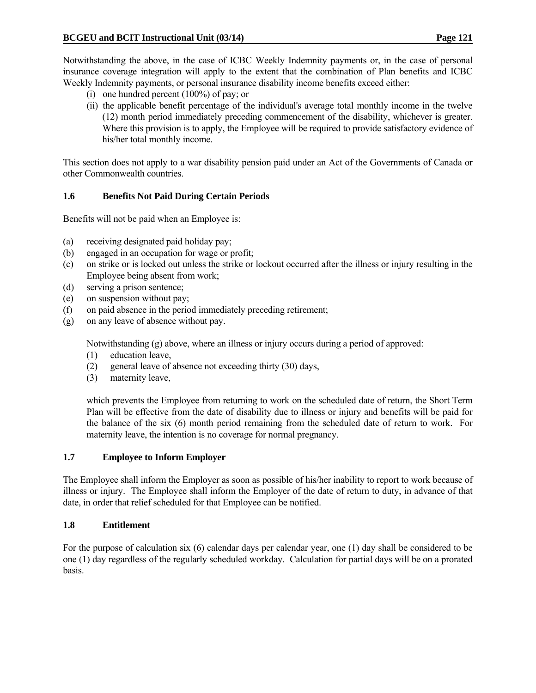Notwithstanding the above, in the case of ICBC Weekly Indemnity payments or, in the case of personal insurance coverage integration will apply to the extent that the combination of Plan benefits and ICBC Weekly Indemnity payments, or personal insurance disability income benefits exceed either:

- (i) one hundred percent (100%) of pay; or
- (ii) the applicable benefit percentage of the individual's average total monthly income in the twelve (12) month period immediately preceding commencement of the disability, whichever is greater. Where this provision is to apply, the Employee will be required to provide satisfactory evidence of his/her total monthly income.

This section does not apply to a war disability pension paid under an Act of the Governments of Canada or other Commonwealth countries.

#### **1.6 Benefits Not Paid During Certain Periods**

Benefits will not be paid when an Employee is:

- (a) receiving designated paid holiday pay;
- (b) engaged in an occupation for wage or profit;
- (c) on strike or is locked out unless the strike or lockout occurred after the illness or injury resulting in the Employee being absent from work;
- (d) serving a prison sentence;
- (e) on suspension without pay;
- (f) on paid absence in the period immediately preceding retirement;
- (g) on any leave of absence without pay.

Notwithstanding (g) above, where an illness or injury occurs during a period of approved:

- (1) education leave,
- (2) general leave of absence not exceeding thirty (30) days,
- (3) maternity leave,

 which prevents the Employee from returning to work on the scheduled date of return, the Short Term Plan will be effective from the date of disability due to illness or injury and benefits will be paid for the balance of the six (6) month period remaining from the scheduled date of return to work. For maternity leave, the intention is no coverage for normal pregnancy.

#### **1.7 Employee to Inform Employer**

The Employee shall inform the Employer as soon as possible of his/her inability to report to work because of illness or injury. The Employee shall inform the Employer of the date of return to duty, in advance of that date, in order that relief scheduled for that Employee can be notified.

#### **1.8 Entitlement**

For the purpose of calculation six (6) calendar days per calendar year, one (1) day shall be considered to be one (1) day regardless of the regularly scheduled workday. Calculation for partial days will be on a prorated basis.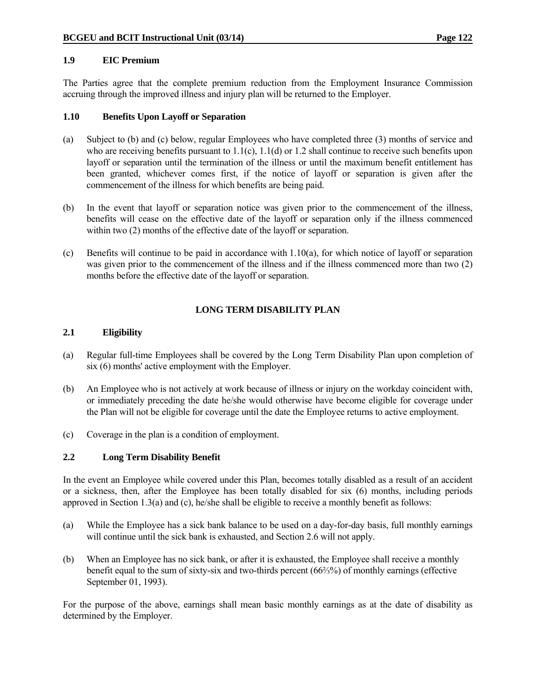#### **1.9 EIC Premium**

The Parties agree that the complete premium reduction from the Employment Insurance Commission accruing through the improved illness and injury plan will be returned to the Employer.

#### **1.10 Benefits Upon Layoff or Separation**

- (a) Subject to (b) and (c) below, regular Employees who have completed three (3) months of service and who are receiving benefits pursuant to  $1.1(c)$ ,  $1.1(d)$  or  $1.2$  shall continue to receive such benefits upon layoff or separation until the termination of the illness or until the maximum benefit entitlement has been granted, whichever comes first, if the notice of layoff or separation is given after the commencement of the illness for which benefits are being paid.
- (b) In the event that layoff or separation notice was given prior to the commencement of the illness, benefits will cease on the effective date of the layoff or separation only if the illness commenced within two  $(2)$  months of the effective date of the layoff or separation.
- (c) Benefits will continue to be paid in accordance with 1.10(a), for which notice of layoff or separation was given prior to the commencement of the illness and if the illness commenced more than two (2) months before the effective date of the layoff or separation.

### **LONG TERM DISABILITY PLAN**

#### **2.1 Eligibility**

- (a) Regular full-time Employees shall be covered by the Long Term Disability Plan upon completion of six (6) months' active employment with the Employer.
- (b) An Employee who is not actively at work because of illness or injury on the workday coincident with, or immediately preceding the date he/she would otherwise have become eligible for coverage under the Plan will not be eligible for coverage until the date the Employee returns to active employment.
- (c) Coverage in the plan is a condition of employment.

#### **2.2 Long Term Disability Benefit**

In the event an Employee while covered under this Plan, becomes totally disabled as a result of an accident or a sickness, then, after the Employee has been totally disabled for six (6) months, including periods approved in Section 1.3(a) and (c), he/she shall be eligible to receive a monthly benefit as follows:

- (a) While the Employee has a sick bank balance to be used on a day-for-day basis, full monthly earnings will continue until the sick bank is exhausted, and Section 2.6 will not apply.
- (b) When an Employee has no sick bank, or after it is exhausted, the Employee shall receive a monthly benefit equal to the sum of sixty-six and two-thirds percent (66⅔%) of monthly earnings (effective September 01, 1993).

For the purpose of the above, earnings shall mean basic monthly earnings as at the date of disability as determined by the Employer.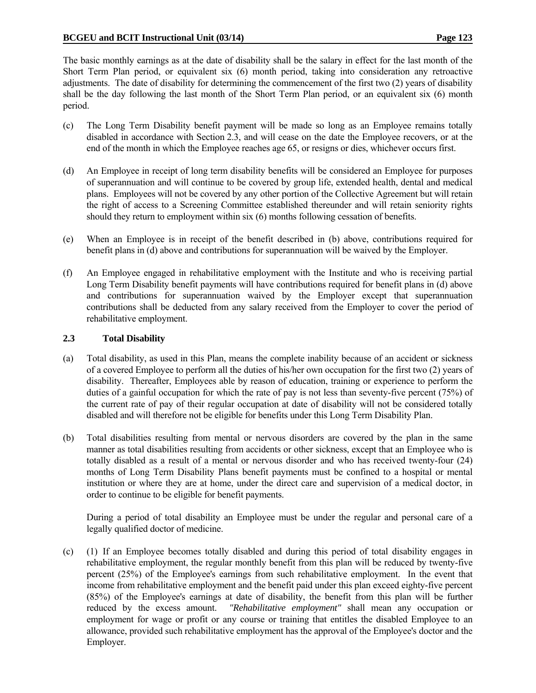The basic monthly earnings as at the date of disability shall be the salary in effect for the last month of the Short Term Plan period, or equivalent six (6) month period, taking into consideration any retroactive adjustments. The date of disability for determining the commencement of the first two (2) years of disability shall be the day following the last month of the Short Term Plan period, or an equivalent six (6) month period.

- (c) The Long Term Disability benefit payment will be made so long as an Employee remains totally disabled in accordance with Section 2.3, and will cease on the date the Employee recovers, or at the end of the month in which the Employee reaches age 65, or resigns or dies, whichever occurs first.
- (d) An Employee in receipt of long term disability benefits will be considered an Employee for purposes of superannuation and will continue to be covered by group life, extended health, dental and medical plans. Employees will not be covered by any other portion of the Collective Agreement but will retain the right of access to a Screening Committee established thereunder and will retain seniority rights should they return to employment within six (6) months following cessation of benefits.
- (e) When an Employee is in receipt of the benefit described in (b) above, contributions required for benefit plans in (d) above and contributions for superannuation will be waived by the Employer.
- (f) An Employee engaged in rehabilitative employment with the Institute and who is receiving partial Long Term Disability benefit payments will have contributions required for benefit plans in (d) above and contributions for superannuation waived by the Employer except that superannuation contributions shall be deducted from any salary received from the Employer to cover the period of rehabilitative employment.

#### **2.3 Total Disability**

- (a) Total disability, as used in this Plan, means the complete inability because of an accident or sickness of a covered Employee to perform all the duties of his/her own occupation for the first two (2) years of disability. Thereafter, Employees able by reason of education, training or experience to perform the duties of a gainful occupation for which the rate of pay is not less than seventy-five percent (75%) of the current rate of pay of their regular occupation at date of disability will not be considered totally disabled and will therefore not be eligible for benefits under this Long Term Disability Plan.
- (b) Total disabilities resulting from mental or nervous disorders are covered by the plan in the same manner as total disabilities resulting from accidents or other sickness, except that an Employee who is totally disabled as a result of a mental or nervous disorder and who has received twenty-four (24) months of Long Term Disability Plans benefit payments must be confined to a hospital or mental institution or where they are at home, under the direct care and supervision of a medical doctor, in order to continue to be eligible for benefit payments.

 During a period of total disability an Employee must be under the regular and personal care of a legally qualified doctor of medicine.

(c) (1) If an Employee becomes totally disabled and during this period of total disability engages in rehabilitative employment, the regular monthly benefit from this plan will be reduced by twenty-five percent (25%) of the Employee's earnings from such rehabilitative employment. In the event that income from rehabilitative employment and the benefit paid under this plan exceed eighty-five percent (85%) of the Employee's earnings at date of disability, the benefit from this plan will be further reduced by the excess amount. *"Rehabilitative employment"* shall mean any occupation or employment for wage or profit or any course or training that entitles the disabled Employee to an allowance, provided such rehabilitative employment has the approval of the Employee's doctor and the Employer.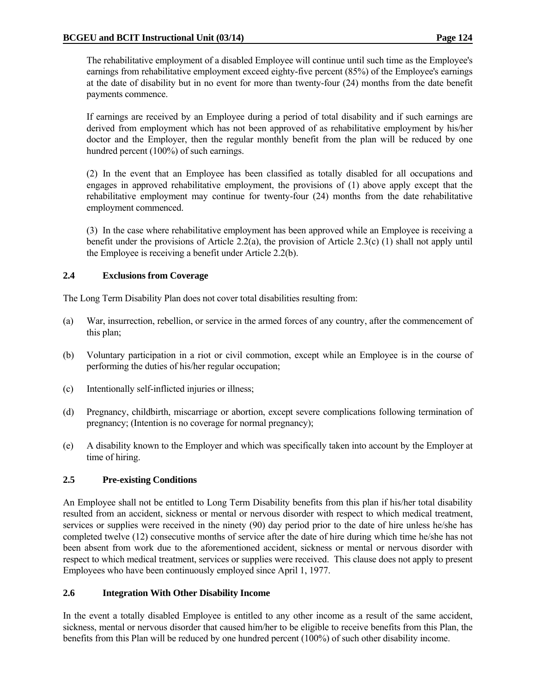The rehabilitative employment of a disabled Employee will continue until such time as the Employee's earnings from rehabilitative employment exceed eighty-five percent (85%) of the Employee's earnings at the date of disability but in no event for more than twenty-four (24) months from the date benefit payments commence.

 If earnings are received by an Employee during a period of total disability and if such earnings are derived from employment which has not been approved of as rehabilitative employment by his/her doctor and the Employer, then the regular monthly benefit from the plan will be reduced by one hundred percent (100%) of such earnings.

 (2) In the event that an Employee has been classified as totally disabled for all occupations and engages in approved rehabilitative employment, the provisions of (1) above apply except that the rehabilitative employment may continue for twenty-four (24) months from the date rehabilitative employment commenced.

 (3) In the case where rehabilitative employment has been approved while an Employee is receiving a benefit under the provisions of Article 2.2(a), the provision of Article 2.3(c) (1) shall not apply until the Employee is receiving a benefit under Article 2.2(b).

#### **2.4 Exclusions from Coverage**

The Long Term Disability Plan does not cover total disabilities resulting from:

- (a) War, insurrection, rebellion, or service in the armed forces of any country, after the commencement of this plan;
- (b) Voluntary participation in a riot or civil commotion, except while an Employee is in the course of performing the duties of his/her regular occupation;
- (c) Intentionally self-inflicted injuries or illness;
- (d) Pregnancy, childbirth, miscarriage or abortion, except severe complications following termination of pregnancy; (Intention is no coverage for normal pregnancy);
- (e) A disability known to the Employer and which was specifically taken into account by the Employer at time of hiring.

#### **2.5 Pre-existing Conditions**

An Employee shall not be entitled to Long Term Disability benefits from this plan if his/her total disability resulted from an accident, sickness or mental or nervous disorder with respect to which medical treatment, services or supplies were received in the ninety (90) day period prior to the date of hire unless he/she has completed twelve (12) consecutive months of service after the date of hire during which time he/she has not been absent from work due to the aforementioned accident, sickness or mental or nervous disorder with respect to which medical treatment, services or supplies were received. This clause does not apply to present Employees who have been continuously employed since April 1, 1977.

#### **2.6 Integration With Other Disability Income**

In the event a totally disabled Employee is entitled to any other income as a result of the same accident, sickness, mental or nervous disorder that caused him/her to be eligible to receive benefits from this Plan, the benefits from this Plan will be reduced by one hundred percent (100%) of such other disability income.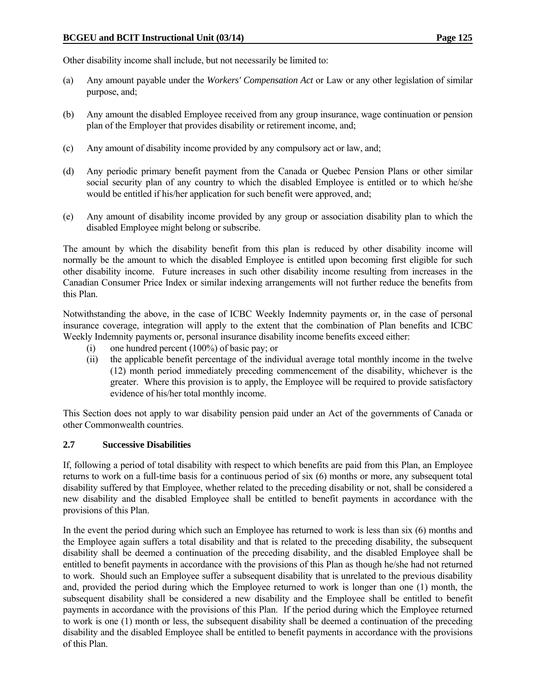Other disability income shall include, but not necessarily be limited to:

- (a) Any amount payable under the *Workers' Compensation Act* or Law or any other legislation of similar purpose, and;
- (b) Any amount the disabled Employee received from any group insurance, wage continuation or pension plan of the Employer that provides disability or retirement income, and;
- (c) Any amount of disability income provided by any compulsory act or law, and;
- (d) Any periodic primary benefit payment from the Canada or Quebec Pension Plans or other similar social security plan of any country to which the disabled Employee is entitled or to which he/she would be entitled if his/her application for such benefit were approved, and:
- (e) Any amount of disability income provided by any group or association disability plan to which the disabled Employee might belong or subscribe.

The amount by which the disability benefit from this plan is reduced by other disability income will normally be the amount to which the disabled Employee is entitled upon becoming first eligible for such other disability income. Future increases in such other disability income resulting from increases in the Canadian Consumer Price Index or similar indexing arrangements will not further reduce the benefits from this Plan.

Notwithstanding the above, in the case of ICBC Weekly Indemnity payments or, in the case of personal insurance coverage, integration will apply to the extent that the combination of Plan benefits and ICBC Weekly Indemnity payments or, personal insurance disability income benefits exceed either:

- (i) one hundred percent (100%) of basic pay; or
- (ii) the applicable benefit percentage of the individual average total monthly income in the twelve (12) month period immediately preceding commencement of the disability, whichever is the greater. Where this provision is to apply, the Employee will be required to provide satisfactory evidence of his/her total monthly income.

This Section does not apply to war disability pension paid under an Act of the governments of Canada or other Commonwealth countries.

#### **2.7 Successive Disabilities**

If, following a period of total disability with respect to which benefits are paid from this Plan, an Employee returns to work on a full-time basis for a continuous period of six (6) months or more, any subsequent total disability suffered by that Employee, whether related to the preceding disability or not, shall be considered a new disability and the disabled Employee shall be entitled to benefit payments in accordance with the provisions of this Plan.

In the event the period during which such an Employee has returned to work is less than six (6) months and the Employee again suffers a total disability and that is related to the preceding disability, the subsequent disability shall be deemed a continuation of the preceding disability, and the disabled Employee shall be entitled to benefit payments in accordance with the provisions of this Plan as though he/she had not returned to work. Should such an Employee suffer a subsequent disability that is unrelated to the previous disability and, provided the period during which the Employee returned to work is longer than one (1) month, the subsequent disability shall be considered a new disability and the Employee shall be entitled to benefit payments in accordance with the provisions of this Plan. If the period during which the Employee returned to work is one (1) month or less, the subsequent disability shall be deemed a continuation of the preceding disability and the disabled Employee shall be entitled to benefit payments in accordance with the provisions of this Plan.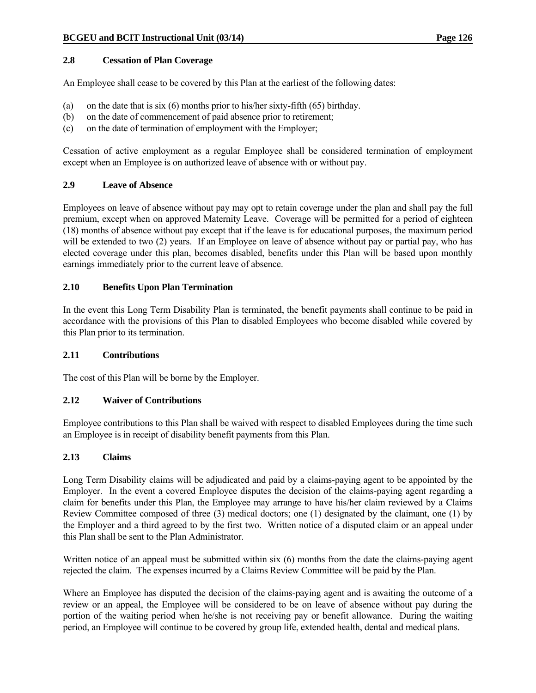#### **2.8 Cessation of Plan Coverage**

An Employee shall cease to be covered by this Plan at the earliest of the following dates:

- (a) on the date that is six (6) months prior to his/her sixty-fifth (65) birthday.
- (b) on the date of commencement of paid absence prior to retirement;
- (c) on the date of termination of employment with the Employer;

Cessation of active employment as a regular Employee shall be considered termination of employment except when an Employee is on authorized leave of absence with or without pay.

#### **2.9 Leave of Absence**

Employees on leave of absence without pay may opt to retain coverage under the plan and shall pay the full premium, except when on approved Maternity Leave. Coverage will be permitted for a period of eighteen (18) months of absence without pay except that if the leave is for educational purposes, the maximum period will be extended to two (2) years. If an Employee on leave of absence without pay or partial pay, who has elected coverage under this plan, becomes disabled, benefits under this Plan will be based upon monthly earnings immediately prior to the current leave of absence.

#### **2.10 Benefits Upon Plan Termination**

In the event this Long Term Disability Plan is terminated, the benefit payments shall continue to be paid in accordance with the provisions of this Plan to disabled Employees who become disabled while covered by this Plan prior to its termination.

#### **2.11 Contributions**

The cost of this Plan will be borne by the Employer.

#### **2.12 Waiver of Contributions**

Employee contributions to this Plan shall be waived with respect to disabled Employees during the time such an Employee is in receipt of disability benefit payments from this Plan.

#### **2.13 Claims**

Long Term Disability claims will be adjudicated and paid by a claims-paying agent to be appointed by the Employer. In the event a covered Employee disputes the decision of the claims-paying agent regarding a claim for benefits under this Plan, the Employee may arrange to have his/her claim reviewed by a Claims Review Committee composed of three (3) medical doctors; one (1) designated by the claimant, one (1) by the Employer and a third agreed to by the first two. Written notice of a disputed claim or an appeal under this Plan shall be sent to the Plan Administrator.

Written notice of an appeal must be submitted within six (6) months from the date the claims-paying agent rejected the claim. The expenses incurred by a Claims Review Committee will be paid by the Plan.

Where an Employee has disputed the decision of the claims-paying agent and is awaiting the outcome of a review or an appeal, the Employee will be considered to be on leave of absence without pay during the portion of the waiting period when he/she is not receiving pay or benefit allowance. During the waiting period, an Employee will continue to be covered by group life, extended health, dental and medical plans.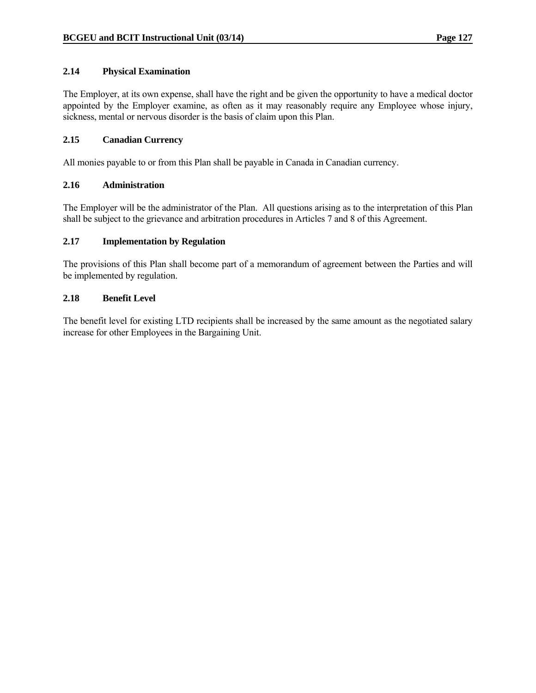#### **2.14 Physical Examination**

The Employer, at its own expense, shall have the right and be given the opportunity to have a medical doctor appointed by the Employer examine, as often as it may reasonably require any Employee whose injury, sickness, mental or nervous disorder is the basis of claim upon this Plan.

#### **2.15 Canadian Currency**

All monies payable to or from this Plan shall be payable in Canada in Canadian currency.

#### **2.16 Administration**

The Employer will be the administrator of the Plan. All questions arising as to the interpretation of this Plan shall be subject to the grievance and arbitration procedures in Articles 7 and 8 of this Agreement.

#### **2.17 Implementation by Regulation**

The provisions of this Plan shall become part of a memorandum of agreement between the Parties and will be implemented by regulation.

#### **2.18 Benefit Level**

The benefit level for existing LTD recipients shall be increased by the same amount as the negotiated salary increase for other Employees in the Bargaining Unit.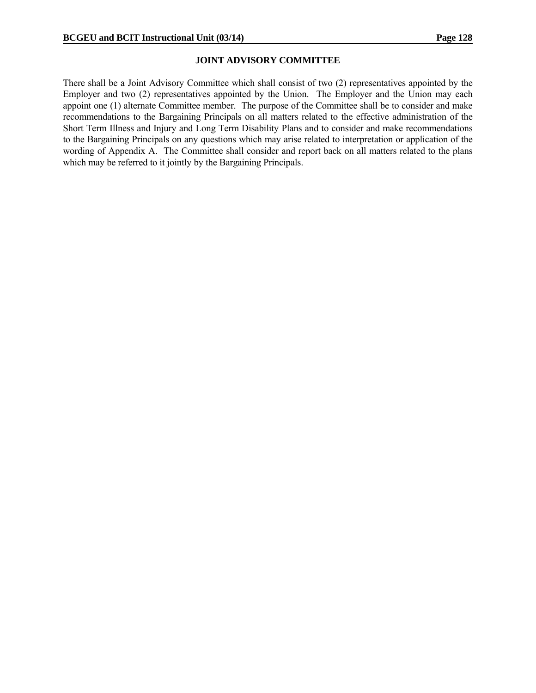#### **JOINT ADVISORY COMMITTEE**

There shall be a Joint Advisory Committee which shall consist of two (2) representatives appointed by the Employer and two (2) representatives appointed by the Union. The Employer and the Union may each appoint one (1) alternate Committee member. The purpose of the Committee shall be to consider and make recommendations to the Bargaining Principals on all matters related to the effective administration of the Short Term Illness and Injury and Long Term Disability Plans and to consider and make recommendations to the Bargaining Principals on any questions which may arise related to interpretation or application of the wording of Appendix A. The Committee shall consider and report back on all matters related to the plans which may be referred to it jointly by the Bargaining Principals.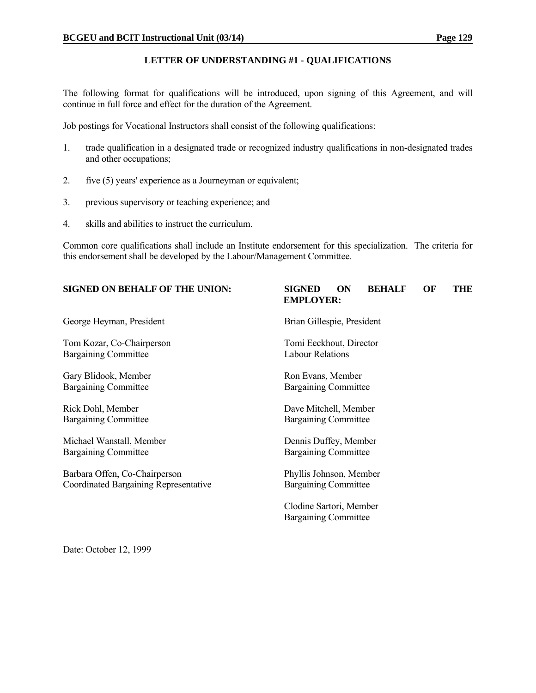#### **LETTER OF UNDERSTANDING #1 - QUALIFICATIONS**

The following format for qualifications will be introduced, upon signing of this Agreement, and will continue in full force and effect for the duration of the Agreement.

Job postings for Vocational Instructors shall consist of the following qualifications:

- 1. trade qualification in a designated trade or recognized industry qualifications in non-designated trades and other occupations;
- 2. five (5) years' experience as a Journeyman or equivalent;
- 3. previous supervisory or teaching experience; and
- 4. skills and abilities to instruct the curriculum.

Common core qualifications shall include an Institute endorsement for this specialization. The criteria for this endorsement shall be developed by the Labour/Management Committee.

# **SIGNED ON BEHALF OF THE UNION: SIGNED ON BEHALF OF THE EMPLOYER:** George Heyman, President Brian Gillespie, President Tom Kozar, Co-Chairperson Tomi Eeckhout, Director Bargaining Committee Labour Relations Gary Blidook, Member Ron Evans, Member Bargaining Committee Bargaining Committee Rick Dohl, Member Dave Mitchell, Member Bargaining Committee Bargaining Committee Michael Wanstall, Member **Dennis Duffey**, Member **Dennis Duffey**, Member Bargaining Committee Bargaining Committee Barbara Offen, Co-Chairperson Phyllis Johnson, Member Coordinated Bargaining Representative Clodine Sartori, Member Bargaining Committee

Date: October 12, 1999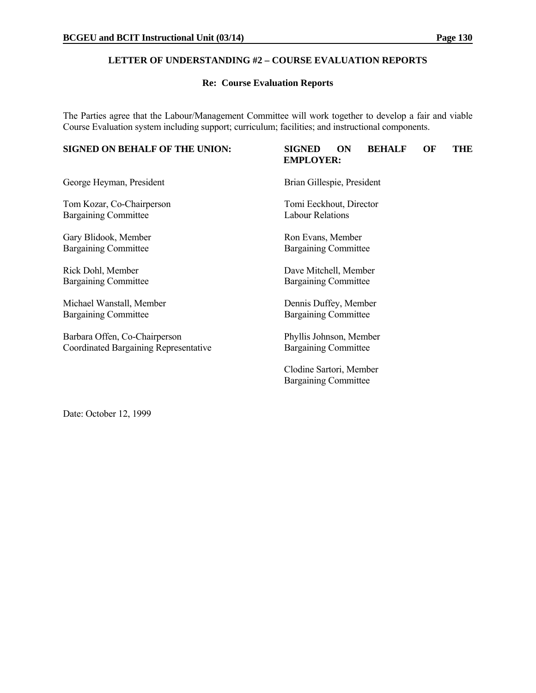#### **LETTER OF UNDERSTANDING #2 – COURSE EVALUATION REPORTS**

#### **Re: Course Evaluation Reports**

The Parties agree that the Labour/Management Committee will work together to develop a fair and viable Course Evaluation system including support; curriculum; facilities; and instructional components.

# **SIGNED ON BEHALF OF THE UNION: SIGNED ON BEHALF OF THE EMPLOYER:**

George Heyman, President Brian Gillespie, President

Tom Kozar, Co-Chairperson Tomi Eeckhout, Director Bargaining Committee Labour Relations

Gary Blidook, Member Ron Evans, Member Bargaining Committee Bargaining Committee

Bargaining Committee Bargaining Committee

Michael Wanstall, Member Dennis Duffey, Member Bargaining Committee Bargaining Committee

Barbara Offen, Co-Chairperson Phyllis Johnson, Member<br>Coordinated Bargaining Representative Bargaining Committee Coordinated Bargaining Representative

Rick Dohl, Member Dave Mitchell, Member

 Clodine Sartori, Member Bargaining Committee

Date: October 12, 1999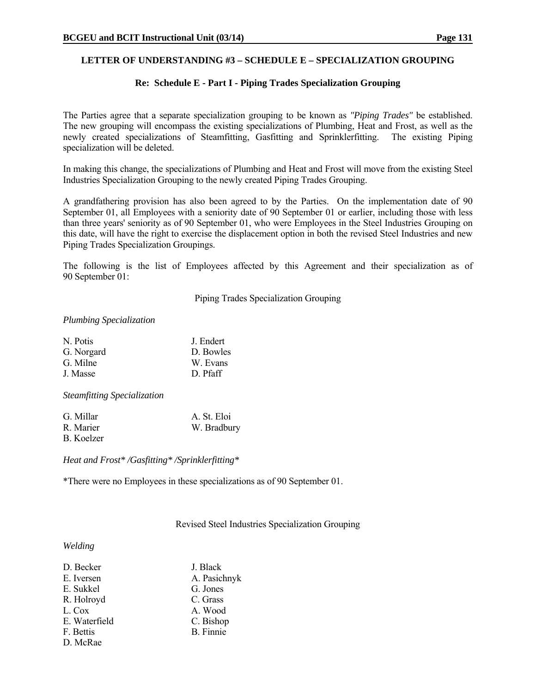#### **LETTER OF UNDERSTANDING #3 – SCHEDULE E – SPECIALIZATION GROUPING**

#### **Re: Schedule E - Part I - Piping Trades Specialization Grouping**

The Parties agree that a separate specialization grouping to be known as *"Piping Trades"* be established. The new grouping will encompass the existing specializations of Plumbing, Heat and Frost, as well as the newly created specializations of Steamfitting, Gasfitting and Sprinklerfitting. The existing Piping specialization will be deleted.

In making this change, the specializations of Plumbing and Heat and Frost will move from the existing Steel Industries Specialization Grouping to the newly created Piping Trades Grouping.

A grandfathering provision has also been agreed to by the Parties. On the implementation date of 90 September 01, all Employees with a seniority date of 90 September 01 or earlier, including those with less than three years' seniority as of 90 September 01, who were Employees in the Steel Industries Grouping on this date, will have the right to exercise the displacement option in both the revised Steel Industries and new Piping Trades Specialization Groupings.

The following is the list of Employees affected by this Agreement and their specialization as of 90 September 01:

Piping Trades Specialization Grouping

#### *Plumbing Specialization*

| N. Potis   | J. Endert |
|------------|-----------|
| G. Norgard | D. Bowles |
| G. Milne   | W. Evans  |
| J. Masse   | D. Pfaff  |
|            |           |

*Steamfitting Specialization*

| G. Millar  | A. St. Eloi |
|------------|-------------|
| R. Marier  | W. Bradbury |
| B. Koelzer |             |

*Heat and Frost\* /Gasfitting\* /Sprinklerfitting\**

\*There were no Employees in these specializations as of 90 September 01.

Revised Steel Industries Specialization Grouping

#### *Welding*

| D. Becker     | J. Black         |
|---------------|------------------|
| E. Iversen    | A. Pasichnyk     |
| E. Sukkel     | G. Jones         |
| R. Holroyd    | C. Grass         |
| L. Cox        | A. Wood          |
| E. Waterfield | C. Bishop        |
| F. Bettis     | <b>B.</b> Finnie |
| D. McRae      |                  |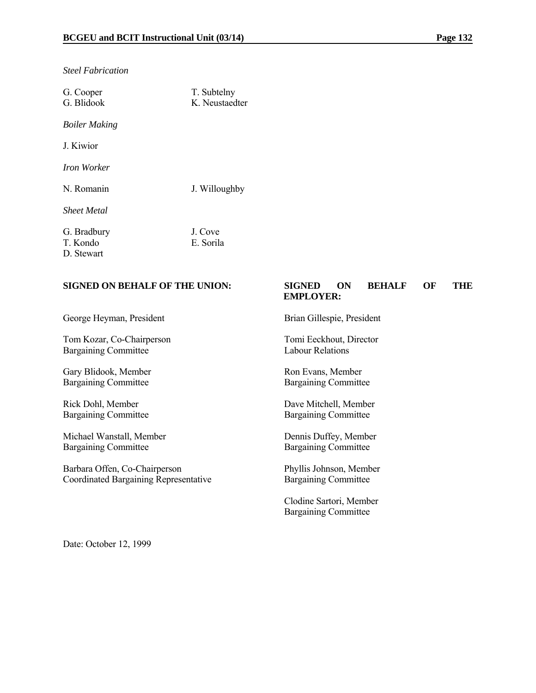*Steel Fabrication*

| G. Cooper<br>G. Blidook               | T. Subtelny<br>K Neustaedter |
|---------------------------------------|------------------------------|
| <b>Boiler Making</b>                  |                              |
| J. Kiwior                             |                              |
| Iron Worker                           |                              |
| N. Romanin                            | J. Willoughby                |
| <b>Sheet Metal</b>                    |                              |
| G. Bradbury<br>T. Kondo<br>D. Stewart | J. Cove<br>E. Sorila         |

#### **SIGNED ON BEHALF OF THE UNION: SIGNED ON BEHALF OF THE EMPLOYER:**

George Heyman, President Brian Gillespie, President

Tom Kozar, Co-Chairperson Tomi Eeckhout, Director Bargaining Committee Labour Relations

Gary Blidook, Member<br>Bargaining Committee Bargaining Committee Bargaining Committee

Michael Wanstall, Member Dennis Duffey, Member Bargaining Committee Bargaining Committee

Barbara Offen, Co-Chairperson Phyllis Johnson, Member Coordinated Bargaining Representative Bargaining Committee

Bargaining Committee

Rick Dohl, Member<br>Bargaining Committee Bargaining Committee Bargaining Committee Bargaining Committee

 Clodine Sartori, Member Bargaining Committee

Date: October 12, 1999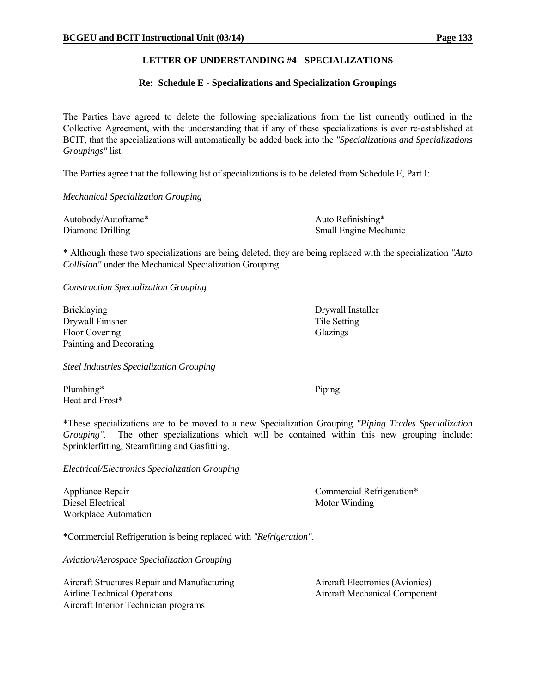#### **LETTER OF UNDERSTANDING #4 - SPECIALIZATIONS**

#### **Re: Schedule E - Specializations and Specialization Groupings**

The Parties have agreed to delete the following specializations from the list currently outlined in the Collective Agreement, with the understanding that if any of these specializations is ever re-established at BCIT, that the specializations will automatically be added back into the *"Specializations and Specializations Groupings"* list.

The Parties agree that the following list of specializations is to be deleted from Schedule E, Part I:

#### *Mechanical Specialization Grouping*

| Autobody/Autoframe* | Auto Refinishing*            |
|---------------------|------------------------------|
| Diamond Drilling    | <b>Small Engine Mechanic</b> |

\* Although these two specializations are being deleted, they are being replaced with the specialization *"Auto Collision"* under the Mechanical Specialization Grouping.

*Construction Specialization Grouping*

Bricklaying Drywall Installer Drywall Finisher Tile Setting Floor Covering Glazings Glazings Painting and Decorating

*Steel Industries Specialization Grouping*

Plumbing\* Piping Heat and Frost\*

\*These specializations are to be moved to a new Specialization Grouping *"Piping Trades Specialization Grouping"*. The other specializations which will be contained within this new grouping include: Sprinklerfitting, Steamfitting and Gasfitting.

*Electrical/Electronics Specialization Grouping*

Diesel Electrical Motor Winding Workplace Automation

Appliance Repair Commercial Refrigeration\*

\*Commercial Refrigeration is being replaced with *"Refrigeration"*.

*Aviation/Aerospace Specialization Grouping*

Aircraft Structures Repair and Manufacturing Aircraft Electronics (Avionics) Airline Technical Operations **Aircraft Mechanical Component** Aircraft Interior Technician programs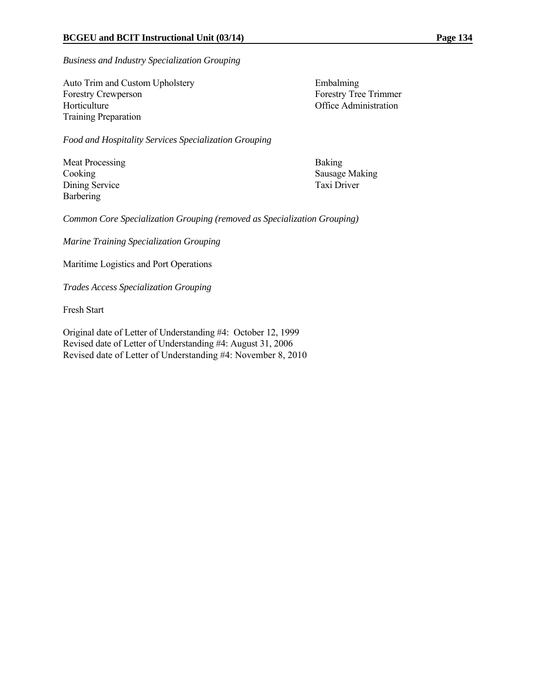*Business and Industry Specialization Grouping*

Auto Trim and Custom Upholstery Embalming Forestry Crewperson Forestry Tree Trimmer Horticulture **Office Administration** Training Preparation

*Food and Hospitality Services Specialization Grouping*

Meat Processing Baking Dining Service Taxi Driver Barbering

Cooking Sausage Making

*Common Core Specialization Grouping (removed as Specialization Grouping)* 

*Marine Training Specialization Grouping*

Maritime Logistics and Port Operations

*Trades Access Specialization Grouping* 

Fresh Start

Original date of Letter of Understanding #4: October 12, 1999 Revised date of Letter of Understanding #4: August 31, 2006 Revised date of Letter of Understanding #4: November 8, 2010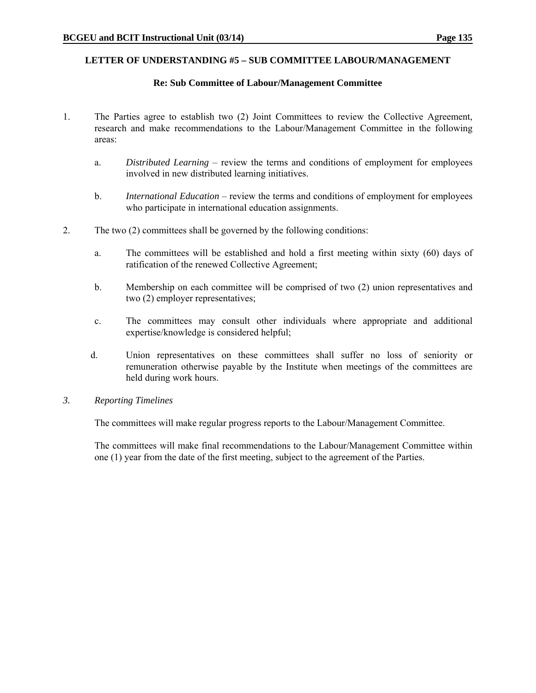#### **LETTER OF UNDERSTANDING #5 – SUB COMMITTEE LABOUR/MANAGEMENT**

#### **Re: Sub Committee of Labour/Management Committee**

- 1. The Parties agree to establish two (2) Joint Committees to review the Collective Agreement, research and make recommendations to the Labour/Management Committee in the following areas:
	- a. *Distributed Learning* review the terms and conditions of employment for employees involved in new distributed learning initiatives.
	- b. *International Education* review the terms and conditions of employment for employees who participate in international education assignments.
- 2. The two (2) committees shall be governed by the following conditions:
	- a. The committees will be established and hold a first meeting within sixty (60) days of ratification of the renewed Collective Agreement;
	- b. Membership on each committee will be comprised of two (2) union representatives and two (2) employer representatives;
	- c. The committees may consult other individuals where appropriate and additional expertise/knowledge is considered helpful;
	- d. Union representatives on these committees shall suffer no loss of seniority or remuneration otherwise payable by the Institute when meetings of the committees are held during work hours.
- *3. Reporting Timelines*

The committees will make regular progress reports to the Labour/Management Committee.

The committees will make final recommendations to the Labour/Management Committee within one (1) year from the date of the first meeting, subject to the agreement of the Parties.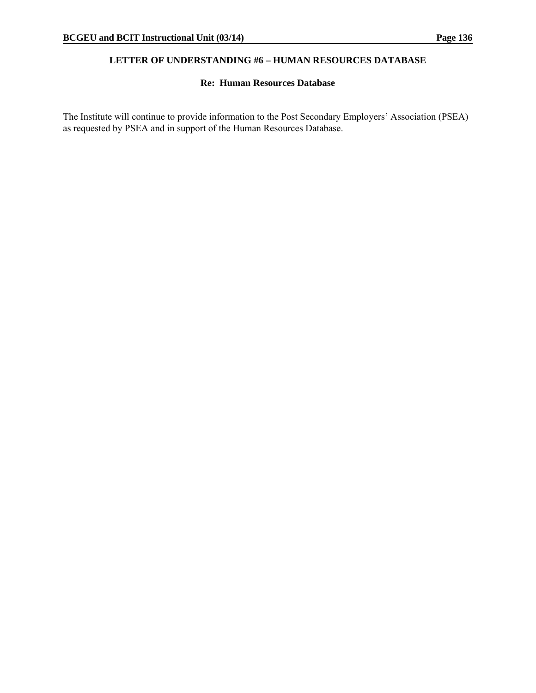#### **LETTER OF UNDERSTANDING #6 – HUMAN RESOURCES DATABASE**

#### **Re: Human Resources Database**

The Institute will continue to provide information to the Post Secondary Employers' Association (PSEA) as requested by PSEA and in support of the Human Resources Database.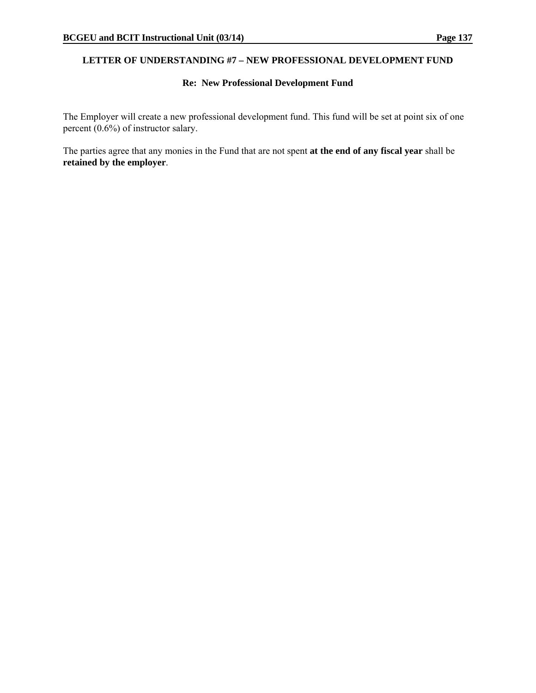### **LETTER OF UNDERSTANDING #7 – NEW PROFESSIONAL DEVELOPMENT FUND**

#### **Re: New Professional Development Fund**

The Employer will create a new professional development fund. This fund will be set at point six of one percent (0.6%) of instructor salary.

The parties agree that any monies in the Fund that are not spent **at the end of any fiscal year** shall be **retained by the employer**.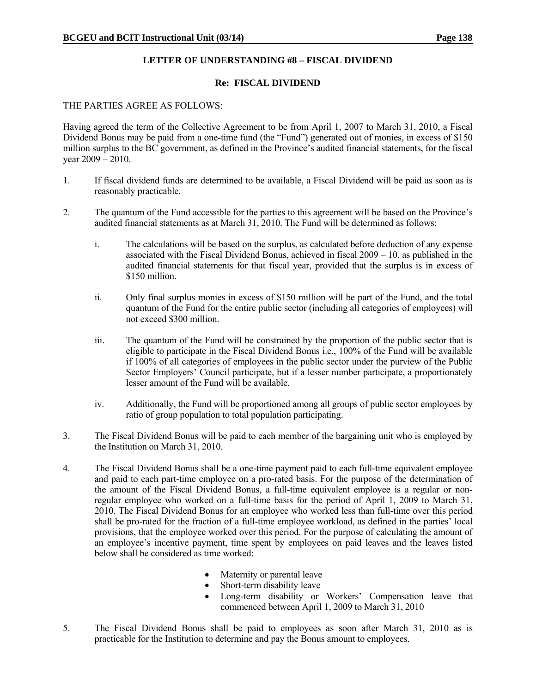#### **LETTER OF UNDERSTANDING #8 – FISCAL DIVIDEND**

#### **Re: FISCAL DIVIDEND**

#### THE PARTIES AGREE AS FOLLOWS:

Having agreed the term of the Collective Agreement to be from April 1, 2007 to March 31, 2010, a Fiscal Dividend Bonus may be paid from a one-time fund (the "Fund") generated out of monies, in excess of \$150 million surplus to the BC government, as defined in the Province's audited financial statements, for the fiscal year  $2009 - 2010$ .

- 1. If fiscal dividend funds are determined to be available, a Fiscal Dividend will be paid as soon as is reasonably practicable.
- 2. The quantum of the Fund accessible for the parties to this agreement will be based on the Province's audited financial statements as at March 31, 2010. The Fund will be determined as follows:
	- i. The calculations will be based on the surplus, as calculated before deduction of any expense associated with the Fiscal Dividend Bonus, achieved in fiscal 2009 – 10, as published in the audited financial statements for that fiscal year, provided that the surplus is in excess of \$150 million.
	- ii. Only final surplus monies in excess of \$150 million will be part of the Fund, and the total quantum of the Fund for the entire public sector (including all categories of employees) will not exceed \$300 million.
	- iii. The quantum of the Fund will be constrained by the proportion of the public sector that is eligible to participate in the Fiscal Dividend Bonus i.e., 100% of the Fund will be available if 100% of all categories of employees in the public sector under the purview of the Public Sector Employers' Council participate, but if a lesser number participate, a proportionately lesser amount of the Fund will be available.
	- iv. Additionally, the Fund will be proportioned among all groups of public sector employees by ratio of group population to total population participating.
- 3. The Fiscal Dividend Bonus will be paid to each member of the bargaining unit who is employed by the Institution on March 31, 2010.
- 4. The Fiscal Dividend Bonus shall be a one-time payment paid to each full-time equivalent employee and paid to each part-time employee on a pro-rated basis. For the purpose of the determination of the amount of the Fiscal Dividend Bonus, a full-time equivalent employee is a regular or nonregular employee who worked on a full-time basis for the period of April 1, 2009 to March 31, 2010. The Fiscal Dividend Bonus for an employee who worked less than full-time over this period shall be pro-rated for the fraction of a full-time employee workload, as defined in the parties' local provisions, that the employee worked over this period. For the purpose of calculating the amount of an employee's incentive payment, time spent by employees on paid leaves and the leaves listed below shall be considered as time worked:
	- Maternity or parental leave
	- Short-term disability leave
	- Long-term disability or Workers' Compensation leave that commenced between April 1, 2009 to March 31, 2010
- 5. The Fiscal Dividend Bonus shall be paid to employees as soon after March 31, 2010 as is practicable for the Institution to determine and pay the Bonus amount to employees.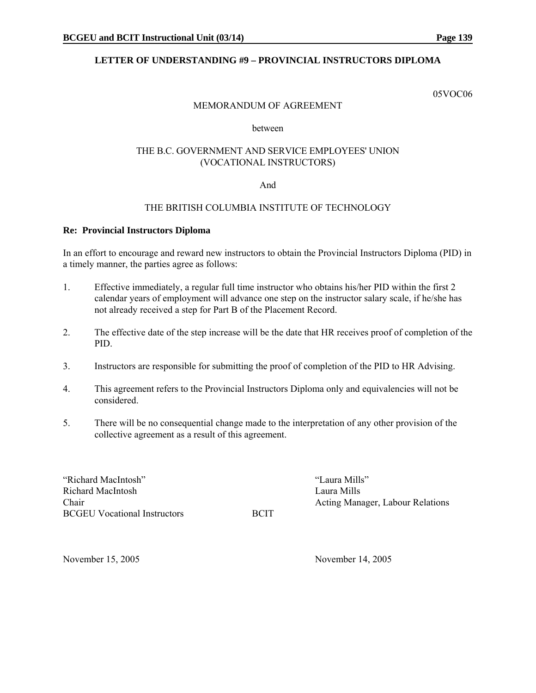### **LETTER OF UNDERSTANDING #9 – PROVINCIAL INSTRUCTORS DIPLOMA**

05VOC06

#### MEMORANDUM OF AGREEMENT

#### between

#### THE B.C. GOVERNMENT AND SERVICE EMPLOYEES' UNION (VOCATIONAL INSTRUCTORS)

#### And

#### THE BRITISH COLUMBIA INSTITUTE OF TECHNOLOGY

#### **Re: Provincial Instructors Diploma**

In an effort to encourage and reward new instructors to obtain the Provincial Instructors Diploma (PID) in a timely manner, the parties agree as follows:

- 1. Effective immediately, a regular full time instructor who obtains his/her PID within the first 2 calendar years of employment will advance one step on the instructor salary scale, if he/she has not already received a step for Part B of the Placement Record.
- 2. The effective date of the step increase will be the date that HR receives proof of completion of the PID.
- 3. Instructors are responsible for submitting the proof of completion of the PID to HR Advising.
- 4. This agreement refers to the Provincial Instructors Diploma only and equivalencies will not be considered.
- 5. There will be no consequential change made to the interpretation of any other provision of the collective agreement as a result of this agreement.

"Richard MacIntosh" "Laura Mills" Richard MacIntosh Laura Mills BCGEU Vocational Instructors BCIT

Chair **Chair** Chair **Chair** Chair **Action** Acting Manager, Labour Relations Chair

November 15, 2005 November 14, 2005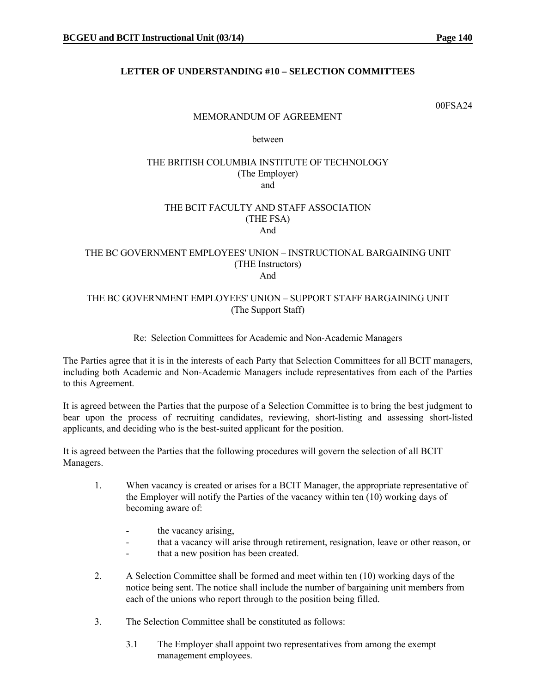### **LETTER OF UNDERSTANDING #10 – SELECTION COMMITTEES**

00FSA24

#### MEMORANDUM OF AGREEMENT

between

#### THE BRITISH COLUMBIA INSTITUTE OF TECHNOLOGY (The Employer) and

#### THE BCIT FACULTY AND STAFF ASSOCIATION (THE FSA) And

#### THE BC GOVERNMENT EMPLOYEES' UNION – INSTRUCTIONAL BARGAINING UNIT (THE Instructors) And

#### THE BC GOVERNMENT EMPLOYEES' UNION – SUPPORT STAFF BARGAINING UNIT (The Support Staff)

#### Re: Selection Committees for Academic and Non-Academic Managers

The Parties agree that it is in the interests of each Party that Selection Committees for all BCIT managers, including both Academic and Non-Academic Managers include representatives from each of the Parties to this Agreement.

It is agreed between the Parties that the purpose of a Selection Committee is to bring the best judgment to bear upon the process of recruiting candidates, reviewing, short-listing and assessing short-listed applicants, and deciding who is the best-suited applicant for the position.

It is agreed between the Parties that the following procedures will govern the selection of all BCIT Managers.

- 1. When vacancy is created or arises for a BCIT Manager, the appropriate representative of the Employer will notify the Parties of the vacancy within ten (10) working days of becoming aware of:
	- the vacancy arising.
	- that a vacancy will arise through retirement, resignation, leave or other reason, or
	- that a new position has been created.
- 2. A Selection Committee shall be formed and meet within ten (10) working days of the notice being sent. The notice shall include the number of bargaining unit members from each of the unions who report through to the position being filled.
- 3. The Selection Committee shall be constituted as follows:
	- 3.1 The Employer shall appoint two representatives from among the exempt management employees.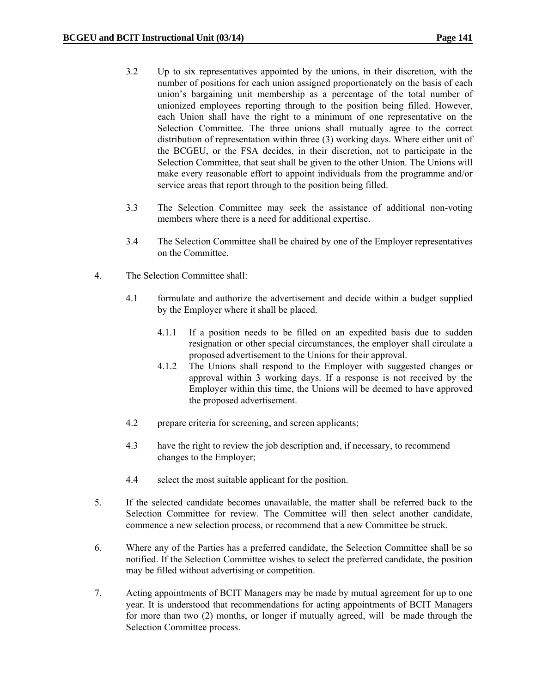- 3.2 Up to six representatives appointed by the unions, in their discretion, with the number of positions for each union assigned proportionately on the basis of each union's bargaining unit membership as a percentage of the total number of unionized employees reporting through to the position being filled. However, each Union shall have the right to a minimum of one representative on the Selection Committee. The three unions shall mutually agree to the correct distribution of representation within three (3) working days. Where either unit of the BCGEU, or the FSA decides, in their discretion, not to participate in the Selection Committee, that seat shall be given to the other Union. The Unions will make every reasonable effort to appoint individuals from the programme and/or service areas that report through to the position being filled.
- 3.3 The Selection Committee may seek the assistance of additional non-voting members where there is a need for additional expertise.
- 3.4 The Selection Committee shall be chaired by one of the Employer representatives on the Committee.
- 4. The Selection Committee shall:
	- 4.1 formulate and authorize the advertisement and decide within a budget supplied by the Employer where it shall be placed.
		- 4.1.1 If a position needs to be filled on an expedited basis due to sudden resignation or other special circumstances, the employer shall circulate a proposed advertisement to the Unions for their approval.
		- 4.1.2 The Unions shall respond to the Employer with suggested changes or approval within 3 working days. If a response is not received by the Employer within this time, the Unions will be deemed to have approved the proposed advertisement.
	- 4.2 prepare criteria for screening, and screen applicants;
	- 4.3 have the right to review the job description and, if necessary, to recommend changes to the Employer;
	- 4.4 select the most suitable applicant for the position.
- 5. If the selected candidate becomes unavailable, the matter shall be referred back to the Selection Committee for review. The Committee will then select another candidate, commence a new selection process, or recommend that a new Committee be struck.
- 6. Where any of the Parties has a preferred candidate, the Selection Committee shall be so notified. If the Selection Committee wishes to select the preferred candidate, the position may be filled without advertising or competition.
- 7. Acting appointments of BCIT Managers may be made by mutual agreement for up to one year. It is understood that recommendations for acting appointments of BCIT Managers for more than two (2) months, or longer if mutually agreed, will be made through the Selection Committee process.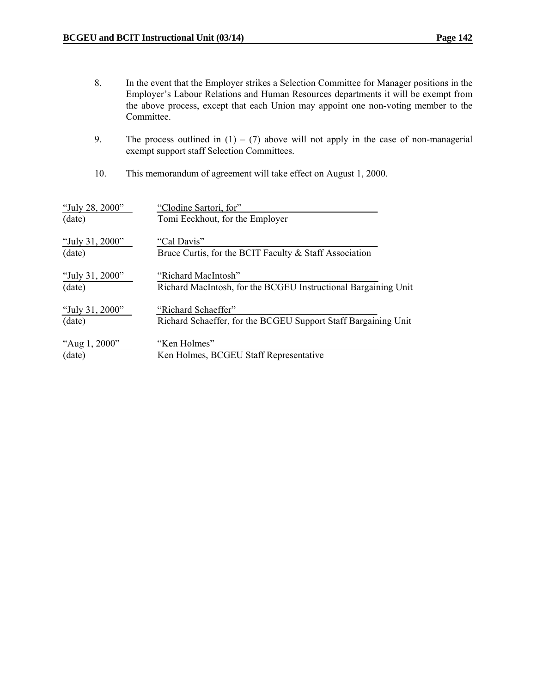- 8. In the event that the Employer strikes a Selection Committee for Manager positions in the Employer's Labour Relations and Human Resources departments it will be exempt from the above process, except that each Union may appoint one non-voting member to the Committee.
- 9. The process outlined in  $(1) (7)$  above will not apply in the case of non-managerial exempt support staff Selection Committees.
- 10. This memorandum of agreement will take effect on August 1, 2000.

| "July 28, 2000" | "Clodine Sartori, for"                                         |
|-----------------|----------------------------------------------------------------|
| (date)          | Tomi Eeckhout, for the Employer                                |
| "July 31, 2000" | "Cal Davis"                                                    |
| (date)          | Bruce Curtis, for the BCIT Faculty & Staff Association         |
| "July 31, 2000" | "Richard MacIntosh"                                            |
| (date)          | Richard MacIntosh, for the BCGEU Instructional Bargaining Unit |
| "July 31, 2000" | "Richard Schaeffer"                                            |
| (date)          | Richard Schaeffer, for the BCGEU Support Staff Bargaining Unit |
| "Aug 1, 2000"   | "Ken Holmes"                                                   |
| (date)          | Ken Holmes, BCGEU Staff Representative                         |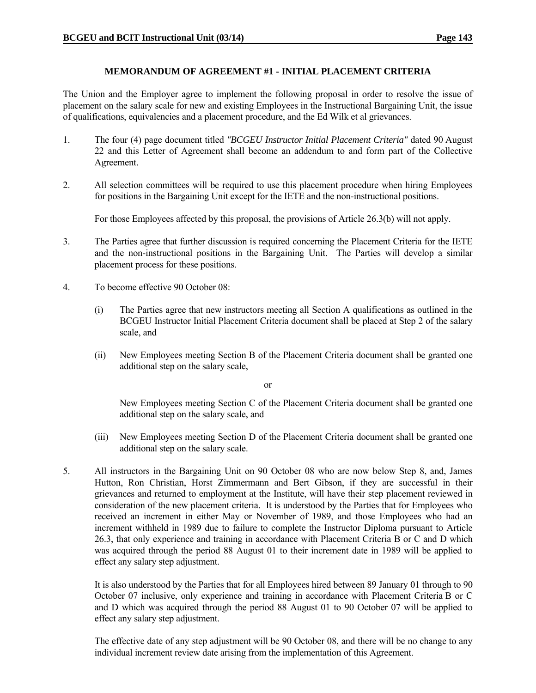#### **MEMORANDUM OF AGREEMENT #1 - INITIAL PLACEMENT CRITERIA**

The Union and the Employer agree to implement the following proposal in order to resolve the issue of placement on the salary scale for new and existing Employees in the Instructional Bargaining Unit, the issue of qualifications, equivalencies and a placement procedure, and the Ed Wilk et al grievances.

- 1. The four (4) page document titled *"BCGEU Instructor Initial Placement Criteria"* dated 90 August 22 and this Letter of Agreement shall become an addendum to and form part of the Collective Agreement.
- 2. All selection committees will be required to use this placement procedure when hiring Employees for positions in the Bargaining Unit except for the IETE and the non-instructional positions.

For those Employees affected by this proposal, the provisions of Article 26.3(b) will not apply.

- 3. The Parties agree that further discussion is required concerning the Placement Criteria for the IETE and the non-instructional positions in the Bargaining Unit. The Parties will develop a similar placement process for these positions.
- 4. To become effective 90 October 08:
	- (i) The Parties agree that new instructors meeting all Section A qualifications as outlined in the BCGEU Instructor Initial Placement Criteria document shall be placed at Step 2 of the salary scale, and
	- (ii) New Employees meeting Section B of the Placement Criteria document shall be granted one additional step on the salary scale,

or

 New Employees meeting Section C of the Placement Criteria document shall be granted one additional step on the salary scale, and

- (iii) New Employees meeting Section D of the Placement Criteria document shall be granted one additional step on the salary scale.
- 5. All instructors in the Bargaining Unit on 90 October 08 who are now below Step 8, and, James Hutton, Ron Christian, Horst Zimmermann and Bert Gibson, if they are successful in their grievances and returned to employment at the Institute, will have their step placement reviewed in consideration of the new placement criteria. It is understood by the Parties that for Employees who received an increment in either May or November of 1989, and those Employees who had an increment withheld in 1989 due to failure to complete the Instructor Diploma pursuant to Article 26.3, that only experience and training in accordance with Placement Criteria B or C and D which was acquired through the period 88 August 01 to their increment date in 1989 will be applied to effect any salary step adjustment.

 It is also understood by the Parties that for all Employees hired between 89 January 01 through to 90 October 07 inclusive, only experience and training in accordance with Placement Criteria B or C and D which was acquired through the period 88 August 01 to 90 October 07 will be applied to effect any salary step adjustment.

 The effective date of any step adjustment will be 90 October 08, and there will be no change to any individual increment review date arising from the implementation of this Agreement.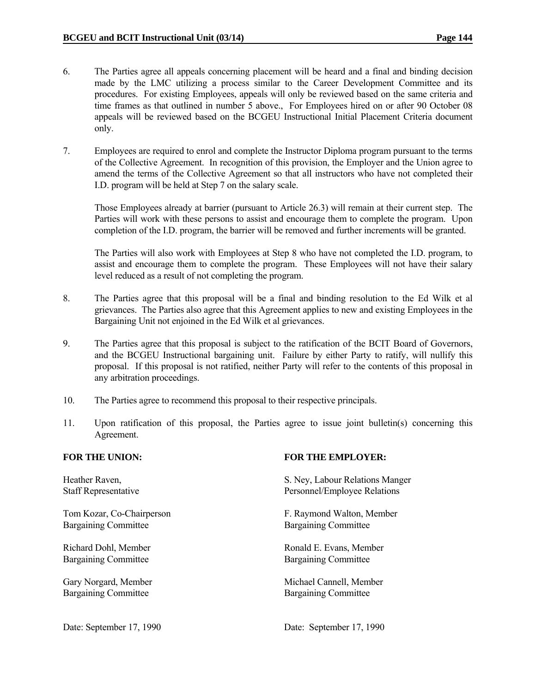- 6. The Parties agree all appeals concerning placement will be heard and a final and binding decision made by the LMC utilizing a process similar to the Career Development Committee and its procedures. For existing Employees, appeals will only be reviewed based on the same criteria and time frames as that outlined in number 5 above., For Employees hired on or after 90 October 08 appeals will be reviewed based on the BCGEU Instructional Initial Placement Criteria document only.
- 7. Employees are required to enrol and complete the Instructor Diploma program pursuant to the terms of the Collective Agreement. In recognition of this provision, the Employer and the Union agree to amend the terms of the Collective Agreement so that all instructors who have not completed their I.D. program will be held at Step 7 on the salary scale.

 Those Employees already at barrier (pursuant to Article 26.3) will remain at their current step. The Parties will work with these persons to assist and encourage them to complete the program. Upon completion of the I.D. program, the barrier will be removed and further increments will be granted.

 The Parties will also work with Employees at Step 8 who have not completed the I.D. program, to assist and encourage them to complete the program. These Employees will not have their salary level reduced as a result of not completing the program.

- 8. The Parties agree that this proposal will be a final and binding resolution to the Ed Wilk et al grievances. The Parties also agree that this Agreement applies to new and existing Employees in the Bargaining Unit not enjoined in the Ed Wilk et al grievances.
- 9. The Parties agree that this proposal is subject to the ratification of the BCIT Board of Governors, and the BCGEU Instructional bargaining unit. Failure by either Party to ratify, will nullify this proposal. If this proposal is not ratified, neither Party will refer to the contents of this proposal in any arbitration proceedings.
- 10. The Parties agree to recommend this proposal to their respective principals.
- 11. Upon ratification of this proposal, the Parties agree to issue joint bulletin(s) concerning this Agreement.

Bargaining Committee Bargaining Committee

Bargaining Committee Bargaining Committee

Bargaining Committee Bargaining Committee

#### **FOR THE UNION: FOR THE EMPLOYER:**

Heather Raven, S. Ney, Labour Relations Manger Staff Representative Personnel/Employee Relations

Tom Kozar, Co-Chairperson F. Raymond Walton, Member

Richard Dohl, Member Ronald E. Evans, Member

Gary Norgard, Member Michael Cannell, Member

Date: September 17, 1990 Date: September 17, 1990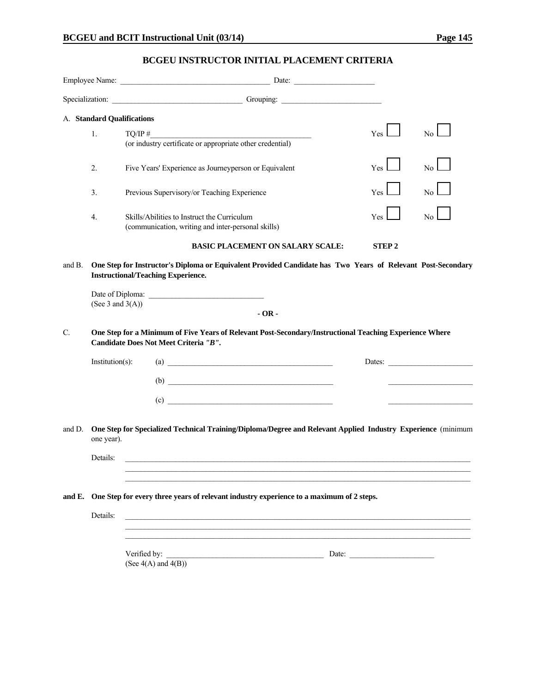### **BCGEU INSTRUCTOR INITIAL PLACEMENT CRITERIA**

|                 |                            | Specialization: Contract Contract Contract Contract Contract Contract Contract Contract Contract Contract Contract Contract Contract Contract Contract Contract Contract Contract Contract Contract Contract Contract Contract |                                                          |                 |
|-----------------|----------------------------|--------------------------------------------------------------------------------------------------------------------------------------------------------------------------------------------------------------------------------|----------------------------------------------------------|-----------------|
|                 | A. Standard Qualifications |                                                                                                                                                                                                                                |                                                          |                 |
|                 | 1.                         | $TQ/IP \#$<br>$TQ/IP \#$ (or industry certificate or appropriate other credential)                                                                                                                                             | Yes l                                                    | No <sub>1</sub> |
|                 |                            |                                                                                                                                                                                                                                |                                                          |                 |
|                 | 2.                         | Five Years' Experience as Journeyperson or Equivalent                                                                                                                                                                          | Yes                                                      | No              |
|                 | 3.                         | Previous Supervisory/or Teaching Experience                                                                                                                                                                                    | Yes                                                      | No.             |
|                 | 4.                         | Skills/Abilities to Instruct the Curriculum<br>(communication, writing and inter-personal skills)                                                                                                                              | Yes                                                      | No              |
|                 |                            | <b>BASIC PLACEMENT ON SALARY SCALE:</b>                                                                                                                                                                                        | <b>STEP2</b>                                             |                 |
| and B.          | (See 3 and $3(A)$ )        | One Step for Instructor's Diploma or Equivalent Provided Candidate has Two Years of Relevant Post-Secondary<br><b>Instructional/Teaching Experience.</b><br>$-OR -$                                                            |                                                          |                 |
| $\mathcal{C}$ . |                            | One Step for a Minimum of Five Years of Relevant Post-Secondary/Instructional Teaching Experience Where<br>Candidate Does Not Meet Criteria "B".                                                                               |                                                          |                 |
|                 | Institution(s):            | $\left( \text{a}\right)$                                                                                                                                                                                                       |                                                          | Dates:          |
|                 |                            | $\begin{array}{c}\n\text{(b)} \quad \text{---}\n\end{array}$                                                                                                                                                                   |                                                          |                 |
|                 |                            | $\left( \text{c} \right)$                                                                                                                                                                                                      |                                                          |                 |
| and D.          | one year).                 | One Step for Specialized Technical Training/Diploma/Degree and Relevant Applied Industry Experience (minimum                                                                                                                   |                                                          |                 |
|                 | Details:                   |                                                                                                                                                                                                                                |                                                          |                 |
|                 |                            |                                                                                                                                                                                                                                |                                                          |                 |
|                 |                            | and E. One Step for every three years of relevant industry experience to a maximum of 2 steps.                                                                                                                                 |                                                          |                 |
|                 | Details:                   |                                                                                                                                                                                                                                |                                                          |                 |
|                 |                            | Verified by:<br>(See $4(A)$ and $4(B)$ )                                                                                                                                                                                       | Date: $\frac{1}{\sqrt{1-\frac{1}{2}} \cdot \frac{1}{2}}$ |                 |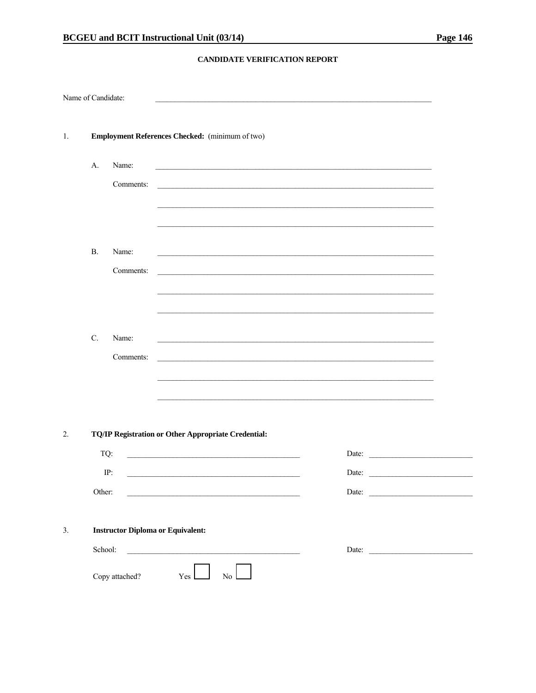#### CANDIDATE VERIFICATION REPORT

| Name of Candidate: |                                          |                                                     |  |
|--------------------|------------------------------------------|-----------------------------------------------------|--|
|                    |                                          |                                                     |  |
| 1.                 |                                          | Employment References Checked: (minimum of two)     |  |
| A.                 | Name:                                    |                                                     |  |
|                    | Comments:                                |                                                     |  |
|                    |                                          |                                                     |  |
|                    |                                          |                                                     |  |
| <b>B.</b>          | Name:                                    |                                                     |  |
|                    | Comments:                                |                                                     |  |
|                    |                                          |                                                     |  |
|                    |                                          |                                                     |  |
| $C$ .              | Name:                                    |                                                     |  |
|                    | Comments:                                |                                                     |  |
|                    |                                          |                                                     |  |
|                    |                                          |                                                     |  |
|                    |                                          | TQ/IP Registration or Other Appropriate Credential: |  |
|                    | TQ:                                      | Date:                                               |  |
|                    | IP:                                      | Date:                                               |  |
|                    | Other:                                   | Date:                                               |  |
|                    |                                          |                                                     |  |
|                    | <b>Instructor Diploma or Equivalent:</b> |                                                     |  |
|                    | School:                                  | Date:                                               |  |
|                    | Copy attached?                           | $\mathbb{N}^{\mathbb{O}}$<br>Yes                    |  |
|                    |                                          |                                                     |  |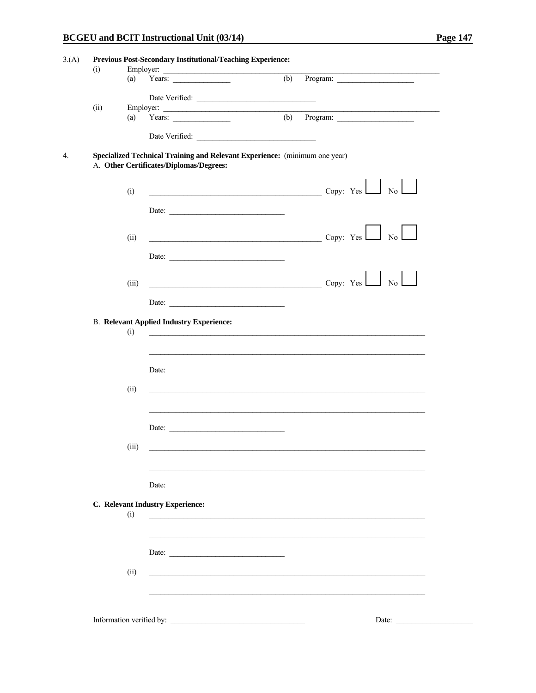$\overline{\phantom{a}}$ 

| (i)  |       | Employer:                                       |                                                                                                                         |
|------|-------|-------------------------------------------------|-------------------------------------------------------------------------------------------------------------------------|
|      | (a)   | Years: $\qquad \qquad$                          | (b)<br>Program:                                                                                                         |
|      |       |                                                 |                                                                                                                         |
|      |       | Date Verified:                                  |                                                                                                                         |
| (ii) |       |                                                 |                                                                                                                         |
|      |       |                                                 |                                                                                                                         |
|      |       |                                                 |                                                                                                                         |
|      |       | A. Other Certificates/Diplomas/Degrees:         | Specialized Technical Training and Relevant Experience: (minimum one year)                                              |
|      |       |                                                 |                                                                                                                         |
|      | (i)   |                                                 |                                                                                                                         |
|      |       | Date:                                           |                                                                                                                         |
|      |       |                                                 |                                                                                                                         |
|      | (ii)  |                                                 | $\mathbb{N}_0$ $\Box$<br>Copy: Yes                                                                                      |
|      |       |                                                 |                                                                                                                         |
|      |       | Date:                                           |                                                                                                                         |
|      |       |                                                 |                                                                                                                         |
|      | (iii) |                                                 | $\overline{\phantom{a}}$ Copy: Yes $\overline{\phantom{a}}$ No $\overline{\phantom{a}}$                                 |
|      |       |                                                 |                                                                                                                         |
|      |       | Date:                                           |                                                                                                                         |
|      |       | <b>B. Relevant Applied Industry Experience:</b> |                                                                                                                         |
|      | (i)   |                                                 | <u> 2000 - Jan Barat, prima din masa karena di kacamatan dan masa karena di kacamatan dan masa karena di kacamatan </u> |
|      |       |                                                 |                                                                                                                         |
|      |       |                                                 |                                                                                                                         |
|      |       | Date:                                           |                                                                                                                         |
|      |       |                                                 |                                                                                                                         |
|      | (ii)  |                                                 |                                                                                                                         |
|      |       |                                                 |                                                                                                                         |
|      |       |                                                 |                                                                                                                         |
|      |       | Date:                                           |                                                                                                                         |
|      |       |                                                 |                                                                                                                         |
|      | (iii) |                                                 |                                                                                                                         |
|      |       |                                                 |                                                                                                                         |
|      |       |                                                 |                                                                                                                         |
|      |       | Date:                                           |                                                                                                                         |
|      |       |                                                 |                                                                                                                         |
|      | (i)   | C. Relevant Industry Experience:                |                                                                                                                         |
|      |       |                                                 |                                                                                                                         |
|      |       |                                                 |                                                                                                                         |
|      |       |                                                 |                                                                                                                         |
|      |       | Date:                                           |                                                                                                                         |
|      | (ii)  |                                                 |                                                                                                                         |
|      |       |                                                 |                                                                                                                         |
|      |       |                                                 |                                                                                                                         |
|      |       |                                                 |                                                                                                                         |
|      |       | Information verified by:                        | Date:                                                                                                                   |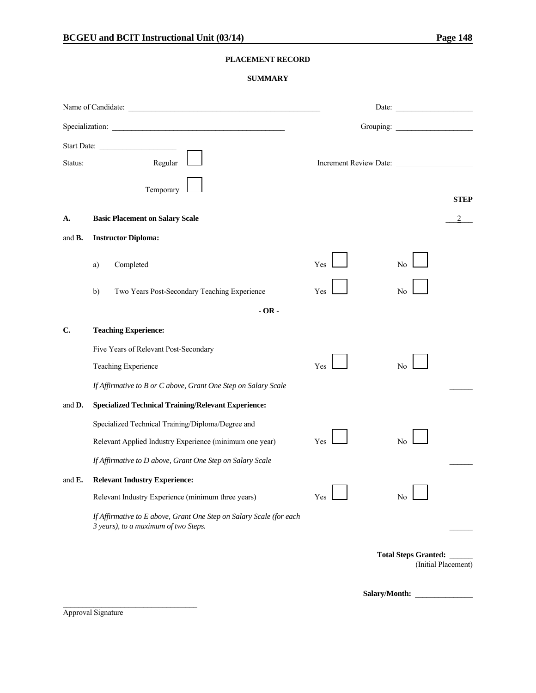#### **PLACEMENT RECORD**

#### **SUMMARY**

|                | Specialization:                                                                                             |     | Grouping:                                          |
|----------------|-------------------------------------------------------------------------------------------------------------|-----|----------------------------------------------------|
| Status:        | Start Date:<br>Regular                                                                                      |     | Increment Review Date:                             |
|                | Temporary                                                                                                   |     | <b>STEP</b>                                        |
| А.             | <b>Basic Placement on Salary Scale</b>                                                                      |     |                                                    |
| and <b>B</b> . | <b>Instructor Diploma:</b>                                                                                  |     |                                                    |
|                | Completed<br>a)                                                                                             | Yes | N <sub>0</sub>                                     |
|                | Two Years Post-Secondary Teaching Experience<br>b)                                                          | Yes | No                                                 |
|                | $-OR -$                                                                                                     |     |                                                    |
| C.             | <b>Teaching Experience:</b>                                                                                 |     |                                                    |
|                | Five Years of Relevant Post-Secondary                                                                       |     |                                                    |
|                | Teaching Experience                                                                                         | Yes | No                                                 |
|                | If Affirmative to B or C above, Grant One Step on Salary Scale                                              |     |                                                    |
| and D.         | <b>Specialized Technical Training/Relevant Experience:</b>                                                  |     |                                                    |
|                | Specialized Technical Training/Diploma/Degree and                                                           |     |                                                    |
|                | Relevant Applied Industry Experience (minimum one year)                                                     | Yes | No                                                 |
|                | If Affirmative to D above, Grant One Step on Salary Scale                                                   |     |                                                    |
| and $E$ .      | <b>Relevant Industry Experience:</b>                                                                        |     |                                                    |
|                | Relevant Industry Experience (minimum three years)                                                          | Yes | No                                                 |
|                | If Affirmative to E above, Grant One Step on Salary Scale (for each<br>3 years), to a maximum of two Steps. |     |                                                    |
|                |                                                                                                             |     | <b>Total Steps Granted:</b><br>(Initial Placement) |

Salary/Month:

Approval Signature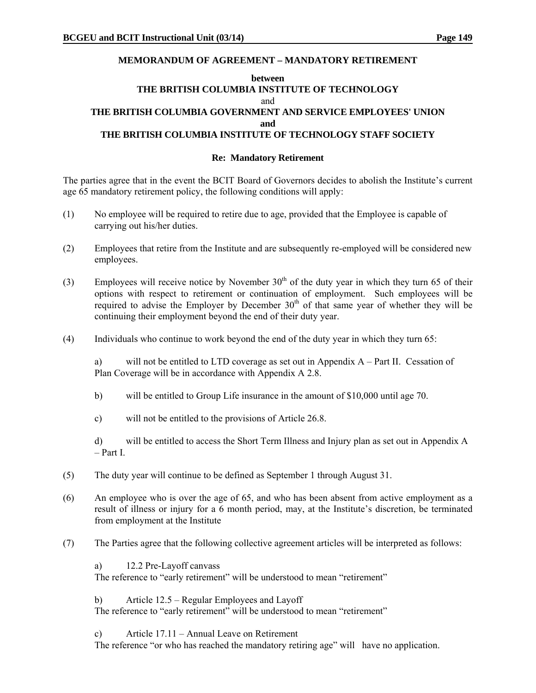#### **MEMORANDUM OF AGREEMENT – MANDATORY RETIREMENT**

#### **between THE BRITISH COLUMBIA INSTITUTE OF TECHNOLOGY**  and **THE BRITISH COLUMBIA GOVERNMENT AND SERVICE EMPLOYEES' UNION and THE BRITISH COLUMBIA INSTITUTE OF TECHNOLOGY STAFF SOCIETY**

#### **Re: Mandatory Retirement**

The parties agree that in the event the BCIT Board of Governors decides to abolish the Institute's current age 65 mandatory retirement policy, the following conditions will apply:

- (1) No employee will be required to retire due to age, provided that the Employee is capable of carrying out his/her duties.
- (2) Employees that retire from the Institute and are subsequently re-employed will be considered new employees.
- (3) Employees will receive notice by November  $30<sup>th</sup>$  of the duty year in which they turn 65 of their options with respect to retirement or continuation of employment. Such employees will be required to advise the Employer by December  $30<sup>th</sup>$  of that same year of whether they will be continuing their employment beyond the end of their duty year.
- (4) Individuals who continue to work beyond the end of the duty year in which they turn 65:

a) will not be entitled to LTD coverage as set out in Appendix A – Part II. Cessation of Plan Coverage will be in accordance with Appendix A 2.8.

- b) will be entitled to Group Life insurance in the amount of \$10,000 until age 70.
- c) will not be entitled to the provisions of Article 26.8.

d) will be entitled to access the Short Term Illness and Injury plan as set out in Appendix A – Part I.

- (5) The duty year will continue to be defined as September 1 through August 31.
- (6) An employee who is over the age of 65, and who has been absent from active employment as a result of illness or injury for a 6 month period, may, at the Institute's discretion, be terminated from employment at the Institute
- (7) The Parties agree that the following collective agreement articles will be interpreted as follows:

a) 12.2 Pre-Layoff canvass The reference to "early retirement" will be understood to mean "retirement"

b) Article 12.5 – Regular Employees and Layoff

The reference to "early retirement" will be understood to mean "retirement"

c) Article 17.11 – Annual Leave on Retirement

The reference "or who has reached the mandatory retiring age" will have no application.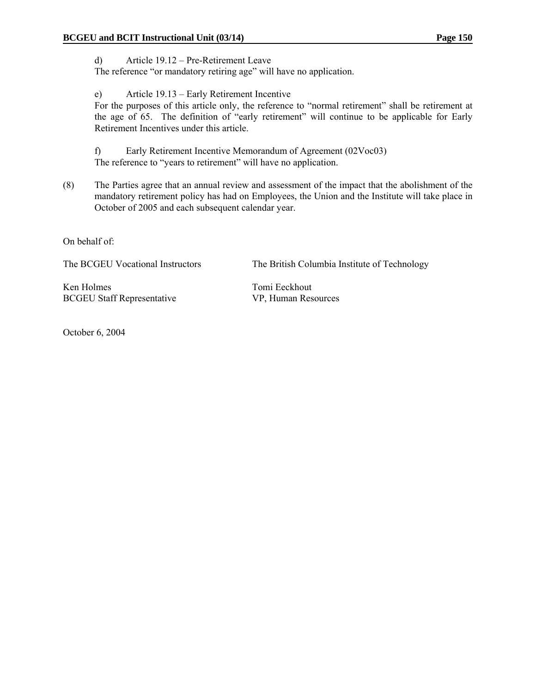d) Article 19.12 – Pre-Retirement Leave The reference "or mandatory retiring age" will have no application.

e) Article 19.13 – Early Retirement Incentive For the purposes of this article only, the reference to "normal retirement" shall be retirement at the age of 65. The definition of "early retirement" will continue to be applicable for Early Retirement Incentives under this article.

f) Early Retirement Incentive Memorandum of Agreement (02Voc03) The reference to "years to retirement" will have no application.

(8) The Parties agree that an annual review and assessment of the impact that the abolishment of the mandatory retirement policy has had on Employees, the Union and the Institute will take place in October of 2005 and each subsequent calendar year.

On behalf of:

The BCGEU Vocational Instructors The British Columbia Institute of Technology

Ken Holmes Tomi Eeckhout BCGEU Staff Representative VP, Human Resources

October 6, 2004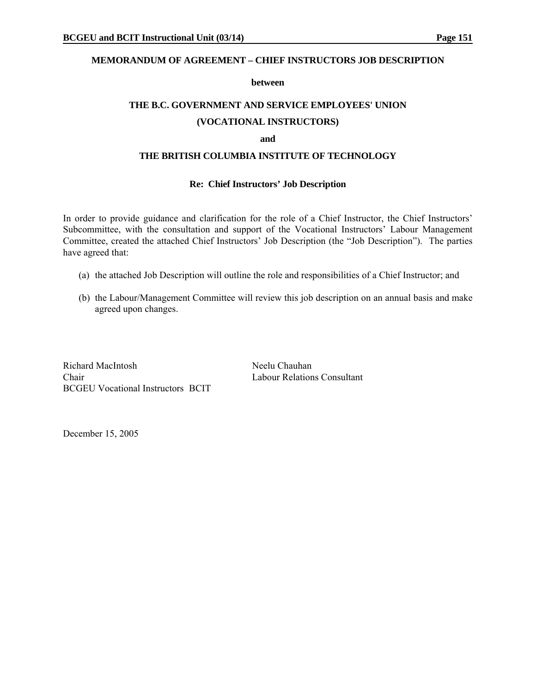#### **MEMORANDUM OF AGREEMENT – CHIEF INSTRUCTORS JOB DESCRIPTION**

#### **between**

#### **THE B.C. GOVERNMENT AND SERVICE EMPLOYEES' UNION**

#### **(VOCATIONAL INSTRUCTORS)**

#### **and**

#### **THE BRITISH COLUMBIA INSTITUTE OF TECHNOLOGY**

#### **Re: Chief Instructors' Job Description**

In order to provide guidance and clarification for the role of a Chief Instructor, the Chief Instructors' Subcommittee, with the consultation and support of the Vocational Instructors' Labour Management Committee, created the attached Chief Instructors' Job Description (the "Job Description"). The parties have agreed that:

- (a) the attached Job Description will outline the role and responsibilities of a Chief Instructor; and
- (b) the Labour/Management Committee will review this job description on an annual basis and make agreed upon changes.

Richard MacIntosh Neelu Chauhan Chair Labour Relations Consultant BCGEU Vocational Instructors BCIT

December 15, 2005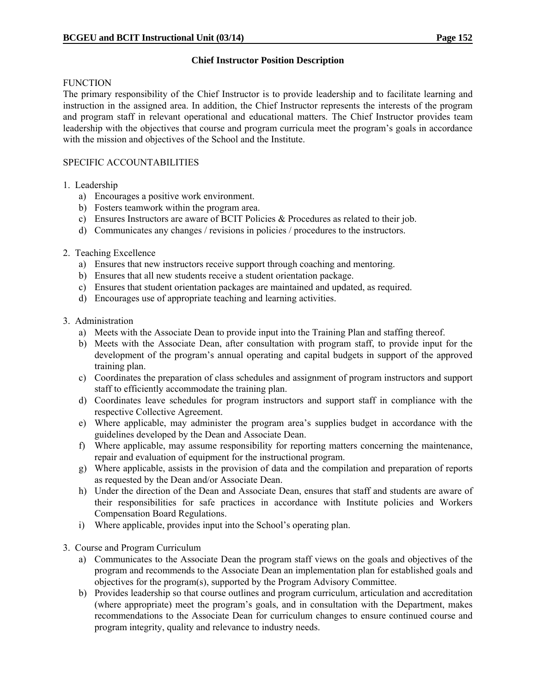#### **Chief Instructor Position Description**

#### **FUNCTION**

The primary responsibility of the Chief Instructor is to provide leadership and to facilitate learning and instruction in the assigned area. In addition, the Chief Instructor represents the interests of the program and program staff in relevant operational and educational matters. The Chief Instructor provides team leadership with the objectives that course and program curricula meet the program's goals in accordance with the mission and objectives of the School and the Institute.

#### SPECIFIC ACCOUNTABILITIES

- 1. Leadership
	- a) Encourages a positive work environment.
	- b) Fosters teamwork within the program area.
	- c) Ensures Instructors are aware of BCIT Policies & Procedures as related to their job.
	- d) Communicates any changes / revisions in policies / procedures to the instructors.
- 2. Teaching Excellence
	- a) Ensures that new instructors receive support through coaching and mentoring.
	- b) Ensures that all new students receive a student orientation package.
	- c) Ensures that student orientation packages are maintained and updated, as required.
	- d) Encourages use of appropriate teaching and learning activities.
- 3. Administration
	- a) Meets with the Associate Dean to provide input into the Training Plan and staffing thereof.
	- b) Meets with the Associate Dean, after consultation with program staff, to provide input for the development of the program's annual operating and capital budgets in support of the approved training plan.
	- c) Coordinates the preparation of class schedules and assignment of program instructors and support staff to efficiently accommodate the training plan.
	- d) Coordinates leave schedules for program instructors and support staff in compliance with the respective Collective Agreement.
	- e) Where applicable, may administer the program area's supplies budget in accordance with the guidelines developed by the Dean and Associate Dean.
	- f) Where applicable, may assume responsibility for reporting matters concerning the maintenance, repair and evaluation of equipment for the instructional program.
	- g) Where applicable, assists in the provision of data and the compilation and preparation of reports as requested by the Dean and/or Associate Dean.
	- h) Under the direction of the Dean and Associate Dean, ensures that staff and students are aware of their responsibilities for safe practices in accordance with Institute policies and Workers Compensation Board Regulations.
	- i) Where applicable, provides input into the School's operating plan.
- 3. Course and Program Curriculum
	- a) Communicates to the Associate Dean the program staff views on the goals and objectives of the program and recommends to the Associate Dean an implementation plan for established goals and objectives for the program(s), supported by the Program Advisory Committee.
	- b) Provides leadership so that course outlines and program curriculum, articulation and accreditation (where appropriate) meet the program's goals, and in consultation with the Department, makes recommendations to the Associate Dean for curriculum changes to ensure continued course and program integrity, quality and relevance to industry needs.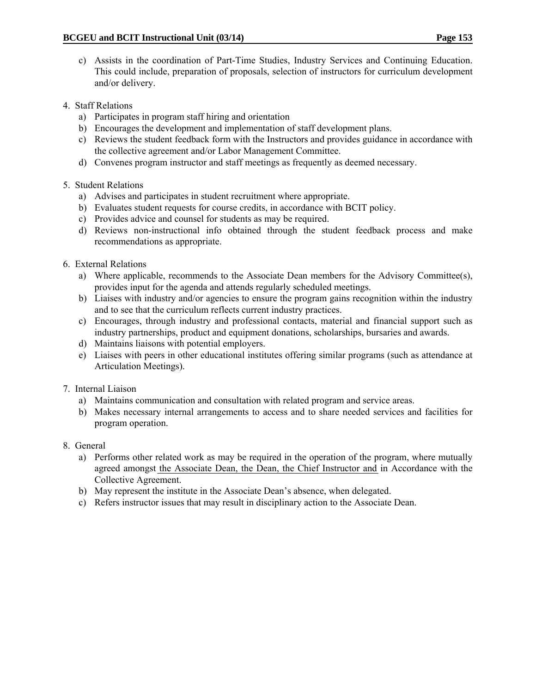- c) Assists in the coordination of Part-Time Studies, Industry Services and Continuing Education. This could include, preparation of proposals, selection of instructors for curriculum development and/or delivery.
- 4. Staff Relations
	- a) Participates in program staff hiring and orientation
	- b) Encourages the development and implementation of staff development plans.
	- c) Reviews the student feedback form with the Instructors and provides guidance in accordance with the collective agreement and/or Labor Management Committee.
	- d) Convenes program instructor and staff meetings as frequently as deemed necessary.

### 5. Student Relations

- a) Advises and participates in student recruitment where appropriate.
- b) Evaluates student requests for course credits, in accordance with BCIT policy.
- c) Provides advice and counsel for students as may be required.
- d) Reviews non-instructional info obtained through the student feedback process and make recommendations as appropriate.
- 6. External Relations
	- a) Where applicable, recommends to the Associate Dean members for the Advisory Committee(s), provides input for the agenda and attends regularly scheduled meetings.
	- b) Liaises with industry and/or agencies to ensure the program gains recognition within the industry and to see that the curriculum reflects current industry practices.
	- c) Encourages, through industry and professional contacts, material and financial support such as industry partnerships, product and equipment donations, scholarships, bursaries and awards.
	- d) Maintains liaisons with potential employers.
	- e) Liaises with peers in other educational institutes offering similar programs (such as attendance at Articulation Meetings).
- 7. Internal Liaison
	- a) Maintains communication and consultation with related program and service areas.
	- b) Makes necessary internal arrangements to access and to share needed services and facilities for program operation.
- 8. General
	- a) Performs other related work as may be required in the operation of the program, where mutually agreed amongst the Associate Dean, the Dean, the Chief Instructor and in Accordance with the Collective Agreement.
	- b) May represent the institute in the Associate Dean's absence, when delegated.
	- c) Refers instructor issues that may result in disciplinary action to the Associate Dean.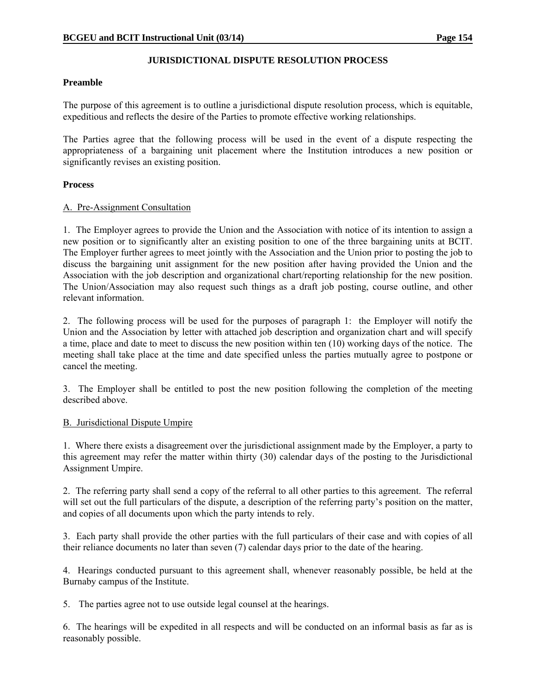#### **JURISDICTIONAL DISPUTE RESOLUTION PROCESS**

#### **Preamble**

The purpose of this agreement is to outline a jurisdictional dispute resolution process, which is equitable, expeditious and reflects the desire of the Parties to promote effective working relationships.

The Parties agree that the following process will be used in the event of a dispute respecting the appropriateness of a bargaining unit placement where the Institution introduces a new position or significantly revises an existing position.

#### **Process**

#### A. Pre-Assignment Consultation

1. The Employer agrees to provide the Union and the Association with notice of its intention to assign a new position or to significantly alter an existing position to one of the three bargaining units at BCIT. The Employer further agrees to meet jointly with the Association and the Union prior to posting the job to discuss the bargaining unit assignment for the new position after having provided the Union and the Association with the job description and organizational chart/reporting relationship for the new position. The Union/Association may also request such things as a draft job posting, course outline, and other relevant information.

2. The following process will be used for the purposes of paragraph 1: the Employer will notify the Union and the Association by letter with attached job description and organization chart and will specify a time, place and date to meet to discuss the new position within ten (10) working days of the notice. The meeting shall take place at the time and date specified unless the parties mutually agree to postpone or cancel the meeting.

3. The Employer shall be entitled to post the new position following the completion of the meeting described above.

#### B. Jurisdictional Dispute Umpire

1. Where there exists a disagreement over the jurisdictional assignment made by the Employer, a party to this agreement may refer the matter within thirty (30) calendar days of the posting to the Jurisdictional Assignment Umpire.

2. The referring party shall send a copy of the referral to all other parties to this agreement. The referral will set out the full particulars of the dispute, a description of the referring party's position on the matter, and copies of all documents upon which the party intends to rely.

3. Each party shall provide the other parties with the full particulars of their case and with copies of all their reliance documents no later than seven (7) calendar days prior to the date of the hearing.

4. Hearings conducted pursuant to this agreement shall, whenever reasonably possible, be held at the Burnaby campus of the Institute.

5. The parties agree not to use outside legal counsel at the hearings.

6. The hearings will be expedited in all respects and will be conducted on an informal basis as far as is reasonably possible.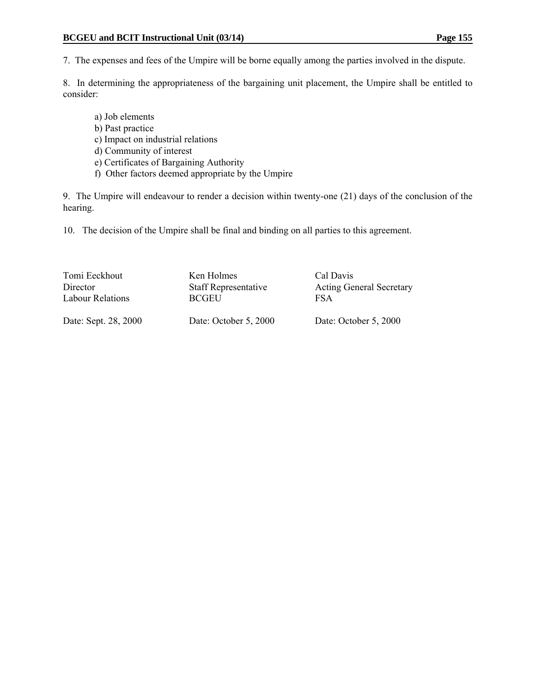7. The expenses and fees of the Umpire will be borne equally among the parties involved in the dispute.

8. In determining the appropriateness of the bargaining unit placement, the Umpire shall be entitled to consider:

- a) Job elements
- b) Past practice
- c) Impact on industrial relations
- d) Community of interest
- e) Certificates of Bargaining Authority
- f) Other factors deemed appropriate by the Umpire

9. The Umpire will endeavour to render a decision within twenty-one (21) days of the conclusion of the hearing.

10. The decision of the Umpire shall be final and binding on all parties to this agreement.

| Tomi Eeckhout        | Ken Holmes                  | Cal Davis                       |
|----------------------|-----------------------------|---------------------------------|
| Director             | <b>Staff Representative</b> | <b>Acting General Secretary</b> |
| Labour Relations     | <b>BCGEU</b>                | FSA                             |
| Date: Sept. 28, 2000 | Date: October 5, 2000       | Date: October 5, 2000           |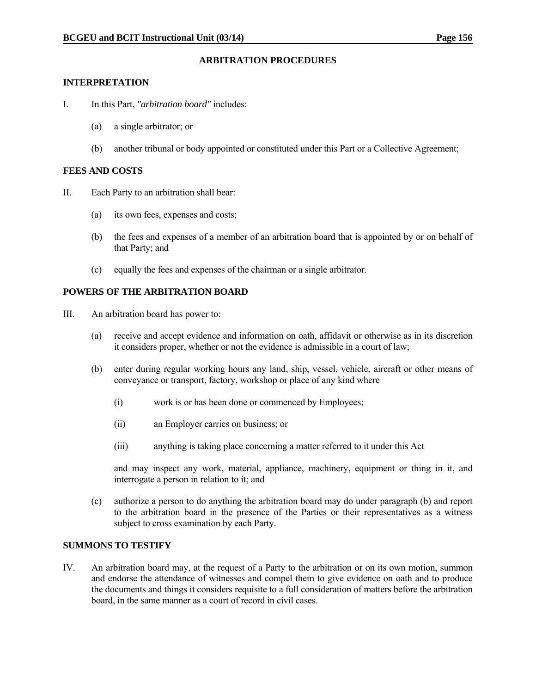#### **ARBITRATION PROCEDURES**

#### **INTERPRETATION**

- I. In this Part, *"arbitration board"* includes:
	- (a) a single arbitrator; or
	- (b) another tribunal or body appointed or constituted under this Part or a Collective Agreement;

#### **FEES AND COSTS**

- II. Each Party to an arbitration shall bear:
	- (a) its own fees, expenses and costs;
	- (b) the fees and expenses of a member of an arbitration board that is appointed by or on behalf of that Party; and
	- (c) equally the fees and expenses of the chairman or a single arbitrator.

#### **POWERS OF THE ARBITRATION BOARD**

- III. An arbitration board has power to:
	- (a) receive and accept evidence and information on oath, affidavit or otherwise as in its discretion it considers proper, whether or not the evidence is admissible in a court of law;
	- (b) enter during regular working hours any land, ship, vessel, vehicle, aircraft or other means of conveyance or transport, factory, workshop or place of any kind where
		- (i) work is or has been done or commenced by Employees;
		- (ii) an Employer carries on business; or
		- (iii) anything is taking place concerning a matter referred to it under this Act

 and may inspect any work, material, appliance, machinery, equipment or thing in it, and interrogate a person in relation to it; and

 (c) authorize a person to do anything the arbitration board may do under paragraph (b) and report to the arbitration board in the presence of the Parties or their representatives as a witness subject to cross examination by each Party.

#### **SUMMONS TO TESTIFY**

IV. An arbitration board may, at the request of a Party to the arbitration or on its own motion, summon and endorse the attendance of witnesses and compel them to give evidence on oath and to produce the documents and things it considers requisite to a full consideration of matters before the arbitration board, in the same manner as a court of record in civil cases.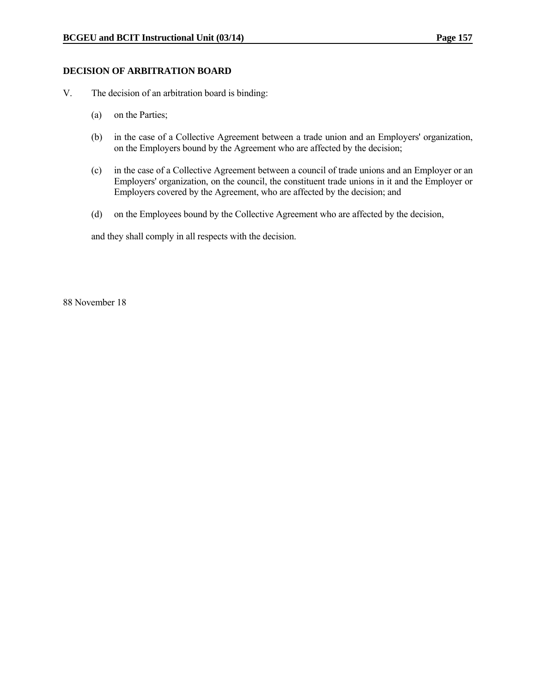#### **DECISION OF ARBITRATION BOARD**

- V. The decision of an arbitration board is binding:
	- (a) on the Parties;
	- (b) in the case of a Collective Agreement between a trade union and an Employers' organization, on the Employers bound by the Agreement who are affected by the decision;
	- (c) in the case of a Collective Agreement between a council of trade unions and an Employer or an Employers' organization, on the council, the constituent trade unions in it and the Employer or Employers covered by the Agreement, who are affected by the decision; and
	- (d) on the Employees bound by the Collective Agreement who are affected by the decision,

and they shall comply in all respects with the decision.

88 November 18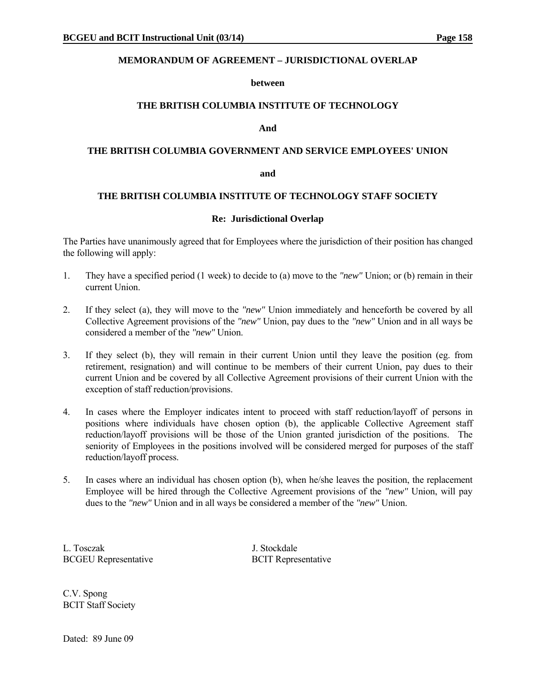#### **MEMORANDUM OF AGREEMENT – JURISDICTIONAL OVERLAP**

#### **between**

#### **THE BRITISH COLUMBIA INSTITUTE OF TECHNOLOGY**

#### **And**

#### **THE BRITISH COLUMBIA GOVERNMENT AND SERVICE EMPLOYEES' UNION**

#### **and**

#### **THE BRITISH COLUMBIA INSTITUTE OF TECHNOLOGY STAFF SOCIETY**

#### **Re: Jurisdictional Overlap**

The Parties have unanimously agreed that for Employees where the jurisdiction of their position has changed the following will apply:

- 1. They have a specified period (1 week) to decide to (a) move to the *"new"* Union; or (b) remain in their current Union.
- 2. If they select (a), they will move to the *"new"* Union immediately and henceforth be covered by all Collective Agreement provisions of the *"new"* Union, pay dues to the *"new"* Union and in all ways be considered a member of the *"new"* Union.
- 3. If they select (b), they will remain in their current Union until they leave the position (eg. from retirement, resignation) and will continue to be members of their current Union, pay dues to their current Union and be covered by all Collective Agreement provisions of their current Union with the exception of staff reduction/provisions.
- 4. In cases where the Employer indicates intent to proceed with staff reduction/layoff of persons in positions where individuals have chosen option (b), the applicable Collective Agreement staff reduction/layoff provisions will be those of the Union granted jurisdiction of the positions. The seniority of Employees in the positions involved will be considered merged for purposes of the staff reduction/layoff process.
- 5. In cases where an individual has chosen option (b), when he/she leaves the position, the replacement Employee will be hired through the Collective Agreement provisions of the *"new"* Union, will pay dues to the *"new"* Union and in all ways be considered a member of the *"new"* Union.

L. Tosczak J. Stockdale BCGEU Representative BCIT Representative

C.V. Spong BCIT Staff Society

Dated: 89 June 09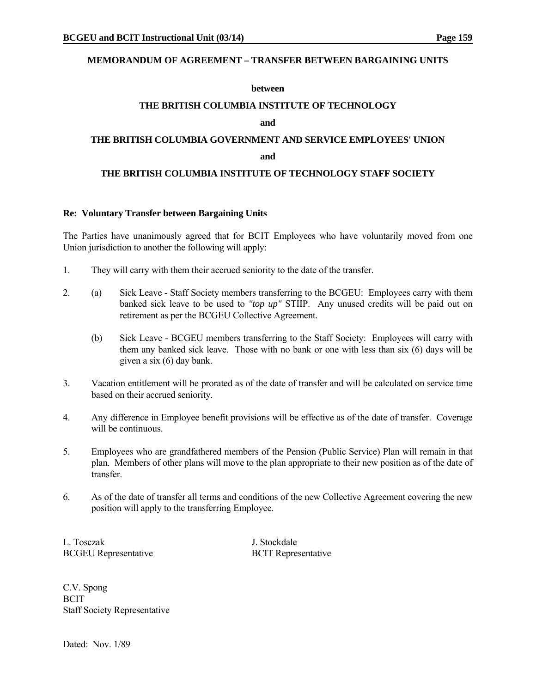#### **MEMORANDUM OF AGREEMENT – TRANSFER BETWEEN BARGAINING UNITS**

#### **between**

#### **THE BRITISH COLUMBIA INSTITUTE OF TECHNOLOGY**

#### **and**

# **THE BRITISH COLUMBIA GOVERNMENT AND SERVICE EMPLOYEES' UNION**

#### **and and**

#### **THE BRITISH COLUMBIA INSTITUTE OF TECHNOLOGY STAFF SOCIETY**

#### **Re: Voluntary Transfer between Bargaining Units**

The Parties have unanimously agreed that for BCIT Employees who have voluntarily moved from one Union jurisdiction to another the following will apply:

- 1. They will carry with them their accrued seniority to the date of the transfer.
- 2. (a) Sick Leave Staff Society members transferring to the BCGEU: Employees carry with them banked sick leave to be used to *"top up"* STIIP. Any unused credits will be paid out on retirement as per the BCGEU Collective Agreement.
	- (b) Sick Leave BCGEU members transferring to the Staff Society: Employees will carry with them any banked sick leave. Those with no bank or one with less than six (6) days will be given a six (6) day bank.
- 3. Vacation entitlement will be prorated as of the date of transfer and will be calculated on service time based on their accrued seniority.
- 4. Any difference in Employee benefit provisions will be effective as of the date of transfer. Coverage will be continuous.
- 5. Employees who are grandfathered members of the Pension (Public Service) Plan will remain in that plan. Members of other plans will move to the plan appropriate to their new position as of the date of transfer.
- 6. As of the date of transfer all terms and conditions of the new Collective Agreement covering the new position will apply to the transferring Employee.

L. Tosczak J. Stockdale BCGEU Representative BCIT Representative

C.V. Spong **BCIT** Staff Society Representative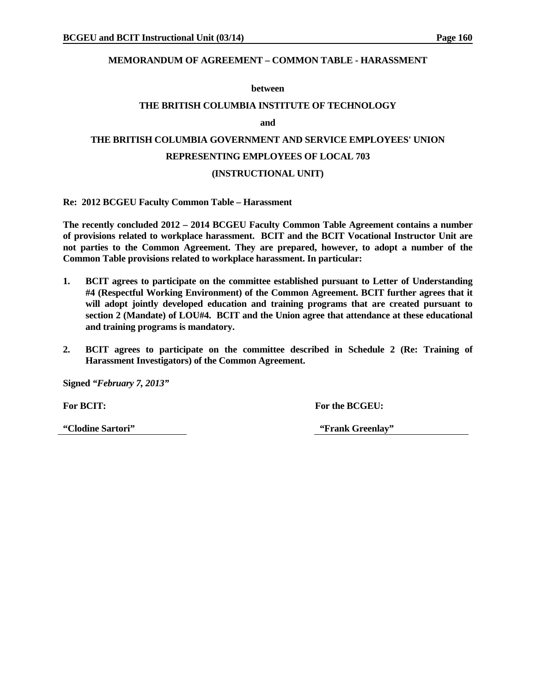#### **MEMORANDUM OF AGREEMENT – COMMON TABLE - HARASSMENT**

#### **between**

#### **THE BRITISH COLUMBIA INSTITUTE OF TECHNOLOGY**

**and** 

# **THE BRITISH COLUMBIA GOVERNMENT AND SERVICE EMPLOYEES' UNION REPRESENTING EMPLOYEES OF LOCAL 703 (INSTRUCTIONAL UNIT)**

**Re: 2012 BCGEU Faculty Common Table – Harassment** 

**The recently concluded 2012 – 2014 BCGEU Faculty Common Table Agreement contains a number of provisions related to workplace harassment. BCIT and the BCIT Vocational Instructor Unit are not parties to the Common Agreement. They are prepared, however, to adopt a number of the Common Table provisions related to workplace harassment. In particular:** 

- **1. BCIT agrees to participate on the committee established pursuant to Letter of Understanding #4 (Respectful Working Environment) of the Common Agreement. BCIT further agrees that it will adopt jointly developed education and training programs that are created pursuant to section 2 (Mandate) of LOU#4. BCIT and the Union agree that attendance at these educational and training programs is mandatory.**
- **2. BCIT agrees to participate on the committee described in Schedule 2 (Re: Training of Harassment Investigators) of the Common Agreement.**

**Signed** *"February 7, 2013"* 

For BCIT: **For BCGEU: For the BCGEU:** 

**"Clodine Sartori" "Frank Greenlay"**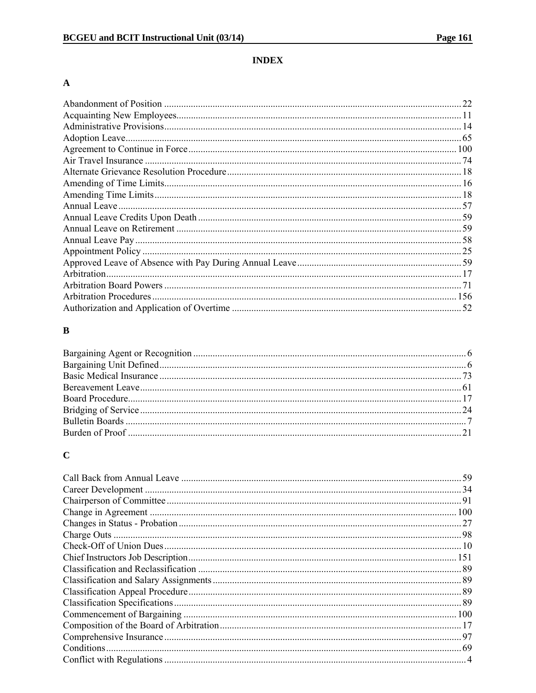### **INDEX**

### $\boldsymbol{\rm{A}}$

|             | 22 |
|-------------|----|
|             |    |
|             |    |
|             |    |
|             |    |
|             |    |
|             |    |
|             |    |
|             |    |
|             |    |
|             |    |
|             |    |
|             |    |
|             |    |
|             |    |
| Arbitration |    |
|             |    |
|             |    |
|             |    |
|             |    |

### $\bf{B}$

# $\mathbf C$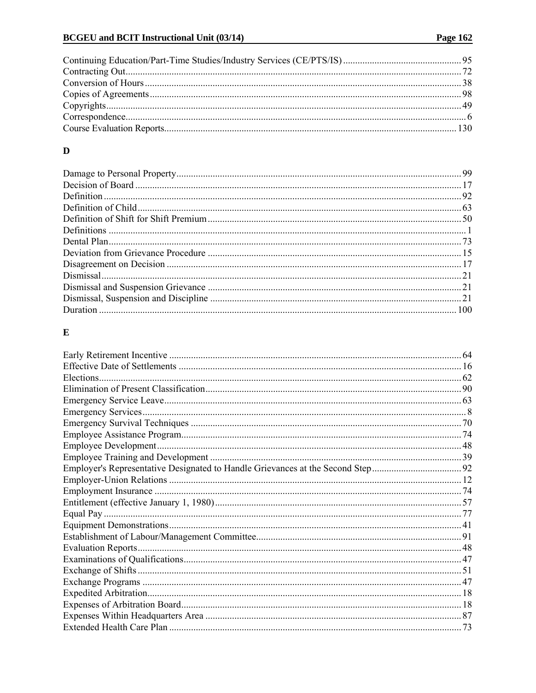### $\mathbf{D}%$

### $\mathbf E$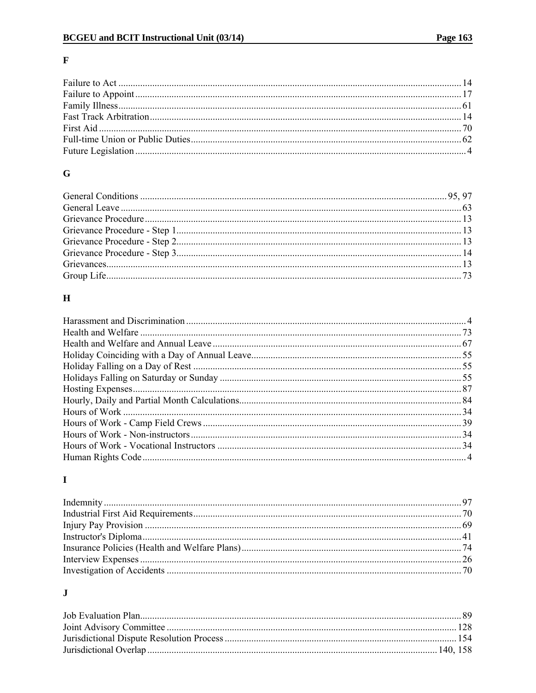### $\mathbf F$

### $\bf G$

### $\mathbf H$

# $\mathbf I$

### $\mathbf J$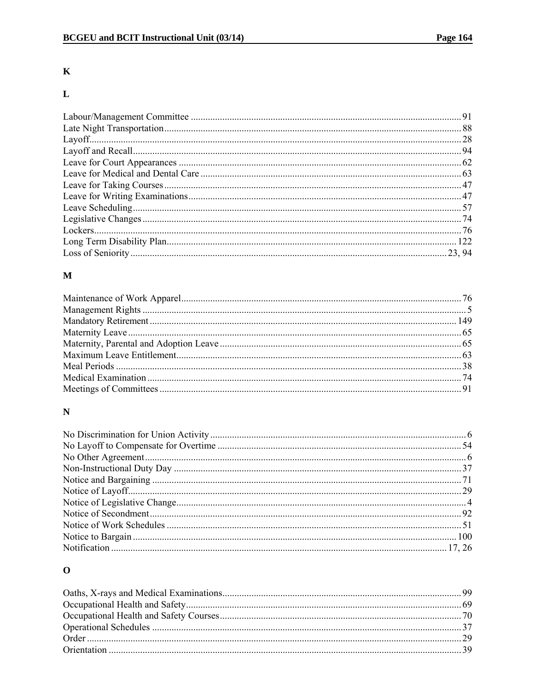### $\mathbf K$

# $\mathbf L$

### $\mathbf{M}$

# $\overline{\mathbf{N}}$

# $\mathbf{o}$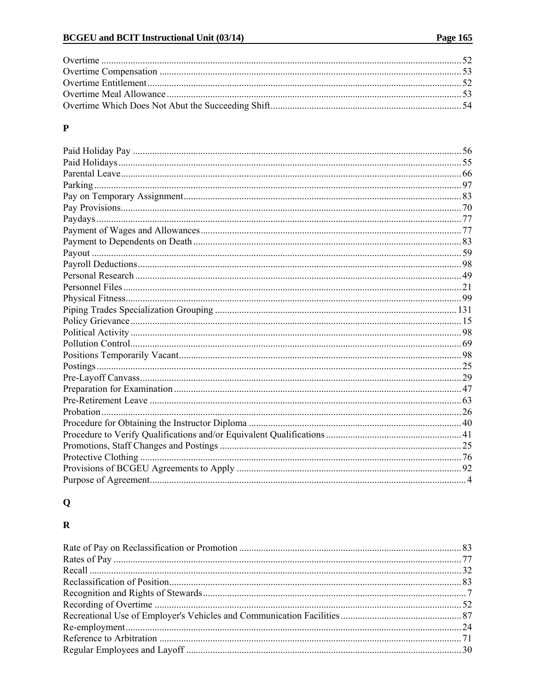### $\mathbf{P}$

# $\mathbf Q$

### $\mathbf R$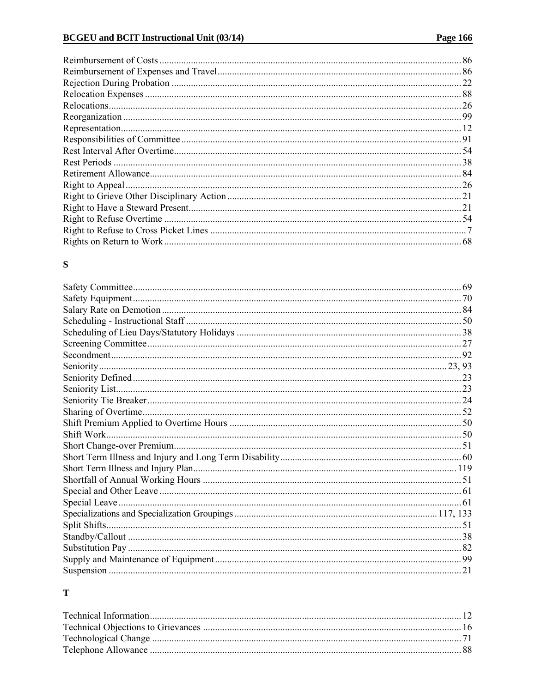| 22   |
|------|
|      |
|      |
| . 99 |
|      |
|      |
|      |
|      |
|      |
|      |
|      |
| . 21 |
|      |
|      |
|      |
|      |

### ${\bf S}$

### $\mathbf T$